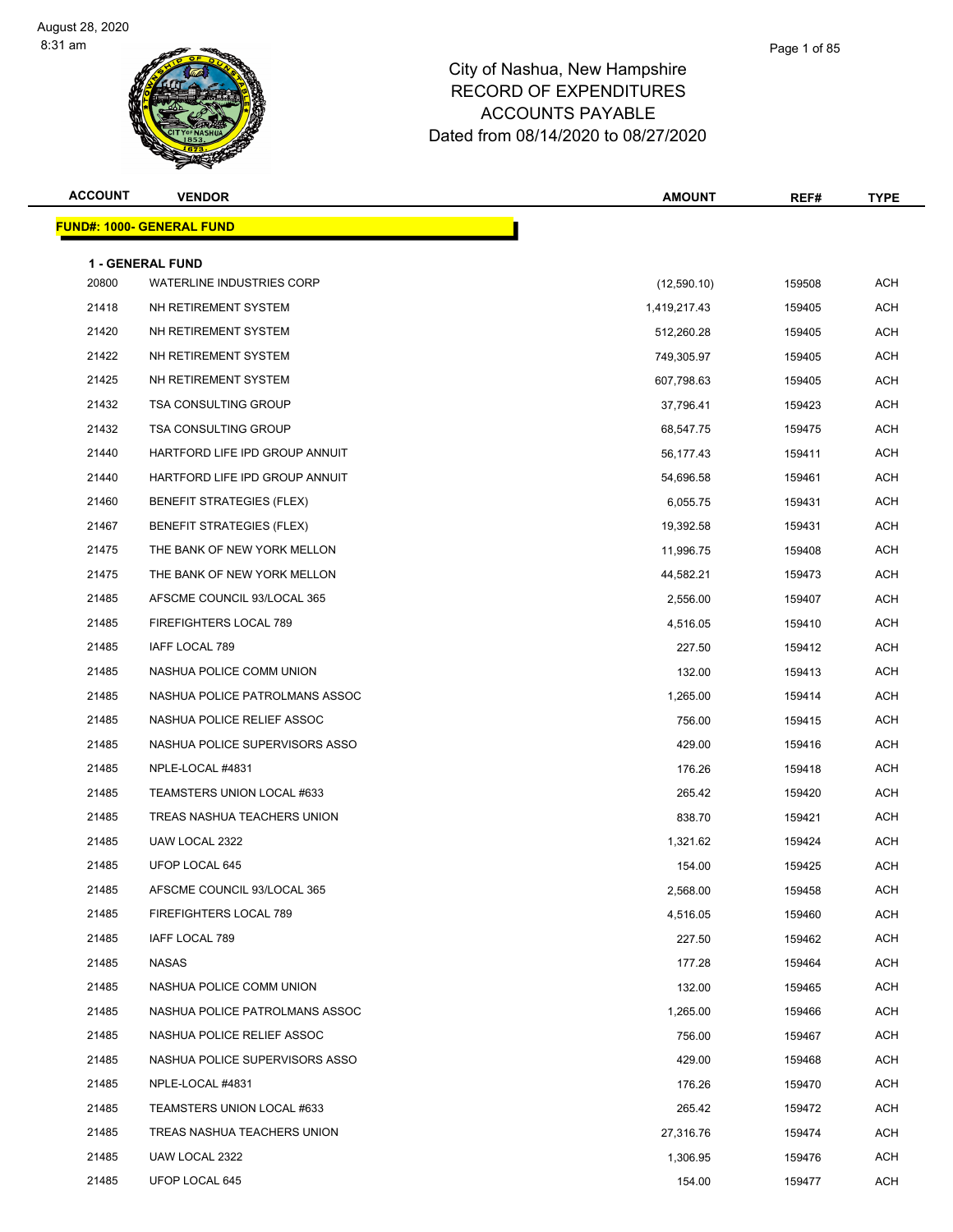#### Page 1 of 85

| <b>ACCOUNT</b> | <b>VENDOR</b>                                               | <b>AMOUNT</b> | REF#   | <b>TYPE</b> |
|----------------|-------------------------------------------------------------|---------------|--------|-------------|
|                | <b>FUND#: 1000- GENERAL FUND</b>                            |               |        |             |
|                |                                                             |               |        |             |
| 20800          | <b>1 - GENERAL FUND</b><br><b>WATERLINE INDUSTRIES CORP</b> | (12,590.10)   | 159508 | <b>ACH</b>  |
| 21418          | NH RETIREMENT SYSTEM                                        | 1,419,217.43  | 159405 | ACH         |
| 21420          | NH RETIREMENT SYSTEM                                        | 512,260.28    | 159405 | <b>ACH</b>  |
| 21422          | NH RETIREMENT SYSTEM                                        | 749,305.97    | 159405 | ACH         |
| 21425          | NH RETIREMENT SYSTEM                                        | 607,798.63    | 159405 | <b>ACH</b>  |
| 21432          | <b>TSA CONSULTING GROUP</b>                                 | 37,796.41     | 159423 | ACH         |
| 21432          | <b>TSA CONSULTING GROUP</b>                                 | 68,547.75     | 159475 | ACH         |
| 21440          | HARTFORD LIFE IPD GROUP ANNUIT                              | 56,177.43     | 159411 | <b>ACH</b>  |
| 21440          | HARTFORD LIFE IPD GROUP ANNUIT                              | 54,696.58     | 159461 | ACH         |
| 21460          | <b>BENEFIT STRATEGIES (FLEX)</b>                            | 6,055.75      | 159431 | ACH         |
| 21467          | <b>BENEFIT STRATEGIES (FLEX)</b>                            | 19,392.58     | 159431 | <b>ACH</b>  |
| 21475          | THE BANK OF NEW YORK MELLON                                 | 11,996.75     | 159408 | ACH         |
| 21475          | THE BANK OF NEW YORK MELLON                                 | 44,582.21     | 159473 | <b>ACH</b>  |
| 21485          | AFSCME COUNCIL 93/LOCAL 365                                 | 2,556.00      | 159407 | ACH         |
| 21485          | FIREFIGHTERS LOCAL 789                                      | 4,516.05      | 159410 | ACH         |
| 21485          | IAFF LOCAL 789                                              | 227.50        | 159412 | ACH         |
| 21485          | NASHUA POLICE COMM UNION                                    | 132.00        | 159413 | ACH         |
| 21485          | NASHUA POLICE PATROLMANS ASSOC                              | 1,265.00      | 159414 | <b>ACH</b>  |
| 21485          | NASHUA POLICE RELIEF ASSOC                                  | 756.00        | 159415 | ACH         |
| 21485          | NASHUA POLICE SUPERVISORS ASSO                              | 429.00        | 159416 | ACH         |
| 21485          | NPLE-LOCAL #4831                                            | 176.26        | 159418 | <b>ACH</b>  |
| 21485          | TEAMSTERS UNION LOCAL #633                                  | 265.42        | 159420 | ACH         |
| 21485          | TREAS NASHUA TEACHERS UNION                                 | 838.70        | 159421 | ACH         |
| 21485          | UAW LOCAL 2322                                              | 1,321.62      | 159424 | ACH         |
| 21485          | UFOP LOCAL 645                                              | 154.00        | 159425 | <b>ACH</b>  |
| 21485          | AFSCME COUNCIL 93/LOCAL 365                                 | 2,568.00      | 159458 | ACH         |
| 21485          | FIREFIGHTERS LOCAL 789                                      | 4,516.05      | 159460 | ACH         |
| 21485          | IAFF LOCAL 789                                              | 227.50        | 159462 | <b>ACH</b>  |
| 21485          | <b>NASAS</b>                                                | 177.28        | 159464 | ACH         |
| 21485          | NASHUA POLICE COMM UNION                                    | 132.00        | 159465 | ACH         |
| 21485          | NASHUA POLICE PATROLMANS ASSOC                              | 1,265.00      | 159466 | ACH         |
| 21485          | NASHUA POLICE RELIEF ASSOC                                  | 756.00        | 159467 | ACH         |
| 21485          | NASHUA POLICE SUPERVISORS ASSO                              | 429.00        | 159468 | <b>ACH</b>  |
| 21485          | NPLE-LOCAL #4831                                            | 176.26        | 159470 | ACH         |
| 21485          | TEAMSTERS UNION LOCAL #633                                  | 265.42        | 159472 | ACH         |
| 21485          | TREAS NASHUA TEACHERS UNION                                 | 27,316.76     | 159474 | ACH         |
| 21485          | UAW LOCAL 2322                                              | 1,306.95      | 159476 | ACH         |
| 21485          | UFOP LOCAL 645                                              | 154.00        | 159477 | ACH         |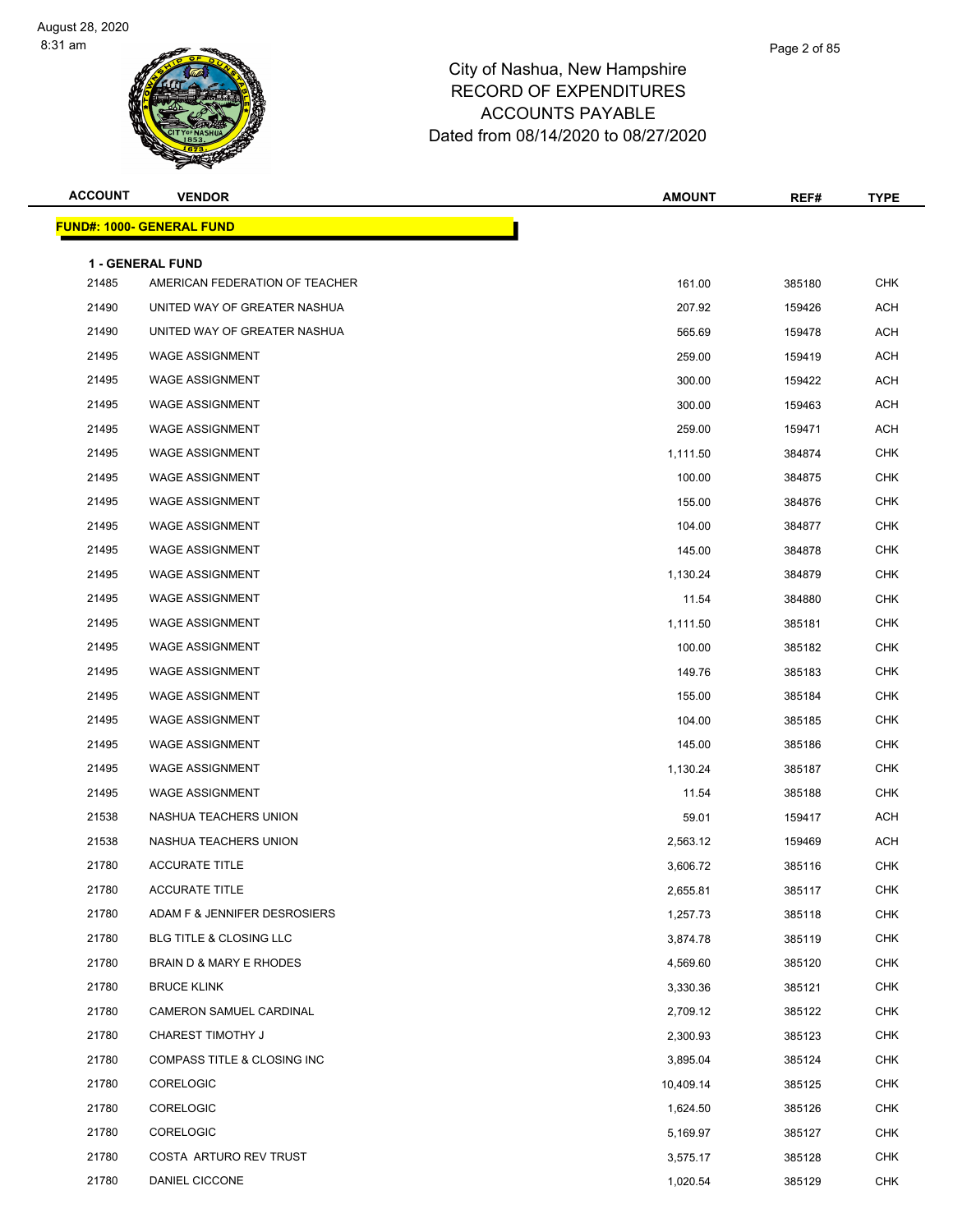| <b>ACCOUNT</b> | <b>VENDOR</b>                                      | <b>AMOUNT</b> | REF#   | <b>TYPE</b> |
|----------------|----------------------------------------------------|---------------|--------|-------------|
|                | <b>FUND#: 1000- GENERAL FUND</b>                   |               |        |             |
|                |                                                    |               |        |             |
| 21485          | 1 - GENERAL FUND<br>AMERICAN FEDERATION OF TEACHER | 161.00        | 385180 | <b>CHK</b>  |
| 21490          | UNITED WAY OF GREATER NASHUA                       | 207.92        | 159426 | <b>ACH</b>  |
| 21490          | UNITED WAY OF GREATER NASHUA                       | 565.69        | 159478 | ACH         |
| 21495          | <b>WAGE ASSIGNMENT</b>                             | 259.00        | 159419 | <b>ACH</b>  |
| 21495          | <b>WAGE ASSIGNMENT</b>                             | 300.00        | 159422 | <b>ACH</b>  |
| 21495          | <b>WAGE ASSIGNMENT</b>                             | 300.00        | 159463 | ACH         |
| 21495          | <b>WAGE ASSIGNMENT</b>                             | 259.00        | 159471 | ACH         |
| 21495          | <b>WAGE ASSIGNMENT</b>                             | 1,111.50      | 384874 | <b>CHK</b>  |
| 21495          | <b>WAGE ASSIGNMENT</b>                             | 100.00        | 384875 | <b>CHK</b>  |
| 21495          | <b>WAGE ASSIGNMENT</b>                             | 155.00        | 384876 | <b>CHK</b>  |
| 21495          | <b>WAGE ASSIGNMENT</b>                             | 104.00        | 384877 | <b>CHK</b>  |
| 21495          | <b>WAGE ASSIGNMENT</b>                             | 145.00        | 384878 | <b>CHK</b>  |
| 21495          | <b>WAGE ASSIGNMENT</b>                             | 1,130.24      | 384879 | <b>CHK</b>  |
| 21495          | <b>WAGE ASSIGNMENT</b>                             | 11.54         | 384880 | <b>CHK</b>  |
| 21495          | <b>WAGE ASSIGNMENT</b>                             | 1,111.50      | 385181 | <b>CHK</b>  |
| 21495          | <b>WAGE ASSIGNMENT</b>                             | 100.00        | 385182 | CHK         |
| 21495          | <b>WAGE ASSIGNMENT</b>                             | 149.76        | 385183 | <b>CHK</b>  |
| 21495          | <b>WAGE ASSIGNMENT</b>                             | 155.00        | 385184 | <b>CHK</b>  |
| 21495          | <b>WAGE ASSIGNMENT</b>                             | 104.00        | 385185 | <b>CHK</b>  |
| 21495          | <b>WAGE ASSIGNMENT</b>                             | 145.00        | 385186 | <b>CHK</b>  |
| 21495          | <b>WAGE ASSIGNMENT</b>                             | 1,130.24      | 385187 | <b>CHK</b>  |
| 21495          | <b>WAGE ASSIGNMENT</b>                             | 11.54         | 385188 | <b>CHK</b>  |
| 21538          | NASHUA TEACHERS UNION                              | 59.01         | 159417 | ACH         |
| 21538          | NASHUA TEACHERS UNION                              | 2,563.12      | 159469 | <b>ACH</b>  |
| 21780          | <b>ACCURATE TITLE</b>                              | 3,606.72      | 385116 | <b>CHK</b>  |
| 21780          | <b>ACCURATE TITLE</b>                              | 2,655.81      | 385117 | CHK         |
| 21780          | ADAM F & JENNIFER DESROSIERS                       | 1,257.73      | 385118 | <b>CHK</b>  |
| 21780          | BLG TITLE & CLOSING LLC                            | 3,874.78      | 385119 | CHK         |
| 21780          | BRAIN D & MARY E RHODES                            | 4,569.60      | 385120 | <b>CHK</b>  |
| 21780          | <b>BRUCE KLINK</b>                                 | 3,330.36      | 385121 | <b>CHK</b>  |
| 21780          | CAMERON SAMUEL CARDINAL                            | 2,709.12      | 385122 | <b>CHK</b>  |
| 21780          | <b>CHAREST TIMOTHY J</b>                           | 2,300.93      | 385123 | <b>CHK</b>  |
| 21780          | COMPASS TITLE & CLOSING INC                        | 3,895.04      | 385124 | <b>CHK</b>  |
| 21780          | CORELOGIC                                          | 10,409.14     | 385125 | <b>CHK</b>  |
| 21780          | CORELOGIC                                          | 1,624.50      | 385126 | <b>CHK</b>  |
| 21780          | CORELOGIC                                          | 5,169.97      | 385127 | <b>CHK</b>  |
| 21780          | COSTA ARTURO REV TRUST                             | 3,575.17      | 385128 | <b>CHK</b>  |
| 21780          | DANIEL CICCONE                                     | 1,020.54      | 385129 | <b>CHK</b>  |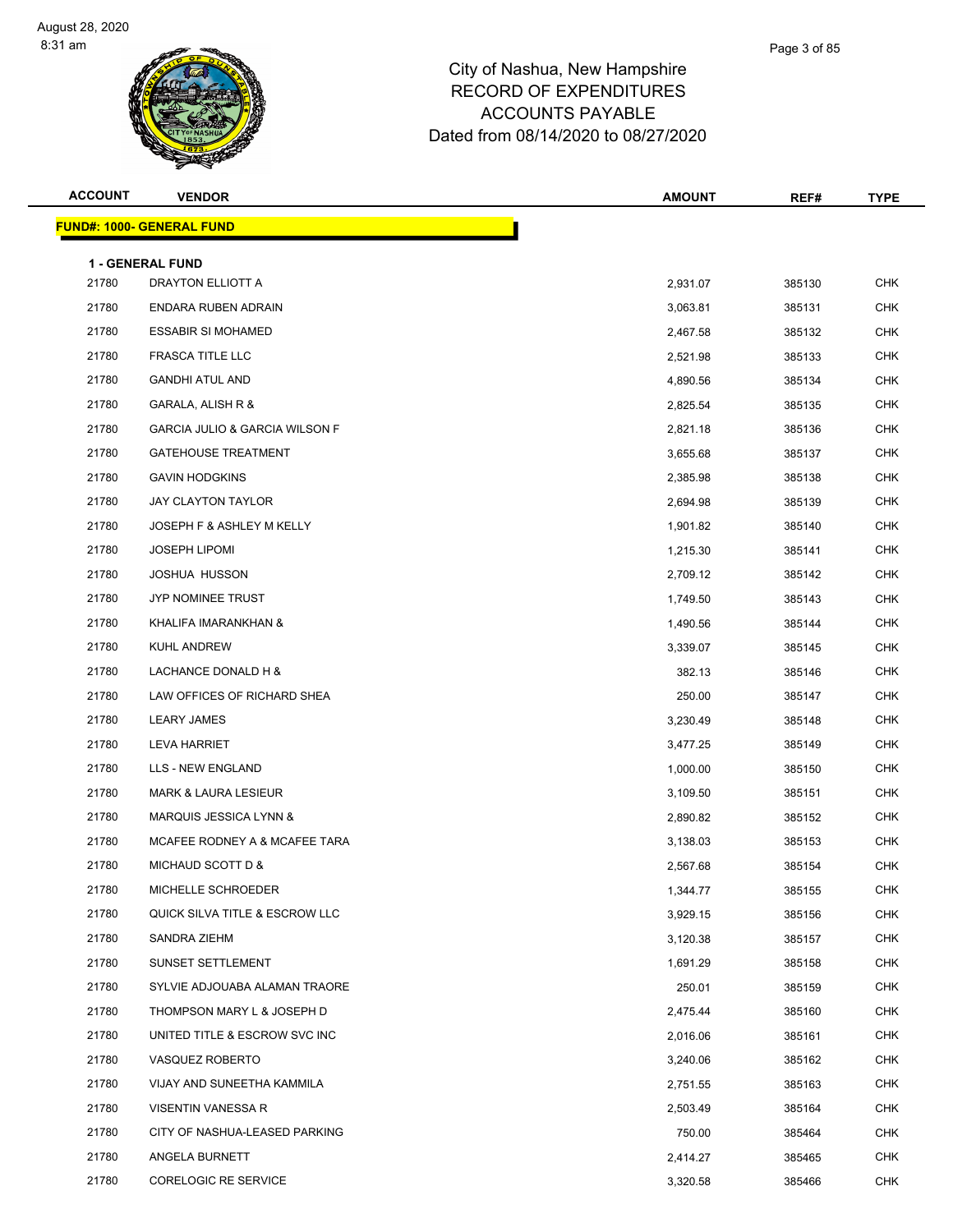| <b>ACCOUNT</b> | <b>VENDOR</b>                                | <b>AMOUNT</b> | REF#   | <b>TYPE</b> |
|----------------|----------------------------------------------|---------------|--------|-------------|
|                | <b>FUND#: 1000- GENERAL FUND</b>             |               |        |             |
|                |                                              |               |        |             |
| 21780          | <b>1 - GENERAL FUND</b><br>DRAYTON ELLIOTT A | 2,931.07      | 385130 | <b>CHK</b>  |
| 21780          | ENDARA RUBEN ADRAIN                          | 3,063.81      | 385131 | <b>CHK</b>  |
| 21780          | <b>ESSABIR SI MOHAMED</b>                    | 2,467.58      | 385132 | <b>CHK</b>  |
| 21780          | FRASCA TITLE LLC                             | 2,521.98      | 385133 | <b>CHK</b>  |
| 21780          | <b>GANDHI ATUL AND</b>                       | 4,890.56      | 385134 | <b>CHK</b>  |
| 21780          | GARALA, ALISH R &                            | 2,825.54      | 385135 | <b>CHK</b>  |
| 21780          | <b>GARCIA JULIO &amp; GARCIA WILSON F</b>    | 2,821.18      | 385136 | <b>CHK</b>  |
| 21780          | <b>GATEHOUSE TREATMENT</b>                   | 3,655.68      | 385137 | <b>CHK</b>  |
| 21780          | <b>GAVIN HODGKINS</b>                        | 2,385.98      | 385138 | <b>CHK</b>  |
| 21780          | <b>JAY CLAYTON TAYLOR</b>                    | 2,694.98      | 385139 | <b>CHK</b>  |
| 21780          | JOSEPH F & ASHLEY M KELLY                    | 1,901.82      | 385140 | <b>CHK</b>  |
| 21780          | <b>JOSEPH LIPOMI</b>                         | 1,215.30      | 385141 | <b>CHK</b>  |
| 21780          | <b>JOSHUA HUSSON</b>                         | 2,709.12      | 385142 | <b>CHK</b>  |
| 21780          | JYP NOMINEE TRUST                            | 1,749.50      | 385143 | <b>CHK</b>  |
| 21780          | KHALIFA IMARANKHAN &                         | 1,490.56      | 385144 | <b>CHK</b>  |
| 21780          | KUHL ANDREW                                  | 3,339.07      | 385145 | <b>CHK</b>  |
| 21780          | LACHANCE DONALD H &                          | 382.13        | 385146 | <b>CHK</b>  |
| 21780          | LAW OFFICES OF RICHARD SHEA                  | 250.00        | 385147 | <b>CHK</b>  |
| 21780          | <b>LEARY JAMES</b>                           | 3,230.49      | 385148 | <b>CHK</b>  |
| 21780          | <b>LEVA HARRIET</b>                          | 3,477.25      | 385149 | <b>CHK</b>  |
| 21780          | LLS - NEW ENGLAND                            | 1,000.00      | 385150 | <b>CHK</b>  |
| 21780          | <b>MARK &amp; LAURA LESIEUR</b>              | 3,109.50      | 385151 | <b>CHK</b>  |
| 21780          | MARQUIS JESSICA LYNN &                       | 2,890.82      | 385152 | <b>CHK</b>  |
| 21780          | MCAFEE RODNEY A & MCAFEE TARA                | 3,138.03      | 385153 | <b>CHK</b>  |
| 21780          | MICHAUD SCOTT D &                            | 2,567.68      | 385154 | <b>CHK</b>  |
| 21780          | MICHELLE SCHROEDER                           | 1,344.77      | 385155 | CHK         |
| 21780          | QUICK SILVA TITLE & ESCROW LLC               | 3,929.15      | 385156 | <b>CHK</b>  |
| 21780          | SANDRA ZIEHM                                 | 3,120.38      | 385157 | <b>CHK</b>  |
| 21780          | SUNSET SETTLEMENT                            | 1,691.29      | 385158 | <b>CHK</b>  |
| 21780          | SYLVIE ADJOUABA ALAMAN TRAORE                | 250.01        | 385159 | <b>CHK</b>  |
| 21780          | THOMPSON MARY L & JOSEPH D                   | 2,475.44      | 385160 | <b>CHK</b>  |
| 21780          | UNITED TITLE & ESCROW SVC INC                | 2,016.06      | 385161 | <b>CHK</b>  |
| 21780          | VASQUEZ ROBERTO                              | 3,240.06      | 385162 | <b>CHK</b>  |
| 21780          | VIJAY AND SUNEETHA KAMMILA                   | 2,751.55      | 385163 | <b>CHK</b>  |
| 21780          | VISENTIN VANESSA R                           | 2,503.49      | 385164 | <b>CHK</b>  |
| 21780          | CITY OF NASHUA-LEASED PARKING                | 750.00        | 385464 | <b>CHK</b>  |
| 21780          | ANGELA BURNETT                               | 2,414.27      | 385465 | <b>CHK</b>  |
| 21780          | CORELOGIC RE SERVICE                         | 3,320.58      | 385466 | <b>CHK</b>  |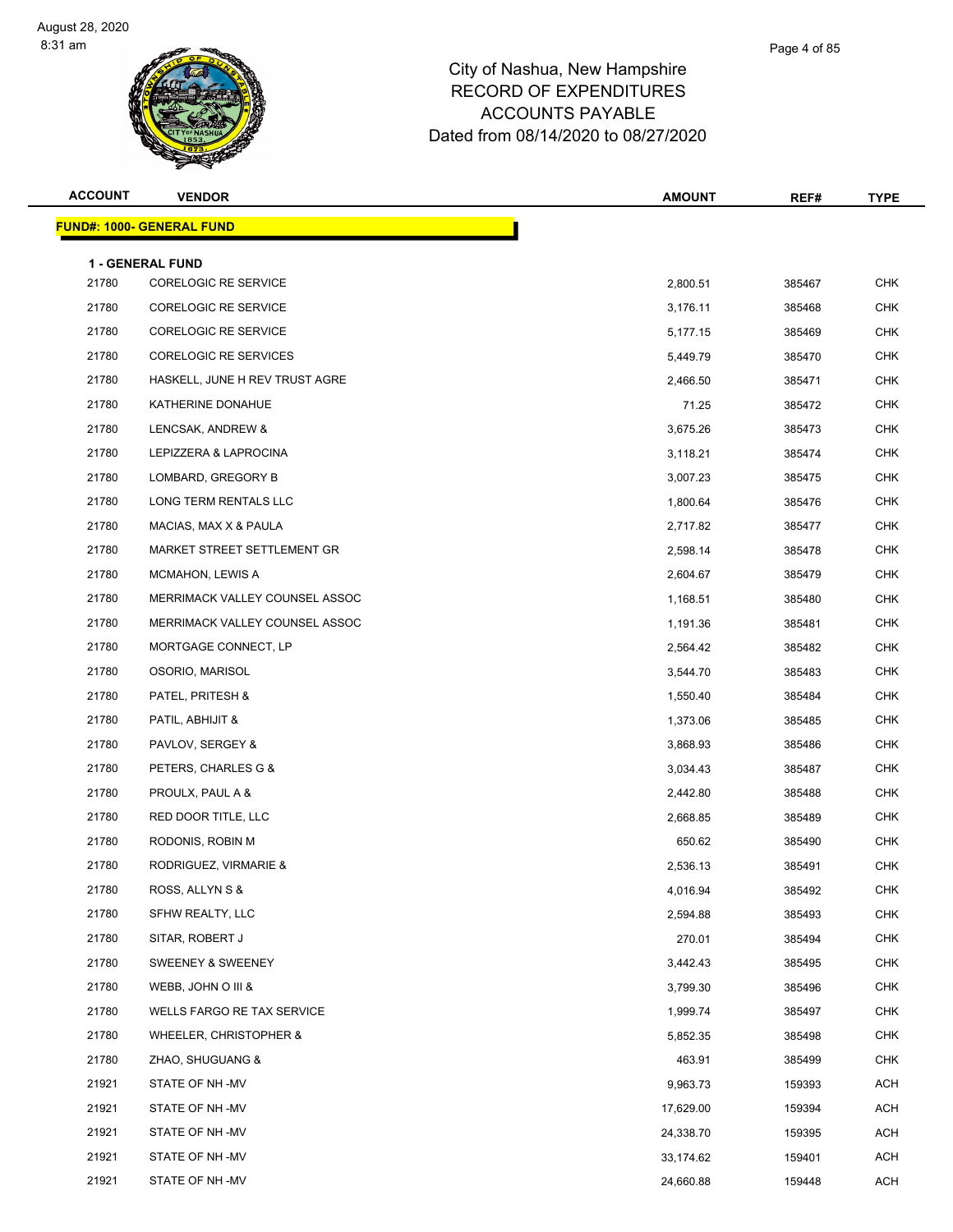| <b>ACCOUNT</b> | <b>VENDOR</b>                                   | <b>AMOUNT</b> | REF#   | <b>TYPE</b> |
|----------------|-------------------------------------------------|---------------|--------|-------------|
|                | <b>FUND#: 1000- GENERAL FUND</b>                |               |        |             |
|                |                                                 |               |        |             |
| 21780          | 1 - GENERAL FUND<br><b>CORELOGIC RE SERVICE</b> | 2,800.51      | 385467 | <b>CHK</b>  |
| 21780          | <b>CORELOGIC RE SERVICE</b>                     | 3,176.11      | 385468 | <b>CHK</b>  |
| 21780          | <b>CORELOGIC RE SERVICE</b>                     | 5,177.15      | 385469 | CHK         |
| 21780          | <b>CORELOGIC RE SERVICES</b>                    | 5,449.79      | 385470 | <b>CHK</b>  |
| 21780          | HASKELL, JUNE H REV TRUST AGRE                  | 2,466.50      | 385471 | <b>CHK</b>  |
| 21780          | KATHERINE DONAHUE                               | 71.25         | 385472 | <b>CHK</b>  |
| 21780          | LENCSAK, ANDREW &                               | 3,675.26      | 385473 | <b>CHK</b>  |
| 21780          | LEPIZZERA & LAPROCINA                           | 3,118.21      | 385474 | <b>CHK</b>  |
| 21780          | LOMBARD, GREGORY B                              | 3,007.23      | 385475 | <b>CHK</b>  |
| 21780          | LONG TERM RENTALS LLC                           | 1,800.64      | 385476 | <b>CHK</b>  |
| 21780          | MACIAS, MAX X & PAULA                           | 2,717.82      | 385477 | <b>CHK</b>  |
| 21780          | MARKET STREET SETTLEMENT GR                     | 2,598.14      | 385478 | <b>CHK</b>  |
| 21780          | MCMAHON, LEWIS A                                | 2,604.67      | 385479 | CHK         |
| 21780          | MERRIMACK VALLEY COUNSEL ASSOC                  | 1,168.51      | 385480 | <b>CHK</b>  |
| 21780          | MERRIMACK VALLEY COUNSEL ASSOC                  | 1,191.36      | 385481 | <b>CHK</b>  |
| 21780          | MORTGAGE CONNECT, LP                            | 2,564.42      | 385482 | <b>CHK</b>  |
| 21780          | OSORIO, MARISOL                                 | 3,544.70      | 385483 | <b>CHK</b>  |
| 21780          | PATEL, PRITESH &                                | 1,550.40      | 385484 | <b>CHK</b>  |
| 21780          | PATIL, ABHIJIT &                                | 1,373.06      | 385485 | <b>CHK</b>  |
| 21780          | PAVLOV, SERGEY &                                | 3,868.93      | 385486 | <b>CHK</b>  |
| 21780          | PETERS, CHARLES G &                             | 3,034.43      | 385487 | <b>CHK</b>  |
| 21780          | PROULX, PAUL A &                                | 2,442.80      | 385488 | <b>CHK</b>  |
| 21780          | RED DOOR TITLE, LLC                             | 2,668.85      | 385489 | CHK         |
| 21780          | RODONIS, ROBIN M                                | 650.62        | 385490 | <b>CHK</b>  |
| 21780          | RODRIGUEZ, VIRMARIE &                           | 2,536.13      | 385491 | <b>CHK</b>  |
| 21780          | ROSS, ALLYN S &                                 | 4,016.94      | 385492 | CHK         |
| 21780          | SFHW REALTY, LLC                                | 2,594.88      | 385493 | <b>CHK</b>  |
| 21780          | SITAR, ROBERT J                                 | 270.01        | 385494 | <b>CHK</b>  |
| 21780          | SWEENEY & SWEENEY                               | 3,442.43      | 385495 | <b>CHK</b>  |
| 21780          | WEBB, JOHN O III &                              | 3,799.30      | 385496 | <b>CHK</b>  |
| 21780          | WELLS FARGO RE TAX SERVICE                      | 1,999.74      | 385497 | <b>CHK</b>  |
| 21780          | WHEELER, CHRISTOPHER &                          | 5,852.35      | 385498 | <b>CHK</b>  |
| 21780          | ZHAO, SHUGUANG &                                | 463.91        | 385499 | <b>CHK</b>  |
| 21921          | STATE OF NH -MV                                 | 9,963.73      | 159393 | ACH         |
| 21921          | STATE OF NH -MV                                 | 17,629.00     | 159394 | ACH         |
| 21921          | STATE OF NH -MV                                 | 24,338.70     | 159395 | ACH         |
| 21921          | STATE OF NH -MV                                 | 33,174.62     | 159401 | <b>ACH</b>  |
| 21921          | STATE OF NH -MV                                 | 24,660.88     | 159448 | <b>ACH</b>  |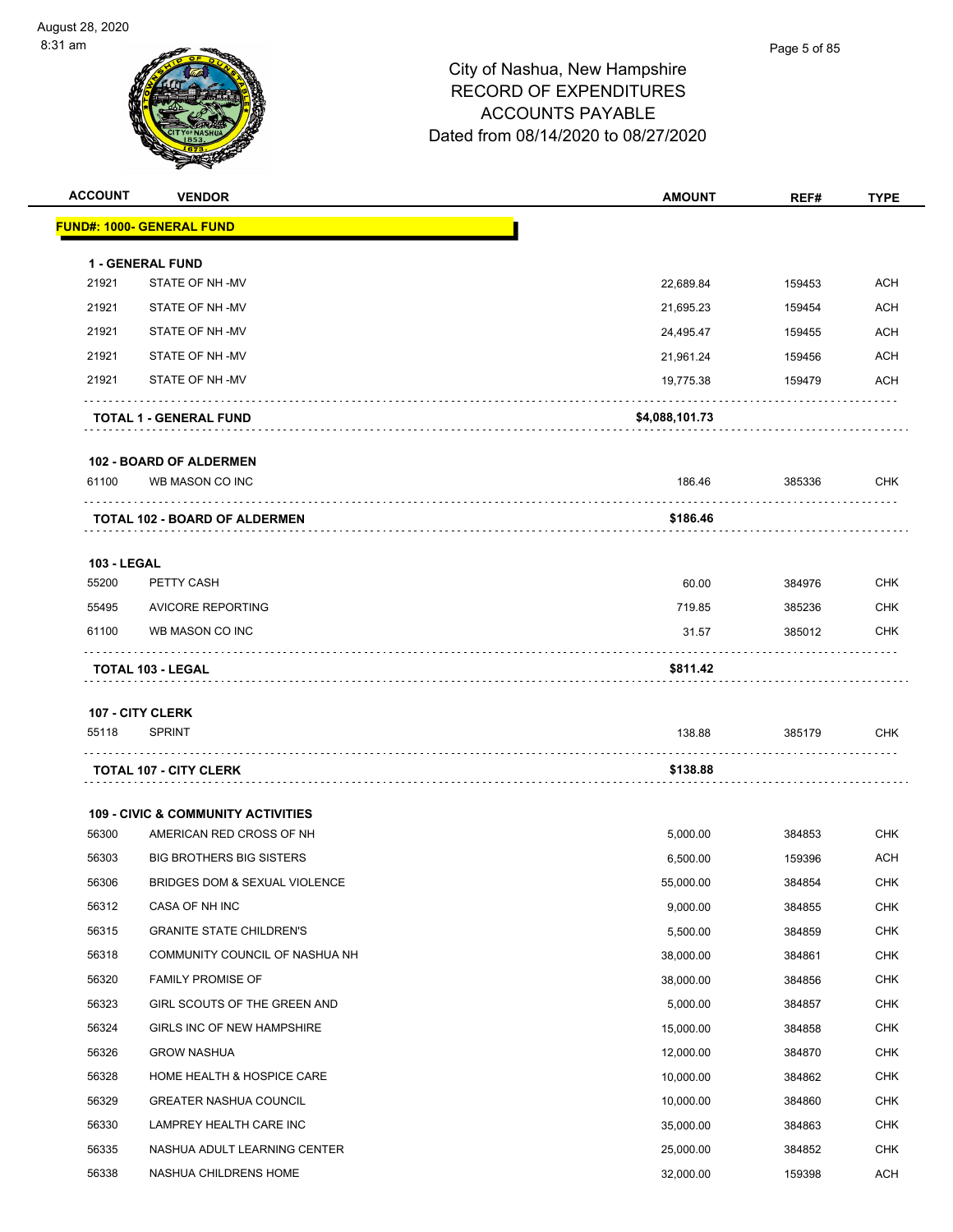| <b>ACCOUNT</b>              | <b>VENDOR</b>                                 | <b>AMOUNT</b>  | REF#   | <b>TYPE</b> |
|-----------------------------|-----------------------------------------------|----------------|--------|-------------|
|                             | <u> FUND#: 1000- GENERAL FUND</u>             |                |        |             |
|                             |                                               |                |        |             |
| 21921                       | 1 - GENERAL FUND<br>STATE OF NH-MV            | 22,689.84      | 159453 | <b>ACH</b>  |
| 21921                       | STATE OF NH-MV                                | 21,695.23      | 159454 | ACH         |
| 21921                       | STATE OF NH-MV                                | 24,495.47      | 159455 | ACH         |
| 21921                       | STATE OF NH-MV                                | 21,961.24      | 159456 | ACH         |
| 21921                       | STATE OF NH-MV                                | 19,775.38      | 159479 | <b>ACH</b>  |
|                             | <b>TOTAL 1 - GENERAL FUND</b>                 | \$4,088,101.73 |        |             |
|                             | <b>102 - BOARD OF ALDERMEN</b>                |                |        |             |
| 61100                       | WB MASON CO INC                               | 186.46         | 385336 | <b>CHK</b>  |
|                             | <b>TOTAL 102 - BOARD OF ALDERMEN</b>          | \$186.46       | .      |             |
|                             |                                               |                |        |             |
| <b>103 - LEGAL</b><br>55200 | PETTY CASH                                    | 60.00          | 384976 | <b>CHK</b>  |
| 55495                       | <b>AVICORE REPORTING</b>                      | 719.85         | 385236 | <b>CHK</b>  |
| 61100                       | WB MASON CO INC                               | 31.57          | 385012 | <b>CHK</b>  |
|                             | <b>TOTAL 103 - LEGAL</b>                      | \$811.42       | .      |             |
| <b>107 - CITY CLERK</b>     |                                               |                |        |             |
| 55118                       | <b>SPRINT</b>                                 | 138.88         | 385179 | CHK         |
|                             |                                               |                |        |             |
|                             | <b>TOTAL 107 - CITY CLERK</b>                 | \$138.88       |        |             |
|                             | <b>109 - CIVIC &amp; COMMUNITY ACTIVITIES</b> |                |        |             |
| 56300                       | AMERICAN RED CROSS OF NH                      | 5,000.00       | 384853 | CHK         |
| 56303                       | <b>BIG BROTHERS BIG SISTERS</b>               | 6,500.00       | 159396 | <b>ACH</b>  |
| 56306                       | BRIDGES DOM & SEXUAL VIOLENCE                 | 55,000.00      | 384854 | <b>CHK</b>  |
| 56312                       | CASA OF NH INC                                | 9,000.00       | 384855 | <b>CHK</b>  |
| 56315                       | <b>GRANITE STATE CHILDREN'S</b>               | 5,500.00       | 384859 | <b>CHK</b>  |
| 56318                       | COMMUNITY COUNCIL OF NASHUA NH                | 38,000.00      | 384861 | <b>CHK</b>  |
| 56320                       | <b>FAMILY PROMISE OF</b>                      | 38,000.00      | 384856 | <b>CHK</b>  |
| 56323                       | GIRL SCOUTS OF THE GREEN AND                  | 5,000.00       | 384857 | <b>CHK</b>  |
| 56324                       | GIRLS INC OF NEW HAMPSHIRE                    | 15,000.00      | 384858 | <b>CHK</b>  |
| 56326                       | <b>GROW NASHUA</b>                            | 12,000.00      | 384870 | CHK         |
| 56328                       | HOME HEALTH & HOSPICE CARE                    | 10,000.00      | 384862 | <b>CHK</b>  |
| 56329                       | <b>GREATER NASHUA COUNCIL</b>                 | 10,000.00      | 384860 | <b>CHK</b>  |
| 56330                       | LAMPREY HEALTH CARE INC                       | 35,000.00      | 384863 | <b>CHK</b>  |
| 56335                       | NASHUA ADULT LEARNING CENTER                  | 25,000.00      | 384852 | <b>CHK</b>  |
|                             |                                               |                |        |             |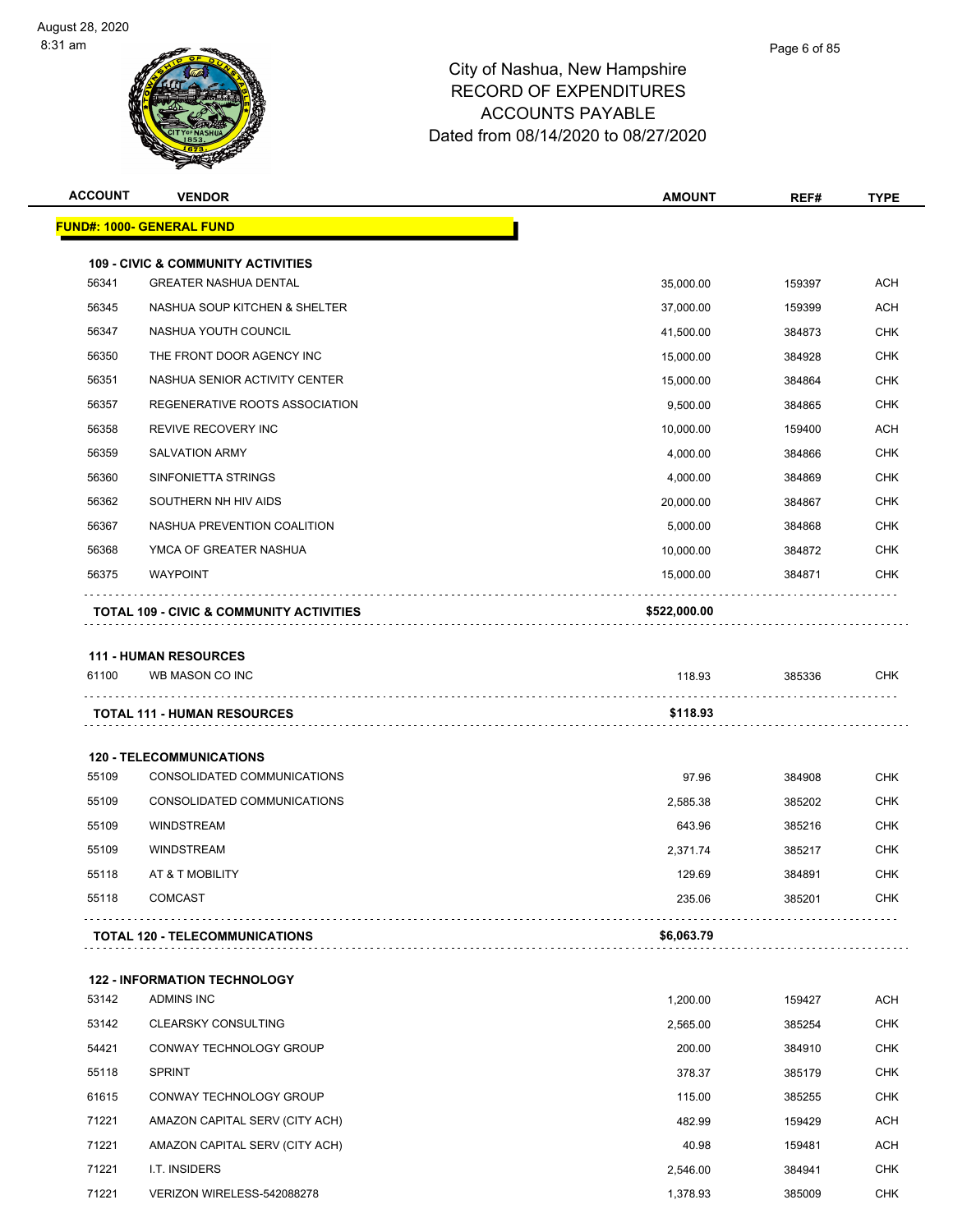| <b>ACCOUNT</b> | <b>VENDOR</b>                                                                                                                                                                                                                                                                                                                                                                                                                                                                                                                                                                                                                                                                                                                                                                                    | <b>AMOUNT</b> | REF#   | <b>TYPE</b> |  |
|----------------|--------------------------------------------------------------------------------------------------------------------------------------------------------------------------------------------------------------------------------------------------------------------------------------------------------------------------------------------------------------------------------------------------------------------------------------------------------------------------------------------------------------------------------------------------------------------------------------------------------------------------------------------------------------------------------------------------------------------------------------------------------------------------------------------------|---------------|--------|-------------|--|
|                | <u> FUND#: 1000- GENERAL FUND</u><br><b>109 - CIVIC &amp; COMMUNITY ACTIVITIES</b><br><b>ACH</b><br><b>GREATER NASHUA DENTAL</b><br>35,000.00<br>159397<br>NASHUA SOUP KITCHEN & SHELTER<br>ACH<br>159399<br>37,000.00<br>NASHUA YOUTH COUNCIL<br>CHK<br>41,500.00<br>384873<br>THE FRONT DOOR AGENCY INC<br><b>CHK</b><br>384928<br>15,000.00<br><b>CHK</b><br>NASHUA SENIOR ACTIVITY CENTER<br>15,000.00<br>384864<br>REGENERATIVE ROOTS ASSOCIATION<br>9,500.00<br>384865<br>CHK<br><b>ACH</b><br><b>REVIVE RECOVERY INC</b><br>10,000.00<br>159400<br><b>SALVATION ARMY</b><br>CHK<br>4,000.00<br>384866<br>SINFONIETTA STRINGS<br><b>CHK</b><br>4,000.00<br>384869<br><b>CHK</b><br>SOUTHERN NH HIV AIDS<br>20,000.00<br>384867<br>NASHUA PREVENTION COALITION<br>5,000.00<br>CHK<br>384868 |               |        |             |  |
|                |                                                                                                                                                                                                                                                                                                                                                                                                                                                                                                                                                                                                                                                                                                                                                                                                  |               |        |             |  |
| 56341          |                                                                                                                                                                                                                                                                                                                                                                                                                                                                                                                                                                                                                                                                                                                                                                                                  |               |        |             |  |
| 56345          |                                                                                                                                                                                                                                                                                                                                                                                                                                                                                                                                                                                                                                                                                                                                                                                                  |               |        |             |  |
| 56347          |                                                                                                                                                                                                                                                                                                                                                                                                                                                                                                                                                                                                                                                                                                                                                                                                  |               |        |             |  |
| 56350          |                                                                                                                                                                                                                                                                                                                                                                                                                                                                                                                                                                                                                                                                                                                                                                                                  |               |        |             |  |
| 56351          |                                                                                                                                                                                                                                                                                                                                                                                                                                                                                                                                                                                                                                                                                                                                                                                                  |               |        |             |  |
| 56357          |                                                                                                                                                                                                                                                                                                                                                                                                                                                                                                                                                                                                                                                                                                                                                                                                  |               |        |             |  |
| 56358          |                                                                                                                                                                                                                                                                                                                                                                                                                                                                                                                                                                                                                                                                                                                                                                                                  |               |        |             |  |
| 56359          |                                                                                                                                                                                                                                                                                                                                                                                                                                                                                                                                                                                                                                                                                                                                                                                                  |               |        |             |  |
| 56360          |                                                                                                                                                                                                                                                                                                                                                                                                                                                                                                                                                                                                                                                                                                                                                                                                  |               |        |             |  |
| 56362          |                                                                                                                                                                                                                                                                                                                                                                                                                                                                                                                                                                                                                                                                                                                                                                                                  |               |        |             |  |
| 56367          |                                                                                                                                                                                                                                                                                                                                                                                                                                                                                                                                                                                                                                                                                                                                                                                                  |               |        |             |  |
| 56368          | YMCA OF GREATER NASHUA                                                                                                                                                                                                                                                                                                                                                                                                                                                                                                                                                                                                                                                                                                                                                                           | 10,000.00     | 384872 | CHK         |  |
| 56375          | <b>WAYPOINT</b>                                                                                                                                                                                                                                                                                                                                                                                                                                                                                                                                                                                                                                                                                                                                                                                  | 15,000.00     | 384871 | CHK         |  |
|                | <b>TOTAL 109 - CIVIC &amp; COMMUNITY ACTIVITIES</b>                                                                                                                                                                                                                                                                                                                                                                                                                                                                                                                                                                                                                                                                                                                                              | \$522,000.00  |        |             |  |
|                |                                                                                                                                                                                                                                                                                                                                                                                                                                                                                                                                                                                                                                                                                                                                                                                                  |               |        |             |  |
|                | <b>111 - HUMAN RESOURCES</b>                                                                                                                                                                                                                                                                                                                                                                                                                                                                                                                                                                                                                                                                                                                                                                     |               |        |             |  |
| 61100          | WB MASON CO INC                                                                                                                                                                                                                                                                                                                                                                                                                                                                                                                                                                                                                                                                                                                                                                                  | 118.93        | 385336 | <b>CHK</b>  |  |
|                | <b>TOTAL 111 - HUMAN RESOURCES</b>                                                                                                                                                                                                                                                                                                                                                                                                                                                                                                                                                                                                                                                                                                                                                               | \$118.93      |        |             |  |
|                |                                                                                                                                                                                                                                                                                                                                                                                                                                                                                                                                                                                                                                                                                                                                                                                                  |               |        |             |  |
|                | <b>120 - TELECOMMUNICATIONS</b>                                                                                                                                                                                                                                                                                                                                                                                                                                                                                                                                                                                                                                                                                                                                                                  |               |        |             |  |
| 55109          | CONSOLIDATED COMMUNICATIONS                                                                                                                                                                                                                                                                                                                                                                                                                                                                                                                                                                                                                                                                                                                                                                      | 97.96         | 384908 | <b>CHK</b>  |  |
| 55109          | CONSOLIDATED COMMUNICATIONS                                                                                                                                                                                                                                                                                                                                                                                                                                                                                                                                                                                                                                                                                                                                                                      | 2,585.38      | 385202 | <b>CHK</b>  |  |
| 55109          | <b>WINDSTREAM</b>                                                                                                                                                                                                                                                                                                                                                                                                                                                                                                                                                                                                                                                                                                                                                                                | 643.96        | 385216 | CHK         |  |
| 55109          | <b>WINDSTREAM</b>                                                                                                                                                                                                                                                                                                                                                                                                                                                                                                                                                                                                                                                                                                                                                                                | 2,371.74      | 385217 | CHK         |  |
| 55118          | AT & T MOBILITY                                                                                                                                                                                                                                                                                                                                                                                                                                                                                                                                                                                                                                                                                                                                                                                  | 129.69        | 384891 | <b>CHK</b>  |  |
| 55118          | <b>COMCAST</b>                                                                                                                                                                                                                                                                                                                                                                                                                                                                                                                                                                                                                                                                                                                                                                                   | 235.06        | 385201 | <b>CHK</b>  |  |
|                | TOTAL 120 - TELECOMMUNICATIONS                                                                                                                                                                                                                                                                                                                                                                                                                                                                                                                                                                                                                                                                                                                                                                   | \$6,063.79    |        |             |  |
|                | <b>122 - INFORMATION TECHNOLOGY</b>                                                                                                                                                                                                                                                                                                                                                                                                                                                                                                                                                                                                                                                                                                                                                              |               |        |             |  |
| 53142          | ADMINS INC                                                                                                                                                                                                                                                                                                                                                                                                                                                                                                                                                                                                                                                                                                                                                                                       | 1,200.00      | 159427 | <b>ACH</b>  |  |
| 53142          | <b>CLEARSKY CONSULTING</b>                                                                                                                                                                                                                                                                                                                                                                                                                                                                                                                                                                                                                                                                                                                                                                       | 2,565.00      | 385254 | <b>CHK</b>  |  |
| 54421          | CONWAY TECHNOLOGY GROUP                                                                                                                                                                                                                                                                                                                                                                                                                                                                                                                                                                                                                                                                                                                                                                          | 200.00        | 384910 | <b>CHK</b>  |  |
| 55118          | <b>SPRINT</b>                                                                                                                                                                                                                                                                                                                                                                                                                                                                                                                                                                                                                                                                                                                                                                                    | 378.37        | 385179 | <b>CHK</b>  |  |
| 61615          | CONWAY TECHNOLOGY GROUP                                                                                                                                                                                                                                                                                                                                                                                                                                                                                                                                                                                                                                                                                                                                                                          | 115.00        | 385255 | <b>CHK</b>  |  |
| 71221          | AMAZON CAPITAL SERV (CITY ACH)                                                                                                                                                                                                                                                                                                                                                                                                                                                                                                                                                                                                                                                                                                                                                                   | 482.99        | 159429 | <b>ACH</b>  |  |
| 71221          | AMAZON CAPITAL SERV (CITY ACH)                                                                                                                                                                                                                                                                                                                                                                                                                                                                                                                                                                                                                                                                                                                                                                   | 40.98         | 159481 | ACH         |  |
| 71221          | I.T. INSIDERS                                                                                                                                                                                                                                                                                                                                                                                                                                                                                                                                                                                                                                                                                                                                                                                    | 2,546.00      | 384941 | <b>CHK</b>  |  |
| 71221          | VERIZON WIRELESS-542088278                                                                                                                                                                                                                                                                                                                                                                                                                                                                                                                                                                                                                                                                                                                                                                       | 1,378.93      | 385009 | <b>CHK</b>  |  |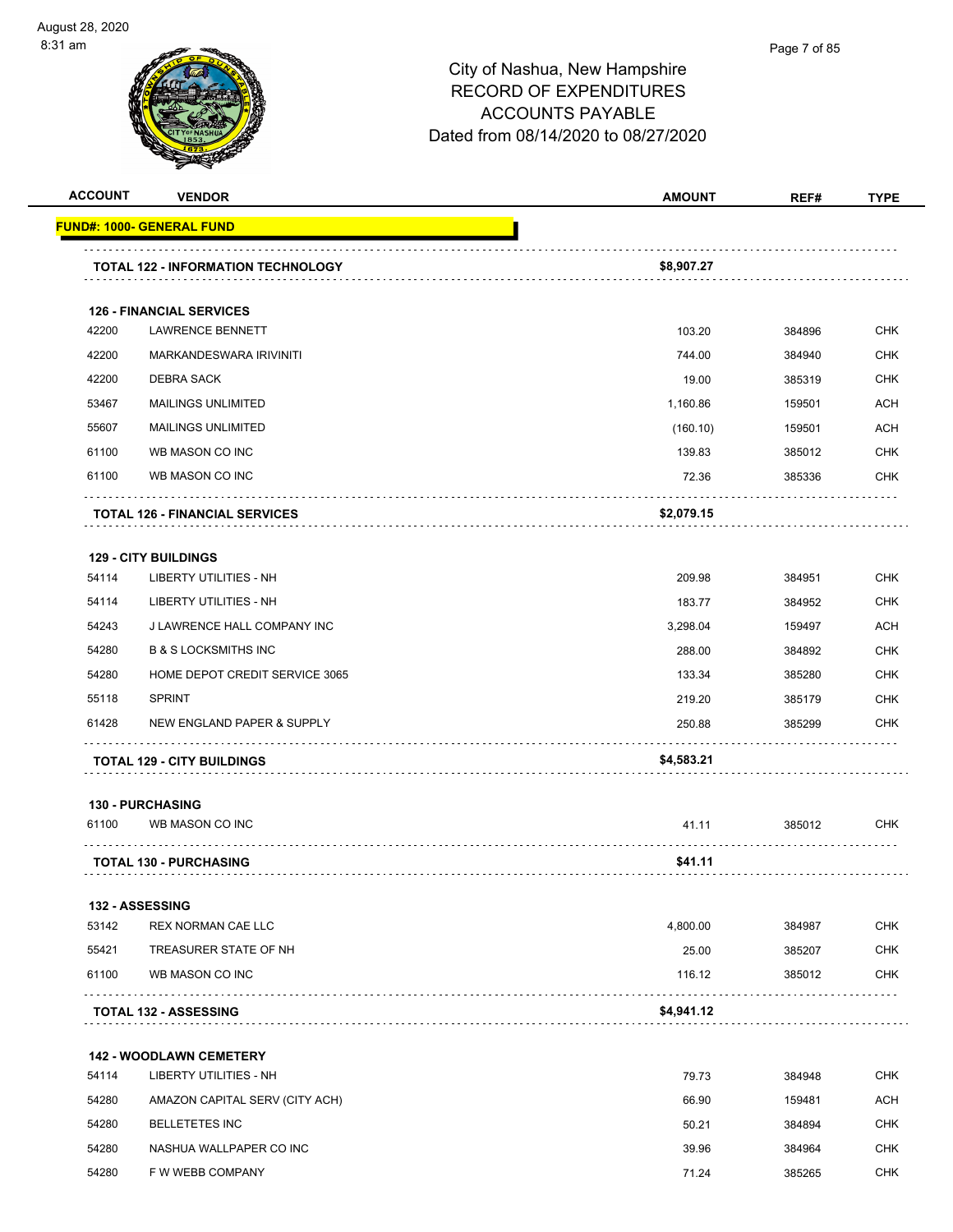

| <b>ACCOUNT</b> | <b>VENDOR</b>                             | <b>AMOUNT</b> | REF#   | <b>TYPE</b> |
|----------------|-------------------------------------------|---------------|--------|-------------|
|                | <u> FUND#: 1000- GENERAL FUND</u>         |               |        |             |
|                | <b>TOTAL 122 - INFORMATION TECHNOLOGY</b> | \$8,907.27    |        |             |
|                | <b>126 - FINANCIAL SERVICES</b>           |               |        |             |
| 42200          | <b>LAWRENCE BENNETT</b>                   | 103.20        | 384896 | <b>CHK</b>  |
| 42200          | MARKANDESWARA IRIVINITI                   | 744.00        | 384940 | <b>CHK</b>  |
| 42200          | <b>DEBRA SACK</b>                         | 19.00         | 385319 | <b>CHK</b>  |
| 53467          | <b>MAILINGS UNLIMITED</b>                 | 1,160.86      | 159501 | ACH         |
| 55607          | <b>MAILINGS UNLIMITED</b>                 | (160.10)      | 159501 | <b>ACH</b>  |
| 61100          | WB MASON CO INC                           | 139.83        | 385012 | <b>CHK</b>  |
| 61100          | WB MASON CO INC                           | 72.36         | 385336 | <b>CHK</b>  |
|                | <b>TOTAL 126 - FINANCIAL SERVICES</b>     | \$2,079.15    |        |             |
|                | <b>129 - CITY BUILDINGS</b>               |               |        |             |
| 54114          | <b>LIBERTY UTILITIES - NH</b>             | 209.98        | 384951 | <b>CHK</b>  |
| 54114          | LIBERTY UTILITIES - NH                    | 183.77        | 384952 | <b>CHK</b>  |
| 54243          | J LAWRENCE HALL COMPANY INC               | 3,298.04      | 159497 | <b>ACH</b>  |
| 54280          | <b>B &amp; S LOCKSMITHS INC</b>           | 288.00        | 384892 | <b>CHK</b>  |
| 54280          | HOME DEPOT CREDIT SERVICE 3065            | 133.34        | 385280 | <b>CHK</b>  |
| 55118          | <b>SPRINT</b>                             | 219.20        | 385179 | <b>CHK</b>  |
| 61428          | NEW ENGLAND PAPER & SUPPLY                | 250.88        | 385299 | CHK         |
|                | <b>TOTAL 129 - CITY BUILDINGS</b>         | \$4,583.21    |        |             |
|                | <b>130 - PURCHASING</b>                   |               |        |             |
| 61100          | WB MASON CO INC                           | 41.11         | 385012 | <b>CHK</b>  |
|                | <b>TOTAL 130 - PURCHASING</b>             | \$41.11       |        |             |
|                | 132 - ASSESSING                           |               |        |             |
| 53142          | <b>REX NORMAN CAE LLC</b>                 | 4,800.00      | 384987 | <b>CHK</b>  |
| 55421          | TREASURER STATE OF NH                     | 25.00         | 385207 | <b>CHK</b>  |
| 61100          | WB MASON CO INC                           | 116.12        | 385012 | <b>CHK</b>  |
|                | <b>TOTAL 132 - ASSESSING</b>              | \$4,941.12    |        |             |
|                | <b>142 - WOODLAWN CEMETERY</b>            |               |        |             |
| 54114          | LIBERTY UTILITIES - NH                    | 79.73         | 384948 | CHK         |
| 54280          | AMAZON CAPITAL SERV (CITY ACH)            | 66.90         | 159481 | <b>ACH</b>  |
| 54280          | <b>BELLETETES INC</b>                     | 50.21         | 384894 | <b>CHK</b>  |
| 54280          | NASHUA WALLPAPER CO INC                   | 39.96         | 384964 | <b>CHK</b>  |
| 54280          | F W WEBB COMPANY                          | 71.24         | 385265 | <b>CHK</b>  |
|                |                                           |               |        |             |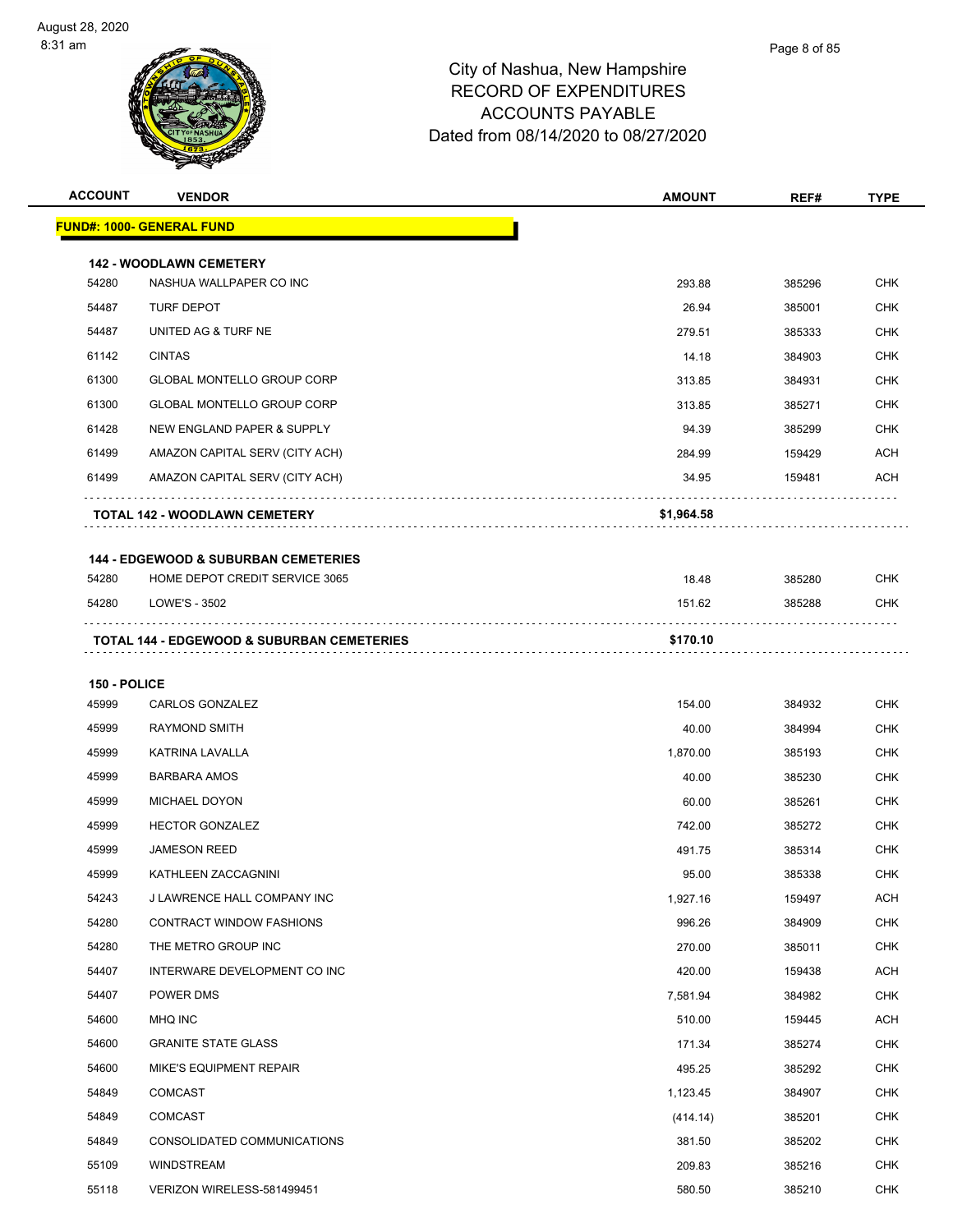| <b>ACCOUNT</b> | <b>VENDOR</b>                                                                     | <b>AMOUNT</b> | REF#   | <b>TYPE</b> |
|----------------|-----------------------------------------------------------------------------------|---------------|--------|-------------|
|                | <b>FUND#: 1000- GENERAL FUND</b>                                                  |               |        |             |
|                |                                                                                   |               |        |             |
| 54280          | <b>142 - WOODLAWN CEMETERY</b><br>NASHUA WALLPAPER CO INC                         | 293.88        | 385296 | <b>CHK</b>  |
| 54487          | <b>TURF DEPOT</b>                                                                 | 26.94         | 385001 | <b>CHK</b>  |
| 54487          | UNITED AG & TURF NE                                                               | 279.51        | 385333 | CHK         |
| 61142          | <b>CINTAS</b>                                                                     | 14.18         | 384903 | <b>CHK</b>  |
| 61300          | <b>GLOBAL MONTELLO GROUP CORP</b>                                                 | 313.85        | 384931 | CHK         |
| 61300          | GLOBAL MONTELLO GROUP CORP                                                        | 313.85        | 385271 | <b>CHK</b>  |
| 61428          | NEW ENGLAND PAPER & SUPPLY                                                        | 94.39         | 385299 | <b>CHK</b>  |
| 61499          | AMAZON CAPITAL SERV (CITY ACH)                                                    | 284.99        | 159429 | ACH         |
| 61499          | AMAZON CAPITAL SERV (CITY ACH)                                                    | 34.95         | 159481 | ACH         |
|                | <b>TOTAL 142 - WOODLAWN CEMETERY</b>                                              | \$1,964.58    |        |             |
|                |                                                                                   |               |        |             |
| 54280          | <b>144 - EDGEWOOD &amp; SUBURBAN CEMETERIES</b><br>HOME DEPOT CREDIT SERVICE 3065 | 18.48         | 385280 | CHK         |
| 54280          | LOWE'S - 3502                                                                     | 151.62        | 385288 | <b>CHK</b>  |
|                | <b>TOTAL 144 - EDGEWOOD &amp; SUBURBAN CEMETERIES</b>                             | \$170.10      |        |             |
| 150 - POLICE   |                                                                                   |               |        |             |
| 45999          | CARLOS GONZALEZ                                                                   | 154.00        | 384932 | <b>CHK</b>  |
| 45999          | <b>RAYMOND SMITH</b>                                                              | 40.00         | 384994 | <b>CHK</b>  |
| 45999          | KATRINA LAVALLA                                                                   | 1,870.00      | 385193 | <b>CHK</b>  |
| 45999          | <b>BARBARA AMOS</b>                                                               | 40.00         | 385230 | CHK         |
| 45999          | MICHAEL DOYON                                                                     | 60.00         | 385261 | <b>CHK</b>  |
| 45999          | <b>HECTOR GONZALEZ</b>                                                            | 742.00        | 385272 | <b>CHK</b>  |
| 45999          | <b>JAMESON REED</b>                                                               | 491.75        | 385314 | CHK         |
| 45999          | KATHLEEN ZACCAGNINI                                                               | 95.00         | 385338 | <b>CHK</b>  |
| 54243          | J LAWRENCE HALL COMPANY INC                                                       | 1,927.16      | 159497 | ACH         |
| 54280          | <b>CONTRACT WINDOW FASHIONS</b>                                                   | 996.26        | 384909 | <b>CHK</b>  |
| 54280          | THE METRO GROUP INC                                                               | 270.00        | 385011 | <b>CHK</b>  |
| 54407          | INTERWARE DEVELOPMENT CO INC                                                      | 420.00        | 159438 | <b>ACH</b>  |
| 54407          | POWER DMS                                                                         | 7,581.94      | 384982 | <b>CHK</b>  |
| 54600          | MHQ INC                                                                           | 510.00        | 159445 | ACH         |
| 54600          | <b>GRANITE STATE GLASS</b>                                                        | 171.34        | 385274 | <b>CHK</b>  |
| 54600          | <b>MIKE'S EQUIPMENT REPAIR</b>                                                    | 495.25        | 385292 | <b>CHK</b>  |
| 54849          | COMCAST                                                                           | 1,123.45      | 384907 | <b>CHK</b>  |
| 54849          | <b>COMCAST</b>                                                                    | (414.14)      | 385201 | <b>CHK</b>  |
| 54849          | CONSOLIDATED COMMUNICATIONS                                                       | 381.50        | 385202 | <b>CHK</b>  |
| 55109          | WINDSTREAM                                                                        | 209.83        | 385216 | <b>CHK</b>  |
| 55118          | VERIZON WIRELESS-581499451                                                        | 580.50        | 385210 | CHK         |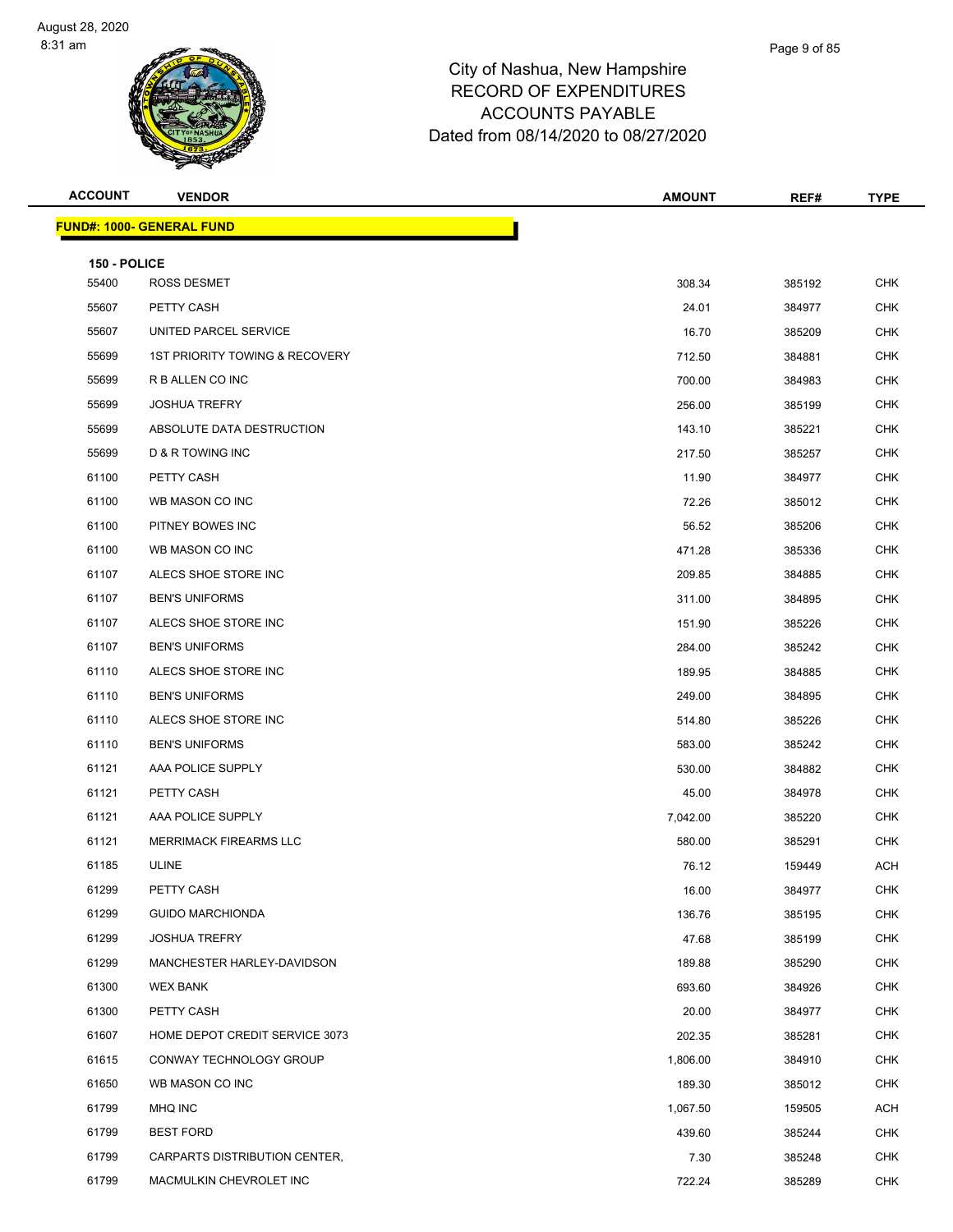| <b>ACCOUNT</b>        | <b>VENDOR</b>                    | <b>AMOUNT</b> | REF#   | <b>TYPE</b> |
|-----------------------|----------------------------------|---------------|--------|-------------|
|                       | <b>FUND#: 1000- GENERAL FUND</b> |               |        |             |
|                       |                                  |               |        |             |
| 150 - POLICE<br>55400 | ROSS DESMET                      | 308.34        | 385192 | <b>CHK</b>  |
| 55607                 | PETTY CASH                       | 24.01         | 384977 | <b>CHK</b>  |
| 55607                 | UNITED PARCEL SERVICE            | 16.70         | 385209 | <b>CHK</b>  |
| 55699                 | 1ST PRIORITY TOWING & RECOVERY   | 712.50        | 384881 | <b>CHK</b>  |
| 55699                 | R B ALLEN CO INC                 | 700.00        | 384983 | <b>CHK</b>  |
| 55699                 | <b>JOSHUA TREFRY</b>             | 256.00        | 385199 | <b>CHK</b>  |
| 55699                 | ABSOLUTE DATA DESTRUCTION        | 143.10        | 385221 | CHK         |
| 55699                 | D & R TOWING INC                 | 217.50        | 385257 | <b>CHK</b>  |
| 61100                 | PETTY CASH                       | 11.90         | 384977 | <b>CHK</b>  |
| 61100                 | WB MASON CO INC                  | 72.26         | 385012 | <b>CHK</b>  |
| 61100                 | PITNEY BOWES INC                 | 56.52         | 385206 | <b>CHK</b>  |
| 61100                 | WB MASON CO INC                  | 471.28        | 385336 | <b>CHK</b>  |
| 61107                 | ALECS SHOE STORE INC             | 209.85        | 384885 | <b>CHK</b>  |
| 61107                 | <b>BEN'S UNIFORMS</b>            | 311.00        | 384895 | CHK         |
| 61107                 | ALECS SHOE STORE INC             | 151.90        | 385226 | <b>CHK</b>  |
| 61107                 | <b>BEN'S UNIFORMS</b>            | 284.00        | 385242 | <b>CHK</b>  |
| 61110                 | ALECS SHOE STORE INC             | 189.95        | 384885 | CHK         |
| 61110                 | <b>BEN'S UNIFORMS</b>            | 249.00        | 384895 | <b>CHK</b>  |
| 61110                 | ALECS SHOE STORE INC             | 514.80        | 385226 | <b>CHK</b>  |
| 61110                 | <b>BEN'S UNIFORMS</b>            | 583.00        | 385242 | <b>CHK</b>  |
| 61121                 | AAA POLICE SUPPLY                | 530.00        | 384882 | <b>CHK</b>  |
| 61121                 | PETTY CASH                       | 45.00         | 384978 | CHK         |
| 61121                 | AAA POLICE SUPPLY                | 7,042.00      | 385220 | <b>CHK</b>  |
| 61121                 | MERRIMACK FIREARMS LLC           | 580.00        | 385291 | CHK         |
| 61185                 | <b>ULINE</b>                     | 76.12         | 159449 | <b>ACH</b>  |
| 61299                 | PETTY CASH                       | 16.00         | 384977 | <b>CHK</b>  |
| 61299                 | <b>GUIDO MARCHIONDA</b>          | 136.76        | 385195 | <b>CHK</b>  |
| 61299                 | <b>JOSHUA TREFRY</b>             | 47.68         | 385199 | <b>CHK</b>  |
| 61299                 | MANCHESTER HARLEY-DAVIDSON       | 189.88        | 385290 | <b>CHK</b>  |
| 61300                 | <b>WEX BANK</b>                  | 693.60        | 384926 | <b>CHK</b>  |
| 61300                 | PETTY CASH                       | 20.00         | 384977 | <b>CHK</b>  |
| 61607                 | HOME DEPOT CREDIT SERVICE 3073   | 202.35        | 385281 | <b>CHK</b>  |
| 61615                 | CONWAY TECHNOLOGY GROUP          | 1,806.00      | 384910 | <b>CHK</b>  |
| 61650                 | WB MASON CO INC                  | 189.30        | 385012 | <b>CHK</b>  |
| 61799                 | MHQ INC                          | 1,067.50      | 159505 | ACH         |
| 61799                 | <b>BEST FORD</b>                 | 439.60        | 385244 | <b>CHK</b>  |
| 61799                 | CARPARTS DISTRIBUTION CENTER,    | 7.30          | 385248 | CHK         |
| 61799                 | MACMULKIN CHEVROLET INC          | 722.24        | 385289 | <b>CHK</b>  |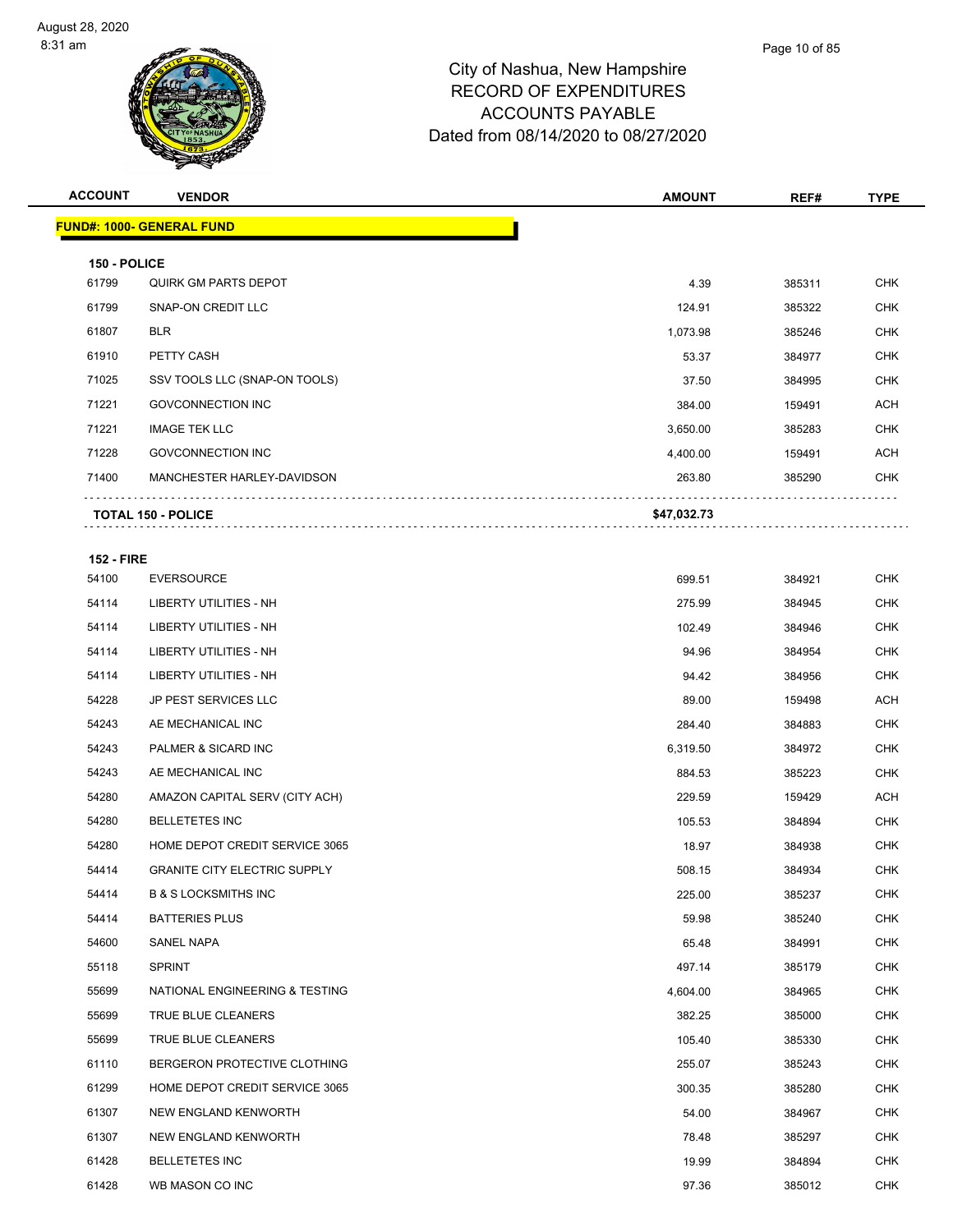| <b>ACCOUNT</b>    | <b>VENDOR</b>                    | <b>AMOUNT</b> | REF#   | <b>TYPE</b> |
|-------------------|----------------------------------|---------------|--------|-------------|
|                   | <b>FUND#: 1000- GENERAL FUND</b> |               |        |             |
|                   |                                  |               |        |             |
| 150 - POLICE      |                                  |               |        |             |
| 61799             | QUIRK GM PARTS DEPOT             | 4.39          | 385311 | <b>CHK</b>  |
| 61799             | <b>SNAP-ON CREDIT LLC</b>        | 124.91        | 385322 | <b>CHK</b>  |
| 61807             | <b>BLR</b>                       | 1,073.98      | 385246 | <b>CHK</b>  |
| 61910             | PETTY CASH                       | 53.37         | 384977 | <b>CHK</b>  |
| 71025             | SSV TOOLS LLC (SNAP-ON TOOLS)    | 37.50         | 384995 | <b>CHK</b>  |
| 71221             | <b>GOVCONNECTION INC</b>         | 384.00        | 159491 | <b>ACH</b>  |
| 71221             | <b>IMAGE TEK LLC</b>             | 3,650.00      | 385283 | <b>CHK</b>  |
| 71228             | <b>GOVCONNECTION INC</b>         | 4,400.00      | 159491 | <b>ACH</b>  |
| 71400             | MANCHESTER HARLEY-DAVIDSON       | 263.80        | 385290 | <b>CHK</b>  |
|                   | <b>TOTAL 150 - POLICE</b>        | \$47,032.73   |        |             |
|                   |                                  |               |        |             |
| <b>152 - FIRE</b> |                                  |               |        |             |
| 54100             | <b>EVERSOURCE</b>                | 699.51        | 384921 | <b>CHK</b>  |
| 54114             | <b>LIBERTY UTILITIES - NH</b>    | 275.99        | 384945 | <b>CHK</b>  |
| 54114             | <b>LIBERTY UTILITIES - NH</b>    | 102.49        | 384946 | <b>CHK</b>  |
| 54114             | <b>LIBERTY UTILITIES - NH</b>    | 94.96         | 384954 | <b>CHK</b>  |
|                   |                                  |               |        |             |

| 54114 | LIBERTY UTILITIES - NH              | 102.49   | 384946 | <b>CHK</b> |
|-------|-------------------------------------|----------|--------|------------|
| 54114 | <b>LIBERTY UTILITIES - NH</b>       | 94.96    | 384954 | <b>CHK</b> |
| 54114 | LIBERTY UTILITIES - NH              | 94.42    | 384956 | <b>CHK</b> |
| 54228 | JP PEST SERVICES LLC                | 89.00    | 159498 | <b>ACH</b> |
| 54243 | AE MECHANICAL INC                   | 284.40   | 384883 | <b>CHK</b> |
| 54243 | PALMER & SICARD INC                 | 6,319.50 | 384972 | <b>CHK</b> |
| 54243 | AE MECHANICAL INC                   | 884.53   | 385223 | <b>CHK</b> |
| 54280 | AMAZON CAPITAL SERV (CITY ACH)      | 229.59   | 159429 | <b>ACH</b> |
| 54280 | <b>BELLETETES INC</b>               | 105.53   | 384894 | <b>CHK</b> |
| 54280 | HOME DEPOT CREDIT SERVICE 3065      | 18.97    | 384938 | <b>CHK</b> |
| 54414 | <b>GRANITE CITY ELECTRIC SUPPLY</b> | 508.15   | 384934 | <b>CHK</b> |
| 54414 | <b>B &amp; S LOCKSMITHS INC</b>     | 225.00   | 385237 | <b>CHK</b> |
| 54414 | <b>BATTERIES PLUS</b>               | 59.98    | 385240 | <b>CHK</b> |
| 54600 | <b>SANEL NAPA</b>                   | 65.48    | 384991 | <b>CHK</b> |
| 55118 | <b>SPRINT</b>                       | 497.14   | 385179 | <b>CHK</b> |
| 55699 | NATIONAL ENGINEERING & TESTING      | 4,604.00 | 384965 | <b>CHK</b> |
| 55699 | TRUE BLUE CLEANERS                  | 382.25   | 385000 | <b>CHK</b> |
| 55699 | TRUE BLUE CLEANERS                  | 105.40   | 385330 | <b>CHK</b> |
| 61110 | BERGERON PROTECTIVE CLOTHING        | 255.07   | 385243 | <b>CHK</b> |
| 61299 | HOME DEPOT CREDIT SERVICE 3065      | 300.35   | 385280 | <b>CHK</b> |
| 61307 | NEW ENGLAND KENWORTH                | 54.00    | 384967 | <b>CHK</b> |
| 61307 | NEW ENGLAND KENWORTH                | 78.48    | 385297 | <b>CHK</b> |
| 61428 | <b>BELLETETES INC</b>               | 19.99    | 384894 | <b>CHK</b> |
| 61428 | WB MASON CO INC                     | 97.36    | 385012 | <b>CHK</b> |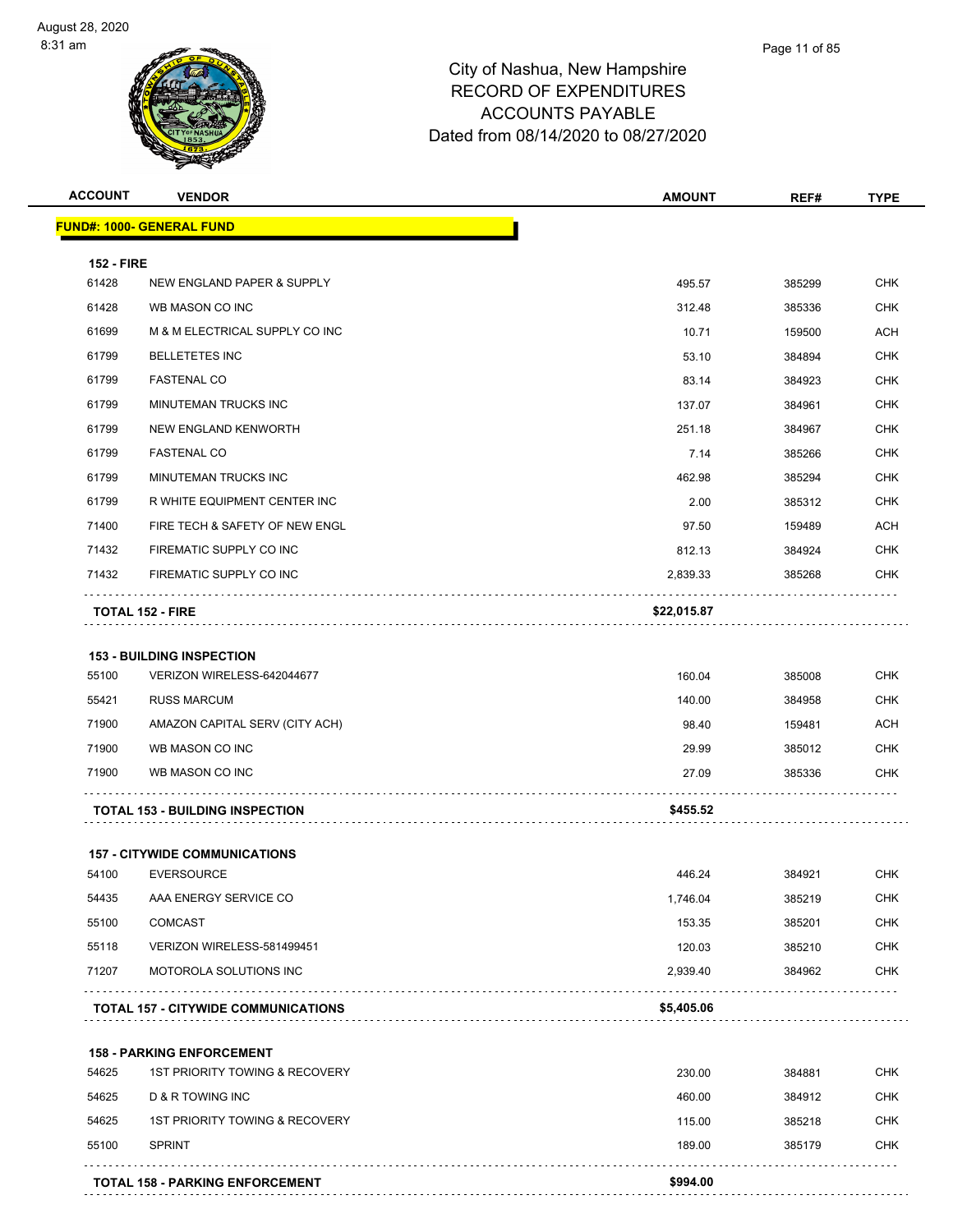| <b>ACCOUNT</b>    | <b>VENDOR</b>                              | <b>AMOUNT</b> | REF#   | <b>TYPE</b> |
|-------------------|--------------------------------------------|---------------|--------|-------------|
|                   | <b>FUND#: 1000- GENERAL FUND</b>           |               |        |             |
| <b>152 - FIRE</b> |                                            |               |        |             |
| 61428             | NEW ENGLAND PAPER & SUPPLY                 | 495.57        | 385299 | <b>CHK</b>  |
| 61428             | WB MASON CO INC                            | 312.48        | 385336 | <b>CHK</b>  |
| 61699             | M & M ELECTRICAL SUPPLY CO INC             | 10.71         | 159500 | <b>ACH</b>  |
| 61799             | <b>BELLETETES INC</b>                      | 53.10         | 384894 | <b>CHK</b>  |
| 61799             | <b>FASTENAL CO</b>                         | 83.14         | 384923 | <b>CHK</b>  |
| 61799             | MINUTEMAN TRUCKS INC                       | 137.07        | 384961 | <b>CHK</b>  |
| 61799             | NEW ENGLAND KENWORTH                       | 251.18        | 384967 | <b>CHK</b>  |
| 61799             | <b>FASTENAL CO</b>                         | 7.14          | 385266 | <b>CHK</b>  |
| 61799             | MINUTEMAN TRUCKS INC                       | 462.98        | 385294 | <b>CHK</b>  |
| 61799             | R WHITE EQUIPMENT CENTER INC               | 2.00          | 385312 | <b>CHK</b>  |
| 71400             | FIRE TECH & SAFETY OF NEW ENGL             | 97.50         | 159489 | <b>ACH</b>  |
| 71432             | FIREMATIC SUPPLY CO INC                    | 812.13        | 384924 | <b>CHK</b>  |
| 71432             | FIREMATIC SUPPLY CO INC                    | 2,839.33      | 385268 | <b>CHK</b>  |
|                   | <b>TOTAL 152 - FIRE</b>                    | \$22,015.87   |        |             |
|                   |                                            |               |        |             |
|                   | <b>153 - BUILDING INSPECTION</b>           |               |        |             |
| 55100             | VERIZON WIRELESS-642044677                 | 160.04        | 385008 | <b>CHK</b>  |
| 55421             | <b>RUSS MARCUM</b>                         | 140.00        | 384958 | <b>CHK</b>  |
| 71900             | AMAZON CAPITAL SERV (CITY ACH)             | 98.40         | 159481 | <b>ACH</b>  |
| 71900             | WB MASON CO INC                            | 29.99         | 385012 | <b>CHK</b>  |
| 71900             | WB MASON CO INC                            | 27.09         | 385336 | <b>CHK</b>  |
|                   | <b>TOTAL 153 - BUILDING INSPECTION</b>     | \$455.52      |        |             |
|                   | <b>157 - CITYWIDE COMMUNICATIONS</b>       |               |        |             |
| 54100             | <b>EVERSOURCE</b>                          | 446.24        | 384921 | <b>CHK</b>  |
| 54435             | AAA ENERGY SERVICE CO                      | 1,746.04      | 385219 | <b>CHK</b>  |
| 55100             | <b>COMCAST</b>                             | 153.35        | 385201 | <b>CHK</b>  |
| 55118             | VERIZON WIRELESS-581499451                 | 120.03        | 385210 | CHK         |
| 71207             | MOTOROLA SOLUTIONS INC                     | 2,939.40      | 384962 | <b>CHK</b>  |
|                   | <b>TOTAL 157 - CITYWIDE COMMUNICATIONS</b> | \$5,405.06    |        |             |
|                   | <b>158 - PARKING ENFORCEMENT</b>           |               |        |             |
| 54625             | <b>1ST PRIORITY TOWING &amp; RECOVERY</b>  | 230.00        | 384881 | <b>CHK</b>  |
| 54625             | D & R TOWING INC                           | 460.00        | 384912 | <b>CHK</b>  |
| 54625             | 1ST PRIORITY TOWING & RECOVERY             | 115.00        | 385218 | <b>CHK</b>  |
| 55100             | <b>SPRINT</b>                              | 189.00        | 385179 | <b>CHK</b>  |
|                   |                                            |               |        |             |
|                   | <b>TOTAL 158 - PARKING ENFORCEMENT</b>     | \$994.00      |        |             |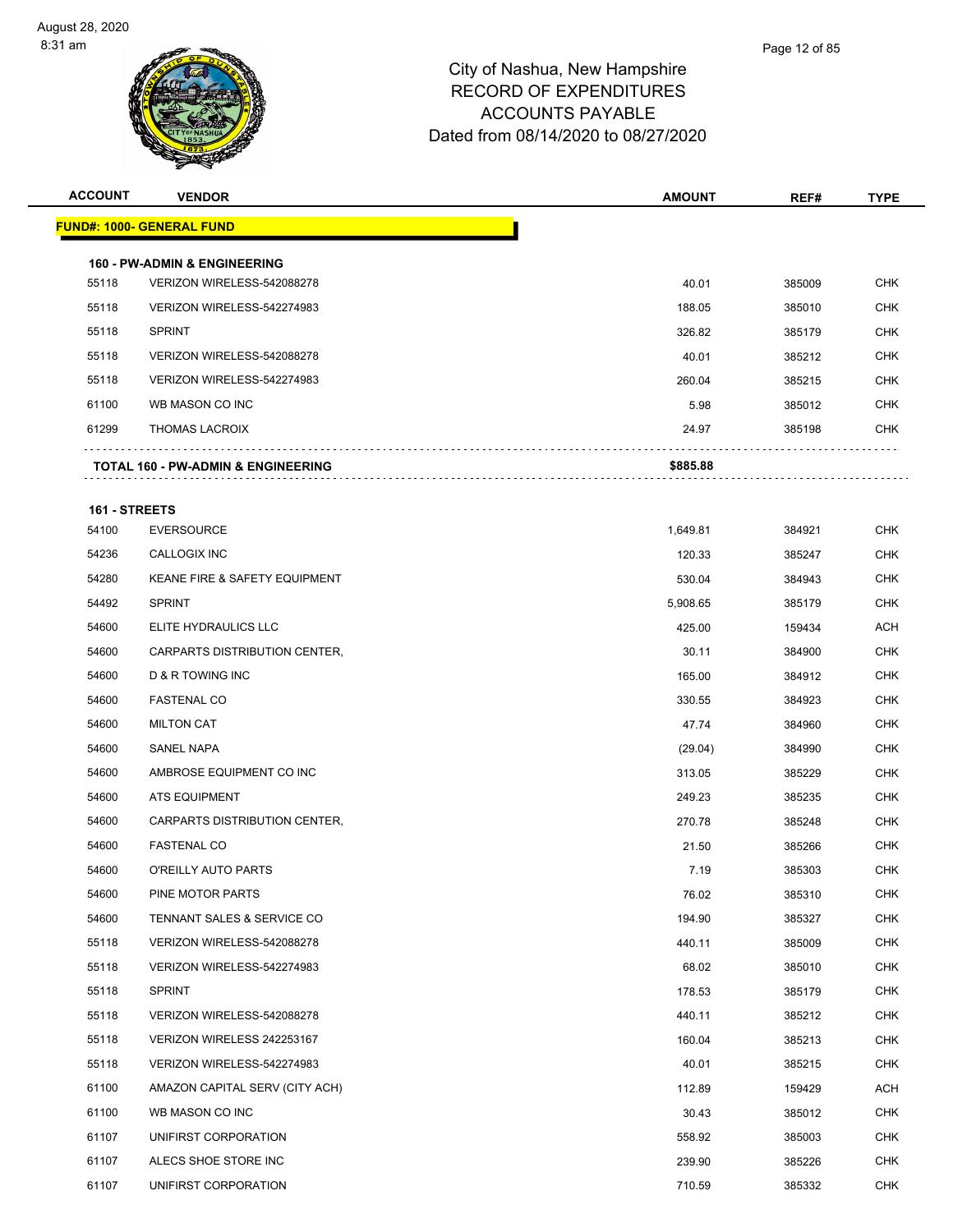| <b>ACCOUNT</b> | <b>VENDOR</b>                                                         | <b>AMOUNT</b> | REF#   | <b>TYPE</b> |
|----------------|-----------------------------------------------------------------------|---------------|--------|-------------|
|                | <b>FUND#: 1000- GENERAL FUND</b>                                      |               |        |             |
|                |                                                                       |               |        |             |
| 55118          | <b>160 - PW-ADMIN &amp; ENGINEERING</b><br>VERIZON WIRELESS-542088278 | 40.01         | 385009 | <b>CHK</b>  |
| 55118          | VERIZON WIRELESS-542274983                                            | 188.05        | 385010 | <b>CHK</b>  |
| 55118          | <b>SPRINT</b>                                                         | 326.82        | 385179 | CHK         |
| 55118          | VERIZON WIRELESS-542088278                                            | 40.01         | 385212 | <b>CHK</b>  |
| 55118          | VERIZON WIRELESS-542274983                                            | 260.04        | 385215 | <b>CHK</b>  |
| 61100          | WB MASON CO INC                                                       | 5.98          | 385012 | <b>CHK</b>  |
| 61299          | <b>THOMAS LACROIX</b>                                                 | 24.97         | 385198 | <b>CHK</b>  |
|                |                                                                       |               |        |             |
|                | <b>TOTAL 160 - PW-ADMIN &amp; ENGINEERING</b>                         | \$885.88      |        |             |
| 161 - STREETS  |                                                                       |               |        |             |
| 54100          | <b>EVERSOURCE</b>                                                     | 1,649.81      | 384921 | CHK         |
| 54236          | <b>CALLOGIX INC</b>                                                   | 120.33        | 385247 | <b>CHK</b>  |
| 54280          | KEANE FIRE & SAFETY EQUIPMENT                                         | 530.04        | 384943 | <b>CHK</b>  |
| 54492          | <b>SPRINT</b>                                                         | 5,908.65      | 385179 | <b>CHK</b>  |
| 54600          | ELITE HYDRAULICS LLC                                                  | 425.00        | 159434 | ACH         |
| 54600          | CARPARTS DISTRIBUTION CENTER,                                         | 30.11         | 384900 | <b>CHK</b>  |
| 54600          | D & R TOWING INC                                                      | 165.00        | 384912 | <b>CHK</b>  |
| 54600          | <b>FASTENAL CO</b>                                                    | 330.55        | 384923 | <b>CHK</b>  |
| 54600          | <b>MILTON CAT</b>                                                     | 47.74         | 384960 | <b>CHK</b>  |
| 54600          | <b>SANEL NAPA</b>                                                     | (29.04)       | 384990 | <b>CHK</b>  |
| 54600          | AMBROSE EQUIPMENT CO INC                                              | 313.05        | 385229 | <b>CHK</b>  |
| 54600          | ATS EQUIPMENT                                                         | 249.23        | 385235 | <b>CHK</b>  |
| 54600          | CARPARTS DISTRIBUTION CENTER,                                         | 270.78        | 385248 | <b>CHK</b>  |
| 54600          | <b>FASTENAL CO</b>                                                    | 21.50         | 385266 | <b>CHK</b>  |
| 54600          | O'REILLY AUTO PARTS                                                   | 7.19          | 385303 | <b>CHK</b>  |
| 54600          | PINE MOTOR PARTS                                                      | 76.02         | 385310 | <b>CHK</b>  |
| 54600          | TENNANT SALES & SERVICE CO                                            | 194.90        | 385327 | <b>CHK</b>  |
| 55118          | VERIZON WIRELESS-542088278                                            | 440.11        | 385009 | <b>CHK</b>  |
| 55118          | VERIZON WIRELESS-542274983                                            | 68.02         | 385010 | <b>CHK</b>  |
| 55118          | <b>SPRINT</b>                                                         | 178.53        | 385179 | <b>CHK</b>  |
| 55118          | VERIZON WIRELESS-542088278                                            | 440.11        | 385212 | <b>CHK</b>  |
| 55118          | VERIZON WIRELESS 242253167                                            | 160.04        | 385213 | <b>CHK</b>  |
| 55118          | VERIZON WIRELESS-542274983                                            | 40.01         | 385215 | <b>CHK</b>  |
| 61100          | AMAZON CAPITAL SERV (CITY ACH)                                        | 112.89        | 159429 | ACH         |
| 61100          | WB MASON CO INC                                                       | 30.43         | 385012 | <b>CHK</b>  |
| 61107          | UNIFIRST CORPORATION                                                  | 558.92        | 385003 | <b>CHK</b>  |
| 61107          | ALECS SHOE STORE INC                                                  | 239.90        | 385226 | <b>CHK</b>  |
| 61107          | UNIFIRST CORPORATION                                                  | 710.59        | 385332 | <b>CHK</b>  |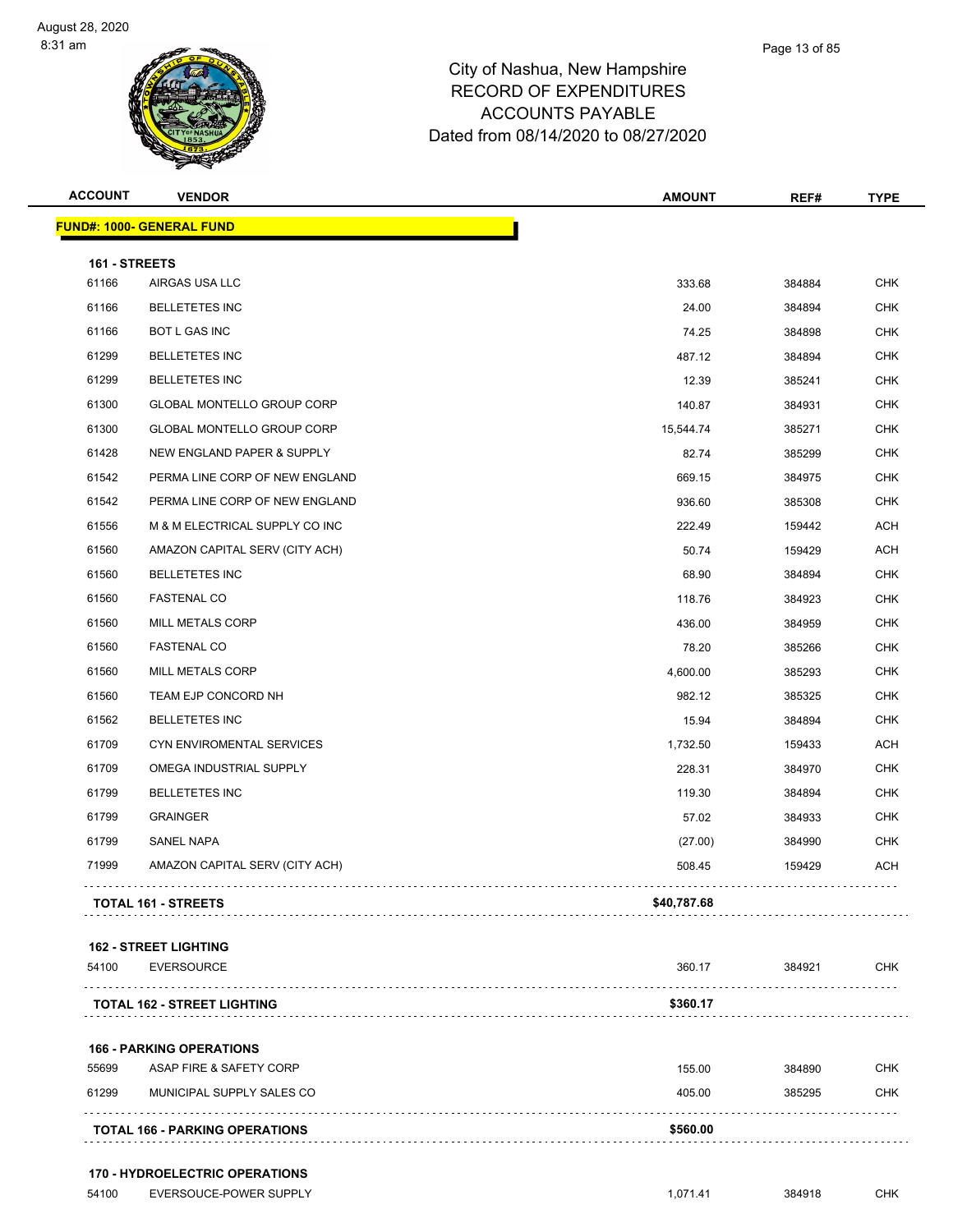| <b>ACCOUNT</b>         | <b>VENDOR</b>                      | <b>AMOUNT</b> | REF#   | <b>TYPE</b> |
|------------------------|------------------------------------|---------------|--------|-------------|
|                        | <b>FUND#: 1000- GENERAL FUND</b>   |               |        |             |
|                        |                                    |               |        |             |
| 161 - STREETS<br>61166 | AIRGAS USA LLC                     | 333.68        | 384884 | <b>CHK</b>  |
| 61166                  | <b>BELLETETES INC</b>              | 24.00         | 384894 | <b>CHK</b>  |
| 61166                  | BOT L GAS INC                      | 74.25         | 384898 | CHK         |
| 61299                  | <b>BELLETETES INC</b>              | 487.12        | 384894 | <b>CHK</b>  |
| 61299                  | <b>BELLETETES INC</b>              | 12.39         | 385241 | <b>CHK</b>  |
| 61300                  | GLOBAL MONTELLO GROUP CORP         | 140.87        | 384931 | CHK         |
| 61300                  | GLOBAL MONTELLO GROUP CORP         | 15,544.74     | 385271 | <b>CHK</b>  |
| 61428                  | NEW ENGLAND PAPER & SUPPLY         | 82.74         | 385299 | <b>CHK</b>  |
| 61542                  | PERMA LINE CORP OF NEW ENGLAND     | 669.15        | 384975 | <b>CHK</b>  |
| 61542                  | PERMA LINE CORP OF NEW ENGLAND     | 936.60        | 385308 | <b>CHK</b>  |
| 61556                  | M & M ELECTRICAL SUPPLY CO INC     | 222.49        | 159442 | ACH         |
| 61560                  | AMAZON CAPITAL SERV (CITY ACH)     | 50.74         | 159429 | ACH         |
| 61560                  | <b>BELLETETES INC</b>              | 68.90         | 384894 | <b>CHK</b>  |
| 61560                  | <b>FASTENAL CO</b>                 | 118.76        | 384923 | <b>CHK</b>  |
| 61560                  | MILL METALS CORP                   | 436.00        | 384959 | <b>CHK</b>  |
| 61560                  | <b>FASTENAL CO</b>                 | 78.20         | 385266 | CHK         |
| 61560                  | MILL METALS CORP                   | 4,600.00      | 385293 | <b>CHK</b>  |
| 61560                  | TEAM EJP CONCORD NH                | 982.12        | 385325 | <b>CHK</b>  |
| 61562                  | <b>BELLETETES INC</b>              | 15.94         | 384894 | <b>CHK</b>  |
| 61709                  | CYN ENVIROMENTAL SERVICES          | 1,732.50      | 159433 | ACH         |
| 61709                  | OMEGA INDUSTRIAL SUPPLY            | 228.31        | 384970 | <b>CHK</b>  |
| 61799                  | <b>BELLETETES INC</b>              | 119.30        | 384894 | <b>CHK</b>  |
| 61799                  | <b>GRAINGER</b>                    | 57.02         | 384933 | CHK         |
| 61799                  | <b>SANEL NAPA</b>                  | (27.00)       | 384990 | <b>CHK</b>  |
| 71999                  | AMAZON CAPITAL SERV (CITY ACH)     | 508.45        | 159429 | ACH         |
|                        | TOTAL 161 - STREETS                | \$40,787.68   |        |             |
|                        |                                    |               |        |             |
|                        | <b>162 - STREET LIGHTING</b>       |               |        |             |
| 54100                  | <b>EVERSOURCE</b>                  | 360.17        | 384921 | CHK         |
|                        | <b>TOTAL 162 - STREET LIGHTING</b> | \$360.17      |        |             |
|                        |                                    |               |        |             |
|                        | <b>166 - PARKING OPERATIONS</b>    |               |        |             |
| 55699                  | ASAP FIRE & SAFETY CORP            | 155.00        | 384890 | <b>CHK</b>  |

 MUNICIPAL SUPPLY SALES CO 405.00 385295 CHK . . . . . . . . . . . . . . . . . . . . . . . . . . . . . . . . . . . . **TOTAL 166 - PARKING OPERATIONS \$560.00** . . . . . . . . . . .

#### **170 - HYDROELECTRIC OPERATIONS**

```
 54100 EVERSOUCE-POWER SUPPLY 1,071.41 384918 CHK
```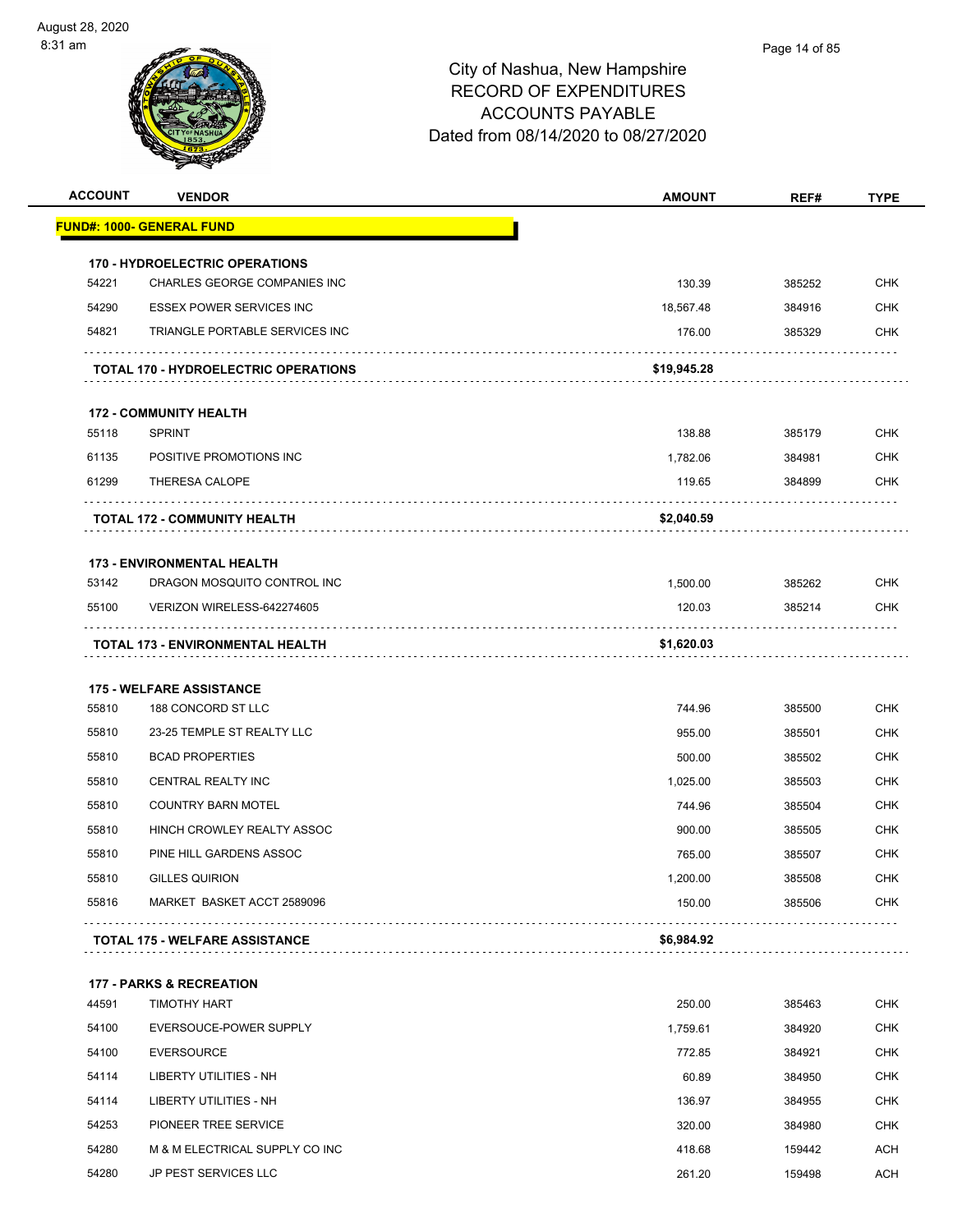

| <b>FUND#: 1000- GENERAL FUND</b><br><b>170 - HYDROELECTRIC OPERATIONS</b><br>54221<br><b>CHK</b><br>CHARLES GEORGE COMPANIES INC<br>130.39<br>385252<br>54290<br><b>ESSEX POWER SERVICES INC</b><br>18,567.48<br><b>CHK</b><br>384916<br><b>CHK</b><br>54821<br>TRIANGLE PORTABLE SERVICES INC<br>176.00<br>385329<br>\$19,945.28<br><b>TOTAL 170 - HYDROELECTRIC OPERATIONS</b><br><b>172 - COMMUNITY HEALTH</b><br>55118<br><b>SPRINT</b><br>138.88<br>385179<br><b>CHK</b><br>61135<br>POSITIVE PROMOTIONS INC<br><b>CHK</b><br>1,782.06<br>384981<br>61299<br>THERESA CALOPE<br>119.65<br>384899<br><b>CHK</b><br>\$2,040.59<br>TOTAL 172 - COMMUNITY HEALTH<br><b>173 - ENVIRONMENTAL HEALTH</b><br>53142<br>DRAGON MOSQUITO CONTROL INC<br><b>CHK</b><br>1,500.00<br>385262<br><b>CHK</b><br>55100<br>VERIZON WIRELESS-642274605<br>120.03<br>385214<br>\$1,620.03<br>TOTAL 173 - ENVIRONMENTAL HEALTH<br><b>175 - WELFARE ASSISTANCE</b><br>55810<br>188 CONCORD ST LLC<br><b>CHK</b><br>744.96<br>385500<br><b>CHK</b><br>55810<br>23-25 TEMPLE ST REALTY LLC<br>955.00<br>385501<br>55810<br><b>BCAD PROPERTIES</b><br>500.00<br>385502<br><b>CHK</b><br>55810<br>CENTRAL REALTY INC<br><b>CHK</b><br>1,025.00<br>385503<br><b>CHK</b><br>55810<br><b>COUNTRY BARN MOTEL</b><br>744.96<br>385504<br>55810<br>HINCH CROWLEY REALTY ASSOC<br>900.00<br>385505<br><b>CHK</b><br><b>CHK</b><br>55810<br>PINE HILL GARDENS ASSOC<br>765.00<br>385507<br>55810<br>385508<br><b>CHK</b><br>GILLES QUIRION<br>1,200.00<br>MARKET BASKET ACCT 2589096<br><b>CHK</b><br>55816<br>150.00<br>385506<br>\$6,984.92<br><b>TOTAL 175 - WELFARE ASSISTANCE</b><br><b>177 - PARKS &amp; RECREATION</b><br>44591<br>TIMOTHY HART<br><b>CHK</b><br>250.00<br>385463<br>54100<br>EVERSOUCE-POWER SUPPLY<br>1,759.61<br>384920<br><b>CHK</b><br><b>CHK</b><br>54100<br><b>EVERSOURCE</b><br>772.85<br>384921<br>54114<br><b>CHK</b><br>LIBERTY UTILITIES - NH<br>60.89<br>384950<br>54114<br>LIBERTY UTILITIES - NH<br>CHK<br>136.97<br>384955<br><b>CHK</b><br>54253<br>PIONEER TREE SERVICE<br>320.00<br>384980<br>54280<br>M & M ELECTRICAL SUPPLY CO INC<br>418.68<br>159442<br><b>ACH</b><br>54280<br>JP PEST SERVICES LLC<br><b>ACH</b><br>261.20<br>159498 | <b>ACCOUNT</b> | <b>VENDOR</b> | <b>AMOUNT</b> | REF# | <b>TYPE</b> |
|-------------------------------------------------------------------------------------------------------------------------------------------------------------------------------------------------------------------------------------------------------------------------------------------------------------------------------------------------------------------------------------------------------------------------------------------------------------------------------------------------------------------------------------------------------------------------------------------------------------------------------------------------------------------------------------------------------------------------------------------------------------------------------------------------------------------------------------------------------------------------------------------------------------------------------------------------------------------------------------------------------------------------------------------------------------------------------------------------------------------------------------------------------------------------------------------------------------------------------------------------------------------------------------------------------------------------------------------------------------------------------------------------------------------------------------------------------------------------------------------------------------------------------------------------------------------------------------------------------------------------------------------------------------------------------------------------------------------------------------------------------------------------------------------------------------------------------------------------------------------------------------------------------------------------------------------------------------------------------------------------------------------------------------------------------------------------------------------------------------------------------------------------------------------------------------------------------------------------------------------------------|----------------|---------------|---------------|------|-------------|
|                                                                                                                                                                                                                                                                                                                                                                                                                                                                                                                                                                                                                                                                                                                                                                                                                                                                                                                                                                                                                                                                                                                                                                                                                                                                                                                                                                                                                                                                                                                                                                                                                                                                                                                                                                                                                                                                                                                                                                                                                                                                                                                                                                                                                                                       |                |               |               |      |             |
|                                                                                                                                                                                                                                                                                                                                                                                                                                                                                                                                                                                                                                                                                                                                                                                                                                                                                                                                                                                                                                                                                                                                                                                                                                                                                                                                                                                                                                                                                                                                                                                                                                                                                                                                                                                                                                                                                                                                                                                                                                                                                                                                                                                                                                                       |                |               |               |      |             |
|                                                                                                                                                                                                                                                                                                                                                                                                                                                                                                                                                                                                                                                                                                                                                                                                                                                                                                                                                                                                                                                                                                                                                                                                                                                                                                                                                                                                                                                                                                                                                                                                                                                                                                                                                                                                                                                                                                                                                                                                                                                                                                                                                                                                                                                       |                |               |               |      |             |
|                                                                                                                                                                                                                                                                                                                                                                                                                                                                                                                                                                                                                                                                                                                                                                                                                                                                                                                                                                                                                                                                                                                                                                                                                                                                                                                                                                                                                                                                                                                                                                                                                                                                                                                                                                                                                                                                                                                                                                                                                                                                                                                                                                                                                                                       |                |               |               |      |             |
|                                                                                                                                                                                                                                                                                                                                                                                                                                                                                                                                                                                                                                                                                                                                                                                                                                                                                                                                                                                                                                                                                                                                                                                                                                                                                                                                                                                                                                                                                                                                                                                                                                                                                                                                                                                                                                                                                                                                                                                                                                                                                                                                                                                                                                                       |                |               |               |      |             |
|                                                                                                                                                                                                                                                                                                                                                                                                                                                                                                                                                                                                                                                                                                                                                                                                                                                                                                                                                                                                                                                                                                                                                                                                                                                                                                                                                                                                                                                                                                                                                                                                                                                                                                                                                                                                                                                                                                                                                                                                                                                                                                                                                                                                                                                       |                |               |               |      |             |
|                                                                                                                                                                                                                                                                                                                                                                                                                                                                                                                                                                                                                                                                                                                                                                                                                                                                                                                                                                                                                                                                                                                                                                                                                                                                                                                                                                                                                                                                                                                                                                                                                                                                                                                                                                                                                                                                                                                                                                                                                                                                                                                                                                                                                                                       |                |               |               |      |             |
|                                                                                                                                                                                                                                                                                                                                                                                                                                                                                                                                                                                                                                                                                                                                                                                                                                                                                                                                                                                                                                                                                                                                                                                                                                                                                                                                                                                                                                                                                                                                                                                                                                                                                                                                                                                                                                                                                                                                                                                                                                                                                                                                                                                                                                                       |                |               |               |      |             |
|                                                                                                                                                                                                                                                                                                                                                                                                                                                                                                                                                                                                                                                                                                                                                                                                                                                                                                                                                                                                                                                                                                                                                                                                                                                                                                                                                                                                                                                                                                                                                                                                                                                                                                                                                                                                                                                                                                                                                                                                                                                                                                                                                                                                                                                       |                |               |               |      |             |
|                                                                                                                                                                                                                                                                                                                                                                                                                                                                                                                                                                                                                                                                                                                                                                                                                                                                                                                                                                                                                                                                                                                                                                                                                                                                                                                                                                                                                                                                                                                                                                                                                                                                                                                                                                                                                                                                                                                                                                                                                                                                                                                                                                                                                                                       |                |               |               |      |             |
|                                                                                                                                                                                                                                                                                                                                                                                                                                                                                                                                                                                                                                                                                                                                                                                                                                                                                                                                                                                                                                                                                                                                                                                                                                                                                                                                                                                                                                                                                                                                                                                                                                                                                                                                                                                                                                                                                                                                                                                                                                                                                                                                                                                                                                                       |                |               |               |      |             |
|                                                                                                                                                                                                                                                                                                                                                                                                                                                                                                                                                                                                                                                                                                                                                                                                                                                                                                                                                                                                                                                                                                                                                                                                                                                                                                                                                                                                                                                                                                                                                                                                                                                                                                                                                                                                                                                                                                                                                                                                                                                                                                                                                                                                                                                       |                |               |               |      |             |
|                                                                                                                                                                                                                                                                                                                                                                                                                                                                                                                                                                                                                                                                                                                                                                                                                                                                                                                                                                                                                                                                                                                                                                                                                                                                                                                                                                                                                                                                                                                                                                                                                                                                                                                                                                                                                                                                                                                                                                                                                                                                                                                                                                                                                                                       |                |               |               |      |             |
|                                                                                                                                                                                                                                                                                                                                                                                                                                                                                                                                                                                                                                                                                                                                                                                                                                                                                                                                                                                                                                                                                                                                                                                                                                                                                                                                                                                                                                                                                                                                                                                                                                                                                                                                                                                                                                                                                                                                                                                                                                                                                                                                                                                                                                                       |                |               |               |      |             |
|                                                                                                                                                                                                                                                                                                                                                                                                                                                                                                                                                                                                                                                                                                                                                                                                                                                                                                                                                                                                                                                                                                                                                                                                                                                                                                                                                                                                                                                                                                                                                                                                                                                                                                                                                                                                                                                                                                                                                                                                                                                                                                                                                                                                                                                       |                |               |               |      |             |
|                                                                                                                                                                                                                                                                                                                                                                                                                                                                                                                                                                                                                                                                                                                                                                                                                                                                                                                                                                                                                                                                                                                                                                                                                                                                                                                                                                                                                                                                                                                                                                                                                                                                                                                                                                                                                                                                                                                                                                                                                                                                                                                                                                                                                                                       |                |               |               |      |             |
|                                                                                                                                                                                                                                                                                                                                                                                                                                                                                                                                                                                                                                                                                                                                                                                                                                                                                                                                                                                                                                                                                                                                                                                                                                                                                                                                                                                                                                                                                                                                                                                                                                                                                                                                                                                                                                                                                                                                                                                                                                                                                                                                                                                                                                                       |                |               |               |      |             |
|                                                                                                                                                                                                                                                                                                                                                                                                                                                                                                                                                                                                                                                                                                                                                                                                                                                                                                                                                                                                                                                                                                                                                                                                                                                                                                                                                                                                                                                                                                                                                                                                                                                                                                                                                                                                                                                                                                                                                                                                                                                                                                                                                                                                                                                       |                |               |               |      |             |
|                                                                                                                                                                                                                                                                                                                                                                                                                                                                                                                                                                                                                                                                                                                                                                                                                                                                                                                                                                                                                                                                                                                                                                                                                                                                                                                                                                                                                                                                                                                                                                                                                                                                                                                                                                                                                                                                                                                                                                                                                                                                                                                                                                                                                                                       |                |               |               |      |             |
|                                                                                                                                                                                                                                                                                                                                                                                                                                                                                                                                                                                                                                                                                                                                                                                                                                                                                                                                                                                                                                                                                                                                                                                                                                                                                                                                                                                                                                                                                                                                                                                                                                                                                                                                                                                                                                                                                                                                                                                                                                                                                                                                                                                                                                                       |                |               |               |      |             |
|                                                                                                                                                                                                                                                                                                                                                                                                                                                                                                                                                                                                                                                                                                                                                                                                                                                                                                                                                                                                                                                                                                                                                                                                                                                                                                                                                                                                                                                                                                                                                                                                                                                                                                                                                                                                                                                                                                                                                                                                                                                                                                                                                                                                                                                       |                |               |               |      |             |
|                                                                                                                                                                                                                                                                                                                                                                                                                                                                                                                                                                                                                                                                                                                                                                                                                                                                                                                                                                                                                                                                                                                                                                                                                                                                                                                                                                                                                                                                                                                                                                                                                                                                                                                                                                                                                                                                                                                                                                                                                                                                                                                                                                                                                                                       |                |               |               |      |             |
|                                                                                                                                                                                                                                                                                                                                                                                                                                                                                                                                                                                                                                                                                                                                                                                                                                                                                                                                                                                                                                                                                                                                                                                                                                                                                                                                                                                                                                                                                                                                                                                                                                                                                                                                                                                                                                                                                                                                                                                                                                                                                                                                                                                                                                                       |                |               |               |      |             |
|                                                                                                                                                                                                                                                                                                                                                                                                                                                                                                                                                                                                                                                                                                                                                                                                                                                                                                                                                                                                                                                                                                                                                                                                                                                                                                                                                                                                                                                                                                                                                                                                                                                                                                                                                                                                                                                                                                                                                                                                                                                                                                                                                                                                                                                       |                |               |               |      |             |
|                                                                                                                                                                                                                                                                                                                                                                                                                                                                                                                                                                                                                                                                                                                                                                                                                                                                                                                                                                                                                                                                                                                                                                                                                                                                                                                                                                                                                                                                                                                                                                                                                                                                                                                                                                                                                                                                                                                                                                                                                                                                                                                                                                                                                                                       |                |               |               |      |             |
|                                                                                                                                                                                                                                                                                                                                                                                                                                                                                                                                                                                                                                                                                                                                                                                                                                                                                                                                                                                                                                                                                                                                                                                                                                                                                                                                                                                                                                                                                                                                                                                                                                                                                                                                                                                                                                                                                                                                                                                                                                                                                                                                                                                                                                                       |                |               |               |      |             |
|                                                                                                                                                                                                                                                                                                                                                                                                                                                                                                                                                                                                                                                                                                                                                                                                                                                                                                                                                                                                                                                                                                                                                                                                                                                                                                                                                                                                                                                                                                                                                                                                                                                                                                                                                                                                                                                                                                                                                                                                                                                                                                                                                                                                                                                       |                |               |               |      |             |
|                                                                                                                                                                                                                                                                                                                                                                                                                                                                                                                                                                                                                                                                                                                                                                                                                                                                                                                                                                                                                                                                                                                                                                                                                                                                                                                                                                                                                                                                                                                                                                                                                                                                                                                                                                                                                                                                                                                                                                                                                                                                                                                                                                                                                                                       |                |               |               |      |             |
|                                                                                                                                                                                                                                                                                                                                                                                                                                                                                                                                                                                                                                                                                                                                                                                                                                                                                                                                                                                                                                                                                                                                                                                                                                                                                                                                                                                                                                                                                                                                                                                                                                                                                                                                                                                                                                                                                                                                                                                                                                                                                                                                                                                                                                                       |                |               |               |      |             |
|                                                                                                                                                                                                                                                                                                                                                                                                                                                                                                                                                                                                                                                                                                                                                                                                                                                                                                                                                                                                                                                                                                                                                                                                                                                                                                                                                                                                                                                                                                                                                                                                                                                                                                                                                                                                                                                                                                                                                                                                                                                                                                                                                                                                                                                       |                |               |               |      |             |
|                                                                                                                                                                                                                                                                                                                                                                                                                                                                                                                                                                                                                                                                                                                                                                                                                                                                                                                                                                                                                                                                                                                                                                                                                                                                                                                                                                                                                                                                                                                                                                                                                                                                                                                                                                                                                                                                                                                                                                                                                                                                                                                                                                                                                                                       |                |               |               |      |             |
|                                                                                                                                                                                                                                                                                                                                                                                                                                                                                                                                                                                                                                                                                                                                                                                                                                                                                                                                                                                                                                                                                                                                                                                                                                                                                                                                                                                                                                                                                                                                                                                                                                                                                                                                                                                                                                                                                                                                                                                                                                                                                                                                                                                                                                                       |                |               |               |      |             |
|                                                                                                                                                                                                                                                                                                                                                                                                                                                                                                                                                                                                                                                                                                                                                                                                                                                                                                                                                                                                                                                                                                                                                                                                                                                                                                                                                                                                                                                                                                                                                                                                                                                                                                                                                                                                                                                                                                                                                                                                                                                                                                                                                                                                                                                       |                |               |               |      |             |
|                                                                                                                                                                                                                                                                                                                                                                                                                                                                                                                                                                                                                                                                                                                                                                                                                                                                                                                                                                                                                                                                                                                                                                                                                                                                                                                                                                                                                                                                                                                                                                                                                                                                                                                                                                                                                                                                                                                                                                                                                                                                                                                                                                                                                                                       |                |               |               |      |             |
|                                                                                                                                                                                                                                                                                                                                                                                                                                                                                                                                                                                                                                                                                                                                                                                                                                                                                                                                                                                                                                                                                                                                                                                                                                                                                                                                                                                                                                                                                                                                                                                                                                                                                                                                                                                                                                                                                                                                                                                                                                                                                                                                                                                                                                                       |                |               |               |      |             |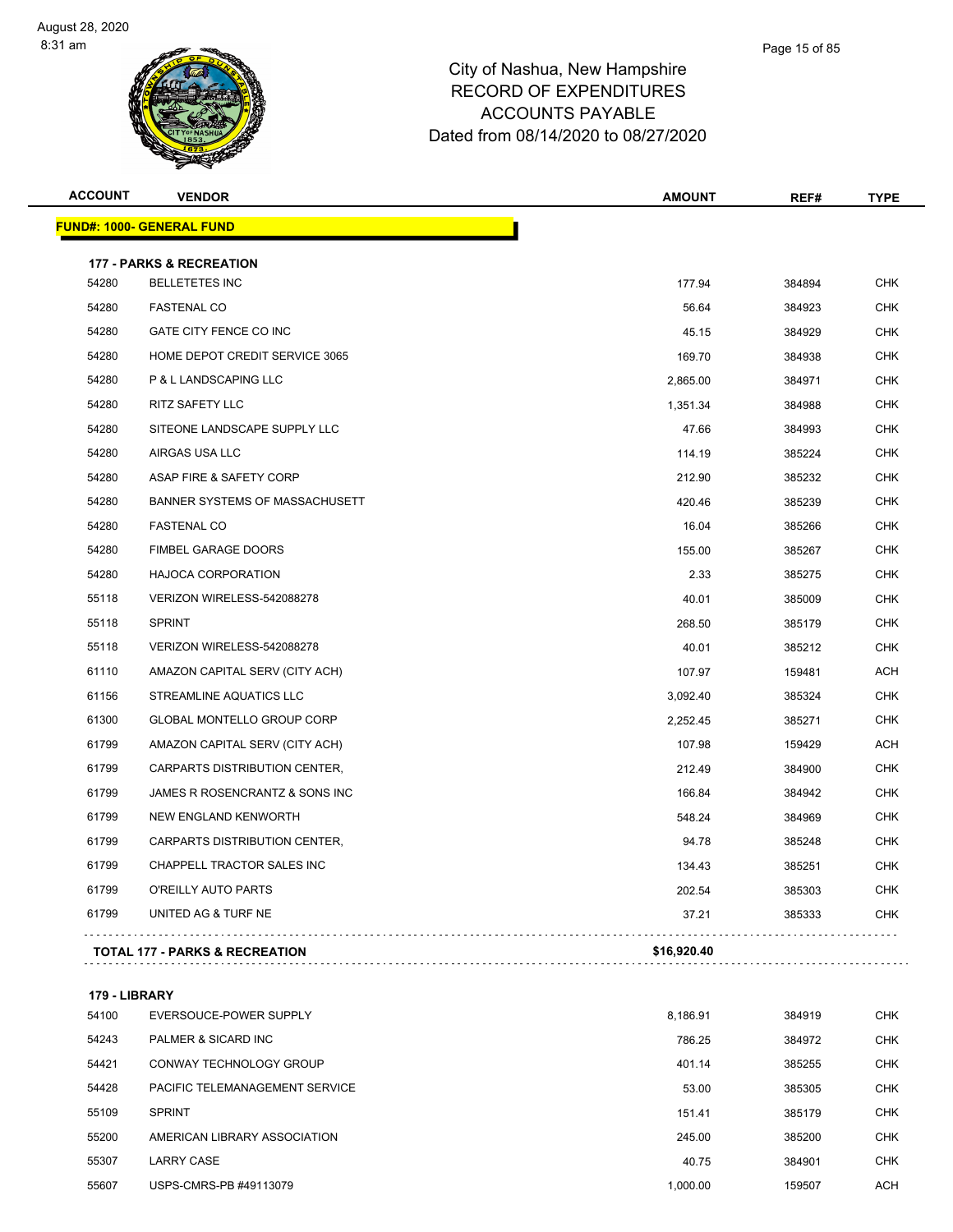| <b>ACCOUNT</b> | <b>VENDOR</b>                       | <b>AMOUNT</b> | REF#   | <b>TYPE</b> |
|----------------|-------------------------------------|---------------|--------|-------------|
|                | <b>FUND#: 1000- GENERAL FUND</b>    |               |        |             |
|                | <b>177 - PARKS &amp; RECREATION</b> |               |        |             |
| 54280          | <b>BELLETETES INC</b>               | 177.94        | 384894 | <b>CHK</b>  |
| 54280          | <b>FASTENAL CO</b>                  | 56.64         | 384923 | <b>CHK</b>  |
| 54280          | GATE CITY FENCE CO INC              | 45.15         | 384929 | <b>CHK</b>  |
| 54280          | HOME DEPOT CREDIT SERVICE 3065      | 169.70        | 384938 | <b>CHK</b>  |
| 54280          | P & L LANDSCAPING LLC               | 2,865.00      | 384971 | <b>CHK</b>  |
| 54280          | <b>RITZ SAFETY LLC</b>              | 1,351.34      | 384988 | <b>CHK</b>  |
| 54280          | SITEONE LANDSCAPE SUPPLY LLC        | 47.66         | 384993 | <b>CHK</b>  |
| 54280          | AIRGAS USA LLC                      | 114.19        | 385224 | <b>CHK</b>  |
| 54280          | ASAP FIRE & SAFETY CORP             | 212.90        | 385232 | <b>CHK</b>  |
| 54280          | BANNER SYSTEMS OF MASSACHUSETT      | 420.46        | 385239 | <b>CHK</b>  |
| 54280          | <b>FASTENAL CO</b>                  | 16.04         | 385266 | <b>CHK</b>  |
| 54280          | FIMBEL GARAGE DOORS                 | 155.00        | 385267 | <b>CHK</b>  |
| 54280          | HAJOCA CORPORATION                  | 2.33          | 385275 | <b>CHK</b>  |
| 55118          | VERIZON WIRELESS-542088278          | 40.01         | 385009 | <b>CHK</b>  |
| 55118          | <b>SPRINT</b>                       | 268.50        | 385179 | <b>CHK</b>  |
| 55118          | VERIZON WIRELESS-542088278          | 40.01         | 385212 | <b>CHK</b>  |
| 61110          | AMAZON CAPITAL SERV (CITY ACH)      | 107.97        | 159481 | <b>ACH</b>  |
| 61156          | STREAMLINE AQUATICS LLC             | 3,092.40      | 385324 | <b>CHK</b>  |
| 61300          | GLOBAL MONTELLO GROUP CORP          | 2,252.45      | 385271 | <b>CHK</b>  |
| 61799          | AMAZON CAPITAL SERV (CITY ACH)      | 107.98        | 159429 | <b>ACH</b>  |
| 61799          | CARPARTS DISTRIBUTION CENTER,       | 212.49        | 384900 | <b>CHK</b>  |
| 61799          | JAMES R ROSENCRANTZ & SONS INC      | 166.84        | 384942 | <b>CHK</b>  |
| 61799          | NEW ENGLAND KENWORTH                | 548.24        | 384969 | <b>CHK</b>  |
| 61799          | CARPARTS DISTRIBUTION CENTER,       | 94.78         | 385248 | <b>CHK</b>  |
| 61799          | CHAPPELL TRACTOR SALES INC          | 134.43        | 385251 | <b>CHK</b>  |
| 61799          | O'REILLY AUTO PARTS                 | 202.54        | 385303 | <b>CHK</b>  |
| 61799          | UNITED AG & TURF NE                 | 37.21         | 385333 | <b>CHK</b>  |

**179 - LIBRARY**

| 54100 | EVERSOUCE-POWER SUPPLY         | 8,186.91 | 384919 | <b>CHK</b> |
|-------|--------------------------------|----------|--------|------------|
| 54243 | PALMER & SICARD INC            | 786.25   | 384972 | <b>CHK</b> |
| 54421 | CONWAY TECHNOLOGY GROUP        | 401.14   | 385255 | <b>CHK</b> |
| 54428 | PACIFIC TELEMANAGEMENT SERVICE | 53.00    | 385305 | <b>CHK</b> |
| 55109 | <b>SPRINT</b>                  | 151.41   | 385179 | <b>CHK</b> |
| 55200 | AMERICAN LIBRARY ASSOCIATION   | 245.00   | 385200 | <b>CHK</b> |
| 55307 | <b>LARRY CASE</b>              | 40.75    | 384901 | <b>CHK</b> |
| 55607 | USPS-CMRS-PB #49113079         | 1.000.00 | 159507 | <b>ACH</b> |
|       |                                |          |        |            |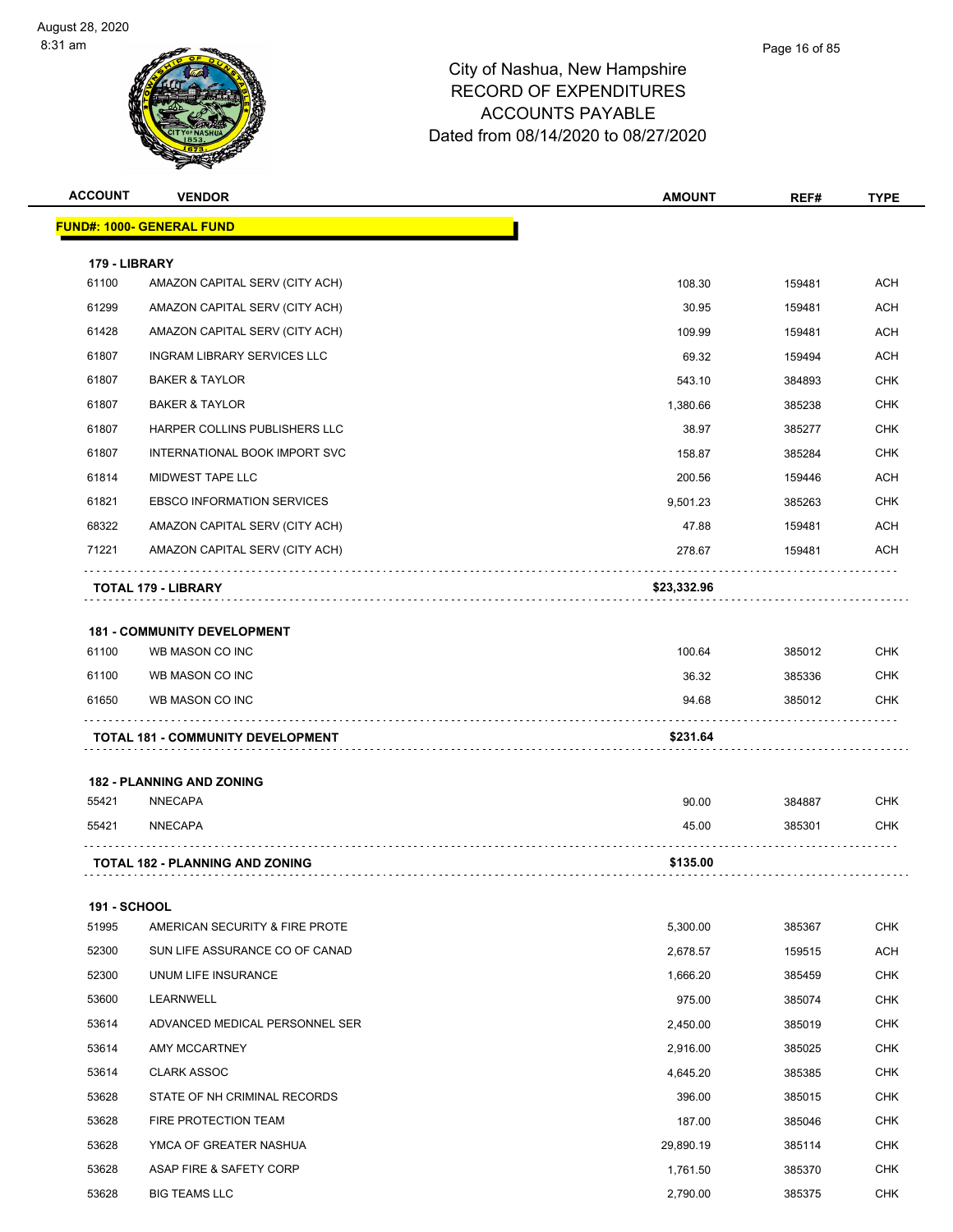| <b>ACCOUNT</b>         | <b>VENDOR</b>                               | <b>AMOUNT</b>      | REF#             | <b>TYPE</b>              |
|------------------------|---------------------------------------------|--------------------|------------------|--------------------------|
|                        | <u> FUND#: 1000- GENERAL FUND</u>           |                    |                  |                          |
|                        |                                             |                    |                  |                          |
| 179 - LIBRARY<br>61100 | AMAZON CAPITAL SERV (CITY ACH)              | 108.30             | 159481           | <b>ACH</b>               |
| 61299                  | AMAZON CAPITAL SERV (CITY ACH)              | 30.95              | 159481           | <b>ACH</b>               |
| 61428                  | AMAZON CAPITAL SERV (CITY ACH)              | 109.99             | 159481           | <b>ACH</b>               |
| 61807                  | INGRAM LIBRARY SERVICES LLC                 | 69.32              | 159494           | <b>ACH</b>               |
| 61807                  | <b>BAKER &amp; TAYLOR</b>                   | 543.10             | 384893           | <b>CHK</b>               |
| 61807                  | <b>BAKER &amp; TAYLOR</b>                   | 1,380.66           | 385238           | <b>CHK</b>               |
| 61807                  | HARPER COLLINS PUBLISHERS LLC               | 38.97              | 385277           | <b>CHK</b>               |
| 61807                  | INTERNATIONAL BOOK IMPORT SVC               | 158.87             | 385284           | <b>CHK</b>               |
| 61814                  | MIDWEST TAPE LLC                            | 200.56             | 159446           | ACH                      |
| 61821                  | <b>EBSCO INFORMATION SERVICES</b>           | 9,501.23           | 385263           | <b>CHK</b>               |
| 68322                  | AMAZON CAPITAL SERV (CITY ACH)              | 47.88              | 159481           | ACH                      |
| 71221                  | AMAZON CAPITAL SERV (CITY ACH)              | 278.67             | 159481           | ACH                      |
|                        |                                             |                    |                  |                          |
|                        | <b>TOTAL 179 - LIBRARY</b>                  | \$23,332.96        |                  |                          |
|                        | <b>181 - COMMUNITY DEVELOPMENT</b>          |                    |                  |                          |
| 61100                  | WB MASON CO INC                             | 100.64             | 385012           | <b>CHK</b>               |
| 61100                  | WB MASON CO INC                             | 36.32              | 385336           | <b>CHK</b>               |
| 61650                  | WB MASON CO INC                             | 94.68              | 385012           | CHK                      |
|                        | <b>TOTAL 181 - COMMUNITY DEVELOPMENT</b>    | \$231.64           |                  |                          |
|                        |                                             |                    |                  |                          |
|                        | <b>182 - PLANNING AND ZONING</b>            |                    |                  |                          |
| 55421                  | NNECAPA                                     | 90.00              | 384887           | <b>CHK</b>               |
| 55421                  | <b>NNECAPA</b>                              | 45.00              | 385301           | CHK                      |
|                        | <b>TOTAL 182 - PLANNING AND ZONING</b>      | \$135.00           |                  |                          |
|                        |                                             |                    |                  |                          |
| <b>191 - SCHOOL</b>    |                                             |                    |                  |                          |
| 51995                  | AMERICAN SECURITY & FIRE PROTE              | 5,300.00           | 385367           | CHK                      |
| 52300                  | SUN LIFE ASSURANCE CO OF CANAD              | 2,678.57           | 159515           | ACH                      |
| 52300                  | UNUM LIFE INSURANCE                         | 1,666.20           | 385459           | <b>CHK</b>               |
| 53600                  | LEARNWELL<br>ADVANCED MEDICAL PERSONNEL SER | 975.00             | 385074           | <b>CHK</b>               |
| 53614<br>53614         |                                             | 2,450.00           | 385019           | <b>CHK</b><br><b>CHK</b> |
| 53614                  | AMY MCCARTNEY<br><b>CLARK ASSOC</b>         | 2,916.00           | 385025           |                          |
| 53628                  | STATE OF NH CRIMINAL RECORDS                | 4,645.20<br>396.00 | 385385<br>385015 | <b>CHK</b><br><b>CHK</b> |
| 53628                  | FIRE PROTECTION TEAM                        | 187.00             | 385046           | <b>CHK</b>               |
| 53628                  | YMCA OF GREATER NASHUA                      | 29,890.19          | 385114           | <b>CHK</b>               |
| 53628                  | ASAP FIRE & SAFETY CORP                     | 1,761.50           | 385370           | <b>CHK</b>               |
| 53628                  | <b>BIG TEAMS LLC</b>                        | 2,790.00           | 385375           | <b>CHK</b>               |
|                        |                                             |                    |                  |                          |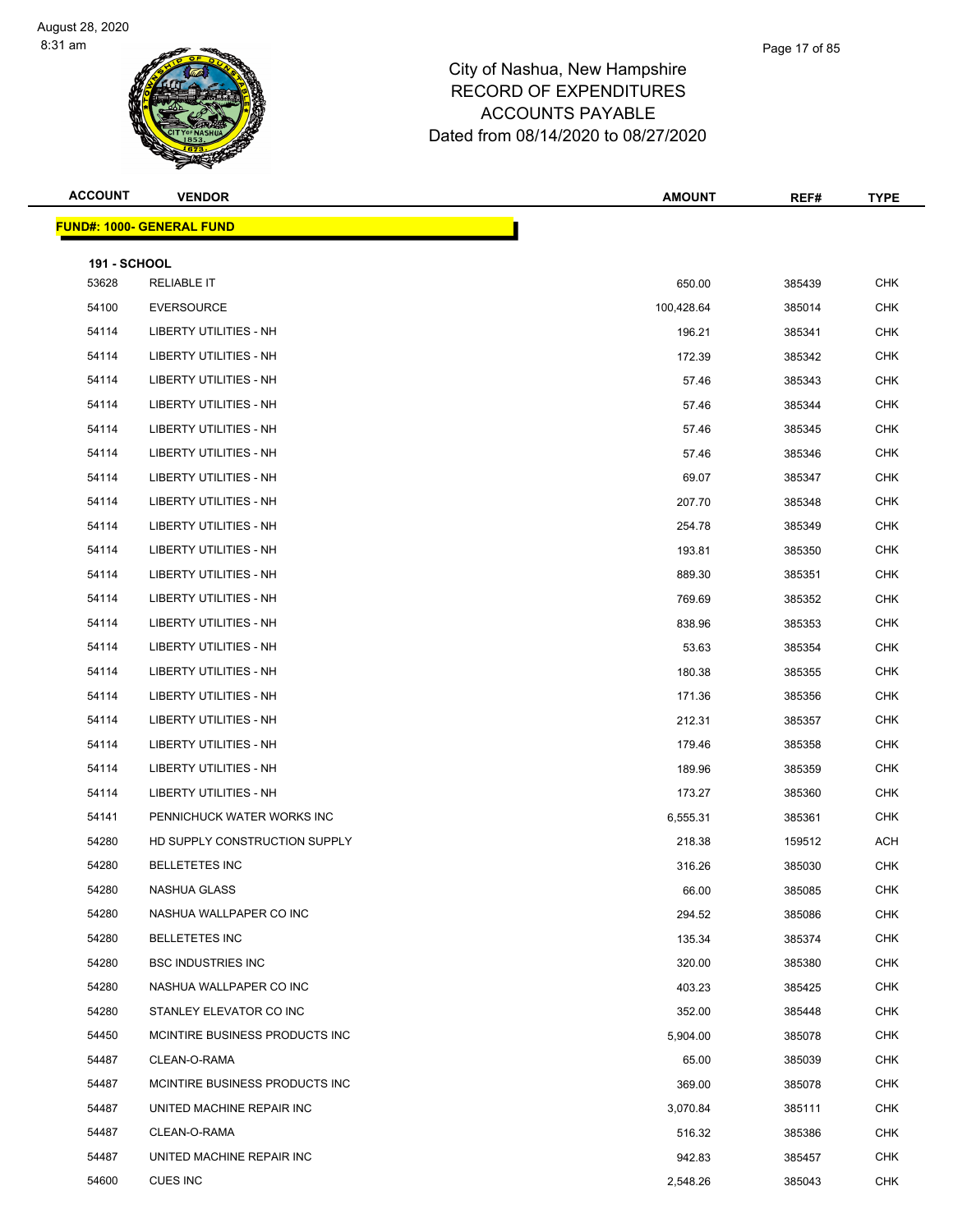| <b>ACCOUNT</b>      | <b>VENDOR</b>                    | <b>AMOUNT</b> | REF#   | <b>TYPE</b> |
|---------------------|----------------------------------|---------------|--------|-------------|
|                     | <b>FUND#: 1000- GENERAL FUND</b> |               |        |             |
| <b>191 - SCHOOL</b> |                                  |               |        |             |
| 53628               | <b>RELIABLE IT</b>               | 650.00        | 385439 | CHK         |
| 54100               | <b>EVERSOURCE</b>                | 100,428.64    | 385014 | <b>CHK</b>  |
| 54114               | <b>LIBERTY UTILITIES - NH</b>    | 196.21        | 385341 | <b>CHK</b>  |
| 54114               | <b>LIBERTY UTILITIES - NH</b>    | 172.39        | 385342 | CHK         |
| 54114               | LIBERTY UTILITIES - NH           | 57.46         | 385343 | <b>CHK</b>  |
| 54114               | LIBERTY UTILITIES - NH           | 57.46         | 385344 | CHK         |
| 54114               | LIBERTY UTILITIES - NH           | 57.46         | 385345 | <b>CHK</b>  |
| 54114               | LIBERTY UTILITIES - NH           | 57.46         | 385346 | <b>CHK</b>  |
| 54114               | LIBERTY UTILITIES - NH           | 69.07         | 385347 | CHK         |
| 54114               | LIBERTY UTILITIES - NH           | 207.70        | 385348 | <b>CHK</b>  |
| 54114               | <b>LIBERTY UTILITIES - NH</b>    | 254.78        | 385349 | CHK         |
| 54114               | <b>LIBERTY UTILITIES - NH</b>    | 193.81        | 385350 | <b>CHK</b>  |
| 54114               | <b>LIBERTY UTILITIES - NH</b>    | 889.30        | 385351 | <b>CHK</b>  |
| 54114               | LIBERTY UTILITIES - NH           | 769.69        | 385352 | CHK         |
| 54114               | <b>LIBERTY UTILITIES - NH</b>    | 838.96        | 385353 | <b>CHK</b>  |
| 54114               | LIBERTY UTILITIES - NH           | 53.63         | 385354 | CHK         |
| 54114               | LIBERTY UTILITIES - NH           | 180.38        | 385355 | <b>CHK</b>  |
| 54114               | LIBERTY UTILITIES - NH           | 171.36        | 385356 | <b>CHK</b>  |
| 54114               | LIBERTY UTILITIES - NH           | 212.31        | 385357 | CHK         |
| 54114               | LIBERTY UTILITIES - NH           | 179.46        | 385358 | <b>CHK</b>  |
| 54114               | LIBERTY UTILITIES - NH           | 189.96        | 385359 | <b>CHK</b>  |
| 54114               | LIBERTY UTILITIES - NH           | 173.27        | 385360 | <b>CHK</b>  |
| 54141               | PENNICHUCK WATER WORKS INC       | 6,555.31      | 385361 | <b>CHK</b>  |
| 54280               | HD SUPPLY CONSTRUCTION SUPPLY    | 218.38        | 159512 | ACH         |
| 54280               | <b>BELLETETES INC</b>            | 316.26        | 385030 | <b>CHK</b>  |
| 54280               | NASHUA GLASS                     | 66.00         | 385085 | <b>CHK</b>  |
| 54280               | NASHUA WALLPAPER CO INC          | 294.52        | 385086 | CHK         |
| 54280               | <b>BELLETETES INC</b>            | 135.34        | 385374 | <b>CHK</b>  |
| 54280               | <b>BSC INDUSTRIES INC</b>        | 320.00        | 385380 | CHK         |
| 54280               | NASHUA WALLPAPER CO INC          | 403.23        | 385425 | CHK         |
| 54280               | STANLEY ELEVATOR CO INC          | 352.00        | 385448 | CHK         |
| 54450               | MCINTIRE BUSINESS PRODUCTS INC   | 5,904.00      | 385078 | CHK         |
| 54487               | CLEAN-O-RAMA                     | 65.00         | 385039 | CHK         |
| 54487               | MCINTIRE BUSINESS PRODUCTS INC   | 369.00        | 385078 | CHK         |
| 54487               | UNITED MACHINE REPAIR INC        | 3,070.84      | 385111 | <b>CHK</b>  |
| 54487               | CLEAN-O-RAMA                     | 516.32        | 385386 | CHK         |
| 54487               | UNITED MACHINE REPAIR INC        | 942.83        | 385457 | CHK         |
| 54600               | CUES INC                         | 2,548.26      | 385043 | CHK         |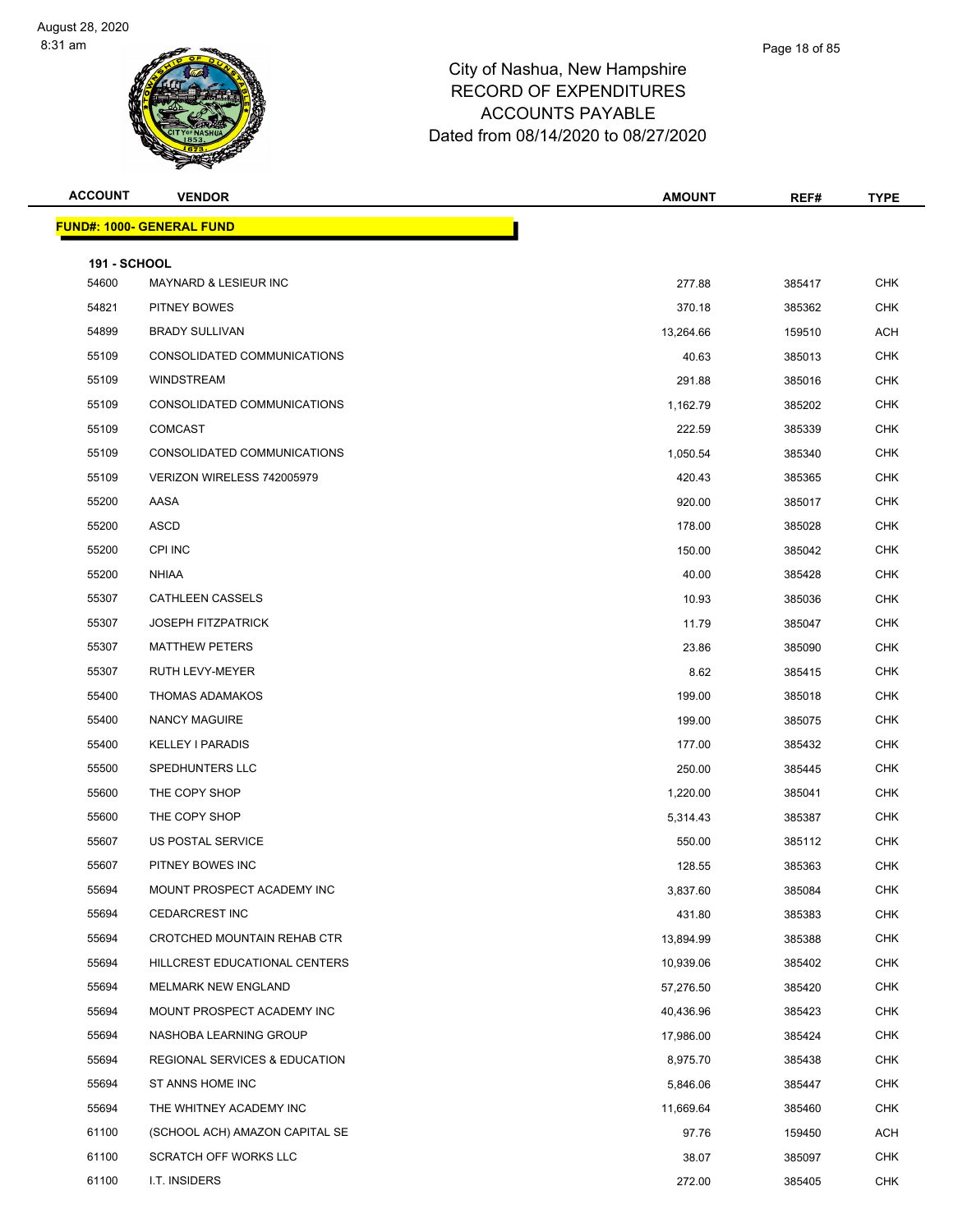| <b>ACCOUNT</b>               | <b>VENDOR</b>                     | <b>AMOUNT</b> | REF#   | <b>TYPE</b> |
|------------------------------|-----------------------------------|---------------|--------|-------------|
|                              | <u> FUND#: 1000- GENERAL FUND</u> |               |        |             |
|                              |                                   |               |        |             |
| <b>191 - SCHOOL</b><br>54600 | <b>MAYNARD &amp; LESIEUR INC</b>  | 277.88        | 385417 | <b>CHK</b>  |
| 54821                        | PITNEY BOWES                      | 370.18        | 385362 | <b>CHK</b>  |
| 54899                        | <b>BRADY SULLIVAN</b>             | 13,264.66     | 159510 | <b>ACH</b>  |
| 55109                        | CONSOLIDATED COMMUNICATIONS       | 40.63         | 385013 | <b>CHK</b>  |
| 55109                        | <b>WINDSTREAM</b>                 | 291.88        | 385016 | <b>CHK</b>  |
| 55109                        | CONSOLIDATED COMMUNICATIONS       | 1,162.79      | 385202 | <b>CHK</b>  |
| 55109                        | <b>COMCAST</b>                    | 222.59        | 385339 | <b>CHK</b>  |
| 55109                        | CONSOLIDATED COMMUNICATIONS       | 1,050.54      | 385340 | <b>CHK</b>  |
| 55109                        | VERIZON WIRELESS 742005979        | 420.43        | 385365 | <b>CHK</b>  |
| 55200                        | AASA                              | 920.00        | 385017 | <b>CHK</b>  |
| 55200                        | <b>ASCD</b>                       | 178.00        | 385028 | <b>CHK</b>  |
| 55200                        | CPI INC                           | 150.00        | 385042 | <b>CHK</b>  |
| 55200                        | <b>NHIAA</b>                      | 40.00         | 385428 | <b>CHK</b>  |
| 55307                        | <b>CATHLEEN CASSELS</b>           | 10.93         | 385036 | <b>CHK</b>  |
| 55307                        | <b>JOSEPH FITZPATRICK</b>         | 11.79         | 385047 | <b>CHK</b>  |
| 55307                        | <b>MATTHEW PETERS</b>             | 23.86         | 385090 | <b>CHK</b>  |
| 55307                        | RUTH LEVY-MEYER                   | 8.62          | 385415 | <b>CHK</b>  |
| 55400                        | <b>THOMAS ADAMAKOS</b>            | 199.00        | 385018 | <b>CHK</b>  |
| 55400                        | NANCY MAGUIRE                     | 199.00        | 385075 | <b>CHK</b>  |
| 55400                        | <b>KELLEY I PARADIS</b>           | 177.00        | 385432 | <b>CHK</b>  |
| 55500                        | SPEDHUNTERS LLC                   | 250.00        | 385445 | <b>CHK</b>  |
| 55600                        | THE COPY SHOP                     | 1,220.00      | 385041 | <b>CHK</b>  |
| 55600                        | THE COPY SHOP                     | 5,314.43      | 385387 | <b>CHK</b>  |
| 55607                        | US POSTAL SERVICE                 | 550.00        | 385112 | <b>CHK</b>  |
| 55607                        | PITNEY BOWES INC                  | 128.55        | 385363 | <b>CHK</b>  |
| 55694                        | MOUNT PROSPECT ACADEMY INC        | 3,837.60      | 385084 | <b>CHK</b>  |
| 55694                        | <b>CEDARCREST INC</b>             | 431.80        | 385383 | <b>CHK</b>  |
| 55694                        | CROTCHED MOUNTAIN REHAB CTR       | 13,894.99     | 385388 | <b>CHK</b>  |
| 55694                        | HILLCREST EDUCATIONAL CENTERS     | 10,939.06     | 385402 | <b>CHK</b>  |
| 55694                        | <b>MELMARK NEW ENGLAND</b>        | 57,276.50     | 385420 | CHK         |
| 55694                        | MOUNT PROSPECT ACADEMY INC        | 40,436.96     | 385423 | <b>CHK</b>  |
| 55694                        | NASHOBA LEARNING GROUP            | 17,986.00     | 385424 | <b>CHK</b>  |
| 55694                        | REGIONAL SERVICES & EDUCATION     | 8,975.70      | 385438 | <b>CHK</b>  |
| 55694                        | ST ANNS HOME INC                  | 5,846.06      | 385447 | <b>CHK</b>  |
| 55694                        | THE WHITNEY ACADEMY INC           | 11,669.64     | 385460 | CHK         |
| 61100                        | (SCHOOL ACH) AMAZON CAPITAL SE    | 97.76         | 159450 | <b>ACH</b>  |
| 61100                        | SCRATCH OFF WORKS LLC             | 38.07         | 385097 | <b>CHK</b>  |
| 61100                        | I.T. INSIDERS                     | 272.00        | 385405 | <b>CHK</b>  |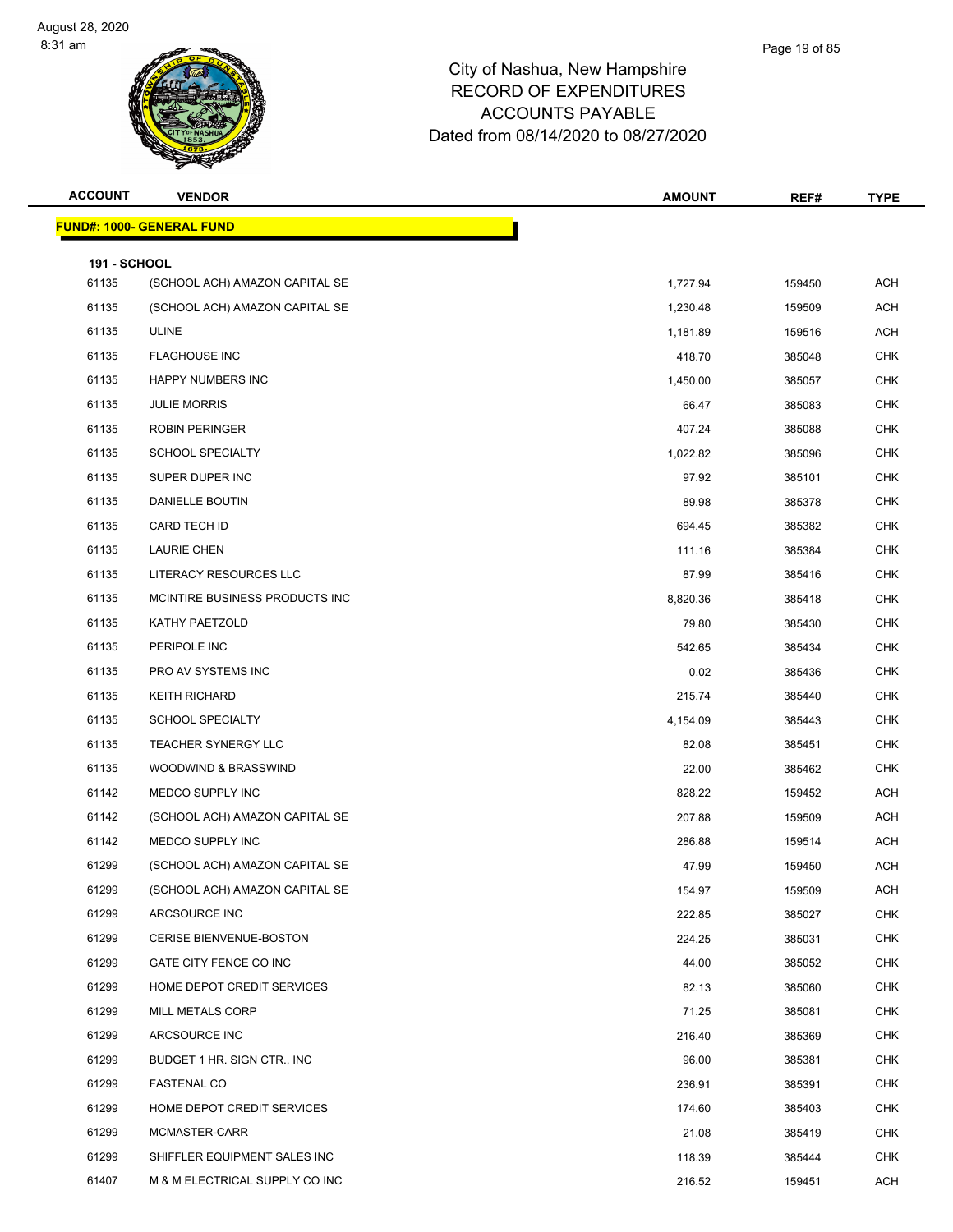| <b>ACCOUNT</b>               | <b>VENDOR</b>                    | <b>AMOUNT</b> | REF#   | <b>TYPE</b> |
|------------------------------|----------------------------------|---------------|--------|-------------|
|                              | <b>FUND#: 1000- GENERAL FUND</b> |               |        |             |
|                              |                                  |               |        |             |
| <b>191 - SCHOOL</b><br>61135 | (SCHOOL ACH) AMAZON CAPITAL SE   | 1,727.94      | 159450 | <b>ACH</b>  |
| 61135                        | (SCHOOL ACH) AMAZON CAPITAL SE   | 1,230.48      | 159509 | ACH         |
| 61135                        | <b>ULINE</b>                     | 1,181.89      | 159516 | <b>ACH</b>  |
| 61135                        | <b>FLAGHOUSE INC</b>             | 418.70        | 385048 | <b>CHK</b>  |
| 61135                        | <b>HAPPY NUMBERS INC</b>         | 1,450.00      | 385057 | <b>CHK</b>  |
| 61135                        | <b>JULIE MORRIS</b>              | 66.47         | 385083 | <b>CHK</b>  |
| 61135                        | <b>ROBIN PERINGER</b>            | 407.24        | 385088 | <b>CHK</b>  |
| 61135                        | <b>SCHOOL SPECIALTY</b>          | 1,022.82      | 385096 | <b>CHK</b>  |
| 61135                        | SUPER DUPER INC                  | 97.92         | 385101 | <b>CHK</b>  |
| 61135                        | DANIELLE BOUTIN                  | 89.98         | 385378 | <b>CHK</b>  |
| 61135                        | CARD TECH ID                     | 694.45        | 385382 | <b>CHK</b>  |
| 61135                        | <b>LAURIE CHEN</b>               | 111.16        | 385384 | <b>CHK</b>  |
| 61135                        | LITERACY RESOURCES LLC           | 87.99         | 385416 | <b>CHK</b>  |
| 61135                        | MCINTIRE BUSINESS PRODUCTS INC   | 8,820.36      | 385418 | <b>CHK</b>  |
| 61135                        | KATHY PAETZOLD                   | 79.80         | 385430 | <b>CHK</b>  |
| 61135                        | PERIPOLE INC                     | 542.65        | 385434 | <b>CHK</b>  |
| 61135                        | PRO AV SYSTEMS INC               | 0.02          | 385436 | <b>CHK</b>  |
| 61135                        | <b>KEITH RICHARD</b>             | 215.74        | 385440 | <b>CHK</b>  |
| 61135                        | <b>SCHOOL SPECIALTY</b>          | 4,154.09      | 385443 | <b>CHK</b>  |
| 61135                        | <b>TEACHER SYNERGY LLC</b>       | 82.08         | 385451 | <b>CHK</b>  |
| 61135                        | WOODWIND & BRASSWIND             | 22.00         | 385462 | <b>CHK</b>  |
| 61142                        | MEDCO SUPPLY INC                 | 828.22        | 159452 | ACH         |
| 61142                        | (SCHOOL ACH) AMAZON CAPITAL SE   | 207.88        | 159509 | <b>ACH</b>  |
| 61142                        | MEDCO SUPPLY INC                 | 286.88        | 159514 | <b>ACH</b>  |
| 61299                        | (SCHOOL ACH) AMAZON CAPITAL SE   | 47.99         | 159450 | ACH         |
| 61299                        | (SCHOOL ACH) AMAZON CAPITAL SE   | 154.97        | 159509 | <b>ACH</b>  |
| 61299                        | ARCSOURCE INC                    | 222.85        | 385027 | <b>CHK</b>  |
| 61299                        | CERISE BIENVENUE-BOSTON          | 224.25        | 385031 | <b>CHK</b>  |
| 61299                        | GATE CITY FENCE CO INC           | 44.00         | 385052 | <b>CHK</b>  |
| 61299                        | HOME DEPOT CREDIT SERVICES       | 82.13         | 385060 | <b>CHK</b>  |
| 61299                        | MILL METALS CORP                 | 71.25         | 385081 | <b>CHK</b>  |
| 61299                        | ARCSOURCE INC                    | 216.40        | 385369 | <b>CHK</b>  |
| 61299                        | BUDGET 1 HR. SIGN CTR., INC      | 96.00         | 385381 | <b>CHK</b>  |
| 61299                        | <b>FASTENAL CO</b>               | 236.91        | 385391 | <b>CHK</b>  |
| 61299                        | HOME DEPOT CREDIT SERVICES       | 174.60        | 385403 | CHK         |
| 61299                        | MCMASTER-CARR                    | 21.08         | 385419 | <b>CHK</b>  |
| 61299                        | SHIFFLER EQUIPMENT SALES INC     | 118.39        | 385444 | <b>CHK</b>  |
| 61407                        | M & M ELECTRICAL SUPPLY CO INC   | 216.52        | 159451 | ACH         |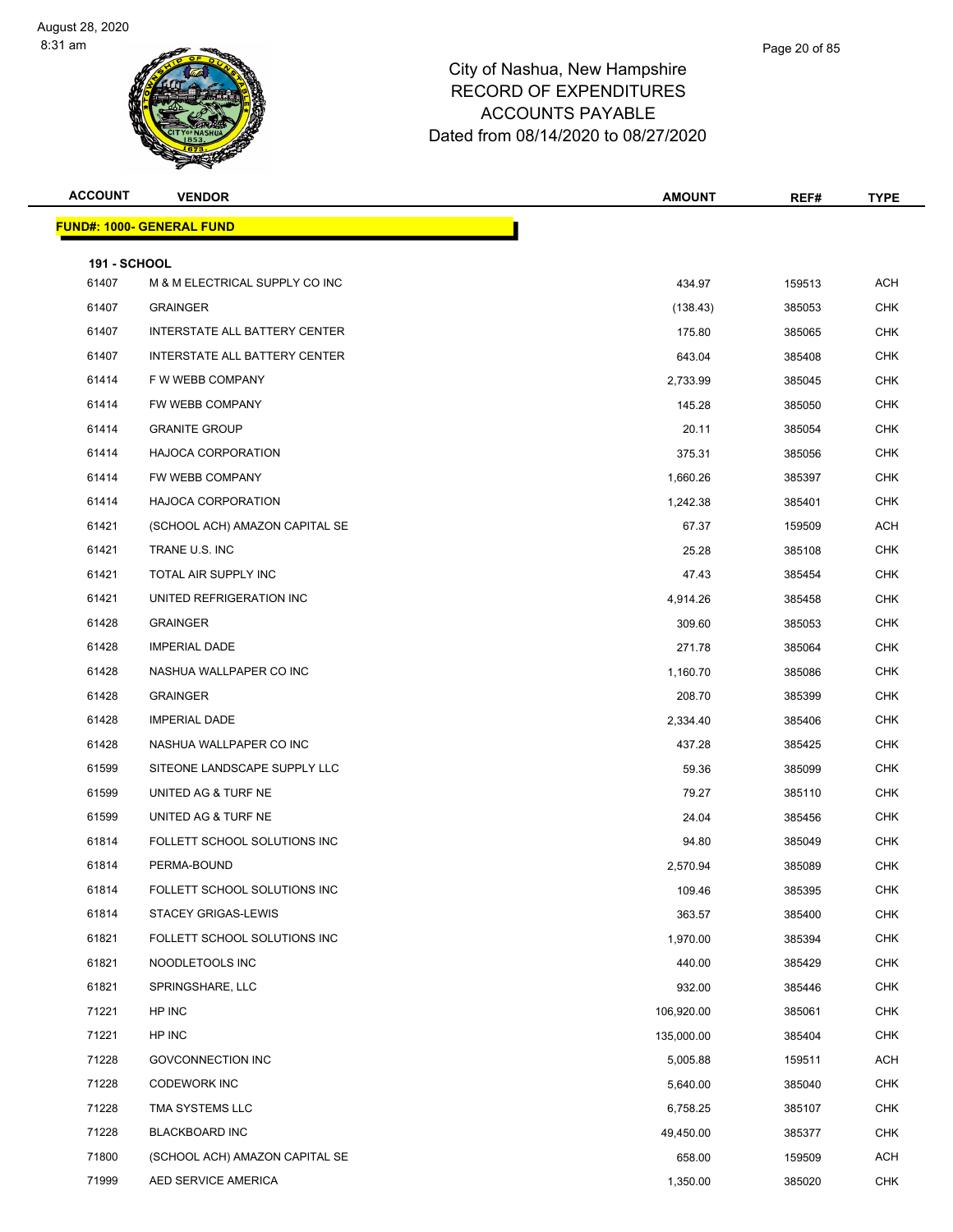| <b>ACCOUNT</b>               | <b>VENDOR</b>                     | <b>AMOUNT</b> | REF#   | <b>TYPE</b> |
|------------------------------|-----------------------------------|---------------|--------|-------------|
|                              | <u> FUND#: 1000- GENERAL FUND</u> |               |        |             |
|                              |                                   |               |        |             |
| <b>191 - SCHOOL</b><br>61407 | M & M ELECTRICAL SUPPLY CO INC    | 434.97        | 159513 | <b>ACH</b>  |
| 61407                        | <b>GRAINGER</b>                   | (138.43)      | 385053 | <b>CHK</b>  |
| 61407                        | INTERSTATE ALL BATTERY CENTER     | 175.80        | 385065 | <b>CHK</b>  |
| 61407                        | INTERSTATE ALL BATTERY CENTER     | 643.04        | 385408 | <b>CHK</b>  |
| 61414                        | F W WEBB COMPANY                  | 2,733.99      | 385045 | <b>CHK</b>  |
| 61414                        | FW WEBB COMPANY                   | 145.28        | 385050 | <b>CHK</b>  |
| 61414                        | <b>GRANITE GROUP</b>              | 20.11         | 385054 | <b>CHK</b>  |
| 61414                        | HAJOCA CORPORATION                | 375.31        | 385056 | <b>CHK</b>  |
| 61414                        | FW WEBB COMPANY                   | 1,660.26      | 385397 | <b>CHK</b>  |
| 61414                        | <b>HAJOCA CORPORATION</b>         | 1,242.38      | 385401 | <b>CHK</b>  |
| 61421                        | (SCHOOL ACH) AMAZON CAPITAL SE    | 67.37         | 159509 | <b>ACH</b>  |
| 61421                        | TRANE U.S. INC                    | 25.28         | 385108 | <b>CHK</b>  |
| 61421                        | TOTAL AIR SUPPLY INC              | 47.43         | 385454 | <b>CHK</b>  |
| 61421                        | UNITED REFRIGERATION INC          | 4,914.26      | 385458 | <b>CHK</b>  |
| 61428                        | <b>GRAINGER</b>                   | 309.60        | 385053 | <b>CHK</b>  |
| 61428                        | <b>IMPERIAL DADE</b>              | 271.78        | 385064 | <b>CHK</b>  |
| 61428                        | NASHUA WALLPAPER CO INC           | 1,160.70      | 385086 | <b>CHK</b>  |
| 61428                        | <b>GRAINGER</b>                   | 208.70        | 385399 | CHK         |
| 61428                        | <b>IMPERIAL DADE</b>              | 2,334.40      | 385406 | <b>CHK</b>  |
| 61428                        | NASHUA WALLPAPER CO INC           | 437.28        | 385425 | <b>CHK</b>  |
| 61599                        | SITEONE LANDSCAPE SUPPLY LLC      | 59.36         | 385099 | <b>CHK</b>  |
| 61599                        | UNITED AG & TURF NE               | 79.27         | 385110 | <b>CHK</b>  |
| 61599                        | UNITED AG & TURF NE               | 24.04         | 385456 | CHK         |
| 61814                        | FOLLETT SCHOOL SOLUTIONS INC      | 94.80         | 385049 | <b>CHK</b>  |
| 61814                        | PERMA-BOUND                       | 2,570.94      | 385089 | <b>CHK</b>  |
| 61814                        | FOLLETT SCHOOL SOLUTIONS INC      | 109.46        | 385395 | CHK         |
| 61814                        | <b>STACEY GRIGAS-LEWIS</b>        | 363.57        | 385400 | <b>CHK</b>  |
| 61821                        | FOLLETT SCHOOL SOLUTIONS INC      | 1,970.00      | 385394 | <b>CHK</b>  |
| 61821                        | NOODLETOOLS INC                   | 440.00        | 385429 | <b>CHK</b>  |
| 61821                        | SPRINGSHARE, LLC                  | 932.00        | 385446 | <b>CHK</b>  |
| 71221                        | HP INC                            | 106,920.00    | 385061 | <b>CHK</b>  |
| 71221                        | HP INC                            | 135,000.00    | 385404 | <b>CHK</b>  |
| 71228                        | <b>GOVCONNECTION INC</b>          | 5,005.88      | 159511 | <b>ACH</b>  |
| 71228                        | <b>CODEWORK INC</b>               | 5,640.00      | 385040 | <b>CHK</b>  |
| 71228                        | TMA SYSTEMS LLC                   | 6,758.25      | 385107 | <b>CHK</b>  |
| 71228                        | <b>BLACKBOARD INC</b>             | 49,450.00     | 385377 | <b>CHK</b>  |
| 71800                        | (SCHOOL ACH) AMAZON CAPITAL SE    | 658.00        | 159509 | <b>ACH</b>  |
| 71999                        | AED SERVICE AMERICA               | 1,350.00      | 385020 | CHK         |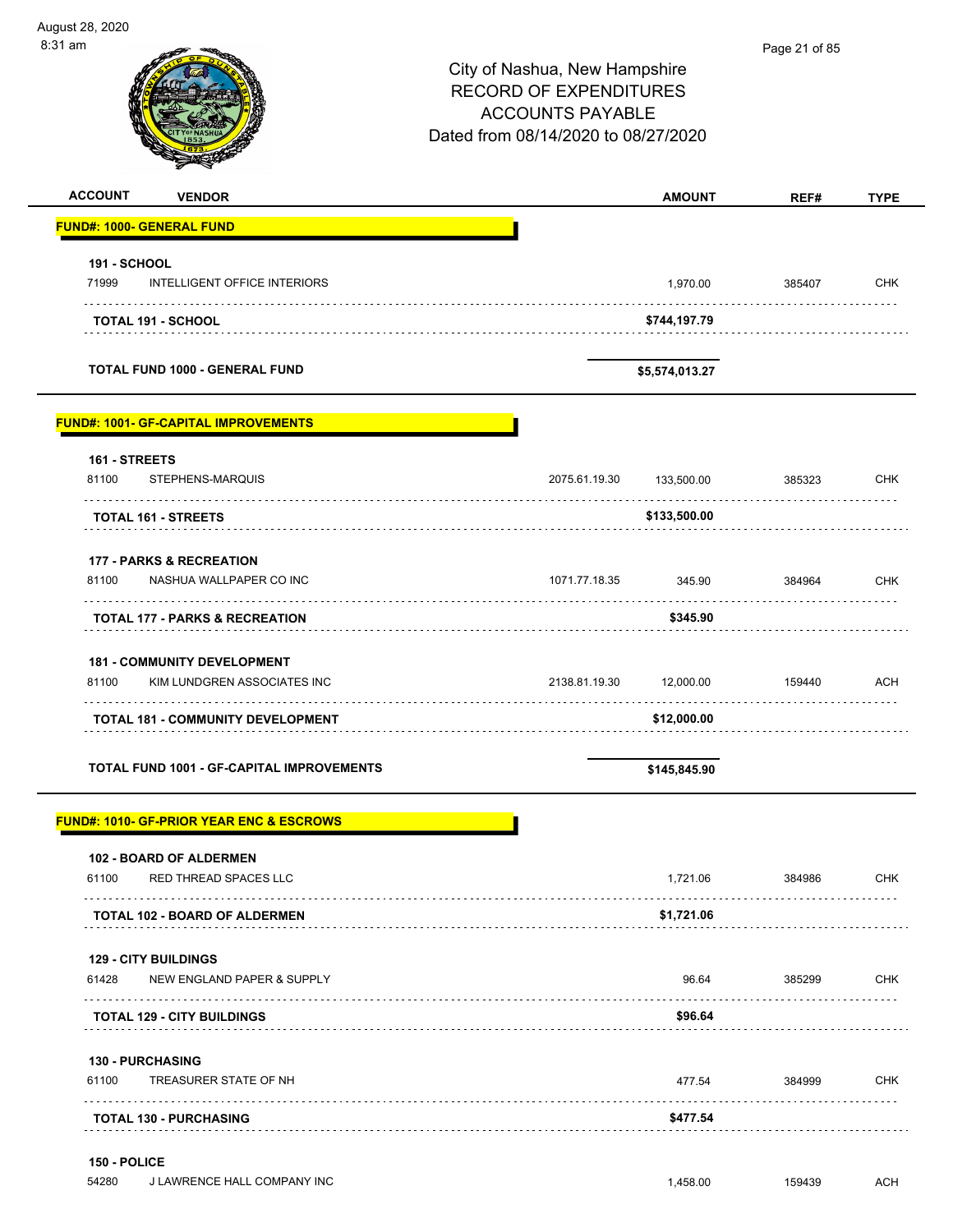$\overline{\phantom{0}}$ 

| :31 am                               |                                                                   | City of Nashua, New Hampshire<br><b>RECORD OF EXPENDITURES</b><br><b>ACCOUNTS PAYABLE</b><br>Dated from 08/14/2020 to 08/27/2020 |                | Page 21 of 85 |             |
|--------------------------------------|-------------------------------------------------------------------|----------------------------------------------------------------------------------------------------------------------------------|----------------|---------------|-------------|
| <b>ACCOUNT</b>                       | <b>VENDOR</b>                                                     |                                                                                                                                  | <b>AMOUNT</b>  | REF#          | <b>TYPE</b> |
| <b>FUND#: 1000- GENERAL FUND</b>     |                                                                   |                                                                                                                                  |                |               |             |
| <b>191 - SCHOOL</b><br>71999         | <b>INTELLIGENT OFFICE INTERIORS</b>                               |                                                                                                                                  | 1,970.00       | 385407        | <b>CHK</b>  |
|                                      | TOTAL 191 - SCHOOL                                                |                                                                                                                                  | \$744,197.79   |               |             |
|                                      | <b>TOTAL FUND 1000 - GENERAL FUND</b>                             |                                                                                                                                  | \$5,574,013.27 |               |             |
|                                      | <b>FUND#: 1001- GF-CAPITAL IMPROVEMENTS</b>                       |                                                                                                                                  |                |               |             |
| 161 - STREETS<br>81100               | STEPHENS-MARQUIS                                                  | 2075.61.19.30                                                                                                                    | 133,500.00     | 385323        | <b>CHK</b>  |
|                                      | TOTAL 161 - STREETS                                               |                                                                                                                                  | \$133,500.00   |               |             |
| 81100                                | <b>177 - PARKS &amp; RECREATION</b><br>NASHUA WALLPAPER CO INC    | 1071.77.18.35                                                                                                                    | 345.90         | 384964        | <b>CHK</b>  |
|                                      | <b>TOTAL 177 - PARKS &amp; RECREATION</b>                         |                                                                                                                                  | \$345.90       |               |             |
| 81100                                | <b>181 - COMMUNITY DEVELOPMENT</b><br>KIM LUNDGREN ASSOCIATES INC | 2138.81.19.30                                                                                                                    | 12,000.00      | 159440        | <b>ACH</b>  |
|                                      | <b>TOTAL 181 - COMMUNITY DEVELOPMENT</b>                          |                                                                                                                                  | \$12,000.00    |               |             |
|                                      | <b>TOTAL FUND 1001 - GF-CAPITAL IMPROVEMENTS</b>                  |                                                                                                                                  | \$145,845.90   |               |             |
|                                      | <b>FUND#: 1010- GF-PRIOR YEAR ENC &amp; ESCROWS</b>               |                                                                                                                                  |                |               |             |
| 61100                                | <b>102 - BOARD OF ALDERMEN</b><br>RED THREAD SPACES LLC           |                                                                                                                                  | 1,721.06       | 384986        | <b>CHK</b>  |
|                                      | <b>TOTAL 102 - BOARD OF ALDERMEN</b>                              |                                                                                                                                  | \$1,721.06     |               |             |
| <b>129 - CITY BUILDINGS</b><br>61428 | NEW ENGLAND PAPER & SUPPLY                                        |                                                                                                                                  | 96.64          | 385299        | <b>CHK</b>  |
|                                      | <b>TOTAL 129 - CITY BUILDINGS</b>                                 |                                                                                                                                  | \$96.64        |               |             |
| <b>130 - PURCHASING</b><br>61100     | TREASURER STATE OF NH                                             |                                                                                                                                  | 477.54         | 384999        | <b>CHK</b>  |
|                                      | <b>TOTAL 130 - PURCHASING</b>                                     |                                                                                                                                  | \$477.54       |               |             |

54280 J LAWRENCE HALL COMPANY INC **1,458.00** 159439 ACH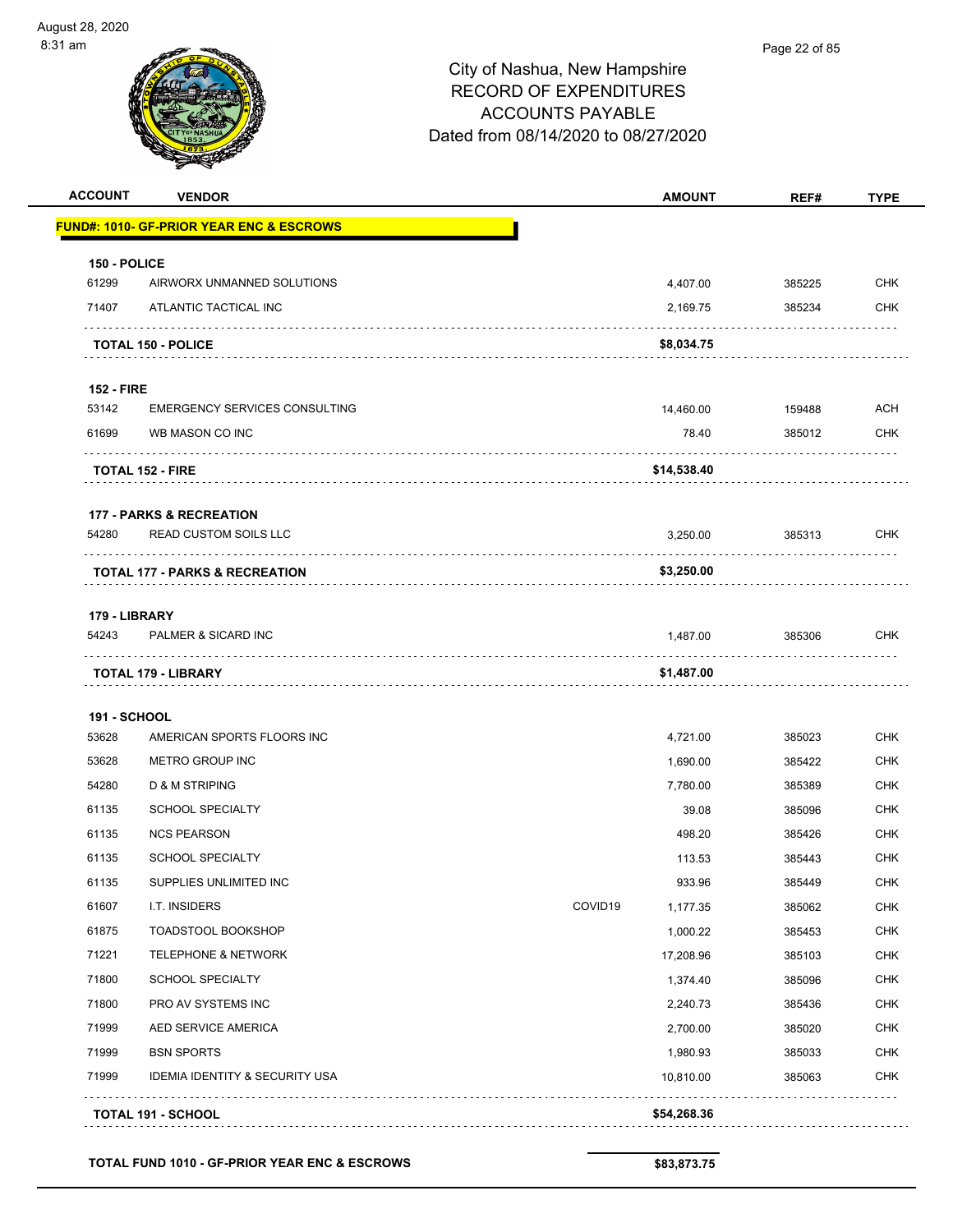| <b>ACCOUNT</b>    | <b>VENDOR</b>                                       |         | <b>AMOUNT</b> | REF#   | <b>TYPE</b> |
|-------------------|-----------------------------------------------------|---------|---------------|--------|-------------|
|                   | <b>FUND#: 1010- GF-PRIOR YEAR ENC &amp; ESCROWS</b> |         |               |        |             |
| 150 - POLICE      |                                                     |         |               |        |             |
| 61299             | AIRWORX UNMANNED SOLUTIONS                          |         | 4,407.00      | 385225 | <b>CHK</b>  |
| 71407             | ATLANTIC TACTICAL INC                               |         | 2,169.75      | 385234 | <b>CHK</b>  |
|                   | <b>TOTAL 150 - POLICE</b>                           |         | \$8,034.75    |        |             |
| <b>152 - FIRE</b> |                                                     |         |               |        |             |
| 53142             | EMERGENCY SERVICES CONSULTING                       |         | 14,460.00     | 159488 | ACH         |
| 61699             | WB MASON CO INC                                     |         | 78.40         | 385012 | <b>CHK</b>  |
|                   | <b>TOTAL 152 - FIRE</b>                             |         | \$14,538.40   |        |             |
|                   | <b>177 - PARKS &amp; RECREATION</b>                 |         |               |        |             |
| 54280             | <b>READ CUSTOM SOILS LLC</b>                        |         | 3,250.00      | 385313 | <b>CHK</b>  |
|                   | <b>TOTAL 177 - PARKS &amp; RECREATION</b>           |         | \$3,250.00    | .      |             |
| 179 - LIBRARY     |                                                     |         |               |        |             |
| 54243             | PALMER & SICARD INC<br>.                            |         | 1,487.00      | 385306 | <b>CHK</b>  |
|                   | TOTAL 179 - LIBRARY                                 |         | \$1,487.00    |        |             |
| 191 - SCHOOL      |                                                     |         |               |        |             |
| 53628             | AMERICAN SPORTS FLOORS INC                          |         | 4,721.00      | 385023 | <b>CHK</b>  |
| 53628             | METRO GROUP INC                                     |         | 1,690.00      | 385422 | <b>CHK</b>  |
| 54280             | D & M STRIPING                                      |         | 7,780.00      | 385389 | CHK         |
| 61135             | <b>SCHOOL SPECIALTY</b>                             |         | 39.08         | 385096 | <b>CHK</b>  |
| 61135             | <b>NCS PEARSON</b>                                  |         | 498.20        | 385426 | <b>CHK</b>  |
| 61135             | <b>SCHOOL SPECIALTY</b>                             |         | 113.53        | 385443 | <b>CHK</b>  |
| 61135             | SUPPLIES UNLIMITED INC                              |         | 933.96        | 385449 | <b>CHK</b>  |
| 61607             | I.T. INSIDERS                                       | COVID19 | 1,177.35      | 385062 | <b>CHK</b>  |
| 61875             | TOADSTOOL BOOKSHOP                                  |         | 1,000.22      | 385453 | CHK         |
| 71221             | <b>TELEPHONE &amp; NETWORK</b>                      |         | 17,208.96     | 385103 | <b>CHK</b>  |
| 71800             | <b>SCHOOL SPECIALTY</b>                             |         | 1,374.40      | 385096 | <b>CHK</b>  |
| 71800             | PRO AV SYSTEMS INC                                  |         | 2,240.73      | 385436 | <b>CHK</b>  |
| 71999             | AED SERVICE AMERICA                                 |         | 2,700.00      | 385020 | <b>CHK</b>  |
| 71999             | <b>BSN SPORTS</b>                                   |         | 1,980.93      | 385033 | <b>CHK</b>  |
| 71999             | <b>IDEMIA IDENTITY &amp; SECURITY USA</b>           |         | 10,810.00     | 385063 | <b>CHK</b>  |
|                   | <b>TOTAL 191 - SCHOOL</b>                           |         | \$54,268.36   |        |             |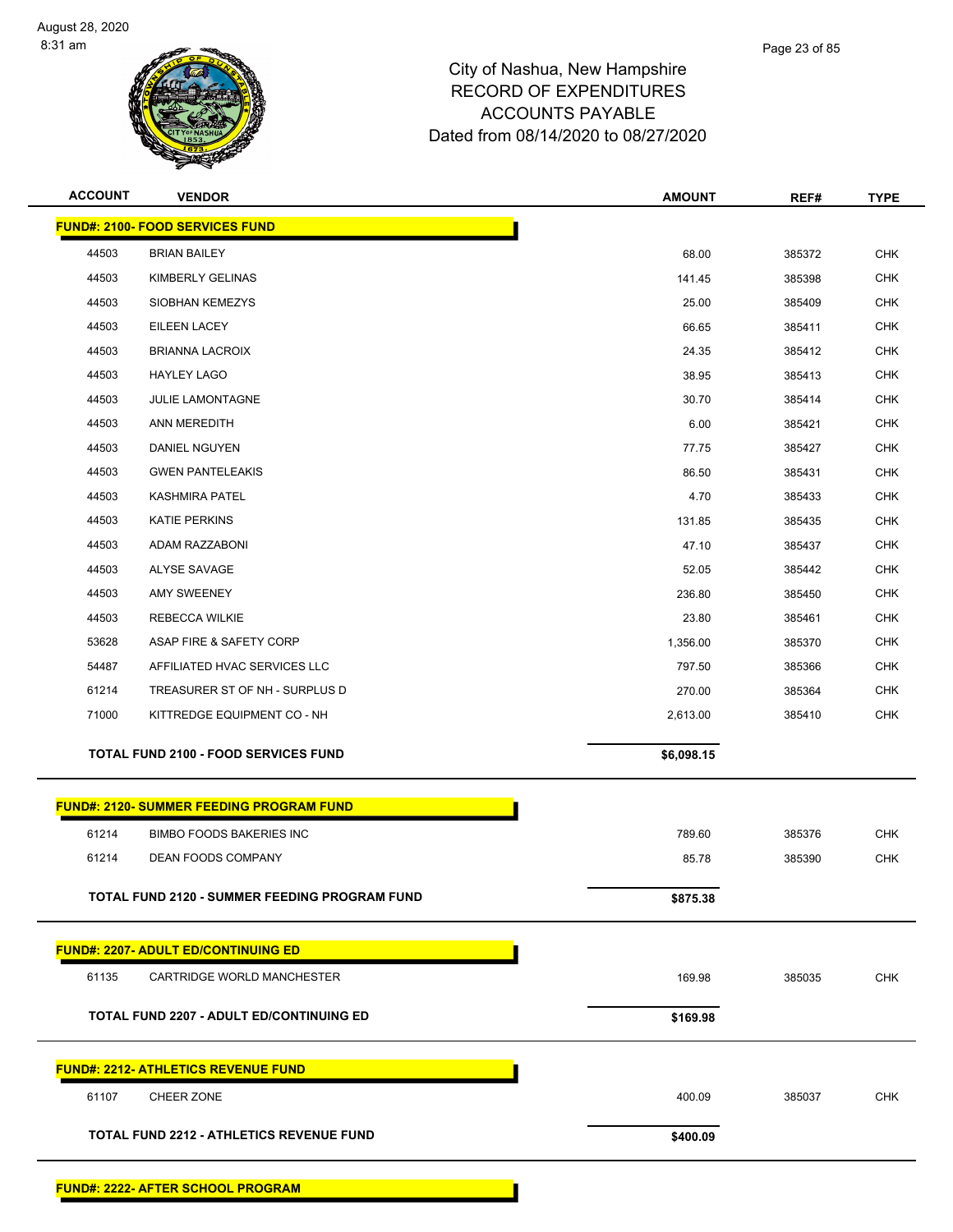

| <b>ACCOUNT</b> | <b>VENDOR</b>                                   | <b>AMOUNT</b> | REF#   | <b>TYPE</b> |
|----------------|-------------------------------------------------|---------------|--------|-------------|
|                | <b>FUND#: 2100- FOOD SERVICES FUND</b>          |               |        |             |
| 44503          | <b>BRIAN BAILEY</b>                             | 68.00         | 385372 | <b>CHK</b>  |
| 44503          | KIMBERLY GELINAS                                | 141.45        | 385398 | <b>CHK</b>  |
| 44503          | SIOBHAN KEMEZYS                                 | 25.00         | 385409 | <b>CHK</b>  |
| 44503          | <b>EILEEN LACEY</b>                             | 66.65         | 385411 | <b>CHK</b>  |
| 44503          | <b>BRIANNA LACROIX</b>                          | 24.35         | 385412 | <b>CHK</b>  |
| 44503          | <b>HAYLEY LAGO</b>                              | 38.95         | 385413 | <b>CHK</b>  |
| 44503          | <b>JULIE LAMONTAGNE</b>                         | 30.70         | 385414 | <b>CHK</b>  |
| 44503          | ANN MEREDITH                                    | 6.00          | 385421 | <b>CHK</b>  |
| 44503          | DANIEL NGUYEN                                   | 77.75         | 385427 | <b>CHK</b>  |
| 44503          | <b>GWEN PANTELEAKIS</b>                         | 86.50         | 385431 | <b>CHK</b>  |
| 44503          | <b>KASHMIRA PATEL</b>                           | 4.70          | 385433 | <b>CHK</b>  |
| 44503          | KATIE PERKINS                                   | 131.85        | 385435 | <b>CHK</b>  |
| 44503          | ADAM RAZZABONI                                  | 47.10         | 385437 | <b>CHK</b>  |
| 44503          | ALYSE SAVAGE                                    | 52.05         | 385442 | <b>CHK</b>  |
| 44503          | AMY SWEENEY                                     | 236.80        | 385450 | <b>CHK</b>  |
| 44503          | REBECCA WILKIE                                  | 23.80         | 385461 | <b>CHK</b>  |
| 53628          | ASAP FIRE & SAFETY CORP                         | 1,356.00      | 385370 | <b>CHK</b>  |
| 54487          | AFFILIATED HVAC SERVICES LLC                    | 797.50        | 385366 | <b>CHK</b>  |
| 61214          | TREASURER ST OF NH - SURPLUS D                  | 270.00        | 385364 | <b>CHK</b>  |
| 71000          | KITTREDGE EQUIPMENT CO - NH                     | 2,613.00      | 385410 | <b>CHK</b>  |
|                | <b>TOTAL FUND 2100 - FOOD SERVICES FUND</b>     | \$6,098.15    |        |             |
|                |                                                 |               |        |             |
|                | <b>FUND#: 2120- SUMMER FEEDING PROGRAM FUND</b> |               |        |             |
| 61214          | <b>BIMBO FOODS BAKERIES INC</b>                 | 789.60        | 385376 | <b>CHK</b>  |
| 61214          | DEAN FOODS COMPANY                              | 85.78         | 385390 | <b>CHK</b>  |
|                |                                                 |               |        |             |
|                | TOTAL FUND 2120 - SUMMER FEEDING PROGRAM FUND   | \$875.38      |        |             |
|                | <b>FUND#: 2207- ADULT ED/CONTINUING ED</b>      |               |        |             |
| 61135          | CARTRIDGE WORLD MANCHESTER                      | 169.98        | 385035 | <b>CHK</b>  |
|                |                                                 |               |        |             |
|                | <b>TOTAL FUND 2207 - ADULT ED/CONTINUING ED</b> | \$169.98      |        |             |
|                | <b>FUND#: 2212- ATHLETICS REVENUE FUND</b>      |               |        |             |
| 61107          | CHEER ZONE                                      | 400.09        | 385037 | <b>CHK</b>  |
|                | <b>TOTAL FUND 2212 - ATHLETICS REVENUE FUND</b> | \$400.09      |        |             |
|                |                                                 |               |        |             |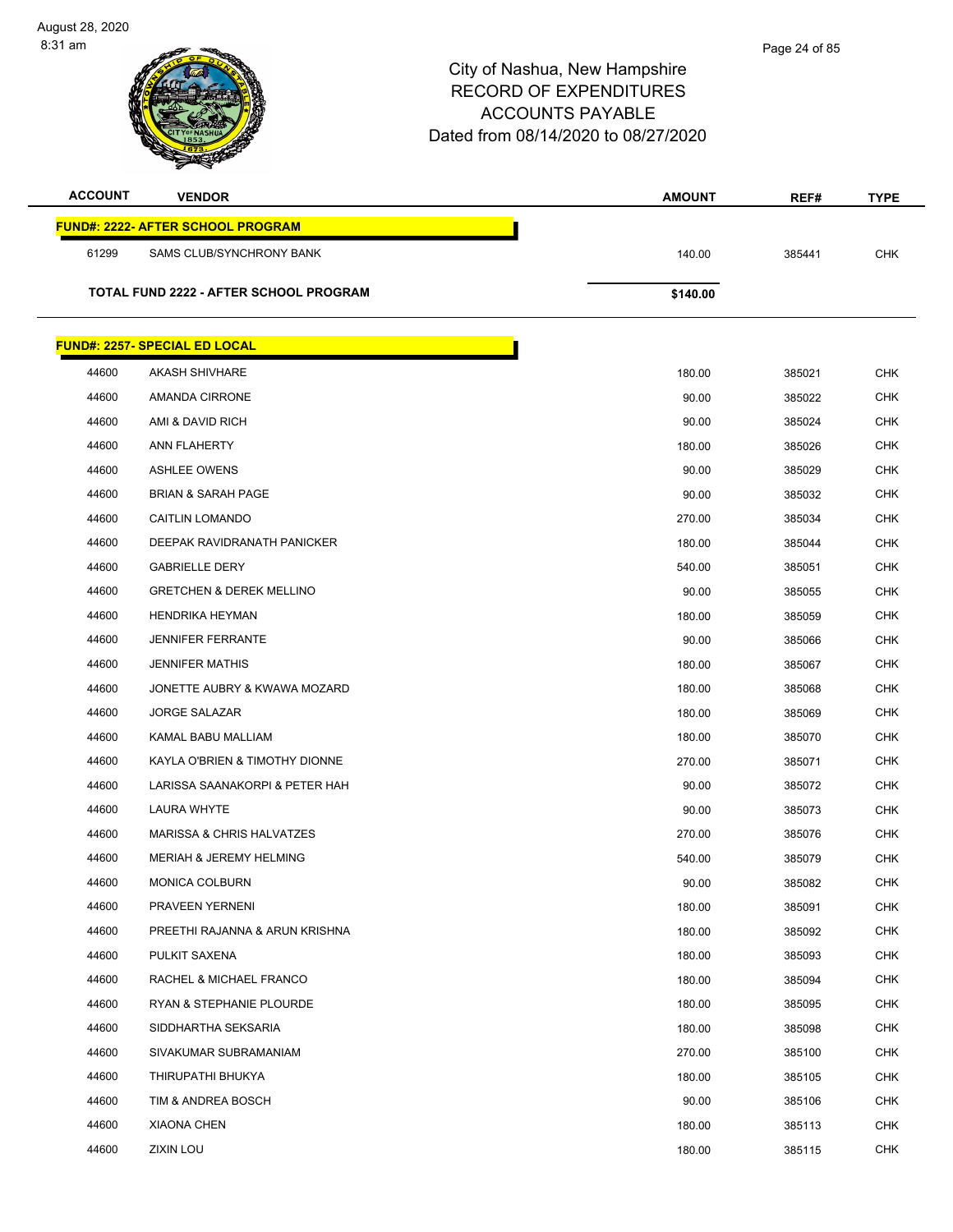| <b>ACCOUNT</b> | <b>VENDOR</b>                                 | <b>AMOUNT</b> | REF#   | <b>TYPE</b> |
|----------------|-----------------------------------------------|---------------|--------|-------------|
|                | <b>FUND#: 2222- AFTER SCHOOL PROGRAM</b>      |               |        |             |
| 61299          | SAMS CLUB/SYNCHRONY BANK                      | 140.00        | 385441 | <b>CHK</b>  |
|                |                                               |               |        |             |
|                | <b>TOTAL FUND 2222 - AFTER SCHOOL PROGRAM</b> | \$140.00      |        |             |
|                |                                               |               |        |             |
|                | <b>FUND#: 2257- SPECIAL ED LOCAL</b>          |               |        |             |
| 44600          | <b>AKASH SHIVHARE</b>                         | 180.00        | 385021 | <b>CHK</b>  |
| 44600          | AMANDA CIRRONE                                | 90.00         | 385022 | <b>CHK</b>  |
| 44600          | AMI & DAVID RICH                              | 90.00         | 385024 | <b>CHK</b>  |
| 44600          | ANN FLAHERTY                                  | 180.00        | 385026 | <b>CHK</b>  |
| 44600          | <b>ASHLEE OWENS</b>                           | 90.00         | 385029 | <b>CHK</b>  |
| 44600          | <b>BRIAN &amp; SARAH PAGE</b>                 | 90.00         | 385032 | <b>CHK</b>  |
| 44600          | <b>CAITLIN LOMANDO</b>                        | 270.00        | 385034 | CHK         |
| 44600          | DEEPAK RAVIDRANATH PANICKER                   | 180.00        | 385044 | <b>CHK</b>  |
| 44600          | <b>GABRIELLE DERY</b>                         | 540.00        | 385051 | <b>CHK</b>  |
| 44600          | <b>GRETCHEN &amp; DEREK MELLINO</b>           | 90.00         | 385055 | <b>CHK</b>  |
| 44600          | <b>HENDRIKA HEYMAN</b>                        | 180.00        | 385059 | <b>CHK</b>  |
| 44600          | <b>JENNIFER FERRANTE</b>                      | 90.00         | 385066 | <b>CHK</b>  |
| 44600          | <b>JENNIFER MATHIS</b>                        | 180.00        | 385067 | <b>CHK</b>  |
| 44600          | JONETTE AUBRY & KWAWA MOZARD                  | 180.00        | 385068 | <b>CHK</b>  |
| 44600          | <b>JORGE SALAZAR</b>                          | 180.00        | 385069 | <b>CHK</b>  |
| 44600          | KAMAL BABU MALLIAM                            | 180.00        | 385070 | <b>CHK</b>  |
| 44600          | KAYLA O'BRIEN & TIMOTHY DIONNE                | 270.00        | 385071 | <b>CHK</b>  |
| 44600          | LARISSA SAANAKORPI & PETER HAH                | 90.00         | 385072 | <b>CHK</b>  |
| 44600          | LAURA WHYTE                                   | 90.00         | 385073 | CHK         |
| 44600          | <b>MARISSA &amp; CHRIS HALVATZES</b>          | 270.00        | 385076 | <b>CHK</b>  |
| 44600          | <b>MERIAH &amp; JEREMY HELMING</b>            | 540.00        | 385079 | <b>CHK</b>  |
| 44600          | MONICA COLBURN                                | 90.00         | 385082 | <b>CHK</b>  |
| 44600          | PRAVEEN YERNENI                               | 180.00        | 385091 | <b>CHK</b>  |
| 44600          | PREETHI RAJANNA & ARUN KRISHNA                | 180.00        | 385092 | <b>CHK</b>  |
| 44600          | PULKIT SAXENA                                 | 180.00        | 385093 | <b>CHK</b>  |
| 44600          | RACHEL & MICHAEL FRANCO                       | 180.00        | 385094 | <b>CHK</b>  |
| 44600          | RYAN & STEPHANIE PLOURDE                      | 180.00        | 385095 | <b>CHK</b>  |
| 44600          | SIDDHARTHA SEKSARIA                           | 180.00        | 385098 | <b>CHK</b>  |
| 44600          | SIVAKUMAR SUBRAMANIAM                         | 270.00        | 385100 | <b>CHK</b>  |
| 44600          | THIRUPATHI BHUKYA                             | 180.00        | 385105 | <b>CHK</b>  |
| 44600          | TIM & ANDREA BOSCH                            | 90.00         | 385106 | <b>CHK</b>  |
| 44600          | <b>XIAONA CHEN</b>                            | 180.00        | 385113 | <b>CHK</b>  |
| 44600          | ZIXIN LOU                                     | 180.00        | 385115 | <b>CHK</b>  |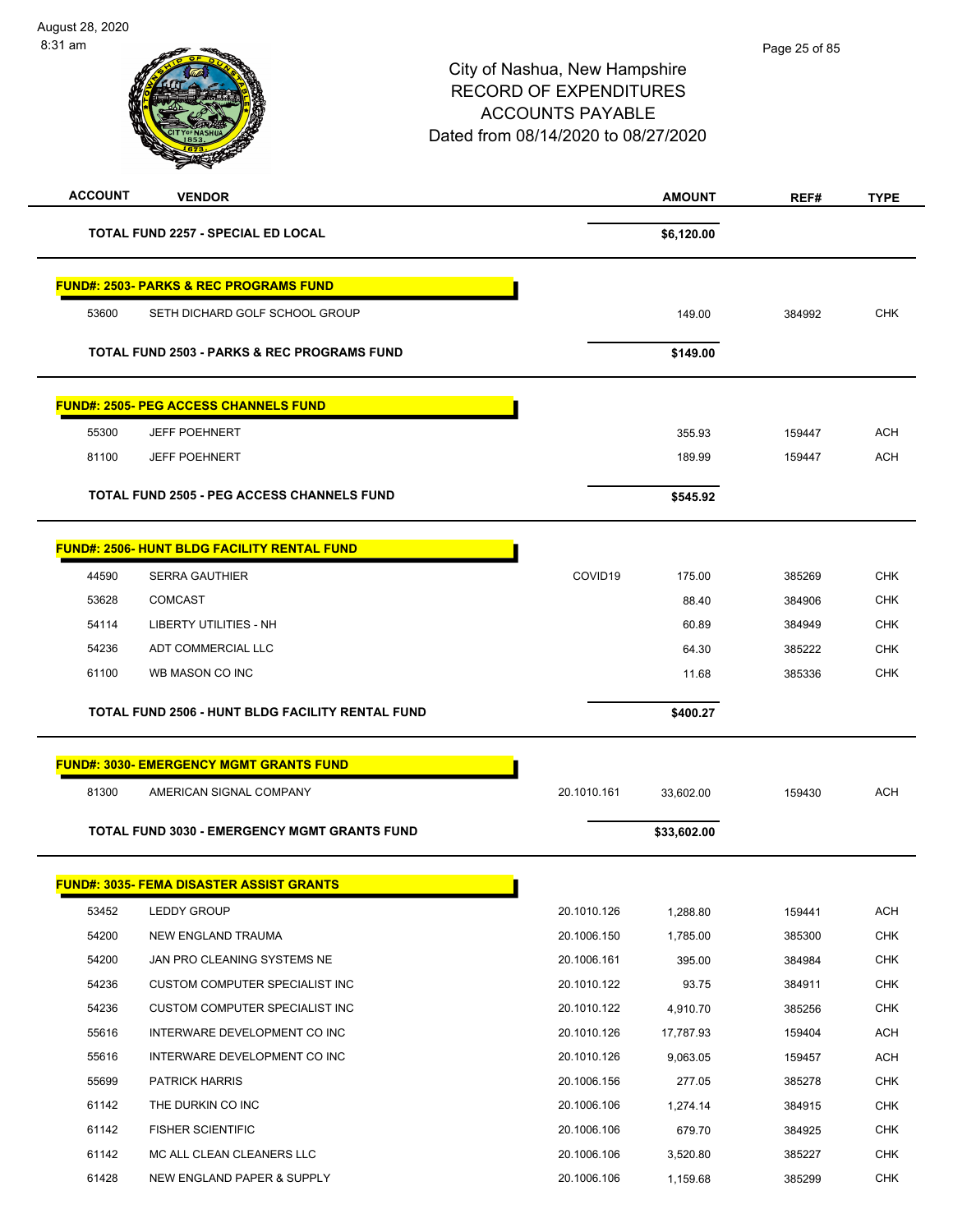| <b>ACCOUNT</b> | <b>VENDOR</b>                                          |             | <b>AMOUNT</b> | REF#   | <b>TYPE</b> |
|----------------|--------------------------------------------------------|-------------|---------------|--------|-------------|
|                | <b>TOTAL FUND 2257 - SPECIAL ED LOCAL</b>              |             | \$6,120.00    |        |             |
|                | <b>FUND#: 2503- PARKS &amp; REC PROGRAMS FUND</b>      |             |               |        |             |
| 53600          | SETH DICHARD GOLF SCHOOL GROUP                         |             | 149.00        | 384992 | <b>CHK</b>  |
|                | <b>TOTAL FUND 2503 - PARKS &amp; REC PROGRAMS FUND</b> |             | \$149.00      |        |             |
|                | <b>FUND#: 2505- PEG ACCESS CHANNELS FUND</b>           |             |               |        |             |
| 55300          | <b>JEFF POEHNERT</b>                                   |             | 355.93        | 159447 | <b>ACH</b>  |
| 81100          | <b>JEFF POEHNERT</b>                                   |             | 189.99        | 159447 | ACH         |
|                | <b>TOTAL FUND 2505 - PEG ACCESS CHANNELS FUND</b>      |             | \$545.92      |        |             |
|                | <b>FUND#: 2506- HUNT BLDG FACILITY RENTAL FUND</b>     |             |               |        |             |
| 44590          | <b>SERRA GAUTHIER</b>                                  | COVID19     | 175.00        | 385269 | <b>CHK</b>  |
| 53628          | <b>COMCAST</b>                                         |             | 88.40         | 384906 | <b>CHK</b>  |
| 54114          | LIBERTY UTILITIES - NH                                 |             | 60.89         | 384949 | CHK         |
| 54236          | ADT COMMERCIAL LLC                                     |             | 64.30         | 385222 | <b>CHK</b>  |
| 61100          | WB MASON CO INC                                        |             | 11.68         | 385336 | <b>CHK</b>  |
|                | TOTAL FUND 2506 - HUNT BLDG FACILITY RENTAL FUND       |             | \$400.27      |        |             |
|                | <b>FUND#: 3030- EMERGENCY MGMT GRANTS FUND</b>         |             |               |        |             |
| 81300          | AMERICAN SIGNAL COMPANY                                | 20.1010.161 | 33,602.00     | 159430 | <b>ACH</b>  |
|                | <b>TOTAL FUND 3030 - EMERGENCY MGMT GRANTS FUND</b>    |             | \$33,602.00   |        |             |
|                | <b>FUND#: 3035- FEMA DISASTER ASSIST GRANTS</b>        |             |               |        |             |
| 53452          | <b>LEDDY GROUP</b>                                     | 20.1010.126 | 1,288.80      | 159441 | ACH         |
| 54200          | NEW ENGLAND TRAUMA                                     | 20.1006.150 | 1,785.00      | 385300 | <b>CHK</b>  |
| 54200          | JAN PRO CLEANING SYSTEMS NE                            | 20.1006.161 | 395.00        | 384984 | <b>CHK</b>  |
| 54236          | CUSTOM COMPUTER SPECIALIST INC                         | 20.1010.122 | 93.75         | 384911 | CHK         |
| 54236          | <b>CUSTOM COMPUTER SPECIALIST INC</b>                  | 20.1010.122 | 4,910.70      | 385256 | <b>CHK</b>  |
| 55616          | INTERWARE DEVELOPMENT CO INC                           | 20.1010.126 | 17,787.93     | 159404 | <b>ACH</b>  |
| 55616          | INTERWARE DEVELOPMENT CO INC                           | 20.1010.126 | 9,063.05      | 159457 | <b>ACH</b>  |
| 55699          | <b>PATRICK HARRIS</b>                                  | 20.1006.156 | 277.05        | 385278 | <b>CHK</b>  |
| 61142          | THE DURKIN CO INC                                      | 20.1006.106 | 1,274.14      | 384915 | CHK         |
| 61142          | <b>FISHER SCIENTIFIC</b>                               | 20.1006.106 | 679.70        | 384925 | <b>CHK</b>  |
| 61142          | MC ALL CLEAN CLEANERS LLC                              | 20.1006.106 | 3,520.80      | 385227 | <b>CHK</b>  |
| 61428          | NEW ENGLAND PAPER & SUPPLY                             | 20.1006.106 | 1,159.68      | 385299 | <b>CHK</b>  |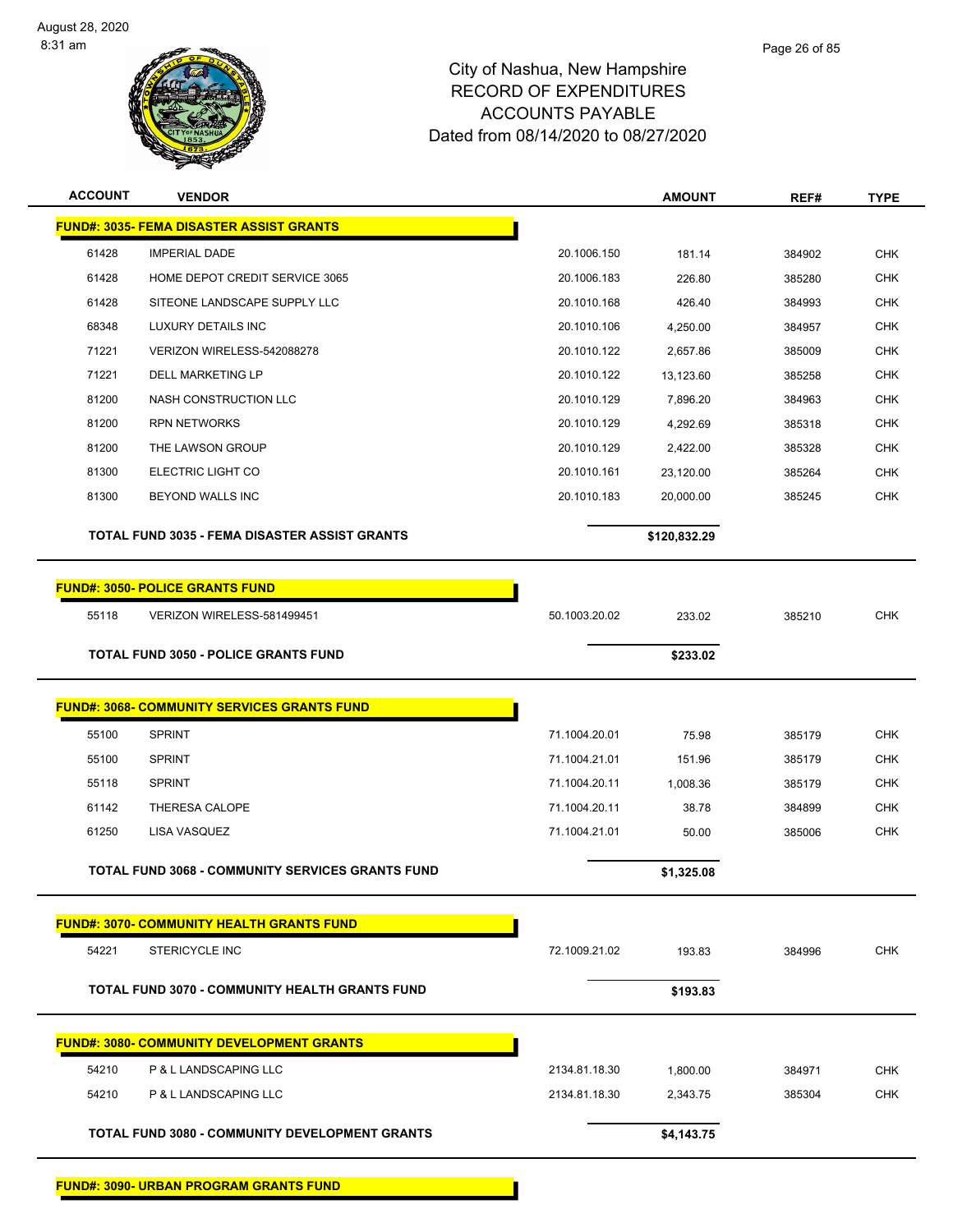

| <b>ACCOUNT</b> | <b>VENDOR</b>                                           |               | <b>AMOUNT</b> | REF#   | <b>TYPE</b> |
|----------------|---------------------------------------------------------|---------------|---------------|--------|-------------|
|                | <b>FUND#: 3035- FEMA DISASTER ASSIST GRANTS</b>         |               |               |        |             |
| 61428          | <b>IMPERIAL DADE</b>                                    | 20.1006.150   | 181.14        | 384902 | <b>CHK</b>  |
| 61428          | HOME DEPOT CREDIT SERVICE 3065                          | 20.1006.183   | 226.80        | 385280 | <b>CHK</b>  |
| 61428          | SITEONE LANDSCAPE SUPPLY LLC                            | 20.1010.168   | 426.40        | 384993 | <b>CHK</b>  |
| 68348          | LUXURY DETAILS INC                                      | 20.1010.106   | 4,250.00      | 384957 | <b>CHK</b>  |
| 71221          | VERIZON WIRELESS-542088278                              | 20.1010.122   | 2,657.86      | 385009 | <b>CHK</b>  |
| 71221          | <b>DELL MARKETING LP</b>                                | 20.1010.122   | 13,123.60     | 385258 | CHK         |
| 81200          | NASH CONSTRUCTION LLC                                   | 20.1010.129   | 7,896.20      | 384963 | <b>CHK</b>  |
| 81200          | <b>RPN NETWORKS</b>                                     | 20.1010.129   | 4,292.69      | 385318 | <b>CHK</b>  |
| 81200          | THE LAWSON GROUP                                        | 20.1010.129   | 2,422.00      | 385328 | <b>CHK</b>  |
| 81300          | ELECTRIC LIGHT CO                                       | 20.1010.161   | 23,120.00     | 385264 | <b>CHK</b>  |
| 81300          | BEYOND WALLS INC                                        | 20.1010.183   | 20,000.00     | 385245 | <b>CHK</b>  |
|                | <b>TOTAL FUND 3035 - FEMA DISASTER ASSIST GRANTS</b>    |               | \$120,832.29  |        |             |
|                |                                                         |               |               |        |             |
|                | <b>FUND#: 3050- POLICE GRANTS FUND</b>                  |               |               |        |             |
| 55118          | VERIZON WIRELESS-581499451                              | 50.1003.20.02 | 233.02        | 385210 | <b>CHK</b>  |
|                | <b>TOTAL FUND 3050 - POLICE GRANTS FUND</b>             |               | \$233.02      |        |             |
|                | <b>FUND#: 3068- COMMUNITY SERVICES GRANTS FUND</b>      |               |               |        |             |
| 55100          | <b>SPRINT</b>                                           | 71.1004.20.01 | 75.98         | 385179 | <b>CHK</b>  |
| 55100          | <b>SPRINT</b>                                           | 71.1004.21.01 | 151.96        | 385179 | <b>CHK</b>  |
| 55118          | <b>SPRINT</b>                                           | 71.1004.20.11 | 1,008.36      | 385179 | CHK         |
| 61142          | THERESA CALOPE                                          | 71.1004.20.11 | 38.78         | 384899 | <b>CHK</b>  |
| 61250          | LISA VASQUEZ                                            | 71.1004.21.01 | 50.00         | 385006 | <b>CHK</b>  |
|                | <b>TOTAL FUND 3068 - COMMUNITY SERVICES GRANTS FUND</b> |               | \$1,325.08    |        |             |
|                |                                                         |               |               |        |             |
|                | <b>FUND#: 3070- COMMUNITY HEALTH GRANTS FUND</b>        |               |               |        |             |
| 54221          | <b>STERICYCLE INC</b>                                   | 72.1009.21.02 | 193.83        | 384996 | <b>CHK</b>  |
|                | TOTAL FUND 3070 - COMMUNITY HEALTH GRANTS FUND          |               | \$193.83      |        |             |
|                | <b>FUND#: 3080- COMMUNITY DEVELOPMENT GRANTS</b>        |               |               |        |             |
| 54210          | P & L LANDSCAPING LLC                                   | 2134.81.18.30 | 1,800.00      | 384971 | <b>CHK</b>  |
| 54210          | P & L LANDSCAPING LLC                                   | 2134.81.18.30 | 2,343.75      | 385304 | <b>CHK</b>  |
|                | TOTAL FUND 3080 - COMMUNITY DEVELOPMENT GRANTS          |               | \$4,143.75    |        |             |

**FUND#: 3090- URBAN PROGRAM GRANTS FUND**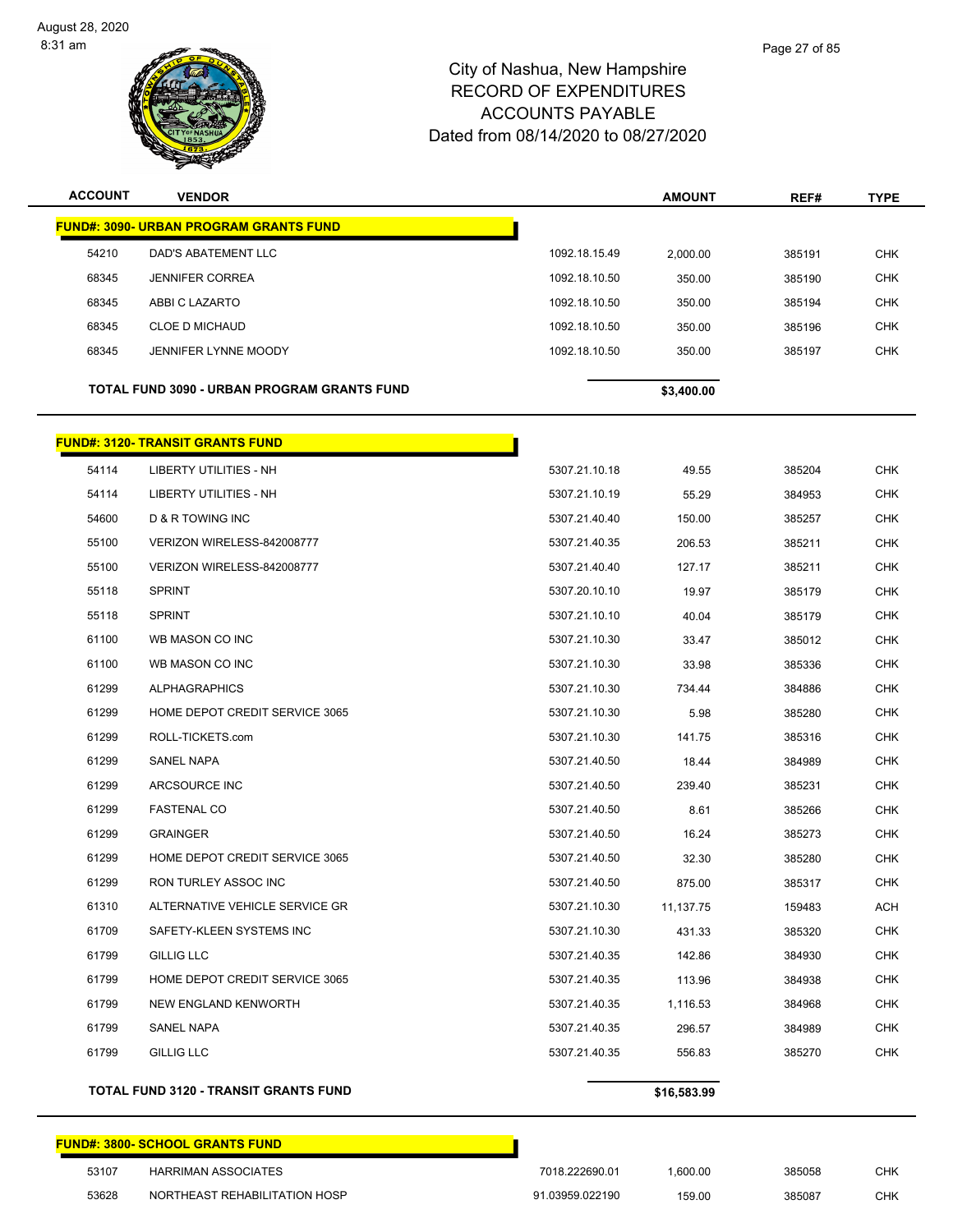

| <b>ACCOUNT</b> | <b>VENDOR</b>                                 |               | <b>AMOUNT</b> | REF#   | <b>TYPE</b> |
|----------------|-----------------------------------------------|---------------|---------------|--------|-------------|
|                | <b>FUND#: 3090- URBAN PROGRAM GRANTS FUND</b> |               |               |        |             |
| 54210          | DAD'S ABATEMENT LLC                           | 1092.18.15.49 | 2,000.00      | 385191 | <b>CHK</b>  |
| 68345          | <b>JENNIFER CORREA</b>                        | 1092.18.10.50 | 350.00        | 385190 | <b>CHK</b>  |
| 68345          | ABBI C LAZARTO                                | 1092.18.10.50 | 350.00        | 385194 | <b>CHK</b>  |
| 68345          | <b>CLOE D MICHAUD</b>                         | 1092.18.10.50 | 350.00        | 385196 | <b>CHK</b>  |
| 68345          | <b>JENNIFER LYNNE MOODY</b>                   | 1092.18.10.50 | 350.00        | 385197 | <b>CHK</b>  |
|                | TOTAL FUND 3090 - URBAN PROGRAM GRANTS FUND   |               | \$3,400.00    |        |             |
|                | <b>FUND#: 3120- TRANSIT GRANTS FUND</b>       |               |               |        |             |
| 54114          | LIBERTY UTILITIES - NH                        | 5307.21.10.18 | 49.55         | 385204 | <b>CHK</b>  |
| 54114          | LIBERTY UTILITIES - NH                        | 5307.21.10.19 | 55.29         | 384953 | <b>CHK</b>  |
| 54600          | D & R TOWING INC                              | 5307.21.40.40 | 150.00        | 385257 | <b>CHK</b>  |
| 55100          | VERIZON WIRELESS-842008777                    | 5307.21.40.35 | 206.53        | 385211 | <b>CHK</b>  |
| 55100          | VERIZON WIRELESS-842008777                    | 5307.21.40.40 | 127.17        | 385211 | <b>CHK</b>  |
| 55118          | <b>SPRINT</b>                                 | 5307.20.10.10 | 19.97         | 385179 | <b>CHK</b>  |
| 55118          | <b>SPRINT</b>                                 | 5307.21.10.10 | 40.04         | 385179 | <b>CHK</b>  |
| 61100          | WB MASON CO INC                               | 5307.21.10.30 | 33.47         | 385012 | <b>CHK</b>  |
| 61100          | WB MASON CO INC                               | 5307.21.10.30 | 33.98         | 385336 | <b>CHK</b>  |
| 61299          | <b>ALPHAGRAPHICS</b>                          | 5307.21.10.30 | 734.44        | 384886 | <b>CHK</b>  |
| 61299          | HOME DEPOT CREDIT SERVICE 3065                | 5307.21.10.30 | 5.98          | 385280 | <b>CHK</b>  |
| 61299          | ROLL-TICKETS.com                              | 5307.21.10.30 | 141.75        | 385316 | <b>CHK</b>  |
| 61299          | SANEL NAPA                                    | 5307.21.40.50 | 18.44         | 384989 | <b>CHK</b>  |
| 61299          | ARCSOURCE INC                                 | 5307.21.40.50 | 239.40        | 385231 | <b>CHK</b>  |
| 61299          | <b>FASTENAL CO</b>                            | 5307.21.40.50 | 8.61          | 385266 | <b>CHK</b>  |
| 61299          | <b>GRAINGER</b>                               | 5307.21.40.50 | 16.24         | 385273 | <b>CHK</b>  |
| 61299          | HOME DEPOT CREDIT SERVICE 3065                | 5307.21.40.50 | 32.30         | 385280 | <b>CHK</b>  |
| 61299          | RON TURLEY ASSOC INC                          | 5307.21.40.50 | 875.00        | 385317 | <b>CHK</b>  |
| 61310          | ALTERNATIVE VEHICLE SERVICE GR                | 5307.21.10.30 | 11,137.75     | 159483 | ACH         |
| 61709          | SAFETY-KLEEN SYSTEMS INC                      | 5307.21.10.30 | 431.33        | 385320 | <b>CHK</b>  |
| 61799          | GILLIG LLC                                    | 5307.21.40.35 | 142.86        | 384930 | <b>CHK</b>  |
| 61799          | HOME DEPOT CREDIT SERVICE 3065                | 5307.21.40.35 | 113.96        | 384938 | <b>CHK</b>  |
| 61799          | NEW ENGLAND KENWORTH                          | 5307.21.40.35 | 1,116.53      | 384968 | <b>CHK</b>  |
| 61799          | SANEL NAPA                                    | 5307.21.40.35 | 296.57        | 384989 | <b>CHK</b>  |
| 61799          | GILLIG LLC                                    | 5307.21.40.35 | 556.83        | 385270 | <b>CHK</b>  |
|                | <b>TOTAL FUND 3120 - TRANSIT GRANTS FUND</b>  |               | \$16,583.99   |        |             |

# **FUND#: 3800- SCHOOL GRANTS FUND** 53107 HARRIMAN ASSOCIATES **1980 1201 1000 12018** 1018.222690.01 1,600.00 385058 CHK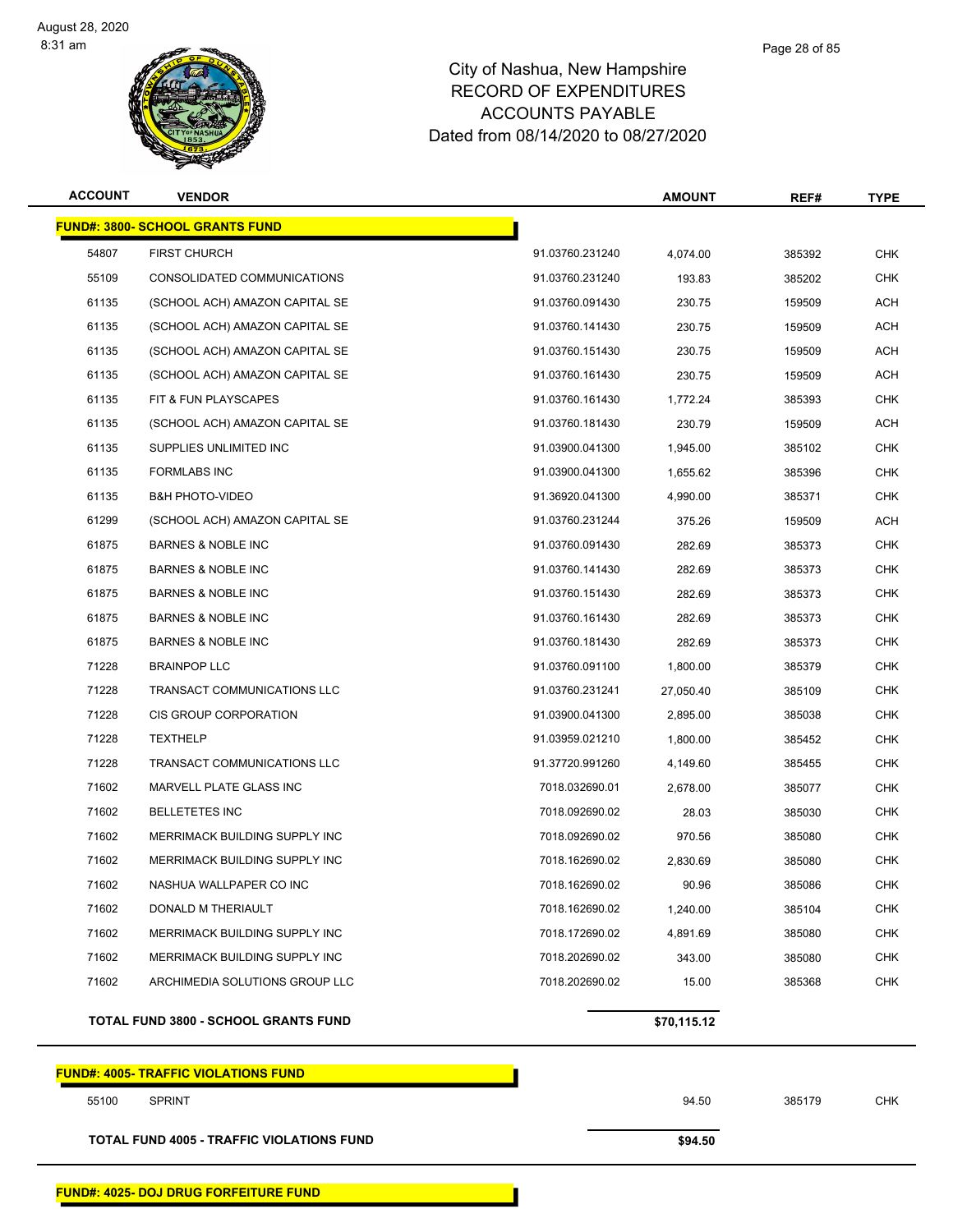

| <b>ACCOUNT</b> | <b>VENDOR</b>                               |                 | <b>AMOUNT</b> | REF#   | <b>TYPE</b> |
|----------------|---------------------------------------------|-----------------|---------------|--------|-------------|
|                | <b>FUND#: 3800- SCHOOL GRANTS FUND</b>      |                 |               |        |             |
| 54807          | <b>FIRST CHURCH</b>                         | 91.03760.231240 | 4,074.00      | 385392 | <b>CHK</b>  |
| 55109          | CONSOLIDATED COMMUNICATIONS                 | 91.03760.231240 | 193.83        | 385202 | <b>CHK</b>  |
| 61135          | (SCHOOL ACH) AMAZON CAPITAL SE              | 91.03760.091430 | 230.75        | 159509 | ACH         |
| 61135          | (SCHOOL ACH) AMAZON CAPITAL SE              | 91.03760.141430 | 230.75        | 159509 | <b>ACH</b>  |
| 61135          | (SCHOOL ACH) AMAZON CAPITAL SE              | 91.03760.151430 | 230.75        | 159509 | ACH         |
| 61135          | (SCHOOL ACH) AMAZON CAPITAL SE              | 91.03760.161430 | 230.75        | 159509 | <b>ACH</b>  |
| 61135          | FIT & FUN PLAYSCAPES                        | 91.03760.161430 | 1,772.24      | 385393 | <b>CHK</b>  |
| 61135          | (SCHOOL ACH) AMAZON CAPITAL SE              | 91.03760.181430 | 230.79        | 159509 | ACH         |
| 61135          | SUPPLIES UNLIMITED INC                      | 91.03900.041300 | 1,945.00      | 385102 | <b>CHK</b>  |
| 61135          | <b>FORMLABS INC</b>                         | 91.03900.041300 | 1,655.62      | 385396 | <b>CHK</b>  |
| 61135          | <b>B&amp;H PHOTO-VIDEO</b>                  | 91.36920.041300 | 4,990.00      | 385371 | <b>CHK</b>  |
| 61299          | (SCHOOL ACH) AMAZON CAPITAL SE              | 91.03760.231244 | 375.26        | 159509 | <b>ACH</b>  |
| 61875          | <b>BARNES &amp; NOBLE INC</b>               | 91.03760.091430 | 282.69        | 385373 | <b>CHK</b>  |
| 61875          | <b>BARNES &amp; NOBLE INC</b>               | 91.03760.141430 | 282.69        | 385373 | <b>CHK</b>  |
| 61875          | <b>BARNES &amp; NOBLE INC</b>               | 91.03760.151430 | 282.69        | 385373 | <b>CHK</b>  |
| 61875          | <b>BARNES &amp; NOBLE INC</b>               | 91.03760.161430 | 282.69        | 385373 | <b>CHK</b>  |
| 61875          | <b>BARNES &amp; NOBLE INC</b>               | 91.03760.181430 | 282.69        | 385373 | <b>CHK</b>  |
| 71228          | <b>BRAINPOP LLC</b>                         | 91.03760.091100 | 1,800.00      | 385379 | <b>CHK</b>  |
| 71228          | TRANSACT COMMUNICATIONS LLC                 | 91.03760.231241 | 27,050.40     | 385109 | <b>CHK</b>  |
| 71228          | CIS GROUP CORPORATION                       | 91.03900.041300 | 2,895.00      | 385038 | <b>CHK</b>  |
| 71228          | <b>TEXTHELP</b>                             | 91.03959.021210 | 1,800.00      | 385452 | <b>CHK</b>  |
| 71228          | TRANSACT COMMUNICATIONS LLC                 | 91.37720.991260 | 4,149.60      | 385455 | <b>CHK</b>  |
| 71602          | MARVELL PLATE GLASS INC                     | 7018.032690.01  | 2,678.00      | 385077 | <b>CHK</b>  |
| 71602          | <b>BELLETETES INC</b>                       | 7018.092690.02  | 28.03         | 385030 | <b>CHK</b>  |
| 71602          | MERRIMACK BUILDING SUPPLY INC               | 7018.092690.02  | 970.56        | 385080 | <b>CHK</b>  |
| 71602          | MERRIMACK BUILDING SUPPLY INC               | 7018.162690.02  | 2,830.69      | 385080 | <b>CHK</b>  |
| 71602          | NASHUA WALLPAPER CO INC                     | 7018.162690.02  | 90.96         | 385086 | <b>CHK</b>  |
| 71602          | DONALD M THERIAULT                          | 7018.162690.02  | 1,240.00      | 385104 | <b>CHK</b>  |
| 71602          | MERRIMACK BUILDING SUPPLY INC               | 7018.172690.02  | 4,891.69      | 385080 | <b>CHK</b>  |
| 71602          | MERRIMACK BUILDING SUPPLY INC               | 7018.202690.02  | 343.00        | 385080 | <b>CHK</b>  |
| 71602          | ARCHIMEDIA SOLUTIONS GROUP LLC              | 7018.202690.02  | 15.00         | 385368 | <b>CHK</b>  |
|                | <b>TOTAL FUND 3800 - SCHOOL GRANTS FUND</b> |                 | \$70,115.12   |        |             |
|                | <b>FUND#: 4005- TRAFFIC VIOLATIONS FUND</b> |                 |               |        |             |

**TOTAL FUND 4005 - TRAFFIC VIOLATIONS FUND \$94.50** 

Page 28 of 85

SPRINT 94.50 385179 CHK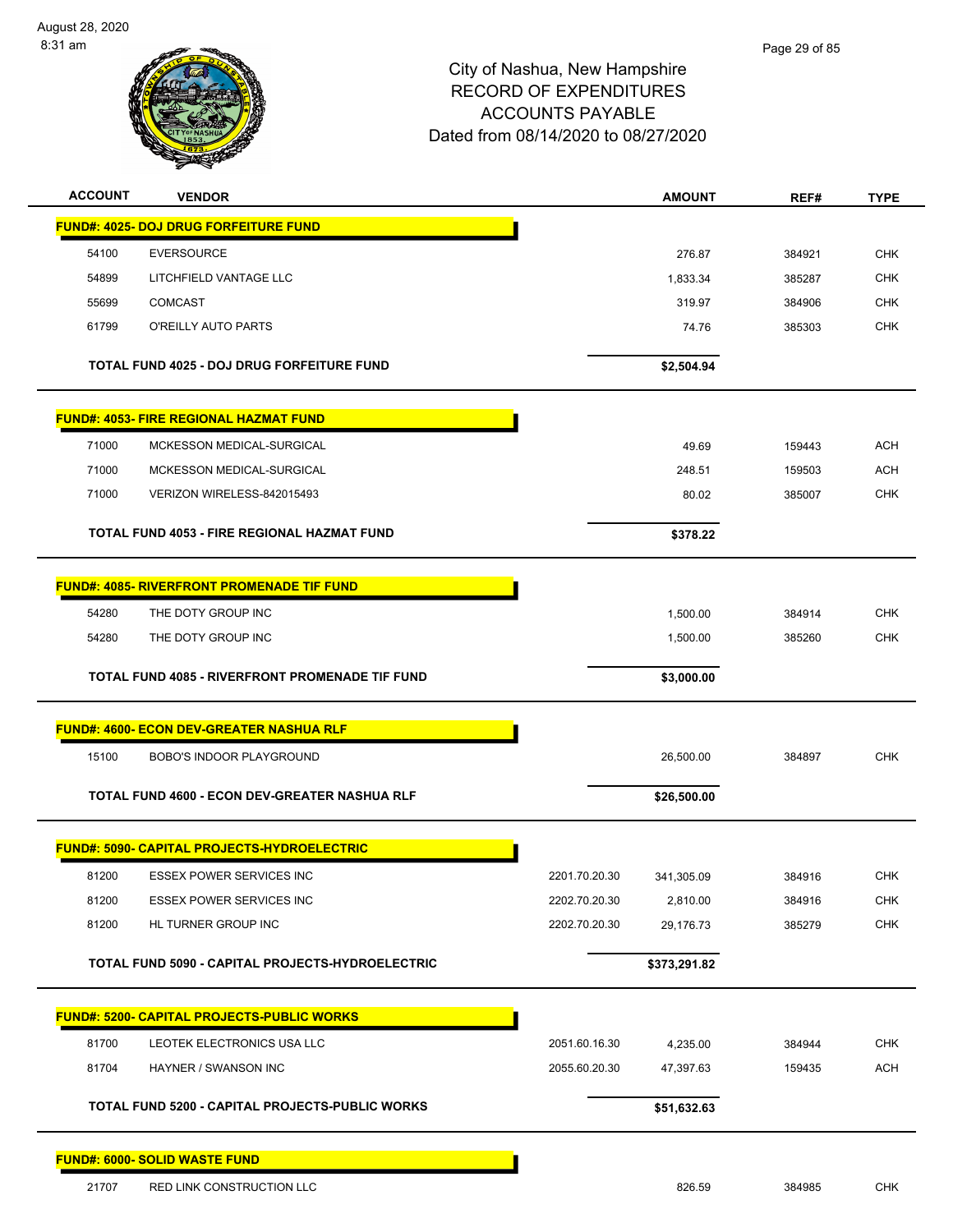

| <b>ACCOUNT</b> | <b>VENDOR</b>                                                                   |               | <b>AMOUNT</b>         | REF#             | <b>TYPE</b> |
|----------------|---------------------------------------------------------------------------------|---------------|-----------------------|------------------|-------------|
|                | <b>FUND#: 4025- DOJ DRUG FORFEITURE FUND</b>                                    |               |                       |                  |             |
| 54100          | <b>EVERSOURCE</b>                                                               |               | 276.87                | 384921           | <b>CHK</b>  |
| 54899          | LITCHFIELD VANTAGE LLC                                                          |               | 1,833.34              | 385287           | <b>CHK</b>  |
| 55699          | <b>COMCAST</b>                                                                  |               | 319.97                | 384906           | <b>CHK</b>  |
| 61799          | O'REILLY AUTO PARTS                                                             |               | 74.76                 | 385303           | <b>CHK</b>  |
|                | TOTAL FUND 4025 - DOJ DRUG FORFEITURE FUND                                      |               |                       |                  |             |
|                |                                                                                 |               | \$2,504.94            |                  |             |
|                | <b>FUND#: 4053- FIRE REGIONAL HAZMAT FUND</b>                                   |               |                       |                  |             |
| 71000          | MCKESSON MEDICAL-SURGICAL                                                       |               | 49.69                 | 159443           | <b>ACH</b>  |
| 71000          | MCKESSON MEDICAL-SURGICAL                                                       |               | 248.51                | 159503           | <b>ACH</b>  |
| 71000          | VERIZON WIRELESS-842015493                                                      |               | 80.02                 | 385007           | <b>CHK</b>  |
|                | <b>TOTAL FUND 4053 - FIRE REGIONAL HAZMAT FUND</b>                              |               | \$378.22              |                  |             |
|                |                                                                                 |               |                       |                  |             |
|                | <b>FUND#: 4085- RIVERFRONT PROMENADE TIF FUND</b>                               |               |                       |                  |             |
| 54280          | THE DOTY GROUP INC                                                              |               | 1,500.00              | 384914           | <b>CHK</b>  |
| 54280          | THE DOTY GROUP INC                                                              |               | 1,500.00              | 385260           | <b>CHK</b>  |
|                | TOTAL FUND 4085 - RIVERFRONT PROMENADE TIF FUND                                 |               | \$3,000.00            |                  |             |
|                | <b>FUND#: 4600- ECON DEV-GREATER NASHUA RLF</b>                                 |               |                       |                  |             |
| 15100          | <b>BOBO'S INDOOR PLAYGROUND</b>                                                 |               | 26,500.00             | 384897           | <b>CHK</b>  |
|                | TOTAL FUND 4600 - ECON DEV-GREATER NASHUA RLF                                   |               | \$26,500.00           |                  |             |
|                | <b>FUND#: 5090- CAPITAL PROJECTS-HYDROELECTRIC</b>                              |               |                       |                  |             |
| 81200          | <b>ESSEX POWER SERVICES INC</b>                                                 | 2201.70.20.30 | 341,305.09            | 384916           | <b>CHK</b>  |
| 81200          | <b>ESSEX POWER SERVICES INC</b>                                                 | 2202.70.20.30 | 2,810.00              | 384916           | <b>CHK</b>  |
| 81200          | HL TURNER GROUP INC                                                             | 2202.70.20.30 | 29,176.73             | 385279           | <b>CHK</b>  |
|                | TOTAL FUND 5090 - CAPITAL PROJECTS-HYDROELECTRIC                                |               | \$373,291.82          |                  |             |
|                |                                                                                 |               |                       |                  |             |
| 81700          | <b>FUND#: 5200- CAPITAL PROJECTS-PUBLIC WORKS</b><br>LEOTEK ELECTRONICS USA LLC | 2051.60.16.30 |                       |                  | <b>CHK</b>  |
| 81704          | HAYNER / SWANSON INC                                                            | 2055.60.20.30 | 4,235.00<br>47,397.63 | 384944<br>159435 | <b>ACH</b>  |
|                |                                                                                 |               |                       |                  |             |
|                | TOTAL FUND 5200 - CAPITAL PROJECTS-PUBLIC WORKS                                 |               | \$51,632.63           |                  |             |
|                | FUND#: 6000- SOLID WASTE FUND                                                   |               |                       |                  |             |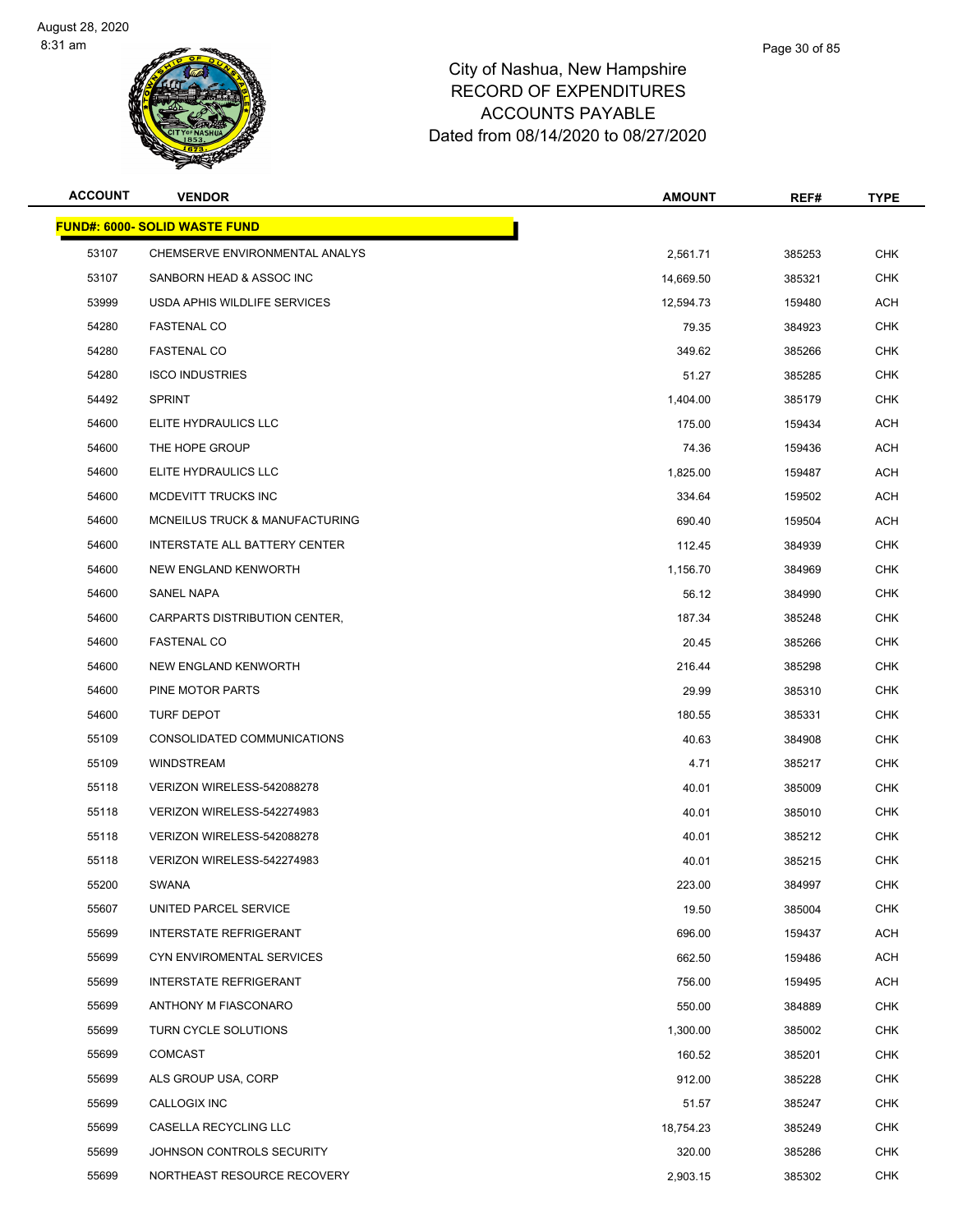

| <b>ACCOUNT</b> | <b>VENDOR</b>                         | <b>AMOUNT</b> | REF#   | <b>TYPE</b> |
|----------------|---------------------------------------|---------------|--------|-------------|
|                | <u> FUND#: 6000- SOLID WASTE FUND</u> |               |        |             |
| 53107          | CHEMSERVE ENVIRONMENTAL ANALYS        | 2,561.71      | 385253 | <b>CHK</b>  |
| 53107          | SANBORN HEAD & ASSOC INC              | 14,669.50     | 385321 | <b>CHK</b>  |
| 53999          | USDA APHIS WILDLIFE SERVICES          | 12,594.73     | 159480 | ACH         |
| 54280          | <b>FASTENAL CO</b>                    | 79.35         | 384923 | <b>CHK</b>  |
| 54280          | <b>FASTENAL CO</b>                    | 349.62        | 385266 | <b>CHK</b>  |
| 54280          | <b>ISCO INDUSTRIES</b>                | 51.27         | 385285 | <b>CHK</b>  |
| 54492          | <b>SPRINT</b>                         | 1,404.00      | 385179 | <b>CHK</b>  |
| 54600          | ELITE HYDRAULICS LLC                  | 175.00        | 159434 | <b>ACH</b>  |
| 54600          | THE HOPE GROUP                        | 74.36         | 159436 | ACH         |
| 54600          | ELITE HYDRAULICS LLC                  | 1,825.00      | 159487 | ACH         |
| 54600          | MCDEVITT TRUCKS INC                   | 334.64        | 159502 | ACH         |
| 54600          | MCNEILUS TRUCK & MANUFACTURING        | 690.40        | 159504 | ACH         |
| 54600          | INTERSTATE ALL BATTERY CENTER         | 112.45        | 384939 | CHK         |
| 54600          | <b>NEW ENGLAND KENWORTH</b>           | 1,156.70      | 384969 | <b>CHK</b>  |
| 54600          | SANEL NAPA                            | 56.12         | 384990 | <b>CHK</b>  |
| 54600          | <b>CARPARTS DISTRIBUTION CENTER.</b>  | 187.34        | 385248 | <b>CHK</b>  |
| 54600          | <b>FASTENAL CO</b>                    | 20.45         | 385266 | <b>CHK</b>  |
| 54600          | NEW ENGLAND KENWORTH                  | 216.44        | 385298 | <b>CHK</b>  |
| 54600          | PINE MOTOR PARTS                      | 29.99         | 385310 | <b>CHK</b>  |
| 54600          | TURF DEPOT                            | 180.55        | 385331 | <b>CHK</b>  |
| 55109          | CONSOLIDATED COMMUNICATIONS           | 40.63         | 384908 | <b>CHK</b>  |
| 55109          | <b>WINDSTREAM</b>                     | 4.71          | 385217 | <b>CHK</b>  |
| 55118          | VERIZON WIRELESS-542088278            | 40.01         | 385009 | CHK         |
| 55118          | VERIZON WIRELESS-542274983            | 40.01         | 385010 | <b>CHK</b>  |
| 55118          | VERIZON WIRELESS-542088278            | 40.01         | 385212 | CHK         |
| 55118          | VERIZON WIRELESS-542274983            | 40.01         | 385215 | <b>CHK</b>  |
| 55200          | <b>SWANA</b>                          | 223.00        | 384997 | <b>CHK</b>  |
| 55607          | UNITED PARCEL SERVICE                 | 19.50         | 385004 | <b>CHK</b>  |
| 55699          | <b>INTERSTATE REFRIGERANT</b>         | 696.00        | 159437 | <b>ACH</b>  |
| 55699          | CYN ENVIROMENTAL SERVICES             | 662.50        | 159486 | ACH         |
| 55699          | <b>INTERSTATE REFRIGERANT</b>         | 756.00        | 159495 | ACH         |
| 55699          | ANTHONY M FIASCONARO                  | 550.00        | 384889 | <b>CHK</b>  |
| 55699          | TURN CYCLE SOLUTIONS                  | 1,300.00      | 385002 | <b>CHK</b>  |
| 55699          | <b>COMCAST</b>                        | 160.52        | 385201 | <b>CHK</b>  |
| 55699          | ALS GROUP USA, CORP                   | 912.00        | 385228 | <b>CHK</b>  |
| 55699          | CALLOGIX INC                          | 51.57         | 385247 | <b>CHK</b>  |
| 55699          | CASELLA RECYCLING LLC                 | 18,754.23     | 385249 | <b>CHK</b>  |
| 55699          | JOHNSON CONTROLS SECURITY             | 320.00        | 385286 | CHK         |
| 55699          | NORTHEAST RESOURCE RECOVERY           | 2,903.15      | 385302 | <b>CHK</b>  |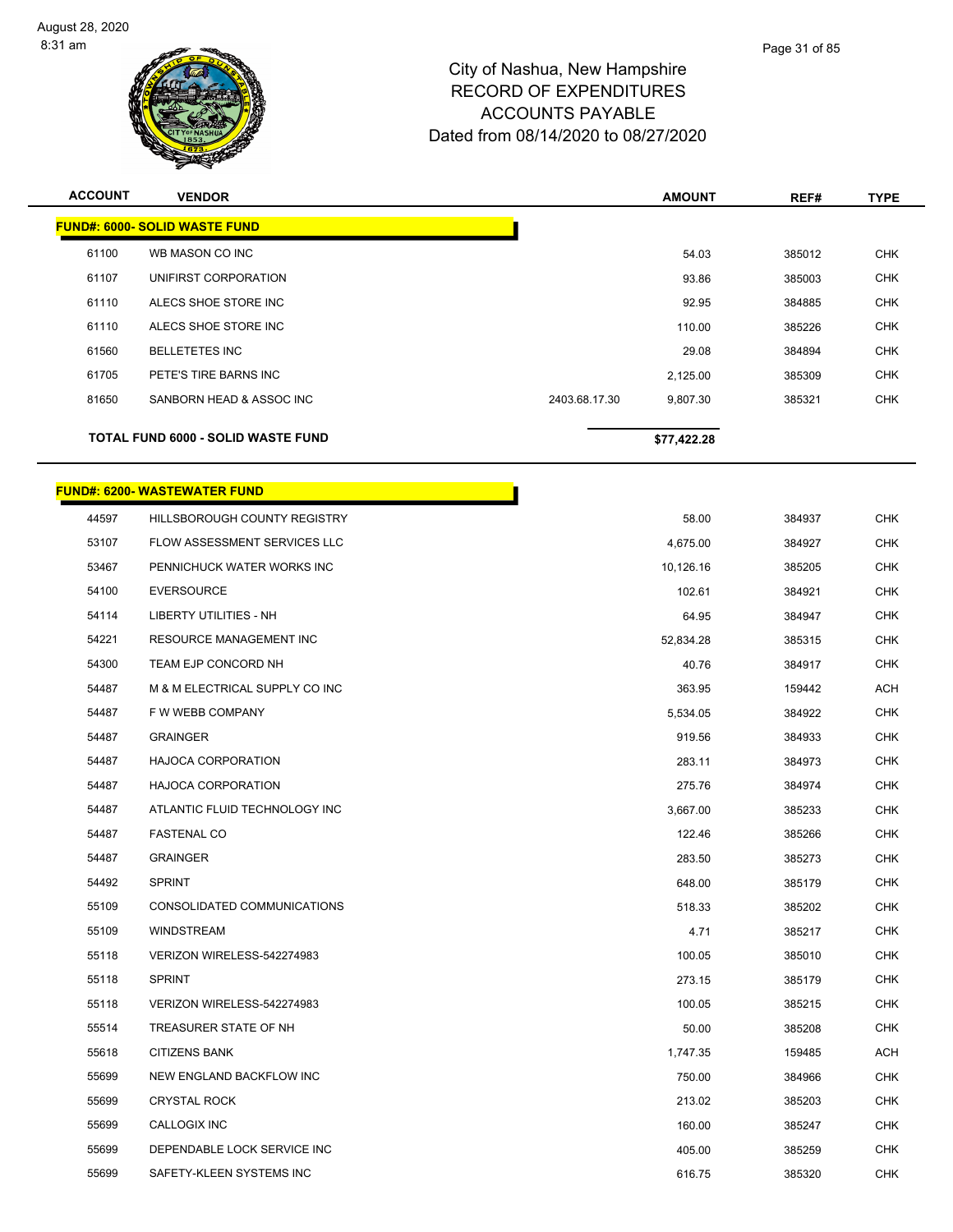

| <b>ACCOUNT</b> | <b>VENDOR</b>                             |               | <b>AMOUNT</b> | REF#   | <b>TYPE</b> |
|----------------|-------------------------------------------|---------------|---------------|--------|-------------|
|                | <b>FUND#: 6000- SOLID WASTE FUND</b>      |               |               |        |             |
| 61100          | WB MASON CO INC                           |               | 54.03         | 385012 | <b>CHK</b>  |
| 61107          | UNIFIRST CORPORATION                      |               | 93.86         | 385003 | <b>CHK</b>  |
| 61110          | ALECS SHOE STORE INC                      |               | 92.95         | 384885 | <b>CHK</b>  |
| 61110          | ALECS SHOE STORE INC                      |               | 110.00        | 385226 | <b>CHK</b>  |
| 61560          | <b>BELLETETES INC</b>                     |               | 29.08         | 384894 | <b>CHK</b>  |
| 61705          | PETE'S TIRE BARNS INC                     |               | 2,125.00      | 385309 | <b>CHK</b>  |
| 81650          | SANBORN HEAD & ASSOC INC                  | 2403.68.17.30 | 9,807.30      | 385321 | <b>CHK</b>  |
|                | <b>TOTAL FUND 6000 - SOLID WASTE FUND</b> |               | \$77,422.28   |        |             |

#### **FUND#: 6200- WASTEWATER FUND**

| 44597 | HILLSBOROUGH COUNTY REGISTRY        | 58.00     | 384937 | CHK        |
|-------|-------------------------------------|-----------|--------|------------|
| 53107 | <b>FLOW ASSESSMENT SERVICES LLC</b> | 4,675.00  | 384927 | <b>CHK</b> |
| 53467 | PENNICHUCK WATER WORKS INC          | 10,126.16 | 385205 | <b>CHK</b> |
| 54100 | <b>EVERSOURCE</b>                   | 102.61    | 384921 | <b>CHK</b> |
| 54114 | <b>LIBERTY UTILITIES - NH</b>       | 64.95     | 384947 | <b>CHK</b> |
| 54221 | <b>RESOURCE MANAGEMENT INC</b>      | 52,834.28 | 385315 | <b>CHK</b> |
| 54300 | TEAM EJP CONCORD NH                 | 40.76     | 384917 | <b>CHK</b> |
| 54487 | M & M ELECTRICAL SUPPLY CO INC      | 363.95    | 159442 | ACH        |
| 54487 | F W WEBB COMPANY                    | 5,534.05  | 384922 | <b>CHK</b> |
| 54487 | <b>GRAINGER</b>                     | 919.56    | 384933 | <b>CHK</b> |
| 54487 | <b>HAJOCA CORPORATION</b>           | 283.11    | 384973 | CHK        |
| 54487 | HAJOCA CORPORATION                  | 275.76    | 384974 | <b>CHK</b> |
| 54487 | ATLANTIC FLUID TECHNOLOGY INC       | 3,667.00  | 385233 | <b>CHK</b> |
| 54487 | <b>FASTENAL CO</b>                  | 122.46    | 385266 | <b>CHK</b> |
| 54487 | <b>GRAINGER</b>                     | 283.50    | 385273 | <b>CHK</b> |
| 54492 | <b>SPRINT</b>                       | 648.00    | 385179 | <b>CHK</b> |
| 55109 | CONSOLIDATED COMMUNICATIONS         | 518.33    | 385202 | <b>CHK</b> |
| 55109 | <b>WINDSTREAM</b>                   | 4.71      | 385217 | <b>CHK</b> |
| 55118 | VERIZON WIRELESS-542274983          | 100.05    | 385010 | <b>CHK</b> |
| 55118 | <b>SPRINT</b>                       | 273.15    | 385179 | <b>CHK</b> |
| 55118 | VERIZON WIRELESS-542274983          | 100.05    | 385215 | <b>CHK</b> |
| 55514 | TREASURER STATE OF NH               | 50.00     | 385208 | <b>CHK</b> |
| 55618 | <b>CITIZENS BANK</b>                | 1,747.35  | 159485 | ACH        |
| 55699 | NEW ENGLAND BACKFLOW INC            | 750.00    | 384966 | <b>CHK</b> |
| 55699 | <b>CRYSTAL ROCK</b>                 | 213.02    | 385203 | <b>CHK</b> |
| 55699 | <b>CALLOGIX INC</b>                 | 160.00    | 385247 | <b>CHK</b> |
| 55699 | DEPENDABLE LOCK SERVICE INC         | 405.00    | 385259 | <b>CHK</b> |
| 55699 | SAFETY-KLEEN SYSTEMS INC            | 616.75    | 385320 | <b>CHK</b> |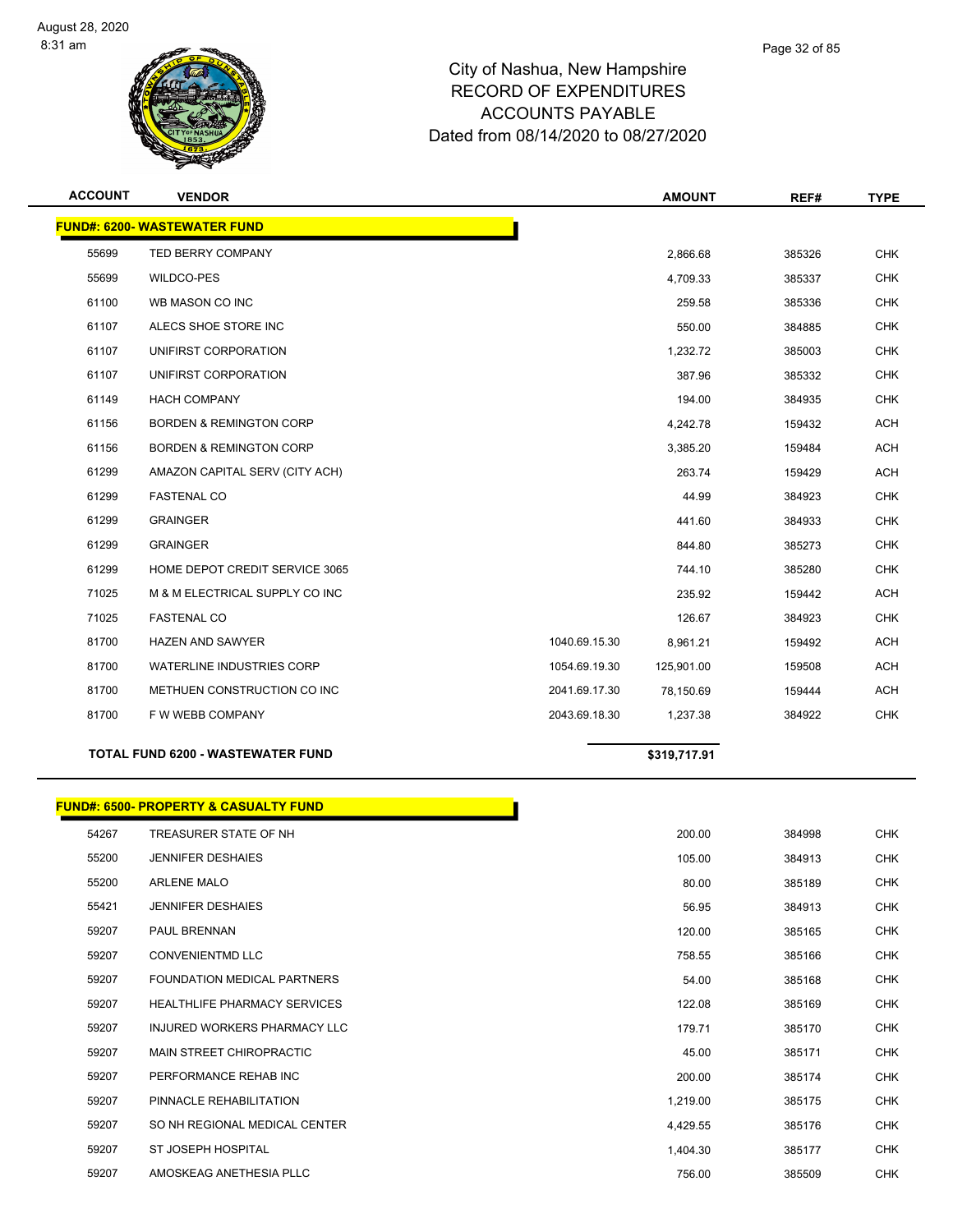

| <b>ACCOUNT</b> | <b>VENDOR</b>                            |               | <b>AMOUNT</b> | REF#   | <b>TYPE</b> |
|----------------|------------------------------------------|---------------|---------------|--------|-------------|
|                | <b>FUND#: 6200- WASTEWATER FUND</b>      |               |               |        |             |
| 55699          | <b>TED BERRY COMPANY</b>                 |               | 2,866.68      | 385326 | <b>CHK</b>  |
| 55699          | <b>WILDCO-PES</b>                        |               | 4,709.33      | 385337 | <b>CHK</b>  |
| 61100          | WB MASON CO INC                          |               | 259.58        | 385336 | <b>CHK</b>  |
| 61107          | ALECS SHOE STORE INC                     |               | 550.00        | 384885 | <b>CHK</b>  |
| 61107          | UNIFIRST CORPORATION                     |               | 1,232.72      | 385003 | <b>CHK</b>  |
| 61107          | UNIFIRST CORPORATION                     |               | 387.96        | 385332 | <b>CHK</b>  |
| 61149          | <b>HACH COMPANY</b>                      |               | 194.00        | 384935 | <b>CHK</b>  |
| 61156          | <b>BORDEN &amp; REMINGTON CORP</b>       |               | 4,242.78      | 159432 | <b>ACH</b>  |
| 61156          | <b>BORDEN &amp; REMINGTON CORP</b>       |               | 3,385.20      | 159484 | <b>ACH</b>  |
| 61299          | AMAZON CAPITAL SERV (CITY ACH)           |               | 263.74        | 159429 | <b>ACH</b>  |
| 61299          | <b>FASTENAL CO</b>                       |               | 44.99         | 384923 | <b>CHK</b>  |
| 61299          | <b>GRAINGER</b>                          |               | 441.60        | 384933 | <b>CHK</b>  |
| 61299          | <b>GRAINGER</b>                          |               | 844.80        | 385273 | <b>CHK</b>  |
| 61299          | HOME DEPOT CREDIT SERVICE 3065           |               | 744.10        | 385280 | <b>CHK</b>  |
| 71025          | M & M ELECTRICAL SUPPLY CO INC           |               | 235.92        | 159442 | <b>ACH</b>  |
| 71025          | <b>FASTENAL CO</b>                       |               | 126.67        | 384923 | <b>CHK</b>  |
| 81700          | HAZEN AND SAWYER                         | 1040.69.15.30 | 8,961.21      | 159492 | <b>ACH</b>  |
| 81700          | <b>WATERLINE INDUSTRIES CORP</b>         | 1054.69.19.30 | 125,901.00    | 159508 | <b>ACH</b>  |
| 81700          | METHUEN CONSTRUCTION CO INC              | 2041.69.17.30 | 78,150.69     | 159444 | <b>ACH</b>  |
| 81700          | F W WEBB COMPANY                         | 2043.69.18.30 | 1,237.38      | 384922 | <b>CHK</b>  |
|                | <b>TOTAL FUND 6200 - WASTEWATER FUND</b> |               | \$319,717.91  |        |             |

# **FUND#: 6500- PROPERTY & CASUALTY FUND**

| 54267 | TREASURER STATE OF NH               | 200.00   | 384998 | <b>CHK</b> |
|-------|-------------------------------------|----------|--------|------------|
| 55200 | <b>JENNIFER DESHAIES</b>            | 105.00   | 384913 | <b>CHK</b> |
| 55200 | <b>ARLENE MALO</b>                  | 80.00    | 385189 | <b>CHK</b> |
| 55421 | <b>JENNIFER DESHAIES</b>            | 56.95    | 384913 | <b>CHK</b> |
| 59207 | <b>PAUL BRENNAN</b>                 | 120.00   | 385165 | <b>CHK</b> |
| 59207 | <b>CONVENIENTMD LLC</b>             | 758.55   | 385166 | <b>CHK</b> |
| 59207 | FOUNDATION MEDICAL PARTNERS         | 54.00    | 385168 | <b>CHK</b> |
| 59207 | <b>HEALTHLIFE PHARMACY SERVICES</b> | 122.08   | 385169 | <b>CHK</b> |
| 59207 | INJURED WORKERS PHARMACY LLC        | 179.71   | 385170 | <b>CHK</b> |
| 59207 | MAIN STREET CHIROPRACTIC            | 45.00    | 385171 | <b>CHK</b> |
| 59207 | PERFORMANCE REHAB INC               | 200.00   | 385174 | <b>CHK</b> |
| 59207 | PINNACLE REHABILITATION             | 1,219.00 | 385175 | <b>CHK</b> |
| 59207 | SO NH REGIONAL MEDICAL CENTER       | 4,429.55 | 385176 | <b>CHK</b> |
| 59207 | <b>ST JOSEPH HOSPITAL</b>           | 1,404.30 | 385177 | <b>CHK</b> |
| 59207 | AMOSKEAG ANETHESIA PLLC             | 756.00   | 385509 | <b>CHK</b> |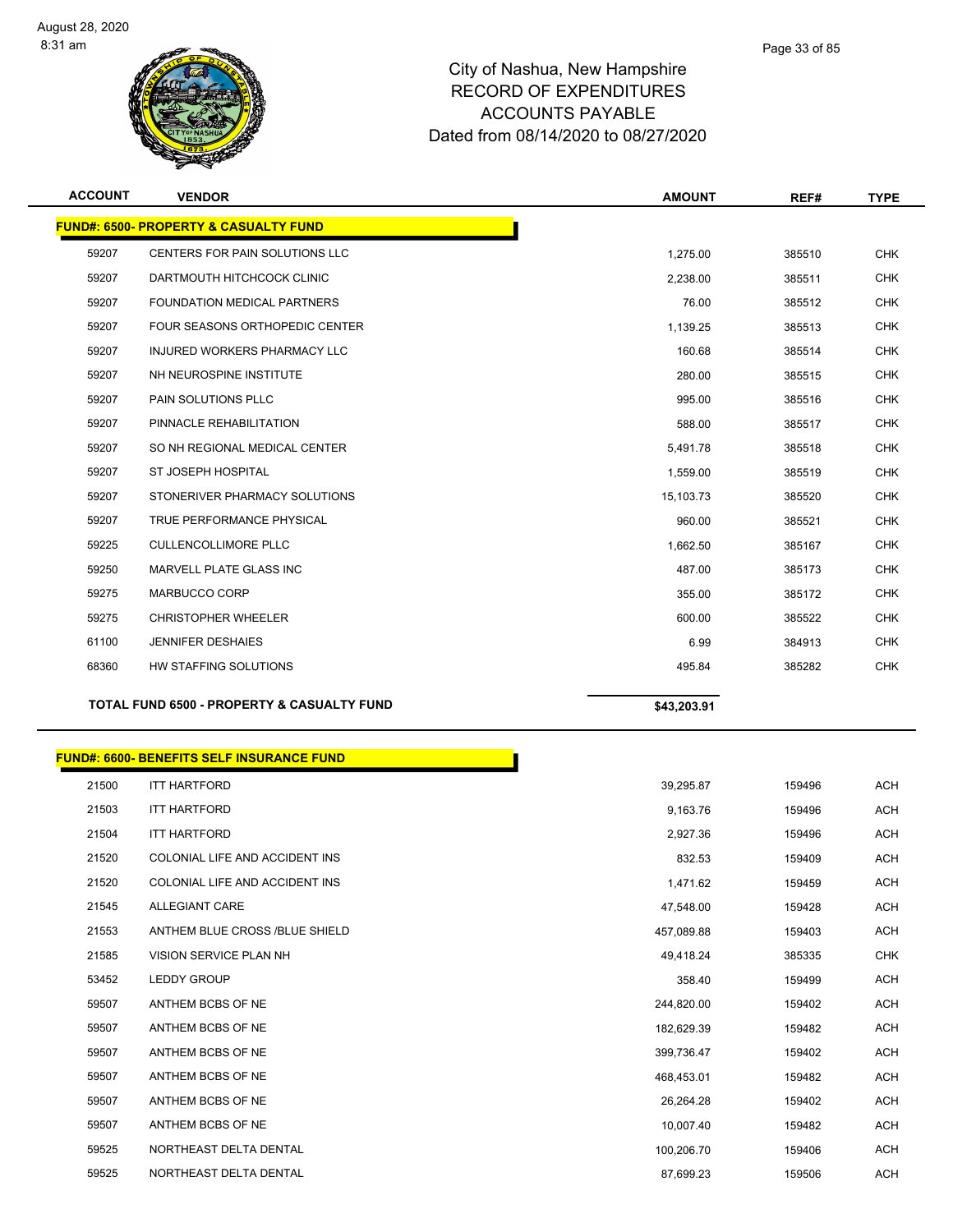

| <b>ACCOUNT</b> | <b>VENDOR</b>                                    | <b>AMOUNT</b> | REF#   | <b>TYPE</b> |
|----------------|--------------------------------------------------|---------------|--------|-------------|
|                | <b>FUND#: 6500- PROPERTY &amp; CASUALTY FUND</b> |               |        |             |
| 59207          | CENTERS FOR PAIN SOLUTIONS LLC                   | 1,275.00      | 385510 | <b>CHK</b>  |
| 59207          | DARTMOUTH HITCHCOCK CLINIC                       | 2,238.00      | 385511 | <b>CHK</b>  |
| 59207          | <b>FOUNDATION MEDICAL PARTNERS</b>               | 76.00         | 385512 | <b>CHK</b>  |
| 59207          | FOUR SEASONS ORTHOPEDIC CENTER                   | 1,139.25      | 385513 | <b>CHK</b>  |
| 59207          | <b>INJURED WORKERS PHARMACY LLC</b>              | 160.68        | 385514 | <b>CHK</b>  |
| 59207          | NH NEUROSPINE INSTITUTE                          | 280.00        | 385515 | <b>CHK</b>  |
| 59207          | PAIN SOLUTIONS PLLC                              | 995.00        | 385516 | <b>CHK</b>  |
| 59207          | PINNACLE REHABILITATION                          | 588.00        | 385517 | <b>CHK</b>  |
| 59207          | SO NH REGIONAL MEDICAL CENTER                    | 5,491.78      | 385518 | <b>CHK</b>  |
| 59207          | <b>ST JOSEPH HOSPITAL</b>                        | 1,559.00      | 385519 | <b>CHK</b>  |
| 59207          | STONERIVER PHARMACY SOLUTIONS                    | 15,103.73     | 385520 | <b>CHK</b>  |
| 59207          | TRUE PERFORMANCE PHYSICAL                        | 960.00        | 385521 | <b>CHK</b>  |
| 59225          | <b>CULLENCOLLIMORE PLLC</b>                      | 1,662.50      | 385167 | <b>CHK</b>  |
| 59250          | MARVELL PLATE GLASS INC                          | 487.00        | 385173 | <b>CHK</b>  |
| 59275          | MARBUCCO CORP                                    | 355.00        | 385172 | <b>CHK</b>  |
| 59275          | <b>CHRISTOPHER WHEELER</b>                       | 600.00        | 385522 | <b>CHK</b>  |
| 61100          | <b>JENNIFER DESHAIES</b>                         | 6.99          | 384913 | <b>CHK</b>  |
| 68360          | HW STAFFING SOLUTIONS                            | 495.84        | 385282 | <b>CHK</b>  |
|                | TOTAL FUND CEAS DOODEDTV & CARUALTY FUND         |               |        |             |

| <b>TOTAL FUND 6500 - PROPERTY &amp; CASUALTY FUND</b> |  |
|-------------------------------------------------------|--|
|-------------------------------------------------------|--|

 $$43,203.91$ 

|       | <b>FUND#: 6600- BENEFITS SELF INSURANCE FUND</b> |            |        |            |
|-------|--------------------------------------------------|------------|--------|------------|
| 21500 | <b>ITT HARTFORD</b>                              | 39,295.87  | 159496 | <b>ACH</b> |
| 21503 | <b>ITT HARTFORD</b>                              | 9,163.76   | 159496 | <b>ACH</b> |
| 21504 | <b>ITT HARTFORD</b>                              | 2,927.36   | 159496 | <b>ACH</b> |
| 21520 | COLONIAL LIFE AND ACCIDENT INS                   | 832.53     | 159409 | <b>ACH</b> |
| 21520 | COLONIAL LIFE AND ACCIDENT INS                   | 1,471.62   | 159459 | <b>ACH</b> |
| 21545 | ALLEGIANT CARE                                   | 47,548.00  | 159428 | <b>ACH</b> |
| 21553 | ANTHEM BLUE CROSS /BLUE SHIELD                   | 457,089.88 | 159403 | <b>ACH</b> |
| 21585 | VISION SERVICE PLAN NH                           | 49,418.24  | 385335 | <b>CHK</b> |
| 53452 | <b>LEDDY GROUP</b>                               | 358.40     | 159499 | <b>ACH</b> |
| 59507 | ANTHEM BCBS OF NE                                | 244,820.00 | 159402 | <b>ACH</b> |
| 59507 | ANTHEM BCBS OF NE                                | 182,629.39 | 159482 | <b>ACH</b> |
| 59507 | ANTHEM BCBS OF NE                                | 399,736.47 | 159402 | <b>ACH</b> |
| 59507 | ANTHEM BCBS OF NE                                | 468,453.01 | 159482 | <b>ACH</b> |
| 59507 | ANTHEM BCBS OF NE                                | 26,264.28  | 159402 | <b>ACH</b> |
| 59507 | ANTHEM BCBS OF NE                                | 10,007.40  | 159482 | <b>ACH</b> |
| 59525 | NORTHEAST DELTA DENTAL                           | 100,206.70 | 159406 | <b>ACH</b> |
| 59525 | NORTHEAST DELTA DENTAL                           | 87,699.23  | 159506 | <b>ACH</b> |
|       |                                                  |            |        |            |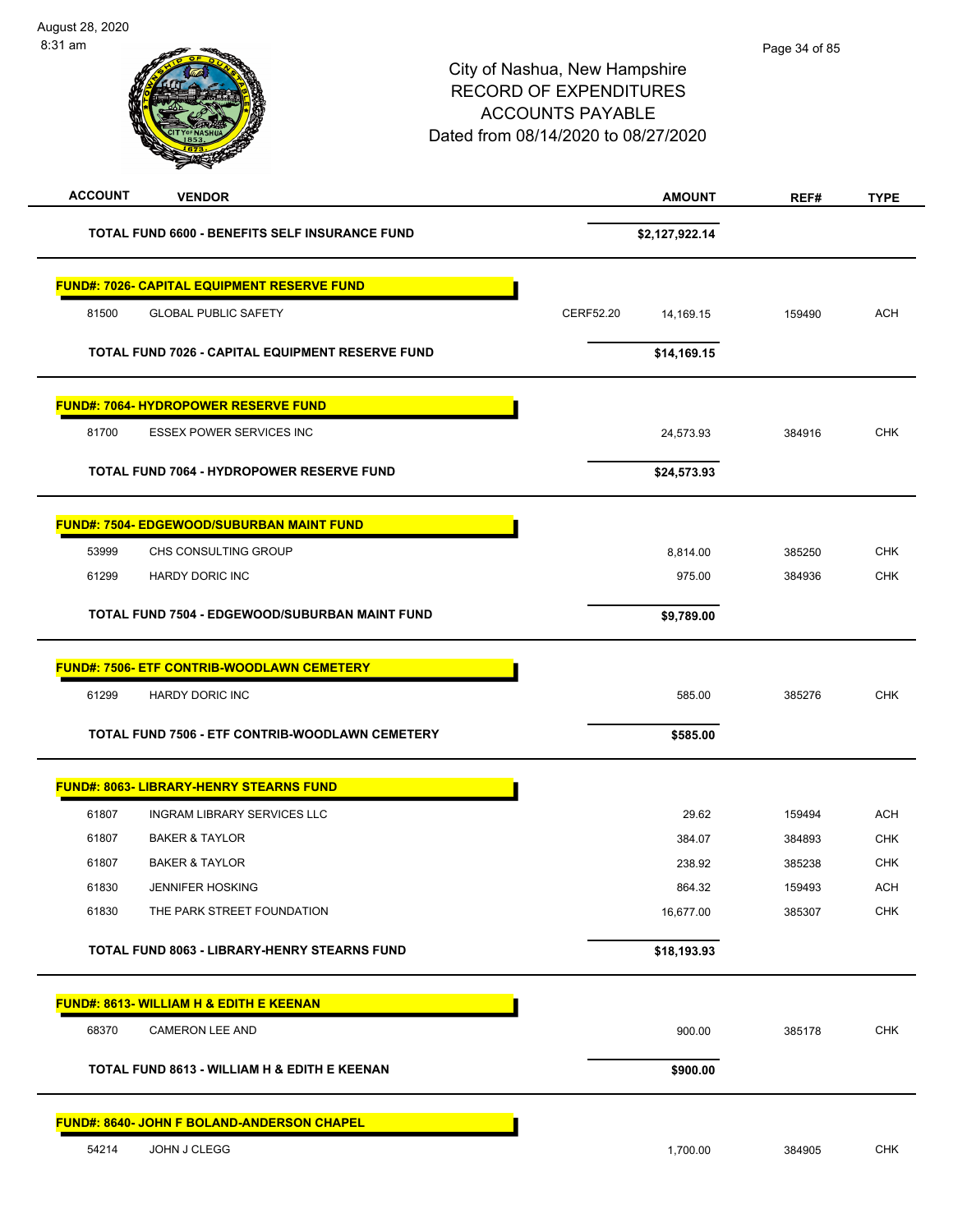| <b>ACCOUNT</b><br><b>VENDOR</b>                    | <b>AMOUNT</b>          | REF#   | <b>TYPE</b> |
|----------------------------------------------------|------------------------|--------|-------------|
| TOTAL FUND 6600 - BENEFITS SELF INSURANCE FUND     | \$2,127,922.14         |        |             |
| <b>FUND#: 7026- CAPITAL EQUIPMENT RESERVE FUND</b> |                        |        |             |
| 81500<br><b>GLOBAL PUBLIC SAFETY</b>               | CERF52.20<br>14,169.15 | 159490 | <b>ACH</b>  |
|                                                    |                        |        |             |
| TOTAL FUND 7026 - CAPITAL EQUIPMENT RESERVE FUND   | \$14,169.15            |        |             |
| <b>FUND#: 7064- HYDROPOWER RESERVE FUND</b>        |                        |        |             |
| 81700<br><b>ESSEX POWER SERVICES INC</b>           | 24,573.93              | 384916 | <b>CHK</b>  |
| TOTAL FUND 7064 - HYDROPOWER RESERVE FUND          | \$24,573.93            |        |             |
| <b>FUND#: 7504- EDGEWOOD/SUBURBAN MAINT FUND</b>   |                        |        |             |
| 53999<br>CHS CONSULTING GROUP                      | 8,814.00               | 385250 | <b>CHK</b>  |
| 61299<br>HARDY DORIC INC                           | 975.00                 | 384936 | <b>CHK</b>  |
| TOTAL FUND 7504 - EDGEWOOD/SUBURBAN MAINT FUND     | \$9,789.00             |        |             |
| <b>FUND#: 7506- ETF CONTRIB-WOODLAWN CEMETERY</b>  |                        |        |             |
| 61299<br><b>HARDY DORIC INC</b>                    | 585.00                 | 385276 | <b>CHK</b>  |
| TOTAL FUND 7506 - ETF CONTRIB-WOODLAWN CEMETERY    | \$585.00               |        |             |
| <b>FUND#: 8063- LIBRARY-HENRY STEARNS FUND</b>     |                        |        |             |
| 61807<br><b>INGRAM LIBRARY SERVICES LLC</b>        | 29.62                  | 159494 | <b>ACH</b>  |
| 61807<br><b>BAKER &amp; TAYLOR</b>                 | 384.07                 | 384893 | <b>CHK</b>  |
| <b>BAKER &amp; TAYLOR</b><br>61807                 | 238.92                 | 385238 | <b>CHK</b>  |
| 61830<br><b>JENNIFER HOSKING</b>                   | 864.32                 | 159493 | <b>ACH</b>  |
| 61830<br>THE PARK STREET FOUNDATION                | 16,677.00              | 385307 | <b>CHK</b>  |
| TOTAL FUND 8063 - LIBRARY-HENRY STEARNS FUND       | \$18,193.93            |        |             |
| <b>FUND#: 8613- WILLIAM H &amp; EDITH E KEENAN</b> |                        |        |             |
| 68370<br><b>CAMERON LEE AND</b>                    | 900.00                 | 385178 | <b>CHK</b>  |
| TOTAL FUND 8613 - WILLIAM H & EDITH E KEENAN       | \$900.00               |        |             |
| <b>FUND#: 8640- JOHN F BOLAND-ANDERSON CHAPEL</b>  |                        |        |             |
| 54214<br>JOHN J CLEGG                              | 1,700.00               | 384905 | <b>CHK</b>  |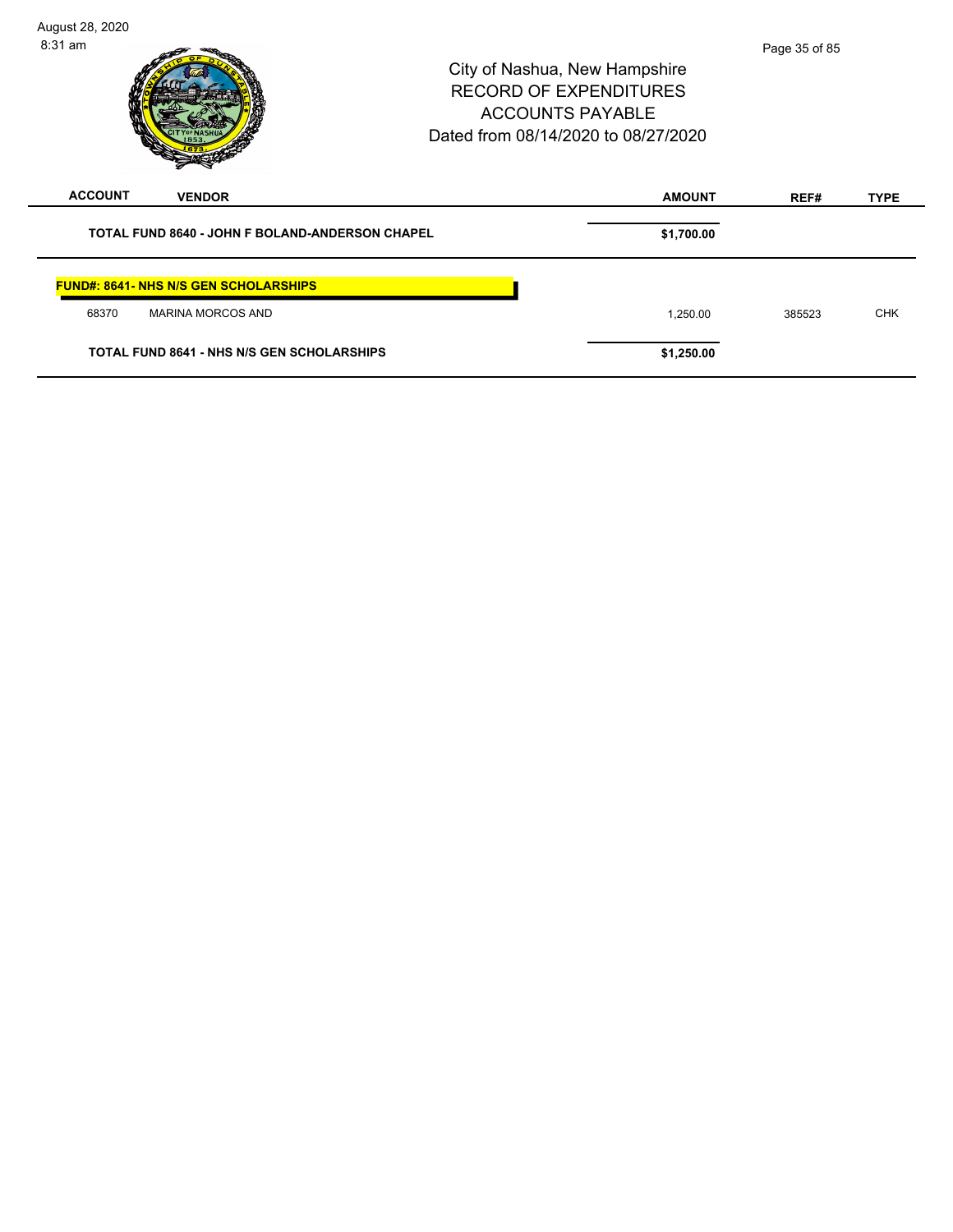| August 28, 2020<br>$8:31$ am                           | City of Nashua, New Hampshire<br><b>RECORD OF EXPENDITURES</b><br><b>ACCOUNTS PAYABLE</b><br>Dated from 08/14/2020 to 08/27/2020 |        |             |
|--------------------------------------------------------|----------------------------------------------------------------------------------------------------------------------------------|--------|-------------|
| <b>ACCOUNT</b><br><b>VENDOR</b>                        | <b>AMOUNT</b>                                                                                                                    | REF#   | <b>TYPE</b> |
| <b>TOTAL FUND 8640 - JOHN F BOLAND-ANDERSON CHAPEL</b> | \$1,700.00                                                                                                                       |        |             |
| <b>FUND#: 8641- NHS N/S GEN SCHOLARSHIPS</b>           |                                                                                                                                  |        |             |
| 68370<br><b>MARINA MORCOS AND</b>                      | 1,250.00                                                                                                                         | 385523 | <b>CHK</b>  |
| <b>TOTAL FUND 8641 - NHS N/S GEN SCHOLARSHIPS</b>      | \$1,250.00                                                                                                                       |        |             |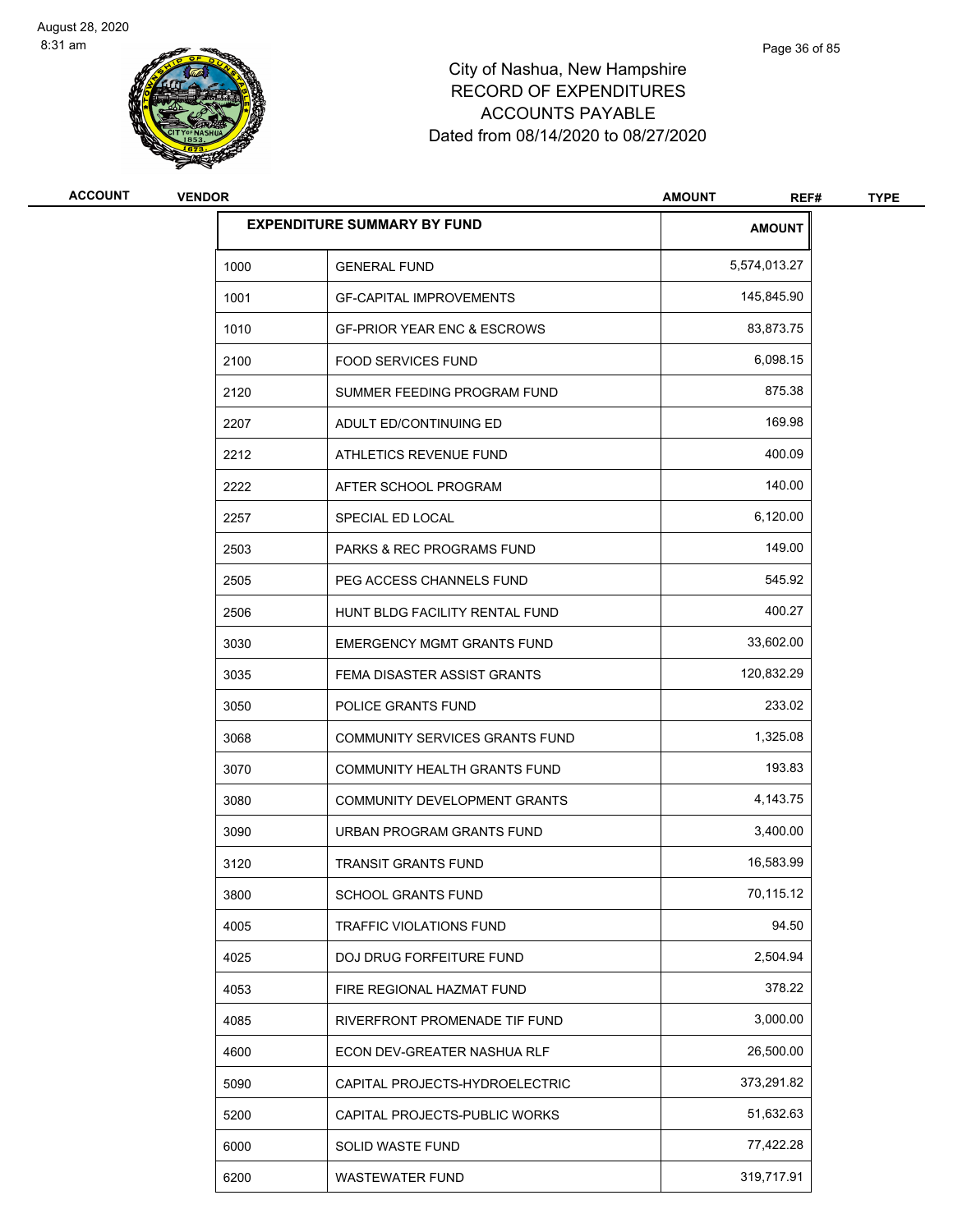

| <b>ACCOUNT</b> | <b>VENDOR</b> |                                        | <b>AMOUNT</b><br>REF# | <b>TYPE</b> |
|----------------|---------------|----------------------------------------|-----------------------|-------------|
|                |               | <b>EXPENDITURE SUMMARY BY FUND</b>     | <b>AMOUNT</b>         |             |
|                | 1000          | <b>GENERAL FUND</b>                    | 5,574,013.27          |             |
|                | 1001          | <b>GF-CAPITAL IMPROVEMENTS</b>         | 145,845.90            |             |
|                | 1010          | <b>GF-PRIOR YEAR ENC &amp; ESCROWS</b> | 83,873.75             |             |
|                | 2100          | <b>FOOD SERVICES FUND</b>              | 6,098.15              |             |
|                | 2120          | SUMMER FEEDING PROGRAM FUND            | 875.38                |             |
|                | 2207          | ADULT ED/CONTINUING ED                 | 169.98                |             |
|                | 2212          | ATHLETICS REVENUE FUND                 | 400.09                |             |
|                | 2222          | AFTER SCHOOL PROGRAM                   | 140.00                |             |
|                | 2257          | SPECIAL ED LOCAL                       | 6,120.00              |             |
|                | 2503          | <b>PARKS &amp; REC PROGRAMS FUND</b>   | 149.00                |             |
|                | 2505          | PEG ACCESS CHANNELS FUND               | 545.92                |             |
|                | 2506          | HUNT BLDG FACILITY RENTAL FUND         | 400.27                |             |
|                | 3030          | <b>EMERGENCY MGMT GRANTS FUND</b>      | 33,602.00             |             |
|                | 3035          | FEMA DISASTER ASSIST GRANTS            | 120,832.29            |             |
|                | 3050          | POLICE GRANTS FUND                     | 233.02                |             |
|                | 3068          | COMMUNITY SERVICES GRANTS FUND         | 1,325.08              |             |
|                | 3070          | COMMUNITY HEALTH GRANTS FUND           | 193.83                |             |
|                | 3080          | COMMUNITY DEVELOPMENT GRANTS           | 4,143.75              |             |
|                | 3090          | URBAN PROGRAM GRANTS FUND              | 3,400.00              |             |
|                | 3120          | <b>TRANSIT GRANTS FUND</b>             | 16,583.99             |             |
|                | 3800          | SCHOOL GRANTS FUND                     | 70,115.12             |             |
|                | 4005          | TRAFFIC VIOLATIONS FUND                | 94.50                 |             |
|                | 4025          | DOJ DRUG FORFEITURE FUND               | 2,504.94              |             |
|                | 4053          | FIRE REGIONAL HAZMAT FUND              | 378.22                |             |
|                | 4085          | RIVERFRONT PROMENADE TIF FUND          | 3,000.00              |             |
|                | 4600          | ECON DEV-GREATER NASHUA RLF            | 26,500.00             |             |
|                | 5090          | CAPITAL PROJECTS-HYDROELECTRIC         | 373,291.82            |             |
|                | 5200          | CAPITAL PROJECTS-PUBLIC WORKS          | 51,632.63             |             |
|                | 6000          | SOLID WASTE FUND                       | 77,422.28             |             |
|                | 6200          | WASTEWATER FUND                        | 319,717.91            |             |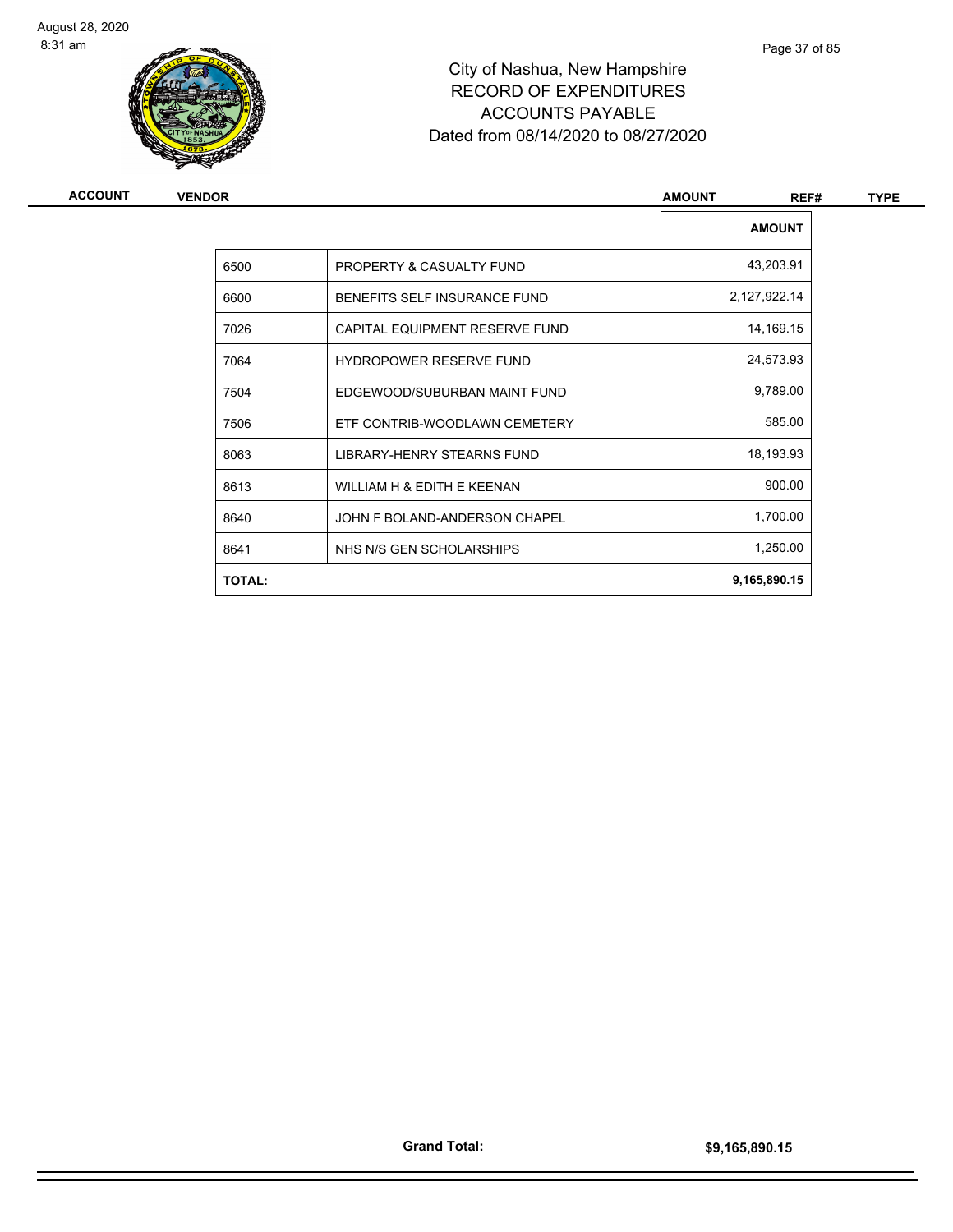

# City of Nashua, New Hampshire RECORD OF EXPENDITURES ACCOUNTS PAYABLE Dated from 08/14/2020 to 08/27/2020

| <b>VENDOR</b> |                                | <b>AMOUNT</b><br>REF# | <b>TYPE</b> |
|---------------|--------------------------------|-----------------------|-------------|
|               |                                | <b>AMOUNT</b>         |             |
| 6500          | PROPERTY & CASUALTY FUND       | 43,203.91             |             |
| 6600          | BENEFITS SELF INSURANCE FUND   | 2,127,922.14          |             |
| 7026          | CAPITAL EQUIPMENT RESERVE FUND | 14,169.15             |             |
| 7064          | <b>HYDROPOWER RESERVE FUND</b> | 24,573.93             |             |
| 7504          | EDGEWOOD/SUBURBAN MAINT FUND   | 9,789.00              |             |
| 7506          | ETF CONTRIB-WOODLAWN CEMETERY  | 585.00                |             |
| 8063          | LIBRARY-HENRY STEARNS FUND     | 18,193.93             |             |
| 8613          | WILLIAM H & EDITH E KEENAN     | 900.00                |             |
| 8640          | JOHN F BOLAND-ANDERSON CHAPEL  | 1,700.00              |             |
| 8641          | NHS N/S GEN SCHOLARSHIPS       | 1,250.00              |             |
| <b>TOTAL:</b> |                                | 9,165,890.15          |             |
|               |                                |                       |             |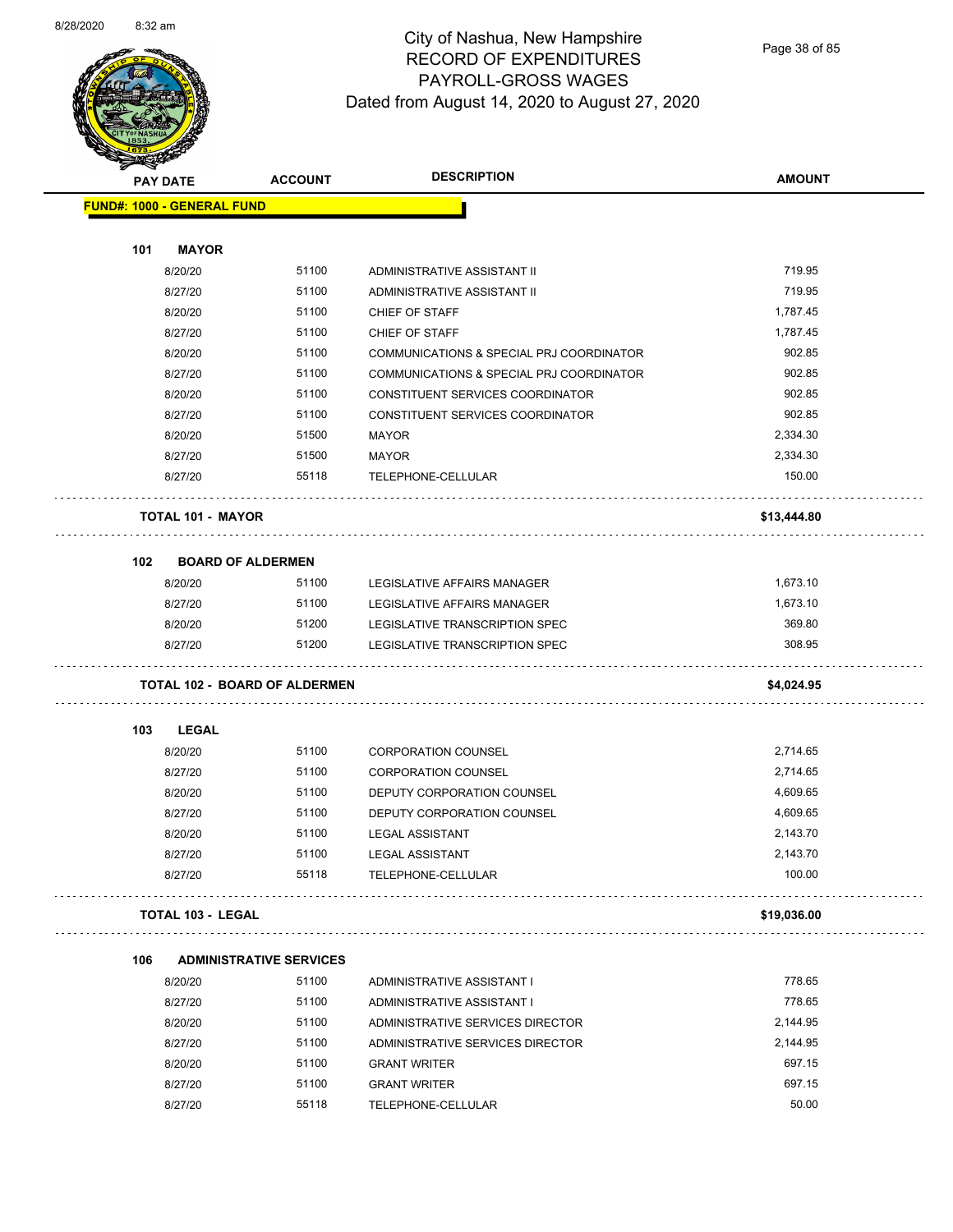

Page 38 of 85

|     | <b>STARBAND</b><br><b>PAY DATE</b>   | <b>ACCOUNT</b>                 | <b>DESCRIPTION</b>                       | <b>AMOUNT</b> |
|-----|--------------------------------------|--------------------------------|------------------------------------------|---------------|
|     | <b>FUND#: 1000 - GENERAL FUND</b>    |                                |                                          |               |
|     |                                      |                                |                                          |               |
| 101 | <b>MAYOR</b>                         |                                |                                          |               |
|     | 8/20/20                              | 51100                          | ADMINISTRATIVE ASSISTANT II              | 719.95        |
|     | 8/27/20                              | 51100                          | ADMINISTRATIVE ASSISTANT II              | 719.95        |
|     | 8/20/20                              | 51100                          | CHIEF OF STAFF                           | 1,787.45      |
|     | 8/27/20                              | 51100                          | CHIEF OF STAFF                           | 1,787.45      |
|     | 8/20/20                              | 51100                          | COMMUNICATIONS & SPECIAL PRJ COORDINATOR | 902.85        |
|     | 8/27/20                              | 51100                          | COMMUNICATIONS & SPECIAL PRJ COORDINATOR | 902.85        |
|     | 8/20/20                              | 51100                          | CONSTITUENT SERVICES COORDINATOR         | 902.85        |
|     | 8/27/20                              | 51100                          | CONSTITUENT SERVICES COORDINATOR         | 902.85        |
|     | 8/20/20                              | 51500                          | <b>MAYOR</b>                             | 2,334.30      |
|     | 8/27/20                              | 51500                          | <b>MAYOR</b>                             | 2,334.30      |
|     | 8/27/20                              | 55118                          | TELEPHONE-CELLULAR                       | 150.00        |
|     | <b>TOTAL 101 - MAYOR</b>             |                                |                                          | \$13,444.80   |
| 102 | <b>BOARD OF ALDERMEN</b>             |                                |                                          |               |
|     | 8/20/20                              | 51100                          | LEGISLATIVE AFFAIRS MANAGER              | 1,673.10      |
|     | 8/27/20                              | 51100                          | LEGISLATIVE AFFAIRS MANAGER              | 1,673.10      |
|     | 8/20/20                              | 51200                          | LEGISLATIVE TRANSCRIPTION SPEC           | 369.80        |
|     | 8/27/20                              | 51200                          | LEGISLATIVE TRANSCRIPTION SPEC           | 308.95        |
|     |                                      |                                |                                          |               |
|     | <b>TOTAL 102 - BOARD OF ALDERMEN</b> |                                |                                          | \$4,024.95    |
|     |                                      |                                |                                          |               |
| 103 | <b>LEGAL</b>                         |                                |                                          |               |
|     | 8/20/20                              | 51100                          | <b>CORPORATION COUNSEL</b>               | 2,714.65      |
|     | 8/27/20                              | 51100                          | <b>CORPORATION COUNSEL</b>               | 2,714.65      |
|     | 8/20/20                              | 51100                          | DEPUTY CORPORATION COUNSEL               | 4,609.65      |
|     | 8/27/20                              | 51100                          | <b>DEPUTY CORPORATION COUNSEL</b>        | 4,609.65      |
|     |                                      |                                |                                          |               |
|     | 8/20/20                              | 51100                          | <b>LEGAL ASSISTANT</b>                   | 2,143.70      |
|     | 8/27/20                              | 51100                          | <b>LEGAL ASSISTANT</b>                   | 2,143.70      |
|     | 8/27/20                              | 55118                          | TELEPHONE-CELLULAR                       | 100.00        |
|     | <b>TOTAL 103 - LEGAL</b>             |                                |                                          | \$19,036.00   |
| 106 |                                      | <b>ADMINISTRATIVE SERVICES</b> |                                          |               |
|     | 8/20/20                              | 51100                          | ADMINISTRATIVE ASSISTANT I               | 778.65        |
|     | 8/27/20                              | 51100                          | ADMINISTRATIVE ASSISTANT I               | 778.65        |
|     | 8/20/20                              | 51100                          | ADMINISTRATIVE SERVICES DIRECTOR         | 2,144.95      |
|     | 8/27/20                              | 51100                          | ADMINISTRATIVE SERVICES DIRECTOR         | 2,144.95      |
|     | 8/20/20                              | 51100                          | <b>GRANT WRITER</b>                      | 697.15        |
|     | 8/27/20                              | 51100                          | <b>GRANT WRITER</b>                      | 697.15        |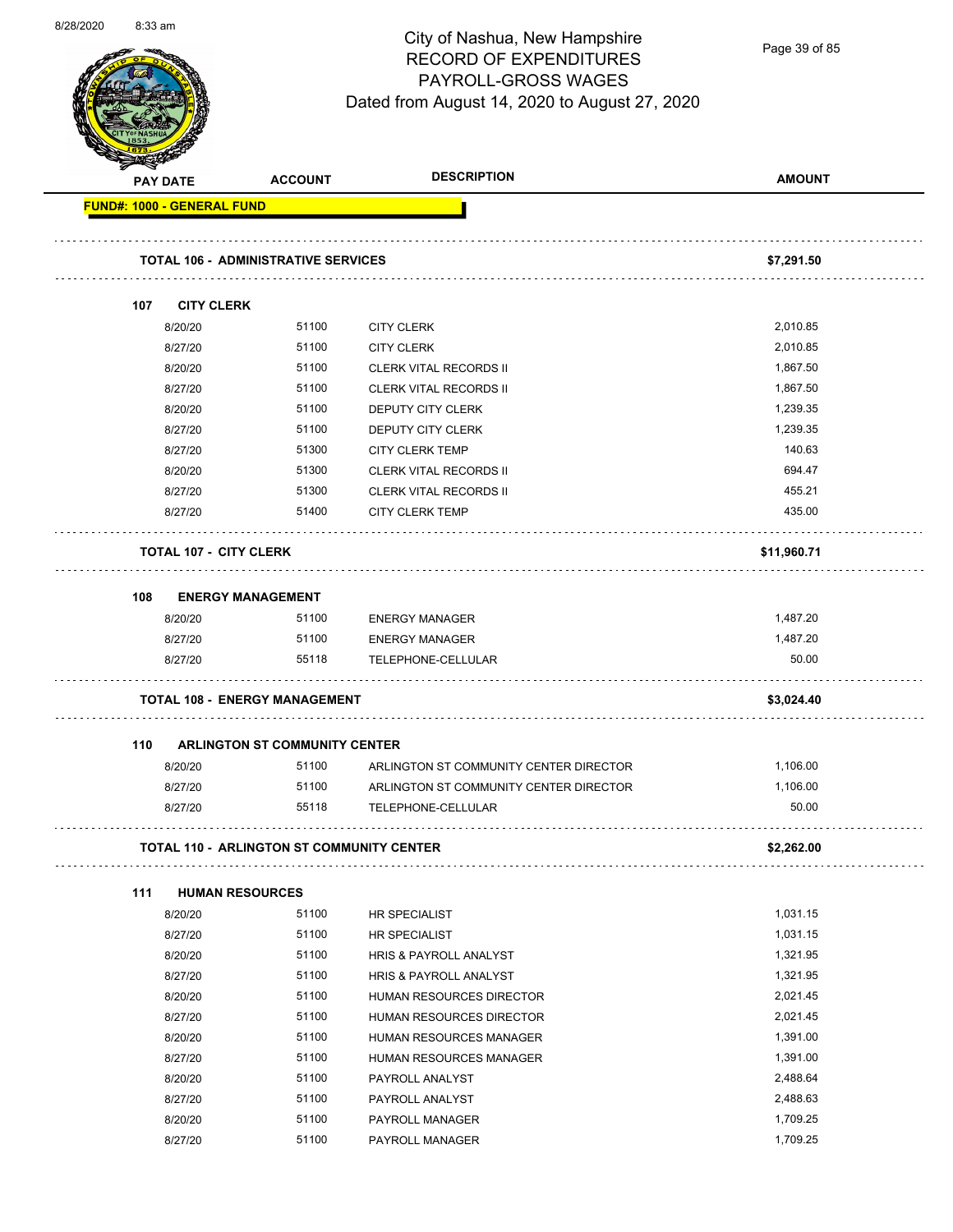

Page 39 of 85

|     | <b>PAY DATE</b>                   | <b>ACCOUNT</b>                             | <b>DESCRIPTION</b>                     | <b>AMOUNT</b> |
|-----|-----------------------------------|--------------------------------------------|----------------------------------------|---------------|
|     | <b>FUND#: 1000 - GENERAL FUND</b> |                                            |                                        |               |
|     |                                   | <b>TOTAL 106 - ADMINISTRATIVE SERVICES</b> |                                        | \$7,291.50    |
| 107 | <b>CITY CLERK</b>                 |                                            |                                        |               |
|     | 8/20/20                           | 51100                                      | <b>CITY CLERK</b>                      | 2,010.85      |
|     | 8/27/20                           | 51100                                      | <b>CITY CLERK</b>                      | 2,010.85      |
|     | 8/20/20                           | 51100                                      | <b>CLERK VITAL RECORDS II</b>          | 1,867.50      |
|     | 8/27/20                           | 51100                                      | <b>CLERK VITAL RECORDS II</b>          | 1,867.50      |
|     | 8/20/20                           | 51100                                      | DEPUTY CITY CLERK                      | 1,239.35      |
|     | 8/27/20                           | 51100                                      | DEPUTY CITY CLERK                      | 1,239.35      |
|     | 8/27/20                           | 51300                                      | <b>CITY CLERK TEMP</b>                 | 140.63        |
|     | 8/20/20                           | 51300                                      | <b>CLERK VITAL RECORDS II</b>          | 694.47        |
|     | 8/27/20                           | 51300                                      | <b>CLERK VITAL RECORDS II</b>          | 455.21        |
|     | 8/27/20                           | 51400                                      | <b>CITY CLERK TEMP</b>                 | 435.00        |
|     | <b>TOTAL 107 - CITY CLERK</b>     |                                            |                                        | \$11,960.71   |
| 108 |                                   | <b>ENERGY MANAGEMENT</b>                   |                                        |               |
|     | 8/20/20                           | 51100                                      | <b>ENERGY MANAGER</b>                  | 1,487.20      |
|     | 8/27/20                           | 51100                                      | <b>ENERGY MANAGER</b>                  | 1,487.20      |
|     | 8/27/20                           | 55118                                      | TELEPHONE-CELLULAR                     | 50.00         |
|     |                                   | <b>TOTAL 108 - ENERGY MANAGEMENT</b>       |                                        | \$3,024.40    |
| 110 |                                   | <b>ARLINGTON ST COMMUNITY CENTER</b>       |                                        |               |
|     | 8/20/20                           | 51100                                      | ARLINGTON ST COMMUNITY CENTER DIRECTOR | 1,106.00      |
|     | 8/27/20                           | 51100                                      | ARLINGTON ST COMMUNITY CENTER DIRECTOR | 1,106.00      |
|     | 8/27/20                           | 55118                                      | TELEPHONE-CELLULAR                     | 50.00         |
|     |                                   | TOTAL 110 - ARLINGTON ST COMMUNITY CENTER  |                                        | \$2,262.00    |
| 111 |                                   | <b>HUMAN RESOURCES</b>                     |                                        |               |
|     | 8/20/20                           | 51100                                      | HR SPECIALIST                          | 1,031.15      |
|     | 8/27/20                           | 51100                                      | HR SPECIALIST                          | 1,031.15      |
|     | 8/20/20                           | 51100                                      | HRIS & PAYROLL ANALYST                 | 1,321.95      |
|     | 8/27/20                           | 51100                                      | HRIS & PAYROLL ANALYST                 | 1,321.95      |
|     | 8/20/20                           | 51100                                      | HUMAN RESOURCES DIRECTOR               | 2,021.45      |
|     | 8/27/20                           | 51100                                      | HUMAN RESOURCES DIRECTOR               | 2,021.45      |
|     | 8/20/20                           | 51100                                      | HUMAN RESOURCES MANAGER                | 1,391.00      |
|     | 8/27/20                           | 51100                                      | HUMAN RESOURCES MANAGER                | 1,391.00      |
|     | 8/20/20                           | 51100                                      | PAYROLL ANALYST                        | 2,488.64      |
|     | 8/27/20                           | 51100                                      | PAYROLL ANALYST                        | 2,488.63      |
|     | 8/20/20                           | 51100                                      | PAYROLL MANAGER                        | 1,709.25      |
|     | 8/27/20                           | 51100                                      | PAYROLL MANAGER                        | 1,709.25      |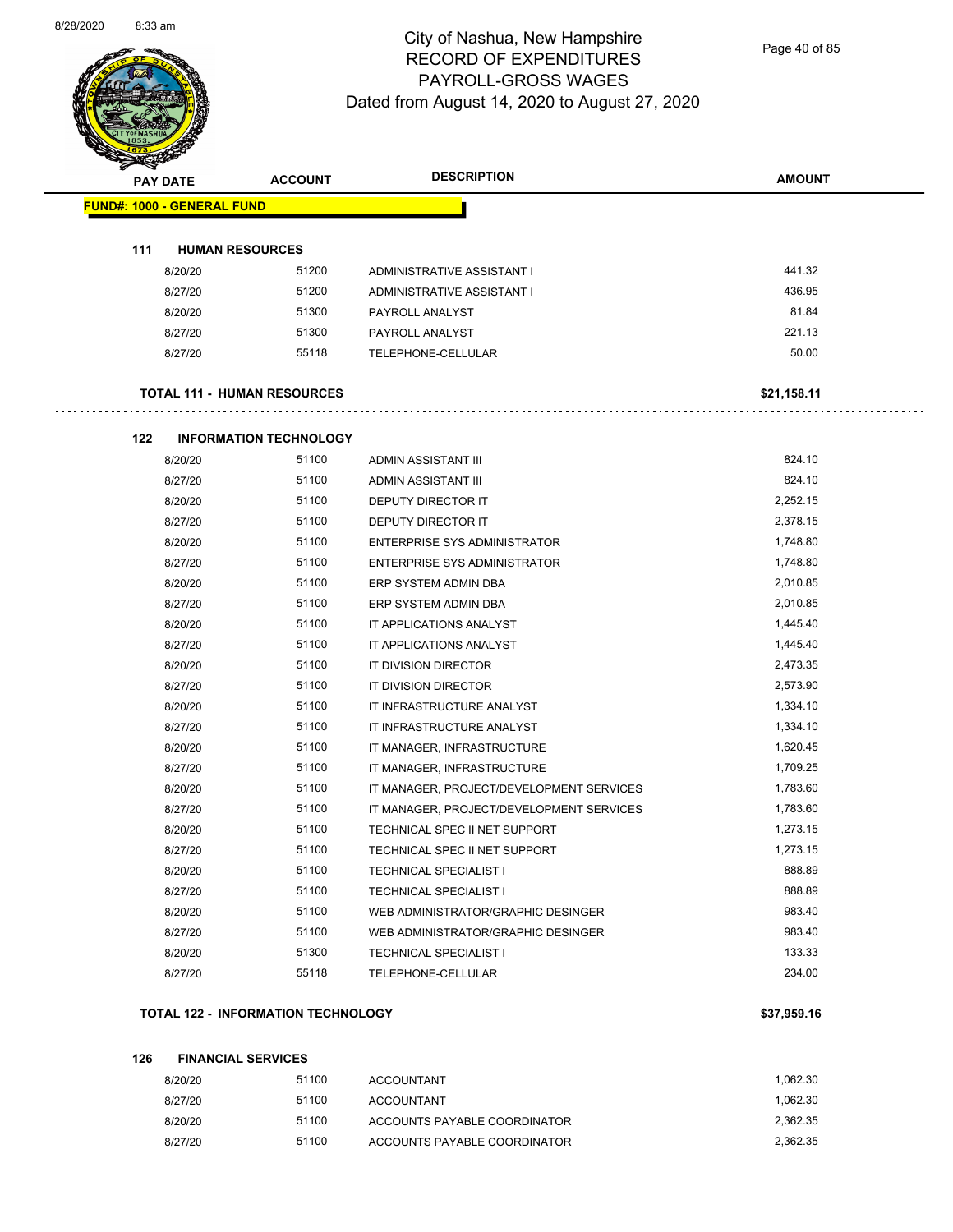$\overline{\phantom{0}}$ 



## City of Nashua, New Hampshire RECORD OF EXPENDITURES PAYROLL-GROSS WAGES Dated from August 14, 2020 to August 27, 2020

Page 40 of 85

| <b>PAY DATE</b>                           | <b>ACCOUNT</b>                | <b>DESCRIPTION</b>                       | <b>AMOUNT</b> |
|-------------------------------------------|-------------------------------|------------------------------------------|---------------|
| <b>FUND#: 1000 - GENERAL FUND</b>         |                               |                                          |               |
| 111<br><b>HUMAN RESOURCES</b>             |                               |                                          |               |
| 8/20/20                                   | 51200                         | ADMINISTRATIVE ASSISTANT I               | 441.32        |
| 8/27/20                                   | 51200                         | ADMINISTRATIVE ASSISTANT I               | 436.95        |
| 8/20/20                                   | 51300                         | PAYROLL ANALYST                          | 81.84         |
| 8/27/20                                   | 51300                         | PAYROLL ANALYST                          | 221.13        |
| 8/27/20                                   | 55118                         | TELEPHONE-CELLULAR                       | 50.00         |
| <b>TOTAL 111 - HUMAN RESOURCES</b>        |                               |                                          | \$21,158.11   |
| 122                                       | <b>INFORMATION TECHNOLOGY</b> |                                          |               |
| 8/20/20                                   | 51100                         | <b>ADMIN ASSISTANT III</b>               | 824.10        |
| 8/27/20                                   | 51100                         | ADMIN ASSISTANT III                      | 824.10        |
| 8/20/20                                   | 51100                         | <b>DEPUTY DIRECTOR IT</b>                | 2,252.15      |
| 8/27/20                                   | 51100                         | DEPUTY DIRECTOR IT                       | 2,378.15      |
| 8/20/20                                   | 51100                         | <b>ENTERPRISE SYS ADMINISTRATOR</b>      | 1,748.80      |
| 8/27/20                                   | 51100                         | ENTERPRISE SYS ADMINISTRATOR             | 1,748.80      |
| 8/20/20                                   | 51100                         | ERP SYSTEM ADMIN DBA                     | 2,010.85      |
| 8/27/20                                   | 51100                         | ERP SYSTEM ADMIN DBA                     | 2,010.85      |
| 8/20/20                                   | 51100                         | IT APPLICATIONS ANALYST                  | 1,445.40      |
| 8/27/20                                   | 51100                         | IT APPLICATIONS ANALYST                  | 1,445.40      |
| 8/20/20                                   | 51100                         | IT DIVISION DIRECTOR                     | 2,473.35      |
| 8/27/20                                   | 51100                         | IT DIVISION DIRECTOR                     | 2,573.90      |
| 8/20/20                                   | 51100                         | IT INFRASTRUCTURE ANALYST                | 1,334.10      |
| 8/27/20                                   | 51100                         | IT INFRASTRUCTURE ANALYST                | 1,334.10      |
| 8/20/20                                   | 51100                         | IT MANAGER, INFRASTRUCTURE               | 1,620.45      |
| 8/27/20                                   | 51100                         | IT MANAGER, INFRASTRUCTURE               | 1,709.25      |
| 8/20/20                                   | 51100                         | IT MANAGER, PROJECT/DEVELOPMENT SERVICES | 1,783.60      |
| 8/27/20                                   | 51100                         | IT MANAGER, PROJECT/DEVELOPMENT SERVICES | 1,783.60      |
| 8/20/20                                   | 51100                         | TECHNICAL SPEC II NET SUPPORT            | 1,273.15      |
| 8/27/20                                   | 51100                         | TECHNICAL SPEC II NET SUPPORT            | 1,273.15      |
| 8/20/20                                   | 51100                         | <b>TECHNICAL SPECIALIST I</b>            | 888.89        |
| 8/27/20                                   | 51100                         | <b>TECHNICAL SPECIALIST I</b>            | 888.89        |
| 8/20/20                                   | 51100                         | WEB ADMINISTRATOR/GRAPHIC DESINGER       | 983.40        |
| 8/27/20                                   | 51100                         | WEB ADMINISTRATOR/GRAPHIC DESINGER       | 983.40        |
| 8/20/20                                   | 51300                         | <b>TECHNICAL SPECIALIST I</b>            | 133.33        |
| 8/27/20                                   | 55118                         | TELEPHONE-CELLULAR                       | 234.00        |
| <b>TOTAL 122 - INFORMATION TECHNOLOGY</b> |                               |                                          | \$37,959.16   |

. . . . . . . . . . . . . . . . .

| 126 | <b>FINANCIAL SERVICES</b> |       |                              |          |  |  |
|-----|---------------------------|-------|------------------------------|----------|--|--|
|     | 8/20/20                   | 51100 | <b>ACCOUNTANT</b>            | 1.062.30 |  |  |
|     | 8/27/20                   | 51100 | <b>ACCOUNTANT</b>            | 1.062.30 |  |  |
|     | 8/20/20                   | 51100 | ACCOUNTS PAYABLE COORDINATOR | 2.362.35 |  |  |
|     | 8/27/20                   | 51100 | ACCOUNTS PAYABLE COORDINATOR | 2.362.35 |  |  |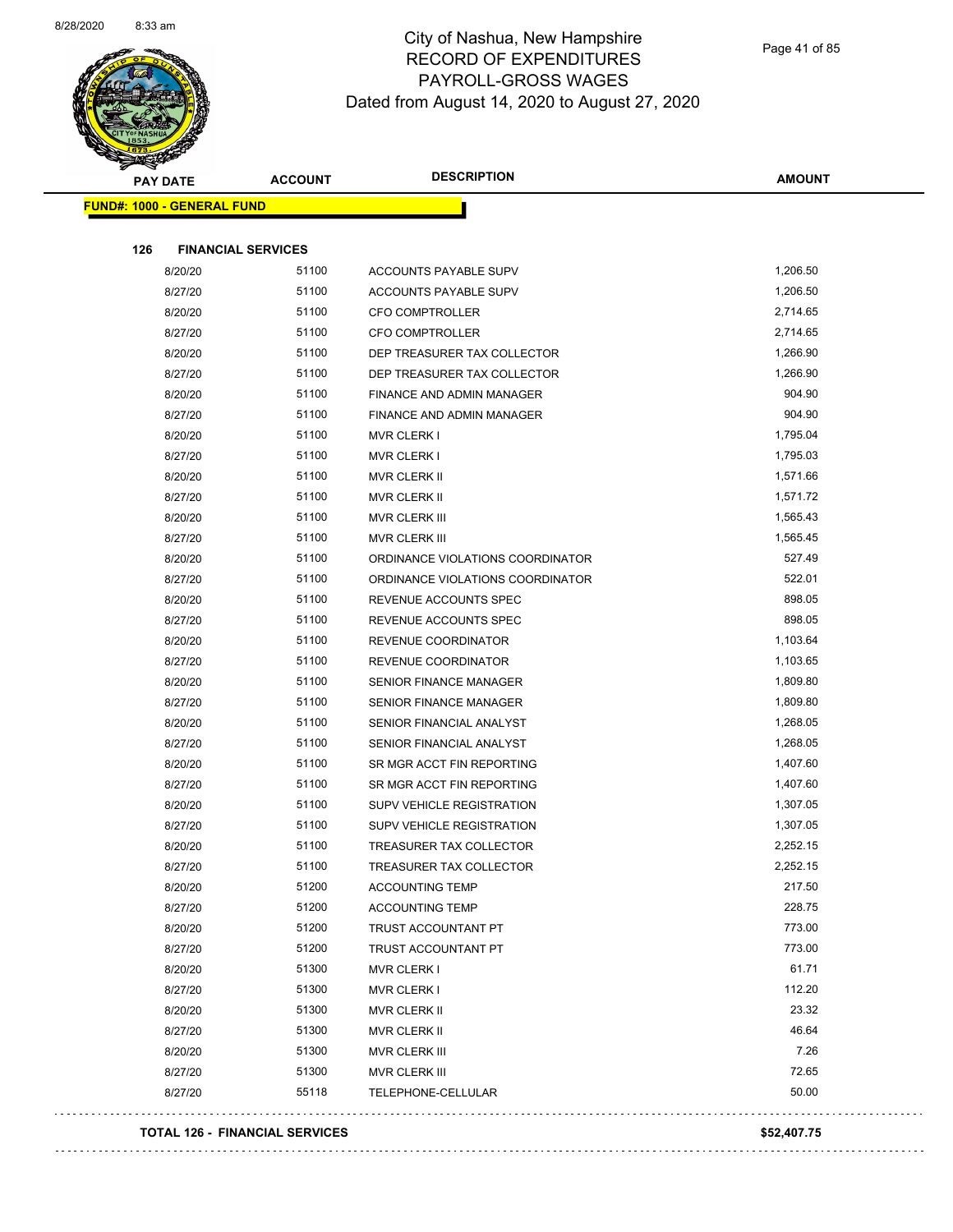

Page 41 of 85

| $\sim$<br><b>PAY DATE</b>             | <b>ACCOUNT</b> | <b>DESCRIPTION</b>               | <b>AMOUNT</b> |
|---------------------------------------|----------------|----------------------------------|---------------|
| <b>FUND#: 1000 - GENERAL FUND</b>     |                |                                  |               |
|                                       |                |                                  |               |
| 126<br><b>FINANCIAL SERVICES</b>      |                |                                  |               |
| 8/20/20                               | 51100          | ACCOUNTS PAYABLE SUPV            | 1,206.50      |
| 8/27/20                               | 51100          | ACCOUNTS PAYABLE SUPV            | 1,206.50      |
| 8/20/20                               | 51100          | <b>CFO COMPTROLLER</b>           | 2,714.65      |
| 8/27/20                               | 51100          | CFO COMPTROLLER                  | 2,714.65      |
| 8/20/20                               | 51100          | DEP TREASURER TAX COLLECTOR      | 1,266.90      |
| 8/27/20                               | 51100          | DEP TREASURER TAX COLLECTOR      | 1,266.90      |
| 8/20/20                               | 51100          | FINANCE AND ADMIN MANAGER        | 904.90        |
| 8/27/20                               | 51100          | FINANCE AND ADMIN MANAGER        | 904.90        |
| 8/20/20                               | 51100          | <b>MVR CLERK I</b>               | 1,795.04      |
| 8/27/20                               | 51100          | <b>MVR CLERK I</b>               | 1,795.03      |
| 8/20/20                               | 51100          | MVR CLERK II                     | 1,571.66      |
| 8/27/20                               | 51100          | <b>MVR CLERK II</b>              | 1,571.72      |
| 8/20/20                               | 51100          | MVR CLERK III                    | 1,565.43      |
| 8/27/20                               | 51100          | MVR CLERK III                    | 1,565.45      |
| 8/20/20                               | 51100          | ORDINANCE VIOLATIONS COORDINATOR | 527.49        |
| 8/27/20                               | 51100          | ORDINANCE VIOLATIONS COORDINATOR | 522.01        |
| 8/20/20                               | 51100          | REVENUE ACCOUNTS SPEC            | 898.05        |
| 8/27/20                               | 51100          | REVENUE ACCOUNTS SPEC            | 898.05        |
| 8/20/20                               | 51100          | REVENUE COORDINATOR              | 1,103.64      |
| 8/27/20                               | 51100          | REVENUE COORDINATOR              | 1,103.65      |
| 8/20/20                               | 51100          | <b>SENIOR FINANCE MANAGER</b>    | 1,809.80      |
| 8/27/20                               | 51100          | <b>SENIOR FINANCE MANAGER</b>    | 1,809.80      |
| 8/20/20                               | 51100          | SENIOR FINANCIAL ANALYST         | 1,268.05      |
| 8/27/20                               | 51100          | SENIOR FINANCIAL ANALYST         | 1,268.05      |
| 8/20/20                               | 51100          | SR MGR ACCT FIN REPORTING        | 1,407.60      |
| 8/27/20                               | 51100          | SR MGR ACCT FIN REPORTING        | 1,407.60      |
| 8/20/20                               | 51100          | SUPV VEHICLE REGISTRATION        | 1,307.05      |
| 8/27/20                               | 51100          | SUPV VEHICLE REGISTRATION        | 1,307.05      |
| 8/20/20                               | 51100          | TREASURER TAX COLLECTOR          | 2,252.15      |
| 8/27/20                               | 51100          | TREASURER TAX COLLECTOR          | 2,252.15      |
| 8/20/20                               | 51200          | <b>ACCOUNTING TEMP</b>           | 217.50        |
| 8/27/20                               | 51200          | <b>ACCOUNTING TEMP</b>           | 228.75        |
| 8/20/20                               | 51200          | TRUST ACCOUNTANT PT              | 773.00        |
| 8/27/20                               | 51200          | TRUST ACCOUNTANT PT              | 773.00        |
| 8/20/20                               | 51300          | <b>MVR CLERK I</b>               | 61.71         |
| 8/27/20                               | 51300          | <b>MVR CLERK I</b>               | 112.20        |
| 8/20/20                               | 51300          | MVR CLERK II                     | 23.32         |
| 8/27/20                               | 51300          | MVR CLERK II                     | 46.64         |
| 8/20/20                               | 51300          | MVR CLERK III                    | 7.26          |
| 8/27/20                               | 51300          | MVR CLERK III                    | 72.65         |
| 8/27/20                               | 55118          | TELEPHONE-CELLULAR               | 50.00         |
| <b>TOTAL 126 - FINANCIAL SERVICES</b> |                |                                  | \$52,407.75   |

 $\bar{\mathcal{L}}$  .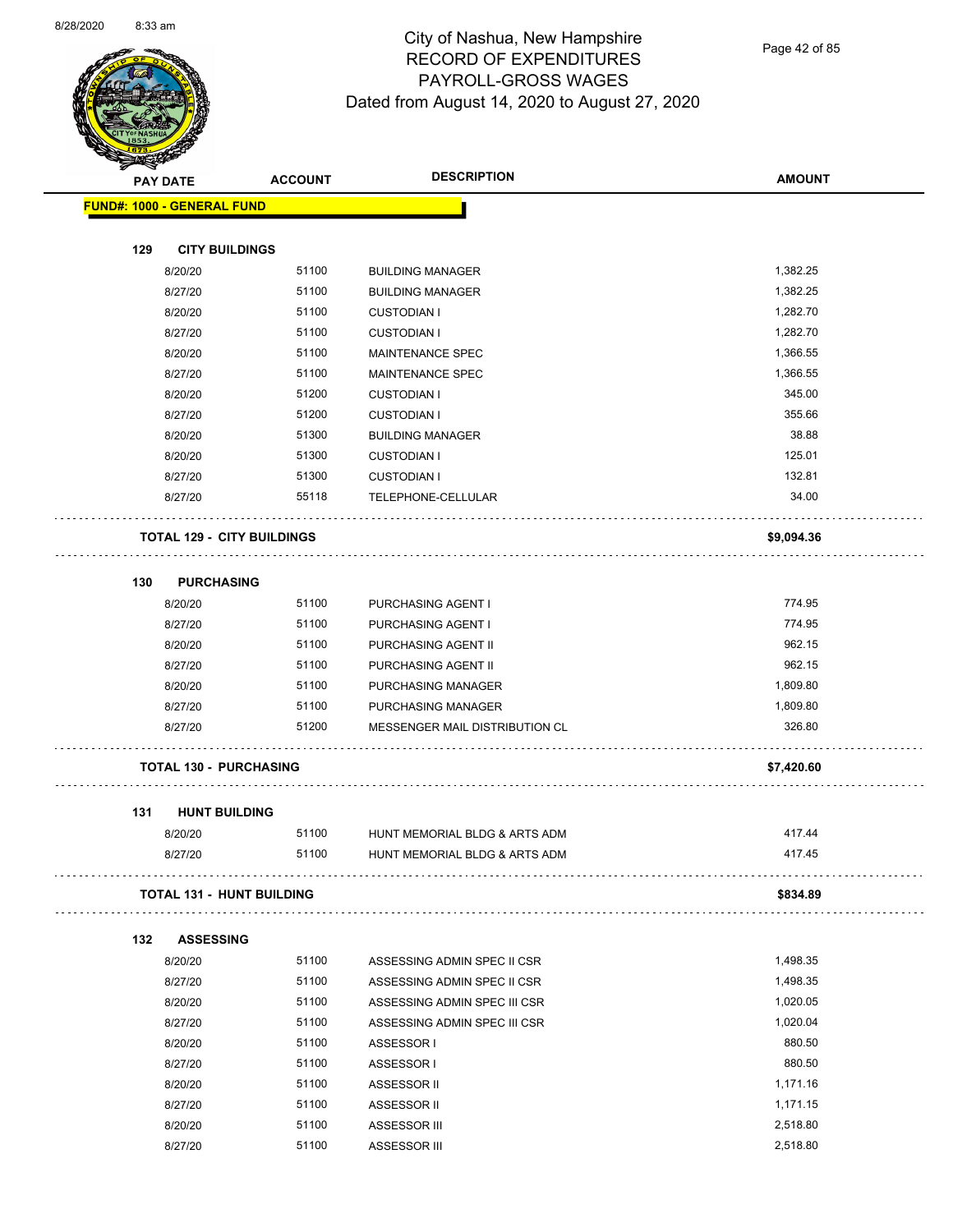

Page 42 of 85

|     | <b>PAY DATE</b>                   | <b>ACCOUNT</b>                    | <b>DESCRIPTION</b>             | <b>AMOUNT</b>      |
|-----|-----------------------------------|-----------------------------------|--------------------------------|--------------------|
|     | <b>FUND#: 1000 - GENERAL FUND</b> |                                   |                                |                    |
|     |                                   |                                   |                                |                    |
| 129 | <b>CITY BUILDINGS</b>             |                                   |                                |                    |
|     | 8/20/20                           | 51100                             | <b>BUILDING MANAGER</b>        | 1,382.25           |
|     | 8/27/20                           | 51100                             | <b>BUILDING MANAGER</b>        | 1,382.25           |
|     | 8/20/20                           | 51100                             | <b>CUSTODIAN I</b>             | 1,282.70           |
|     | 8/27/20                           | 51100                             | <b>CUSTODIAN I</b>             | 1,282.70           |
|     | 8/20/20                           | 51100                             | <b>MAINTENANCE SPEC</b>        | 1,366.55           |
|     | 8/27/20                           | 51100<br>51200                    | MAINTENANCE SPEC               | 1,366.55<br>345.00 |
|     | 8/20/20<br>8/27/20                | 51200                             | <b>CUSTODIAN I</b>             | 355.66             |
|     |                                   | 51300                             | <b>CUSTODIAN I</b>             | 38.88              |
|     | 8/20/20                           | 51300                             | <b>BUILDING MANAGER</b>        | 125.01             |
|     | 8/20/20                           | 51300                             | <b>CUSTODIAN I</b>             | 132.81             |
|     | 8/27/20                           | 55118                             | <b>CUSTODIAN I</b>             | 34.00              |
|     | 8/27/20                           |                                   | TELEPHONE-CELLULAR             |                    |
|     |                                   | <b>TOTAL 129 - CITY BUILDINGS</b> |                                | \$9,094.36         |
| 130 | <b>PURCHASING</b>                 |                                   |                                |                    |
|     | 8/20/20                           | 51100                             | PURCHASING AGENT I             | 774.95             |
|     | 8/27/20                           | 51100                             | PURCHASING AGENT I             | 774.95             |
|     | 8/20/20                           | 51100                             | PURCHASING AGENT II            | 962.15             |
|     | 8/27/20                           | 51100                             | PURCHASING AGENT II            | 962.15             |
|     | 8/20/20                           | 51100                             | PURCHASING MANAGER             | 1,809.80           |
|     | 8/27/20                           | 51100                             | PURCHASING MANAGER             | 1,809.80           |
|     | 8/27/20                           | 51200                             | MESSENGER MAIL DISTRIBUTION CL | 326.80             |
|     | <b>TOTAL 130 - PURCHASING</b>     |                                   |                                | \$7,420.60         |
| 131 | <b>HUNT BUILDING</b>              |                                   |                                |                    |
|     | 8/20/20                           | 51100                             | HUNT MEMORIAL BLDG & ARTS ADM  | 417.44             |
|     | 8/27/20                           | 51100                             | HUNT MEMORIAL BLDG & ARTS ADM  | 417.45             |
|     |                                   | <b>TOTAL 131 - HUNT BUILDING</b>  |                                | \$834.89           |
| 132 | <b>ASSESSING</b>                  |                                   |                                |                    |
|     | 8/20/20                           | 51100                             | ASSESSING ADMIN SPEC II CSR    | 1,498.35           |
|     | 8/27/20                           | 51100                             | ASSESSING ADMIN SPEC II CSR    | 1,498.35           |
|     | 8/20/20                           | 51100                             | ASSESSING ADMIN SPEC III CSR   | 1,020.05           |
|     | 8/27/20                           | 51100                             | ASSESSING ADMIN SPEC III CSR   | 1,020.04           |
|     | 8/20/20                           | 51100                             | ASSESSOR I                     | 880.50             |
|     | 8/27/20                           | 51100                             | ASSESSOR I                     | 880.50             |
|     | 8/20/20                           | 51100                             | ASSESSOR II                    | 1,171.16           |
|     | 8/27/20                           | 51100                             | ASSESSOR II                    | 1,171.15           |
|     | 8/20/20                           | 51100                             | ASSESSOR III                   | 2,518.80           |
|     | 8/27/20                           | 51100                             | ASSESSOR III                   | 2,518.80           |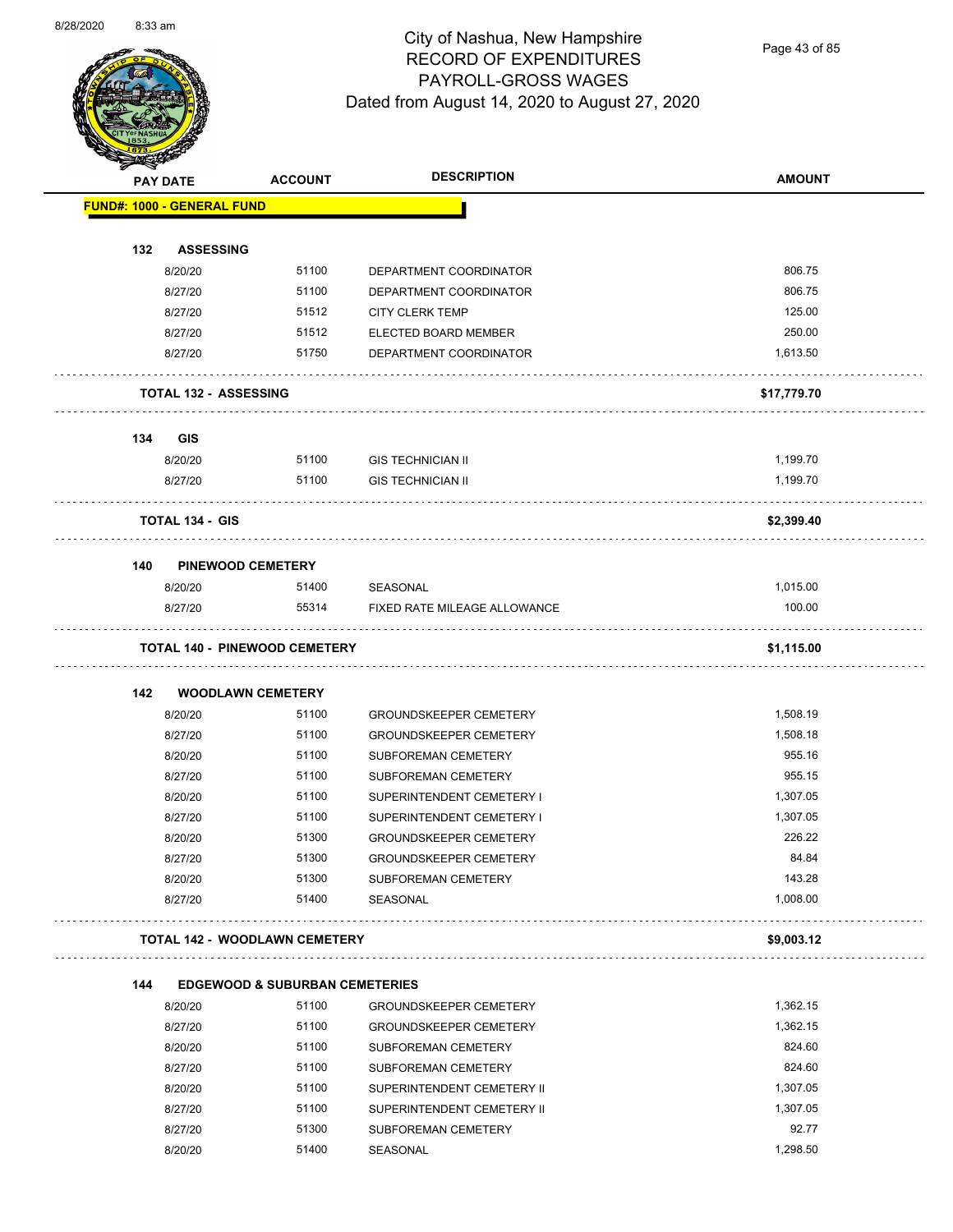

Page 43 of 85

| $\blacktriangleleft$ . | <b>PAY DATE</b>                   | <b>ACCOUNT</b>                            | <b>DESCRIPTION</b>                                     | <b>AMOUNT</b>      |
|------------------------|-----------------------------------|-------------------------------------------|--------------------------------------------------------|--------------------|
|                        | <b>FUND#: 1000 - GENERAL FUND</b> |                                           |                                                        |                    |
| 132                    | <b>ASSESSING</b>                  |                                           |                                                        |                    |
|                        | 8/20/20                           | 51100                                     | DEPARTMENT COORDINATOR                                 | 806.75             |
|                        | 8/27/20                           | 51100                                     | DEPARTMENT COORDINATOR                                 | 806.75             |
|                        | 8/27/20                           | 51512                                     | <b>CITY CLERK TEMP</b>                                 | 125.00             |
|                        | 8/27/20                           | 51512                                     | ELECTED BOARD MEMBER                                   | 250.00             |
|                        | 8/27/20                           | 51750                                     | DEPARTMENT COORDINATOR                                 | 1,613.50           |
|                        |                                   |                                           |                                                        |                    |
|                        | <b>TOTAL 132 - ASSESSING</b>      |                                           |                                                        | \$17,779.70        |
| 134                    | GIS                               |                                           |                                                        |                    |
|                        | 8/20/20                           | 51100                                     | <b>GIS TECHNICIAN II</b>                               | 1,199.70           |
|                        | 8/27/20                           | 51100                                     | <b>GIS TECHNICIAN II</b>                               | 1,199.70           |
|                        | <b>TOTAL 134 - GIS</b>            |                                           |                                                        | \$2,399.40         |
| 140                    | <b>PINEWOOD CEMETERY</b>          |                                           |                                                        |                    |
|                        | 8/20/20                           | 51400                                     | SEASONAL                                               | 1,015.00           |
|                        | 8/27/20                           | 55314                                     | FIXED RATE MILEAGE ALLOWANCE                           | 100.00             |
|                        |                                   | <b>TOTAL 140 - PINEWOOD CEMETERY</b>      |                                                        | \$1,115.00         |
|                        |                                   |                                           |                                                        |                    |
| 142                    | <b>WOODLAWN CEMETERY</b>          |                                           |                                                        |                    |
|                        | 8/20/20                           | 51100                                     | <b>GROUNDSKEEPER CEMETERY</b>                          | 1,508.19           |
|                        | 8/27/20                           | 51100                                     | <b>GROUNDSKEEPER CEMETERY</b>                          | 1,508.18<br>955.16 |
|                        | 8/20/20                           | 51100<br>51100                            | SUBFOREMAN CEMETERY                                    | 955.15             |
|                        | 8/27/20                           | 51100                                     | SUBFOREMAN CEMETERY                                    | 1,307.05           |
|                        | 8/20/20<br>8/27/20                | 51100                                     | SUPERINTENDENT CEMETERY I<br>SUPERINTENDENT CEMETERY I | 1,307.05           |
|                        | 8/20/20                           | 51300                                     | <b>GROUNDSKEEPER CEMETERY</b>                          | 226.22             |
|                        | 8/27/20                           | 51300                                     | <b>GROUNDSKEEPER CEMETERY</b>                          | 84.84              |
|                        | 8/20/20                           | 51300                                     | SUBFOREMAN CEMETERY                                    | 143.28             |
|                        | 8/27/20                           | 51400                                     | SEASONAL                                               | 1,008.00           |
|                        |                                   | <b>TOTAL 142 - WOODLAWN CEMETERY</b>      |                                                        | \$9,003.12         |
|                        |                                   |                                           |                                                        |                    |
| 144                    |                                   | <b>EDGEWOOD &amp; SUBURBAN CEMETERIES</b> |                                                        |                    |
|                        | 8/20/20                           | 51100                                     | <b>GROUNDSKEEPER CEMETERY</b>                          | 1,362.15           |
|                        | 8/27/20                           | 51100                                     | <b>GROUNDSKEEPER CEMETERY</b>                          | 1,362.15           |
|                        | 8/20/20                           | 51100                                     | SUBFOREMAN CEMETERY                                    | 824.60             |
|                        | 8/27/20                           | 51100                                     | SUBFOREMAN CEMETERY                                    | 824.60             |
|                        | 8/20/20                           | 51100                                     | SUPERINTENDENT CEMETERY II                             | 1,307.05           |
|                        | 8/27/20                           | 51100                                     | SUPERINTENDENT CEMETERY II                             | 1,307.05           |
|                        | 8/27/20                           | 51300                                     | SUBFOREMAN CEMETERY                                    | 92.77              |
|                        | 8/20/20                           | 51400                                     | SEASONAL                                               | 1,298.50           |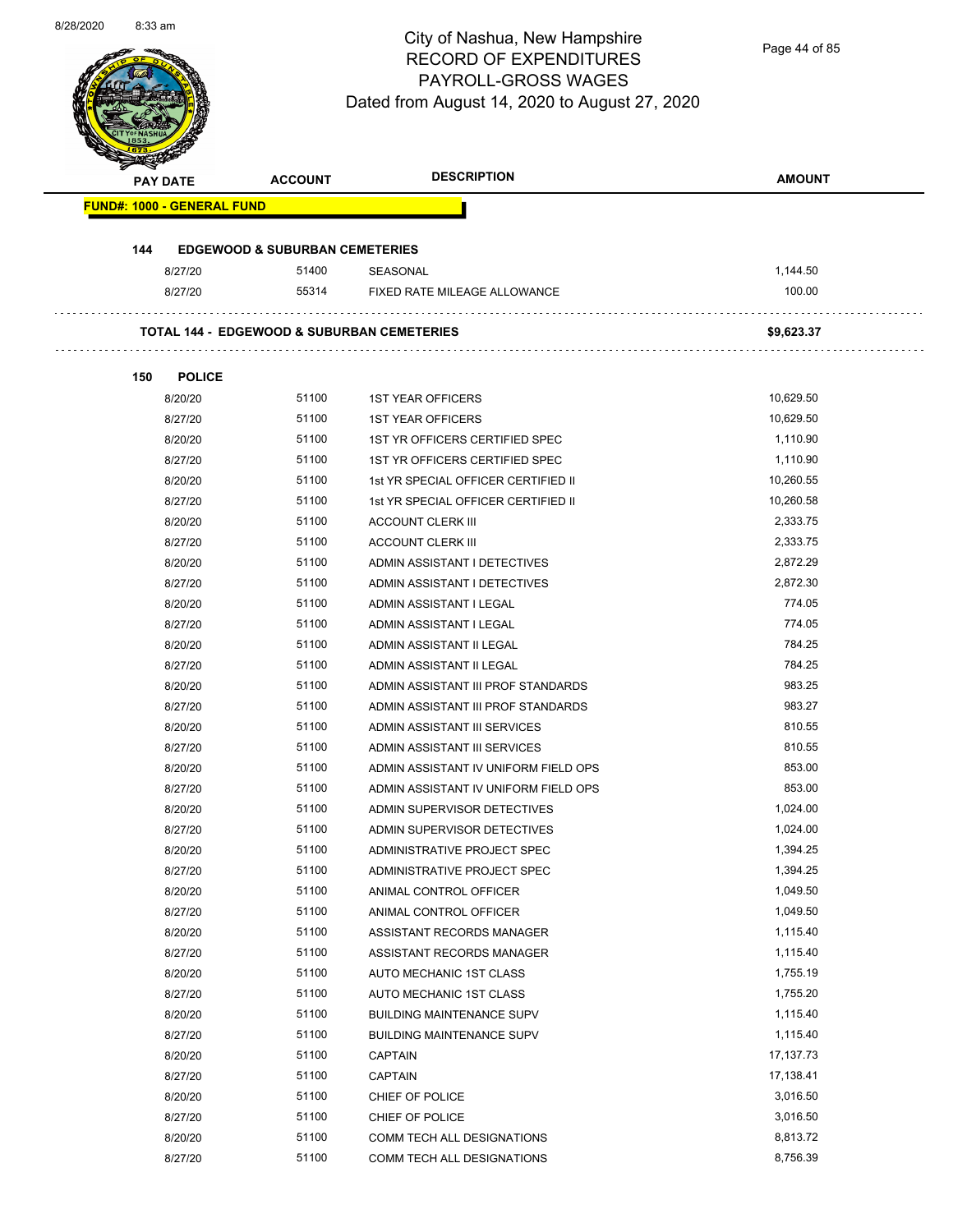Page 44 of 85

| <b>PAY DATE</b>                   | <b>ACCOUNT</b>                                        | <b>DESCRIPTION</b>                   | <b>AMOUNT</b> |
|-----------------------------------|-------------------------------------------------------|--------------------------------------|---------------|
| <b>FUND#: 1000 - GENERAL FUND</b> |                                                       |                                      |               |
| 144                               | <b>EDGEWOOD &amp; SUBURBAN CEMETERIES</b>             |                                      |               |
| 8/27/20                           | 51400                                                 | SEASONAL                             | 1,144.50      |
| 8/27/20                           | 55314                                                 | FIXED RATE MILEAGE ALLOWANCE         | 100.00        |
|                                   | <b>TOTAL 144 - EDGEWOOD &amp; SUBURBAN CEMETERIES</b> |                                      | \$9,623.37    |
| <b>POLICE</b><br>150              |                                                       |                                      |               |
| 8/20/20                           | 51100                                                 | <b>1ST YEAR OFFICERS</b>             | 10,629.50     |
| 8/27/20                           | 51100                                                 | <b>1ST YEAR OFFICERS</b>             | 10,629.50     |
| 8/20/20                           | 51100                                                 | 1ST YR OFFICERS CERTIFIED SPEC       | 1,110.90      |
| 8/27/20                           | 51100                                                 | 1ST YR OFFICERS CERTIFIED SPEC       | 1,110.90      |
| 8/20/20                           | 51100                                                 | 1st YR SPECIAL OFFICER CERTIFIED II  | 10,260.55     |
| 8/27/20                           | 51100                                                 | 1st YR SPECIAL OFFICER CERTIFIED II  | 10,260.58     |
| 8/20/20                           | 51100                                                 | <b>ACCOUNT CLERK III</b>             | 2,333.75      |
| 8/27/20                           | 51100                                                 | <b>ACCOUNT CLERK III</b>             | 2,333.75      |
| 8/20/20                           | 51100                                                 | ADMIN ASSISTANT I DETECTIVES         | 2,872.29      |
| 8/27/20                           | 51100                                                 | ADMIN ASSISTANT I DETECTIVES         | 2,872.30      |
| 8/20/20                           | 51100                                                 | ADMIN ASSISTANT I LEGAL              | 774.05        |
| 8/27/20                           | 51100                                                 | ADMIN ASSISTANT I LEGAL              | 774.05        |
| 8/20/20                           | 51100                                                 | ADMIN ASSISTANT II LEGAL             | 784.25        |
| 8/27/20                           | 51100                                                 | ADMIN ASSISTANT II LEGAL             | 784.25        |
| 8/20/20                           | 51100                                                 | ADMIN ASSISTANT III PROF STANDARDS   | 983.25        |
| 8/27/20                           | 51100                                                 | ADMIN ASSISTANT III PROF STANDARDS   | 983.27        |
| 8/20/20                           | 51100                                                 | ADMIN ASSISTANT III SERVICES         | 810.55        |
| 8/27/20                           | 51100                                                 | ADMIN ASSISTANT III SERVICES         | 810.55        |
| 8/20/20                           | 51100                                                 | ADMIN ASSISTANT IV UNIFORM FIELD OPS | 853.00        |
| 8/27/20                           | 51100                                                 | ADMIN ASSISTANT IV UNIFORM FIELD OPS | 853.00        |
| 8/20/20                           | 51100                                                 | ADMIN SUPERVISOR DETECTIVES          | 1,024.00      |
| 8/27/20                           | 51100                                                 | ADMIN SUPERVISOR DETECTIVES          | 1,024.00      |
| 8/20/20                           | 51100                                                 | ADMINISTRATIVE PROJECT SPEC          | 1,394.25      |
| 8/27/20                           | 51100                                                 | ADMINISTRATIVE PROJECT SPEC          | 1,394.25      |
| 8/20/20                           | 51100                                                 | ANIMAL CONTROL OFFICER               | 1,049.50      |
| 8/27/20                           | 51100                                                 | ANIMAL CONTROL OFFICER               | 1,049.50      |
| 8/20/20                           | 51100                                                 | ASSISTANT RECORDS MANAGER            | 1,115.40      |
| 8/27/20                           | 51100                                                 | ASSISTANT RECORDS MANAGER            | 1,115.40      |
| 8/20/20                           | 51100                                                 | AUTO MECHANIC 1ST CLASS              | 1,755.19      |
| 8/27/20                           | 51100                                                 | AUTO MECHANIC 1ST CLASS              | 1,755.20      |
| 8/20/20                           | 51100                                                 | <b>BUILDING MAINTENANCE SUPV</b>     | 1,115.40      |
| 8/27/20                           | 51100                                                 | <b>BUILDING MAINTENANCE SUPV</b>     | 1,115.40      |
| 8/20/20                           | 51100                                                 | <b>CAPTAIN</b>                       | 17,137.73     |
| 8/27/20                           | 51100                                                 | <b>CAPTAIN</b>                       | 17,138.41     |
| 8/20/20                           | 51100                                                 | CHIEF OF POLICE                      | 3,016.50      |
| 8/27/20                           | 51100                                                 | CHIEF OF POLICE                      | 3,016.50      |
| 8/20/20                           | 51100                                                 | COMM TECH ALL DESIGNATIONS           | 8,813.72      |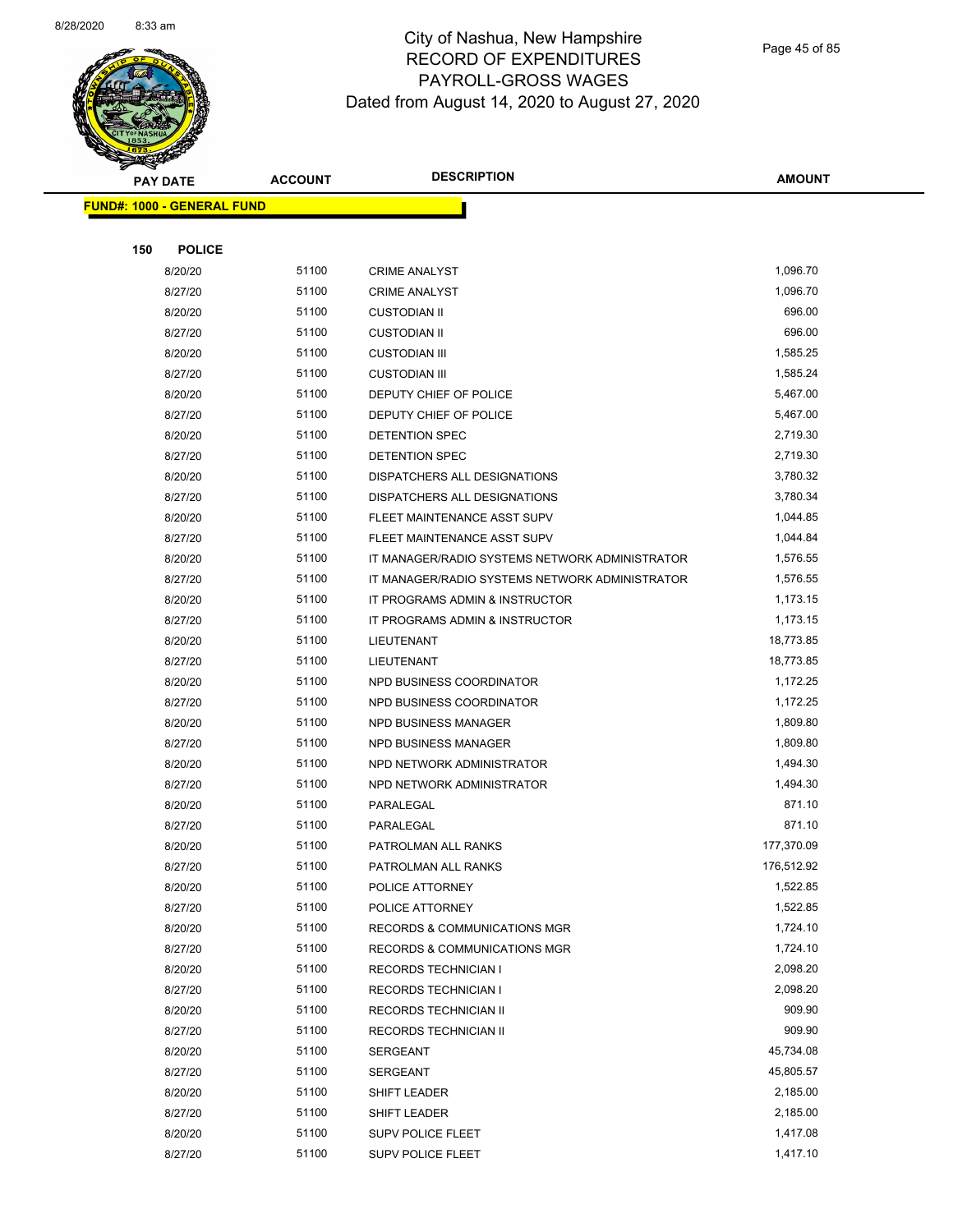

Page 45 of 85

|     | <b>PAY DATE</b>                   | <b>ACCOUNT</b> | <b>DESCRIPTION</b>                             | <b>AMOUNT</b> |
|-----|-----------------------------------|----------------|------------------------------------------------|---------------|
|     | <b>FUND#: 1000 - GENERAL FUND</b> |                |                                                |               |
|     |                                   |                |                                                |               |
| 150 | <b>POLICE</b>                     |                |                                                |               |
|     | 8/20/20                           | 51100          | <b>CRIME ANALYST</b>                           | 1,096.70      |
|     | 8/27/20                           | 51100          | <b>CRIME ANALYST</b>                           | 1,096.70      |
|     | 8/20/20                           | 51100          | <b>CUSTODIAN II</b>                            | 696.00        |
|     | 8/27/20                           | 51100          | <b>CUSTODIAN II</b>                            | 696.00        |
|     | 8/20/20                           | 51100          | <b>CUSTODIAN III</b>                           | 1,585.25      |
|     | 8/27/20                           | 51100          | <b>CUSTODIAN III</b>                           | 1,585.24      |
|     | 8/20/20                           | 51100          | DEPUTY CHIEF OF POLICE                         | 5,467.00      |
|     | 8/27/20                           | 51100          | DEPUTY CHIEF OF POLICE                         | 5,467.00      |
|     | 8/20/20                           | 51100          | DETENTION SPEC                                 | 2,719.30      |
|     | 8/27/20                           | 51100          | <b>DETENTION SPEC</b>                          | 2,719.30      |
|     | 8/20/20                           | 51100          | DISPATCHERS ALL DESIGNATIONS                   | 3,780.32      |
|     | 8/27/20                           | 51100          | DISPATCHERS ALL DESIGNATIONS                   | 3,780.34      |
|     | 8/20/20                           | 51100          | FLEET MAINTENANCE ASST SUPV                    | 1,044.85      |
|     | 8/27/20                           | 51100          | FLEET MAINTENANCE ASST SUPV                    | 1,044.84      |
|     | 8/20/20                           | 51100          | IT MANAGER/RADIO SYSTEMS NETWORK ADMINISTRATOR | 1,576.55      |
|     | 8/27/20                           | 51100          | IT MANAGER/RADIO SYSTEMS NETWORK ADMINISTRATOR | 1,576.55      |
|     | 8/20/20                           | 51100          | IT PROGRAMS ADMIN & INSTRUCTOR                 | 1,173.15      |
|     | 8/27/20                           | 51100          | IT PROGRAMS ADMIN & INSTRUCTOR                 | 1,173.15      |
|     | 8/20/20                           | 51100          | LIEUTENANT                                     | 18,773.85     |
|     | 8/27/20                           | 51100          | <b>LIEUTENANT</b>                              | 18,773.85     |
|     | 8/20/20                           | 51100          | NPD BUSINESS COORDINATOR                       | 1,172.25      |
|     | 8/27/20                           | 51100          | NPD BUSINESS COORDINATOR                       | 1,172.25      |
|     | 8/20/20                           | 51100          | NPD BUSINESS MANAGER                           | 1,809.80      |
|     | 8/27/20                           | 51100          | NPD BUSINESS MANAGER                           | 1,809.80      |
|     | 8/20/20                           | 51100          | NPD NETWORK ADMINISTRATOR                      | 1,494.30      |
|     | 8/27/20                           | 51100          | NPD NETWORK ADMINISTRATOR                      | 1,494.30      |
|     | 8/20/20                           | 51100          | PARALEGAL                                      | 871.10        |
|     | 8/27/20                           | 51100          | PARALEGAL                                      | 871.10        |
|     | 8/20/20                           | 51100          | PATROLMAN ALL RANKS                            | 177,370.09    |
|     | 8/27/20                           | 51100          | PATROLMAN ALL RANKS                            | 176,512.92    |
|     | 8/20/20                           | 51100          | POLICE ATTORNEY                                | 1,522.85      |
|     | 8/27/20                           | 51100          | POLICE ATTORNEY                                | 1,522.85      |
|     | 8/20/20                           | 51100          | <b>RECORDS &amp; COMMUNICATIONS MGR</b>        | 1,724.10      |
|     | 8/27/20                           | 51100          | <b>RECORDS &amp; COMMUNICATIONS MGR</b>        | 1,724.10      |
|     | 8/20/20                           | 51100          | <b>RECORDS TECHNICIAN I</b>                    | 2,098.20      |
|     | 8/27/20                           | 51100          | <b>RECORDS TECHNICIAN I</b>                    | 2,098.20      |
|     | 8/20/20                           | 51100          | RECORDS TECHNICIAN II                          | 909.90        |
|     | 8/27/20                           | 51100          | RECORDS TECHNICIAN II                          | 909.90        |
|     | 8/20/20                           | 51100          | <b>SERGEANT</b>                                | 45,734.08     |
|     | 8/27/20                           | 51100          | <b>SERGEANT</b>                                | 45,805.57     |
|     | 8/20/20                           | 51100          | SHIFT LEADER                                   | 2,185.00      |
|     | 8/27/20                           | 51100          | SHIFT LEADER                                   | 2,185.00      |
|     | 8/20/20                           | 51100          | SUPV POLICE FLEET                              | 1,417.08      |
|     | 8/27/20                           | 51100          | <b>SUPV POLICE FLEET</b>                       | 1,417.10      |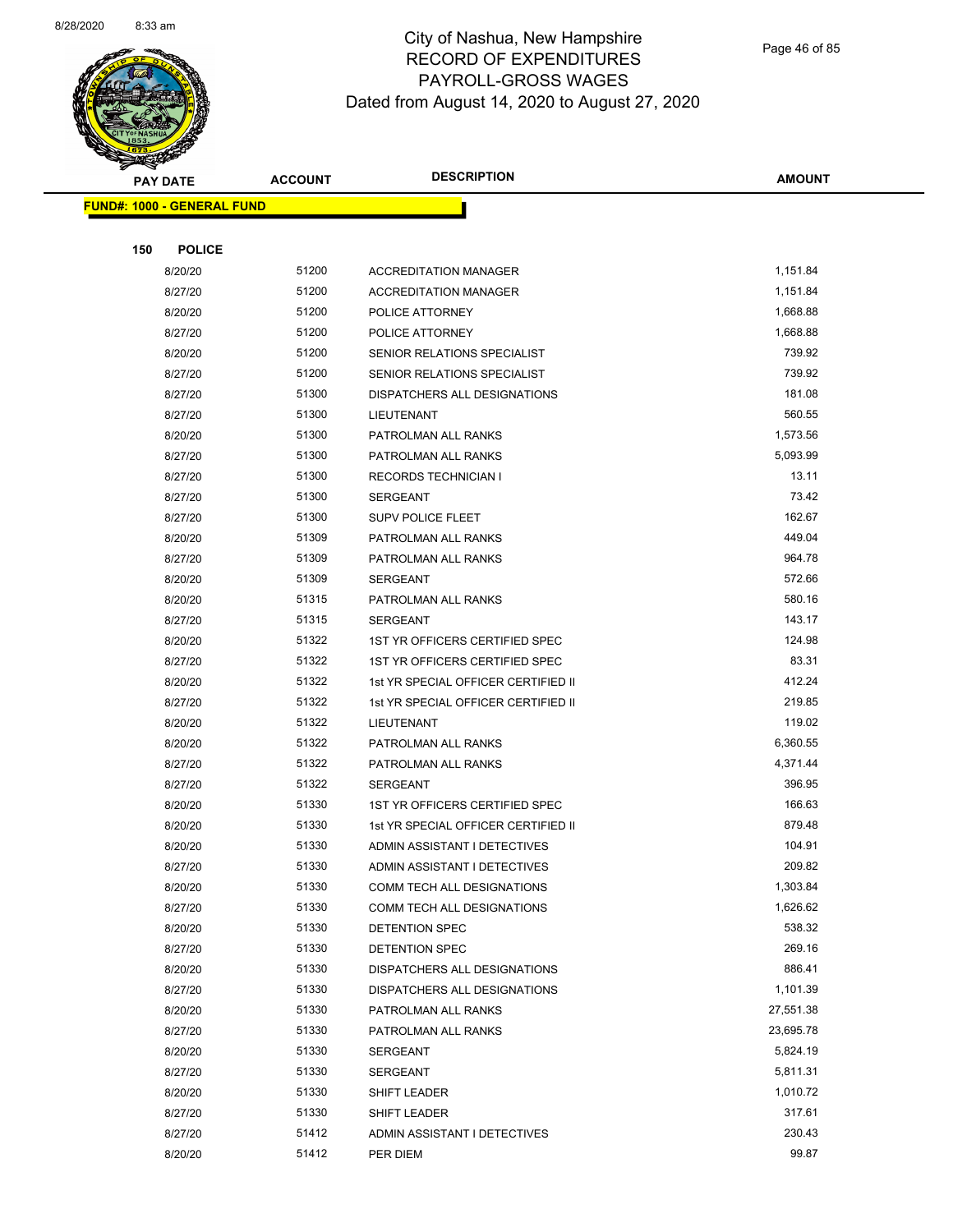

Page 46 of 85

| <b>PAY DATE</b>                   | <b>ACCOUNT</b> | <b>DESCRIPTION</b>                  | <b>AMOUNT</b>         |
|-----------------------------------|----------------|-------------------------------------|-----------------------|
| <b>FUND#: 1000 - GENERAL FUND</b> |                |                                     |                       |
|                                   |                |                                     |                       |
| 150<br><b>POLICE</b>              |                |                                     |                       |
| 8/20/20                           | 51200          | <b>ACCREDITATION MANAGER</b>        | 1,151.84              |
| 8/27/20                           | 51200          | <b>ACCREDITATION MANAGER</b>        | 1,151.84              |
| 8/20/20                           | 51200          | POLICE ATTORNEY                     | 1,668.88              |
| 8/27/20                           | 51200          | POLICE ATTORNEY                     | 1,668.88              |
| 8/20/20                           | 51200          | SENIOR RELATIONS SPECIALIST         | 739.92                |
| 8/27/20                           | 51200          | SENIOR RELATIONS SPECIALIST         | 739.92                |
| 8/27/20                           | 51300          | DISPATCHERS ALL DESIGNATIONS        | 181.08                |
| 8/27/20                           | 51300          | LIEUTENANT                          | 560.55                |
| 8/20/20                           | 51300          | PATROLMAN ALL RANKS                 | 1,573.56              |
| 8/27/20                           | 51300          | PATROLMAN ALL RANKS                 | 5,093.99              |
| 8/27/20                           | 51300          | <b>RECORDS TECHNICIAN I</b>         | 13.11                 |
| 8/27/20                           | 51300          | <b>SERGEANT</b>                     | 73.42                 |
| 8/27/20                           | 51300          | SUPV POLICE FLEET                   | 162.67                |
| 8/20/20                           | 51309          | PATROLMAN ALL RANKS                 | 449.04                |
| 8/27/20                           | 51309          | PATROLMAN ALL RANKS                 | 964.78                |
| 8/20/20                           | 51309          | <b>SERGEANT</b>                     | 572.66                |
| 8/20/20                           | 51315          | PATROLMAN ALL RANKS                 | 580.16                |
| 8/27/20                           | 51315          | <b>SERGEANT</b>                     | 143.17                |
| 8/20/20                           | 51322          | 1ST YR OFFICERS CERTIFIED SPEC      | 124.98                |
| 8/27/20                           | 51322          | 1ST YR OFFICERS CERTIFIED SPEC      | 83.31                 |
| 8/20/20                           | 51322          | 1st YR SPECIAL OFFICER CERTIFIED II | 412.24                |
| 8/27/20                           | 51322          | 1st YR SPECIAL OFFICER CERTIFIED II | 219.85                |
| 8/20/20                           | 51322          | LIEUTENANT                          | 119.02                |
| 8/20/20                           | 51322          | PATROLMAN ALL RANKS                 | 6,360.55              |
| 8/27/20                           | 51322          | PATROLMAN ALL RANKS                 | 4,371.44              |
| 8/27/20                           | 51322          | <b>SERGEANT</b>                     | 396.95                |
| 8/20/20                           | 51330          | 1ST YR OFFICERS CERTIFIED SPEC      | 166.63                |
| 8/20/20                           | 51330          | 1st YR SPECIAL OFFICER CERTIFIED II | 879.48                |
| 8/20/20                           | 51330          | ADMIN ASSISTANT I DETECTIVES        | 104.91                |
| 8/27/20                           | 51330          | ADMIN ASSISTANT I DETECTIVES        | 209.82                |
| 8/20/20                           | 51330          | COMM TECH ALL DESIGNATIONS          | 1,303.84              |
| 8/27/20                           | 51330          | COMM TECH ALL DESIGNATIONS          | 1,626.62              |
| 8/20/20                           | 51330          | DETENTION SPEC                      | 538.32                |
| 8/27/20                           | 51330          | DETENTION SPEC                      | 269.16                |
| 8/20/20                           | 51330          | DISPATCHERS ALL DESIGNATIONS        | 886.41                |
| 8/27/20                           | 51330          | DISPATCHERS ALL DESIGNATIONS        | 1,101.39<br>27,551.38 |
| 8/20/20                           | 51330          | PATROLMAN ALL RANKS                 |                       |
| 8/27/20                           | 51330          | PATROLMAN ALL RANKS                 | 23,695.78<br>5,824.19 |
| 8/20/20                           | 51330<br>51330 | SERGEANT                            | 5,811.31              |
| 8/27/20<br>8/20/20                | 51330          | SERGEANT                            | 1,010.72              |
| 8/27/20                           | 51330          | SHIFT LEADER<br>SHIFT LEADER        | 317.61                |
| 8/27/20                           | 51412          | ADMIN ASSISTANT I DETECTIVES        | 230.43                |
| 8/20/20                           | 51412          | PER DIEM                            | 99.87                 |
|                                   |                |                                     |                       |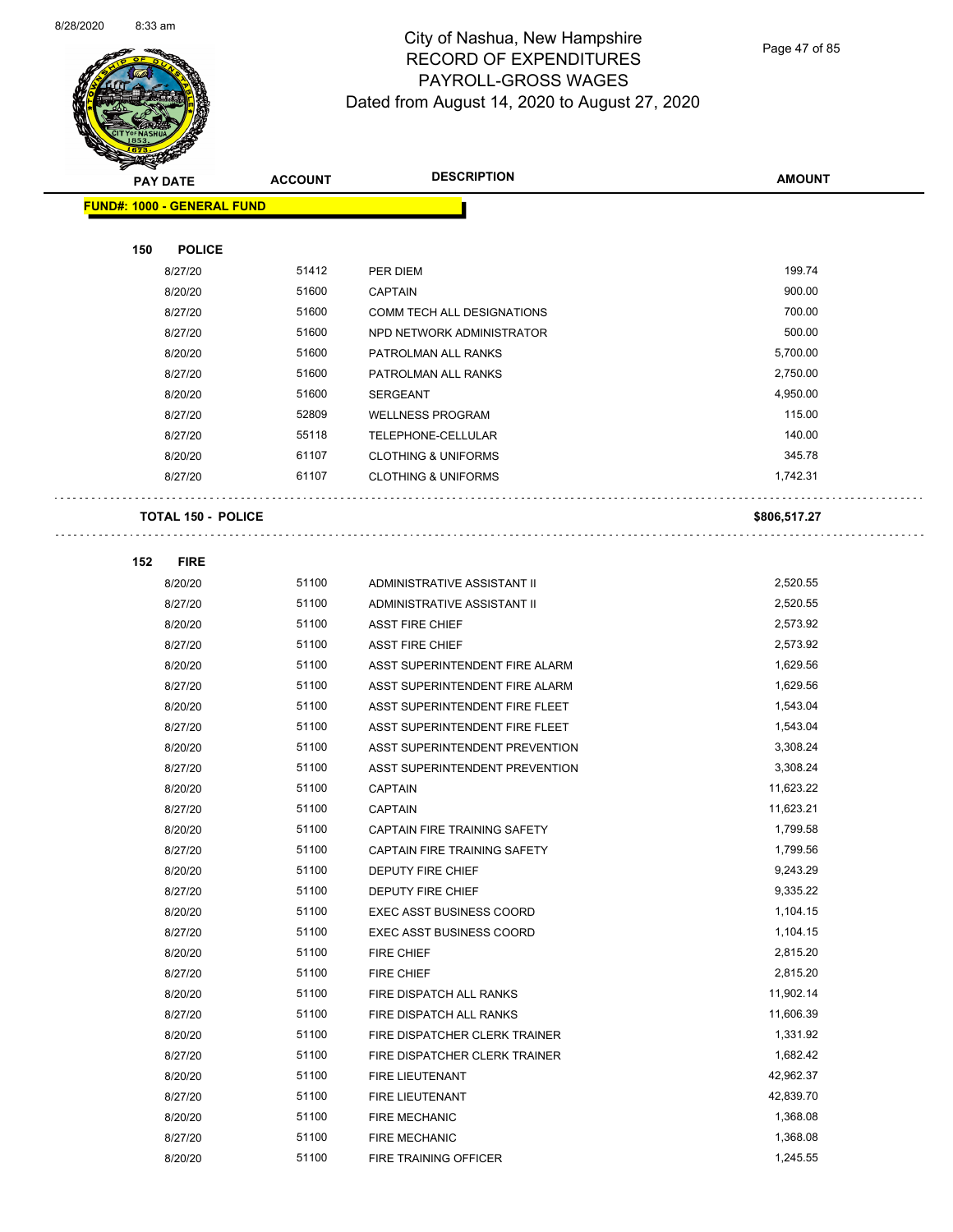

Page 47 of 85

|     | <b>PAY DATE</b>                   | <b>ACCOUNT</b> | <b>DESCRIPTION</b>                                       | <b>AMOUNT</b>        |
|-----|-----------------------------------|----------------|----------------------------------------------------------|----------------------|
|     | <b>FUND#: 1000 - GENERAL FUND</b> |                |                                                          |                      |
|     |                                   |                |                                                          |                      |
| 150 | <b>POLICE</b>                     |                |                                                          |                      |
|     | 8/27/20                           | 51412          | PER DIEM                                                 | 199.74               |
|     | 8/20/20                           | 51600          | <b>CAPTAIN</b>                                           | 900.00               |
|     | 8/27/20                           | 51600          | COMM TECH ALL DESIGNATIONS                               | 700.00               |
|     | 8/27/20                           | 51600          | NPD NETWORK ADMINISTRATOR                                | 500.00               |
|     | 8/20/20                           | 51600          | PATROLMAN ALL RANKS                                      | 5,700.00             |
|     | 8/27/20                           | 51600          | PATROLMAN ALL RANKS                                      | 2,750.00             |
|     | 8/20/20                           | 51600          | <b>SERGEANT</b>                                          | 4,950.00             |
|     | 8/27/20                           | 52809          | <b>WELLNESS PROGRAM</b>                                  | 115.00               |
|     | 8/27/20                           | 55118          | TELEPHONE-CELLULAR                                       | 140.00               |
|     | 8/20/20                           | 61107          | <b>CLOTHING &amp; UNIFORMS</b>                           | 345.78               |
|     | 8/27/20                           | 61107          | <b>CLOTHING &amp; UNIFORMS</b>                           | 1,742.31             |
|     |                                   |                |                                                          |                      |
|     | <b>TOTAL 150 - POLICE</b>         |                |                                                          | \$806,517.27         |
|     |                                   |                |                                                          |                      |
| 152 | <b>FIRE</b>                       |                |                                                          |                      |
|     | 8/20/20                           | 51100          | ADMINISTRATIVE ASSISTANT II                              | 2,520.55             |
|     | 8/27/20                           | 51100          | ADMINISTRATIVE ASSISTANT II                              | 2,520.55             |
|     | 8/20/20                           | 51100          | <b>ASST FIRE CHIEF</b>                                   | 2,573.92             |
|     | 8/27/20                           | 51100          | <b>ASST FIRE CHIEF</b>                                   | 2,573.92             |
|     | 8/20/20                           | 51100          | ASST SUPERINTENDENT FIRE ALARM                           | 1,629.56             |
|     | 8/27/20                           | 51100          | ASST SUPERINTENDENT FIRE ALARM                           | 1,629.56             |
|     | 8/20/20                           | 51100          | ASST SUPERINTENDENT FIRE FLEET                           | 1,543.04             |
|     | 8/27/20                           | 51100          | ASST SUPERINTENDENT FIRE FLEET                           | 1,543.04             |
|     | 8/20/20                           | 51100          | ASST SUPERINTENDENT PREVENTION                           | 3,308.24             |
|     | 8/27/20                           | 51100          | ASST SUPERINTENDENT PREVENTION                           | 3,308.24             |
|     | 8/20/20                           | 51100          | <b>CAPTAIN</b>                                           | 11,623.22            |
|     | 8/27/20                           | 51100          | <b>CAPTAIN</b>                                           | 11,623.21            |
|     | 8/20/20                           | 51100          | CAPTAIN FIRE TRAINING SAFETY                             | 1,799.58             |
|     | 8/27/20                           | 51100          | CAPTAIN FIRE TRAINING SAFETY                             | 1,799.56             |
|     | 8/20/20                           | 51100          | DEPUTY FIRE CHIEF                                        | 9,243.29             |
|     | 8/27/20                           | 51100          | <b>DEPUTY FIRE CHIEF</b>                                 | 9,335.22             |
|     | 8/20/20                           | 51100          | <b>EXEC ASST BUSINESS COORD</b>                          | 1,104.15             |
|     | 8/27/20                           | 51100          | <b>EXEC ASST BUSINESS COORD</b>                          | 1,104.15             |
|     | 8/20/20                           | 51100<br>51100 | FIRE CHIEF                                               | 2,815.20<br>2,815.20 |
|     | 8/27/20                           | 51100          | FIRE CHIEF                                               | 11,902.14            |
|     | 8/20/20                           | 51100          | FIRE DISPATCH ALL RANKS                                  | 11,606.39            |
|     | 8/27/20<br>8/20/20                | 51100          | FIRE DISPATCH ALL RANKS<br>FIRE DISPATCHER CLERK TRAINER | 1,331.92             |
|     | 8/27/20                           | 51100          | FIRE DISPATCHER CLERK TRAINER                            | 1,682.42             |
|     | 8/20/20                           | 51100          | FIRE LIEUTENANT                                          | 42,962.37            |
|     | 8/27/20                           | 51100          | FIRE LIEUTENANT                                          | 42,839.70            |
|     | 8/20/20                           | 51100          | <b>FIRE MECHANIC</b>                                     | 1,368.08             |
|     | 8/27/20                           | 51100          | FIRE MECHANIC                                            | 1,368.08             |
|     | 8/20/20                           | 51100          | FIRE TRAINING OFFICER                                    | 1,245.55             |
|     |                                   |                |                                                          |                      |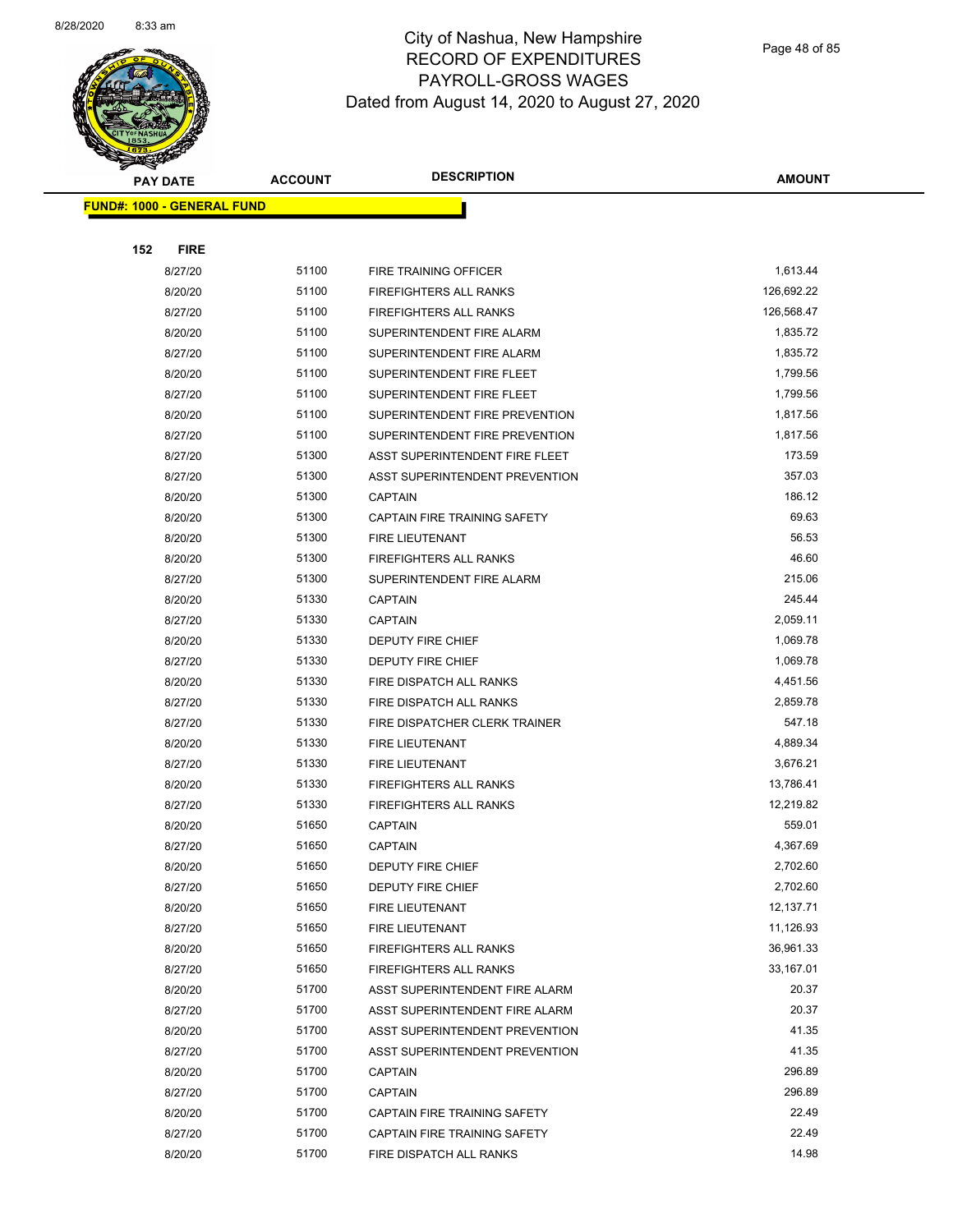

Page 48 of 85

|     | <b>PAY DATE</b>                   | <b>ACCOUNT</b> | <b>DESCRIPTION</b>                                       | <b>AMOUNT</b>          |
|-----|-----------------------------------|----------------|----------------------------------------------------------|------------------------|
|     | <b>FUND#: 1000 - GENERAL FUND</b> |                |                                                          |                        |
|     |                                   |                |                                                          |                        |
| 152 | <b>FIRE</b>                       |                |                                                          |                        |
|     | 8/27/20                           | 51100          | <b>FIRE TRAINING OFFICER</b>                             | 1,613.44               |
|     | 8/20/20                           | 51100          | FIREFIGHTERS ALL RANKS                                   | 126,692.22             |
|     | 8/27/20                           | 51100          | FIREFIGHTERS ALL RANKS                                   | 126,568.47             |
|     | 8/20/20                           | 51100          | SUPERINTENDENT FIRE ALARM                                | 1,835.72               |
|     | 8/27/20                           | 51100          | SUPERINTENDENT FIRE ALARM                                | 1,835.72               |
|     | 8/20/20                           | 51100          | SUPERINTENDENT FIRE FLEET                                | 1,799.56               |
|     | 8/27/20                           | 51100          | SUPERINTENDENT FIRE FLEET                                | 1,799.56               |
|     | 8/20/20                           | 51100          | SUPERINTENDENT FIRE PREVENTION                           | 1,817.56               |
|     | 8/27/20                           | 51100          | SUPERINTENDENT FIRE PREVENTION                           | 1,817.56               |
|     | 8/27/20                           | 51300          | ASST SUPERINTENDENT FIRE FLEET                           | 173.59                 |
|     | 8/27/20                           | 51300          | ASST SUPERINTENDENT PREVENTION                           | 357.03                 |
|     | 8/20/20                           | 51300          | <b>CAPTAIN</b>                                           | 186.12                 |
|     | 8/20/20                           | 51300          | CAPTAIN FIRE TRAINING SAFETY                             | 69.63                  |
|     | 8/20/20                           | 51300          | FIRE LIEUTENANT                                          | 56.53                  |
|     | 8/20/20                           | 51300          | <b>FIREFIGHTERS ALL RANKS</b>                            | 46.60                  |
|     | 8/27/20                           | 51300          | SUPERINTENDENT FIRE ALARM                                | 215.06                 |
|     | 8/20/20                           | 51330          | <b>CAPTAIN</b>                                           | 245.44                 |
|     | 8/27/20                           | 51330          | CAPTAIN                                                  | 2,059.11               |
|     | 8/20/20                           | 51330          | DEPUTY FIRE CHIEF                                        | 1,069.78               |
|     | 8/27/20                           | 51330          | DEPUTY FIRE CHIEF                                        | 1,069.78               |
|     | 8/20/20                           | 51330          | FIRE DISPATCH ALL RANKS                                  | 4,451.56               |
|     | 8/27/20                           | 51330          | FIRE DISPATCH ALL RANKS                                  | 2,859.78               |
|     | 8/27/20                           | 51330          | FIRE DISPATCHER CLERK TRAINER                            | 547.18                 |
|     | 8/20/20                           | 51330          | FIRE LIEUTENANT                                          | 4,889.34               |
|     | 8/27/20                           | 51330          | FIRE LIEUTENANT                                          | 3,676.21               |
|     | 8/20/20                           | 51330          | <b>FIREFIGHTERS ALL RANKS</b>                            | 13,786.41              |
|     | 8/27/20                           | 51330          | <b>FIREFIGHTERS ALL RANKS</b>                            | 12,219.82              |
|     | 8/20/20                           | 51650          | CAPTAIN                                                  | 559.01                 |
|     | 8/27/20                           | 51650          | <b>CAPTAIN</b>                                           | 4,367.69               |
|     | 8/20/20                           | 51650          | DEPUTY FIRE CHIEF                                        | 2,702.60               |
|     | 8/27/20                           | 51650          | DEPUTY FIRE CHIEF                                        | 2,702.60<br>12,137.71  |
|     | 8/20/20                           | 51650          | <b>FIRE LIEUTENANT</b>                                   |                        |
|     | 8/27/20                           | 51650          | FIRE LIEUTENANT<br><b>FIREFIGHTERS ALL RANKS</b>         | 11,126.93<br>36,961.33 |
|     | 8/20/20                           | 51650<br>51650 |                                                          | 33,167.01              |
|     | 8/27/20<br>8/20/20                | 51700          | FIREFIGHTERS ALL RANKS<br>ASST SUPERINTENDENT FIRE ALARM | 20.37                  |
|     | 8/27/20                           | 51700          | ASST SUPERINTENDENT FIRE ALARM                           | 20.37                  |
|     | 8/20/20                           | 51700          | ASST SUPERINTENDENT PREVENTION                           | 41.35                  |
|     | 8/27/20                           | 51700          | ASST SUPERINTENDENT PREVENTION                           | 41.35                  |
|     | 8/20/20                           | 51700          | <b>CAPTAIN</b>                                           | 296.89                 |
|     | 8/27/20                           | 51700          | <b>CAPTAIN</b>                                           | 296.89                 |
|     | 8/20/20                           | 51700          | CAPTAIN FIRE TRAINING SAFETY                             | 22.49                  |
|     | 8/27/20                           | 51700          | CAPTAIN FIRE TRAINING SAFETY                             | 22.49                  |
|     | 8/20/20                           | 51700          | FIRE DISPATCH ALL RANKS                                  | 14.98                  |
|     |                                   |                |                                                          |                        |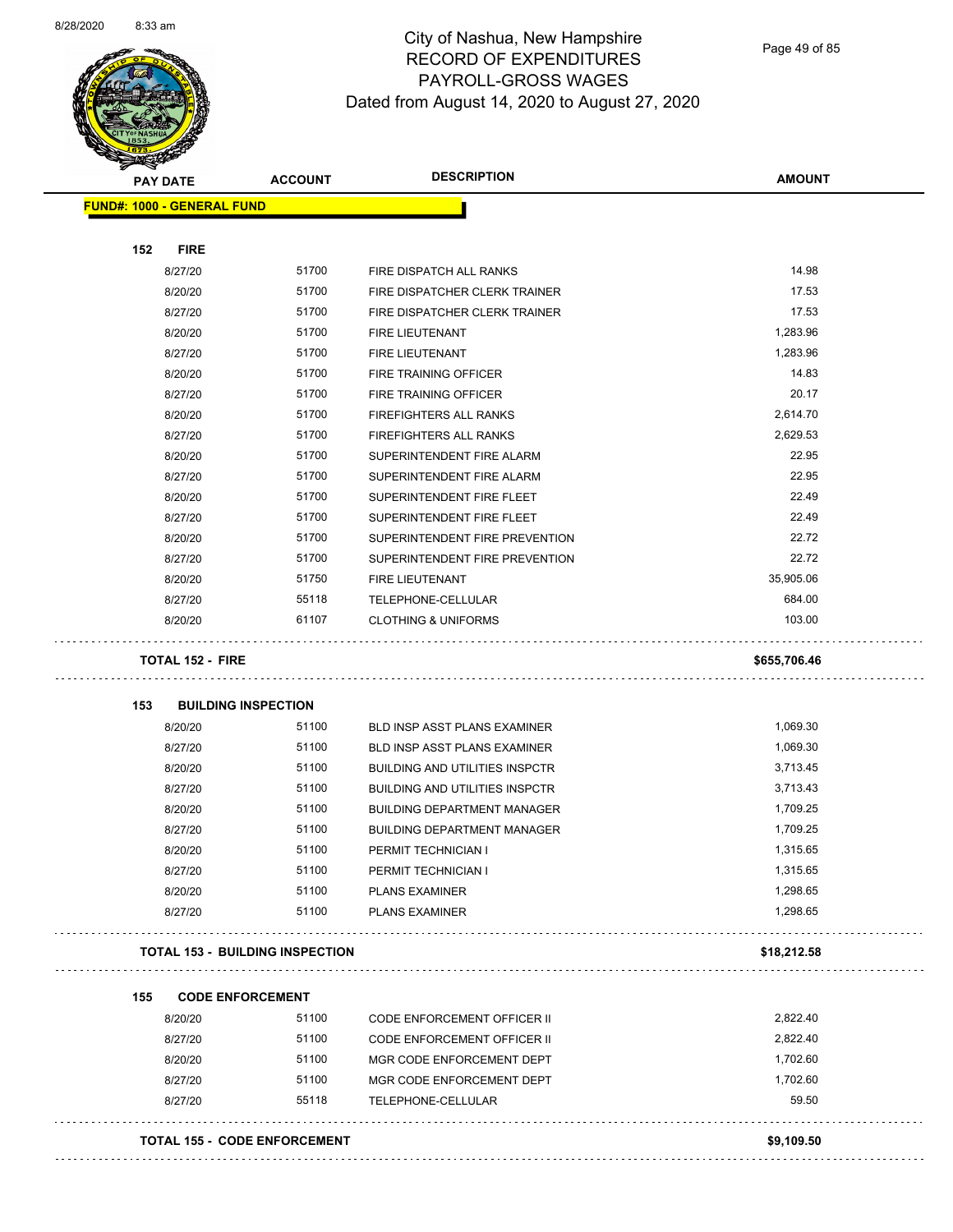

Page 49 of 85

| <b>PAY DATE</b>                 | <b>ACCOUNT</b>                      | <b>DESCRIPTION</b>                    | <b>AMOUNT</b> |
|---------------------------------|-------------------------------------|---------------------------------------|---------------|
| FUND#: 1000 - GENERAL FUND      |                                     |                                       |               |
| 152<br><b>FIRE</b>              |                                     |                                       |               |
| 8/27/20                         | 51700                               | FIRE DISPATCH ALL RANKS               | 14.98         |
| 8/20/20                         | 51700                               | FIRE DISPATCHER CLERK TRAINER         | 17.53         |
| 8/27/20                         | 51700                               | FIRE DISPATCHER CLERK TRAINER         | 17.53         |
| 8/20/20                         | 51700                               | <b>FIRE LIEUTENANT</b>                | 1,283.96      |
| 8/27/20                         | 51700                               | <b>FIRE LIEUTENANT</b>                | 1,283.96      |
| 8/20/20                         | 51700                               | FIRE TRAINING OFFICER                 | 14.83         |
| 8/27/20                         | 51700                               | FIRE TRAINING OFFICER                 | 20.17         |
| 8/20/20                         | 51700                               | FIREFIGHTERS ALL RANKS                | 2,614.70      |
| 8/27/20                         | 51700                               | <b>FIREFIGHTERS ALL RANKS</b>         | 2,629.53      |
| 8/20/20                         | 51700                               | SUPERINTENDENT FIRE ALARM             | 22.95         |
| 8/27/20                         | 51700                               | SUPERINTENDENT FIRE ALARM             | 22.95         |
| 8/20/20                         | 51700                               | SUPERINTENDENT FIRE FLEET             | 22.49         |
| 8/27/20                         | 51700                               | SUPERINTENDENT FIRE FLEET             | 22.49         |
| 8/20/20                         | 51700                               | SUPERINTENDENT FIRE PREVENTION        | 22.72         |
| 8/27/20                         | 51700                               | SUPERINTENDENT FIRE PREVENTION        | 22.72         |
| 8/20/20                         | 51750                               | <b>FIRE LIEUTENANT</b>                | 35,905.06     |
| 8/27/20                         | 55118                               | TELEPHONE-CELLULAR                    | 684.00        |
| 8/20/20                         | 61107                               | <b>CLOTHING &amp; UNIFORMS</b>        | 103.00        |
| TOTAL 152 - FIRE                |                                     |                                       | \$655,706.46  |
| 153                             | <b>BUILDING INSPECTION</b>          |                                       |               |
| 8/20/20                         | 51100                               | BLD INSP ASST PLANS EXAMINER          | 1,069.30      |
| 8/27/20                         | 51100                               | <b>BLD INSP ASST PLANS EXAMINER</b>   | 1,069.30      |
| 8/20/20                         | 51100                               | <b>BUILDING AND UTILITIES INSPCTR</b> | 3,713.45      |
| 8/27/20                         | 51100                               | <b>BUILDING AND UTILITIES INSPCTR</b> | 3,713.43      |
| 8/20/20                         | 51100                               | <b>BUILDING DEPARTMENT MANAGER</b>    | 1,709.25      |
| 8/27/20                         | 51100                               | <b>BUILDING DEPARTMENT MANAGER</b>    | 1,709.25      |
| 8/20/20                         | 51100                               | PERMIT TECHNICIAN I                   | 1,315.65      |
| 8/27/20                         | 51100                               | PERMIT TECHNICIAN I                   | 1,315.65      |
| 8/20/20                         | 51100                               | <b>PLANS EXAMINER</b>                 | 1,298.65      |
| 8/27/20                         | 51100                               | <b>PLANS EXAMINER</b>                 | 1,298.65      |
| TOTAL 153 - BUILDING INSPECTION |                                     |                                       | \$18,212.58   |
| 155<br><b>CODE ENFORCEMENT</b>  |                                     |                                       |               |
| 8/20/20                         | 51100                               | CODE ENFORCEMENT OFFICER II           | 2,822.40      |
| 8/27/20                         | 51100                               | CODE ENFORCEMENT OFFICER II           | 2,822.40      |
| 8/20/20                         | 51100                               | MGR CODE ENFORCEMENT DEPT             | 1,702.60      |
| 8/27/20                         | 51100                               | MGR CODE ENFORCEMENT DEPT             | 1,702.60      |
| 8/27/20                         | 55118                               | TELEPHONE-CELLULAR                    | 59.50         |
|                                 | <b>TOTAL 155 - CODE ENFORCEMENT</b> |                                       | \$9,109.50    |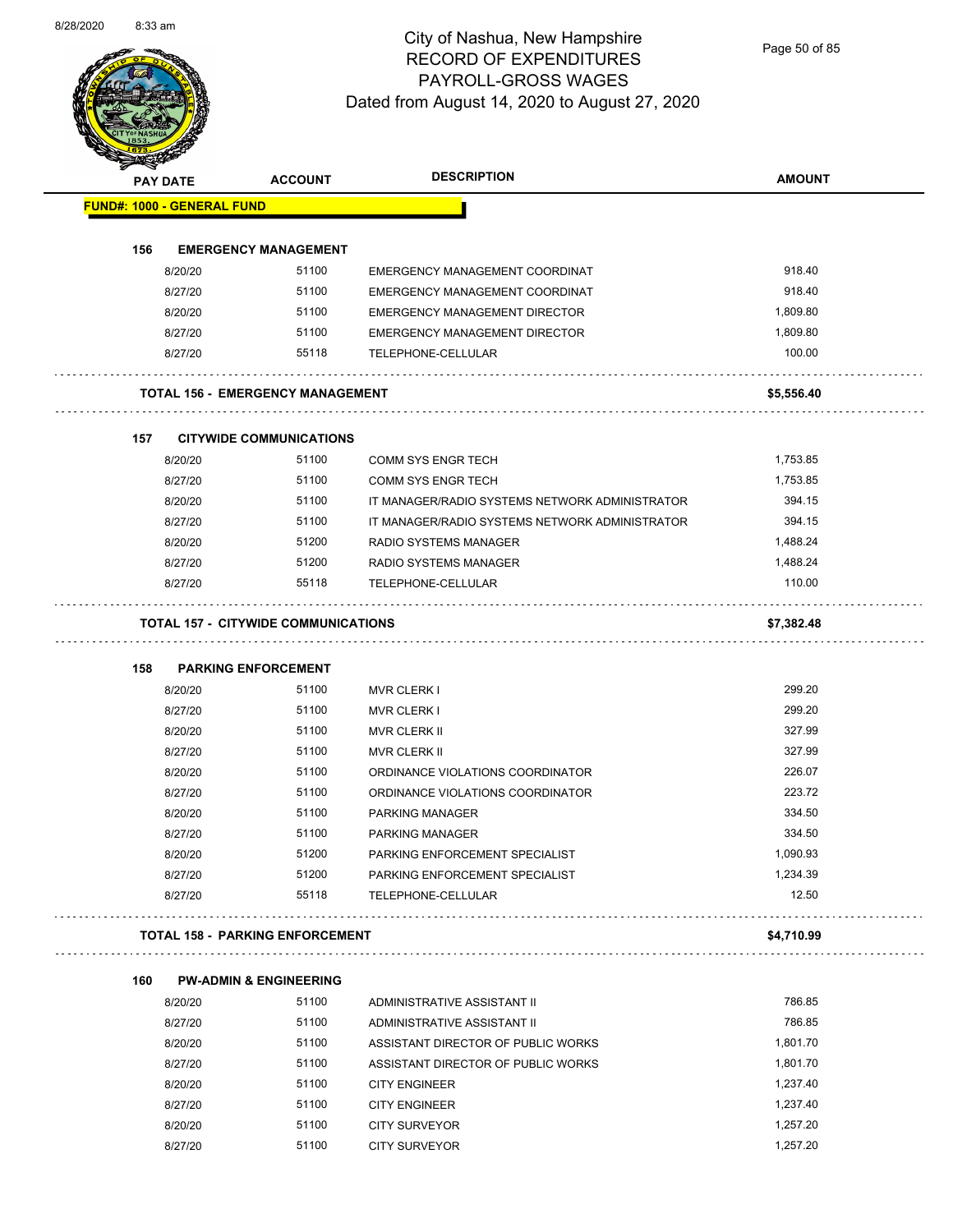Page 50 of 85

|     | <b>PAY DATE</b>    | <b>ACCOUNT</b>                             | <b>DESCRIPTION</b>                                         | <b>AMOUNT</b>        |
|-----|--------------------|--------------------------------------------|------------------------------------------------------------|----------------------|
|     |                    | <b>FUND#: 1000 - GENERAL FUND</b>          |                                                            |                      |
|     |                    |                                            |                                                            |                      |
| 156 |                    | <b>EMERGENCY MANAGEMENT</b>                |                                                            |                      |
|     | 8/20/20            | 51100                                      | EMERGENCY MANAGEMENT COORDINAT                             | 918.40               |
|     | 8/27/20            | 51100                                      | EMERGENCY MANAGEMENT COORDINAT                             | 918.40               |
|     | 8/20/20            | 51100                                      | EMERGENCY MANAGEMENT DIRECTOR                              | 1,809.80             |
|     | 8/27/20            | 51100                                      | EMERGENCY MANAGEMENT DIRECTOR                              | 1,809.80             |
|     | 8/27/20            | 55118                                      | TELEPHONE-CELLULAR                                         | 100.00               |
|     |                    | <b>TOTAL 156 - EMERGENCY MANAGEMENT</b>    |                                                            | \$5,556.40           |
| 157 |                    | <b>CITYWIDE COMMUNICATIONS</b>             |                                                            |                      |
|     | 8/20/20            | 51100                                      | <b>COMM SYS ENGR TECH</b>                                  | 1,753.85             |
|     | 8/27/20            | 51100                                      | <b>COMM SYS ENGR TECH</b>                                  | 1,753.85             |
|     | 8/20/20            | 51100                                      | IT MANAGER/RADIO SYSTEMS NETWORK ADMINISTRATOR             | 394.15               |
|     | 8/27/20            | 51100                                      | IT MANAGER/RADIO SYSTEMS NETWORK ADMINISTRATOR             | 394.15               |
|     | 8/20/20            | 51200                                      | RADIO SYSTEMS MANAGER                                      | 1,488.24             |
|     | 8/27/20            | 51200                                      | <b>RADIO SYSTEMS MANAGER</b>                               | 1,488.24             |
|     | 8/27/20            | 55118                                      | TELEPHONE-CELLULAR                                         | 110.00               |
|     |                    | <b>TOTAL 157 - CITYWIDE COMMUNICATIONS</b> |                                                            | \$7,382.48           |
| 158 |                    | <b>PARKING ENFORCEMENT</b>                 |                                                            |                      |
|     | 8/20/20            | 51100                                      | <b>MVR CLERK I</b>                                         | 299.20               |
|     | 8/27/20            | 51100                                      | <b>MVR CLERK I</b>                                         | 299.20               |
|     | 8/20/20            | 51100                                      | <b>MVR CLERK II</b>                                        | 327.99               |
|     | 8/27/20            | 51100                                      | <b>MVR CLERK II</b>                                        | 327.99               |
|     | 8/20/20            | 51100                                      | ORDINANCE VIOLATIONS COORDINATOR                           | 226.07               |
|     | 8/27/20            | 51100                                      | ORDINANCE VIOLATIONS COORDINATOR                           | 223.72               |
|     | 8/20/20            | 51100                                      | PARKING MANAGER                                            | 334.50               |
|     | 8/27/20            | 51100                                      | PARKING MANAGER                                            | 334.50               |
|     | 8/20/20            | 51200                                      | PARKING ENFORCEMENT SPECIALIST                             | 1,090.93             |
|     | 8/27/20            | 51200                                      | PARKING ENFORCEMENT SPECIALIST                             | 1,234.39             |
|     | 8/27/20            | 55118                                      | TELEPHONE-CELLULAR                                         | 12.50                |
|     |                    | <b>TOTAL 158 - PARKING ENFORCEMENT</b>     |                                                            | \$4,710.99           |
|     |                    |                                            |                                                            |                      |
| 160 |                    | <b>PW-ADMIN &amp; ENGINEERING</b><br>51100 |                                                            | 786.85               |
|     | 8/20/20<br>8/27/20 | 51100                                      | ADMINISTRATIVE ASSISTANT II<br>ADMINISTRATIVE ASSISTANT II | 786.85               |
|     |                    |                                            |                                                            |                      |
|     | 8/20/20<br>8/27/20 | 51100                                      | ASSISTANT DIRECTOR OF PUBLIC WORKS                         | 1,801.70             |
|     |                    | 51100                                      | ASSISTANT DIRECTOR OF PUBLIC WORKS                         | 1,801.70             |
|     |                    |                                            |                                                            |                      |
|     | 8/20/20            | 51100                                      | <b>CITY ENGINEER</b>                                       | 1,237.40             |
|     | 8/27/20<br>8/20/20 | 51100<br>51100                             | <b>CITY ENGINEER</b><br><b>CITY SURVEYOR</b>               | 1,237.40<br>1,257.20 |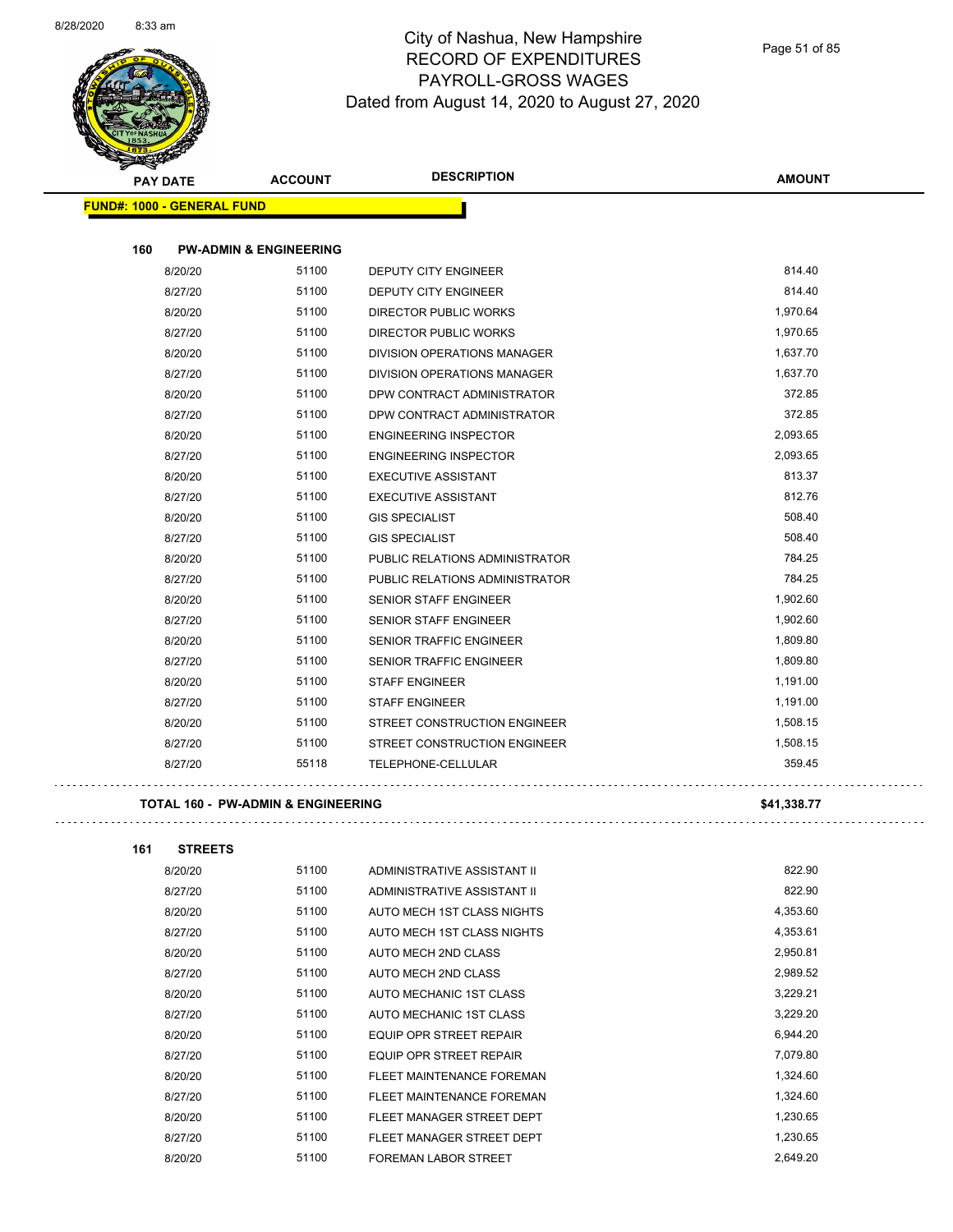

| <b>Support Contract Contract Contract Contract Contract Contract Contract Contract Contract Contract Contract Contract Contract Contract Contract Contract Contract Contract Contract Contract Contract Contract Contract Contra</b> |                                   |                                    |               |
|--------------------------------------------------------------------------------------------------------------------------------------------------------------------------------------------------------------------------------------|-----------------------------------|------------------------------------|---------------|
| <b>PAY DATE</b>                                                                                                                                                                                                                      | <b>ACCOUNT</b>                    | <b>DESCRIPTION</b>                 | <b>AMOUNT</b> |
| <b>FUND#: 1000 - GENERAL FUND</b>                                                                                                                                                                                                    |                                   |                                    |               |
|                                                                                                                                                                                                                                      |                                   |                                    |               |
| 160                                                                                                                                                                                                                                  | <b>PW-ADMIN &amp; ENGINEERING</b> |                                    |               |
| 8/20/20                                                                                                                                                                                                                              | 51100                             | <b>DEPUTY CITY ENGINEER</b>        | 814.40        |
| 8/27/20                                                                                                                                                                                                                              | 51100                             | <b>DEPUTY CITY ENGINEER</b>        | 814.40        |
| 8/20/20                                                                                                                                                                                                                              | 51100                             | <b>DIRECTOR PUBLIC WORKS</b>       | 1,970.64      |
| 8/27/20                                                                                                                                                                                                                              | 51100                             | <b>DIRECTOR PUBLIC WORKS</b>       | 1,970.65      |
| 8/20/20                                                                                                                                                                                                                              | 51100                             | DIVISION OPERATIONS MANAGER        | 1,637.70      |
| 8/27/20                                                                                                                                                                                                                              | 51100                             | <b>DIVISION OPERATIONS MANAGER</b> | 1,637.70      |
| 8/20/20                                                                                                                                                                                                                              | 51100                             | DPW CONTRACT ADMINISTRATOR         | 372.85        |
| 8/27/20                                                                                                                                                                                                                              | 51100                             | DPW CONTRACT ADMINISTRATOR         | 372.85        |
| 8/20/20                                                                                                                                                                                                                              | 51100                             | <b>ENGINEERING INSPECTOR</b>       | 2,093.65      |
| 8/27/20                                                                                                                                                                                                                              | 51100                             | <b>ENGINEERING INSPECTOR</b>       | 2,093.65      |
| 8/20/20                                                                                                                                                                                                                              | 51100                             | <b>EXECUTIVE ASSISTANT</b>         | 813.37        |
| 8/27/20                                                                                                                                                                                                                              | 51100                             | <b>EXECUTIVE ASSISTANT</b>         | 812.76        |
| 8/20/20                                                                                                                                                                                                                              | 51100                             | <b>GIS SPECIALIST</b>              | 508.40        |
| 8/27/20                                                                                                                                                                                                                              | 51100                             | <b>GIS SPECIALIST</b>              | 508.40        |
| 8/20/20                                                                                                                                                                                                                              | 51100                             | PUBLIC RELATIONS ADMINISTRATOR     | 784.25        |
| 8/27/20                                                                                                                                                                                                                              | 51100                             | PUBLIC RELATIONS ADMINISTRATOR     | 784.25        |
| 8/20/20                                                                                                                                                                                                                              | 51100                             | <b>SENIOR STAFF ENGINEER</b>       | 1,902.60      |
| 8/27/20                                                                                                                                                                                                                              | 51100                             | <b>SENIOR STAFF ENGINEER</b>       | 1,902.60      |
| 8/20/20                                                                                                                                                                                                                              | 51100                             | SENIOR TRAFFIC ENGINEER            | 1,809.80      |
| 8/27/20                                                                                                                                                                                                                              | 51100                             | <b>SENIOR TRAFFIC ENGINEER</b>     | 1,809.80      |
| 8/20/20                                                                                                                                                                                                                              | 51100                             | <b>STAFF ENGINEER</b>              | 1,191.00      |
| 8/27/20                                                                                                                                                                                                                              | 51100                             | <b>STAFF ENGINEER</b>              | 1,191.00      |
| 8/20/20                                                                                                                                                                                                                              | 51100                             | STREET CONSTRUCTION ENGINEER       | 1,508.15      |
| 8/27/20                                                                                                                                                                                                                              | 51100                             | STREET CONSTRUCTION ENGINEER       | 1,508.15      |
| 8/27/20                                                                                                                                                                                                                              | 55118                             | TELEPHONE-CELLULAR                 | 359.45        |
|                                                                                                                                                                                                                                      |                                   |                                    |               |

#### **TOTAL 160 - PW-ADMIN & ENGINEERING \$41,338.77**

| 161 | <b>STREETS</b> |       |                                |          |
|-----|----------------|-------|--------------------------------|----------|
|     | 8/20/20        | 51100 | ADMINISTRATIVE ASSISTANT II    | 822.90   |
|     | 8/27/20        | 51100 | ADMINISTRATIVE ASSISTANT II    | 822.90   |
|     | 8/20/20        | 51100 | AUTO MECH 1ST CLASS NIGHTS     | 4,353.60 |
|     | 8/27/20        | 51100 | AUTO MECH 1ST CLASS NIGHTS     | 4,353.61 |
|     | 8/20/20        | 51100 | AUTO MECH 2ND CLASS            | 2,950.81 |
|     | 8/27/20        | 51100 | AUTO MECH 2ND CLASS            | 2,989.52 |
|     | 8/20/20        | 51100 | AUTO MECHANIC 1ST CLASS        | 3,229.21 |
|     | 8/27/20        | 51100 | AUTO MECHANIC 1ST CLASS        | 3,229.20 |
|     | 8/20/20        | 51100 | <b>EQUIP OPR STREET REPAIR</b> | 6,944.20 |
|     | 8/27/20        | 51100 | <b>EQUIP OPR STREET REPAIR</b> | 7,079.80 |
|     | 8/20/20        | 51100 | FLEET MAINTENANCE FOREMAN      | 1,324.60 |
|     | 8/27/20        | 51100 | FLEET MAINTENANCE FOREMAN      | 1,324.60 |
|     | 8/20/20        | 51100 | FLEET MANAGER STREET DEPT      | 1,230.65 |
|     | 8/27/20        | 51100 | FLEET MANAGER STREET DEPT      | 1,230.65 |
|     | 8/20/20        | 51100 | <b>FOREMAN LABOR STREET</b>    | 2.649.20 |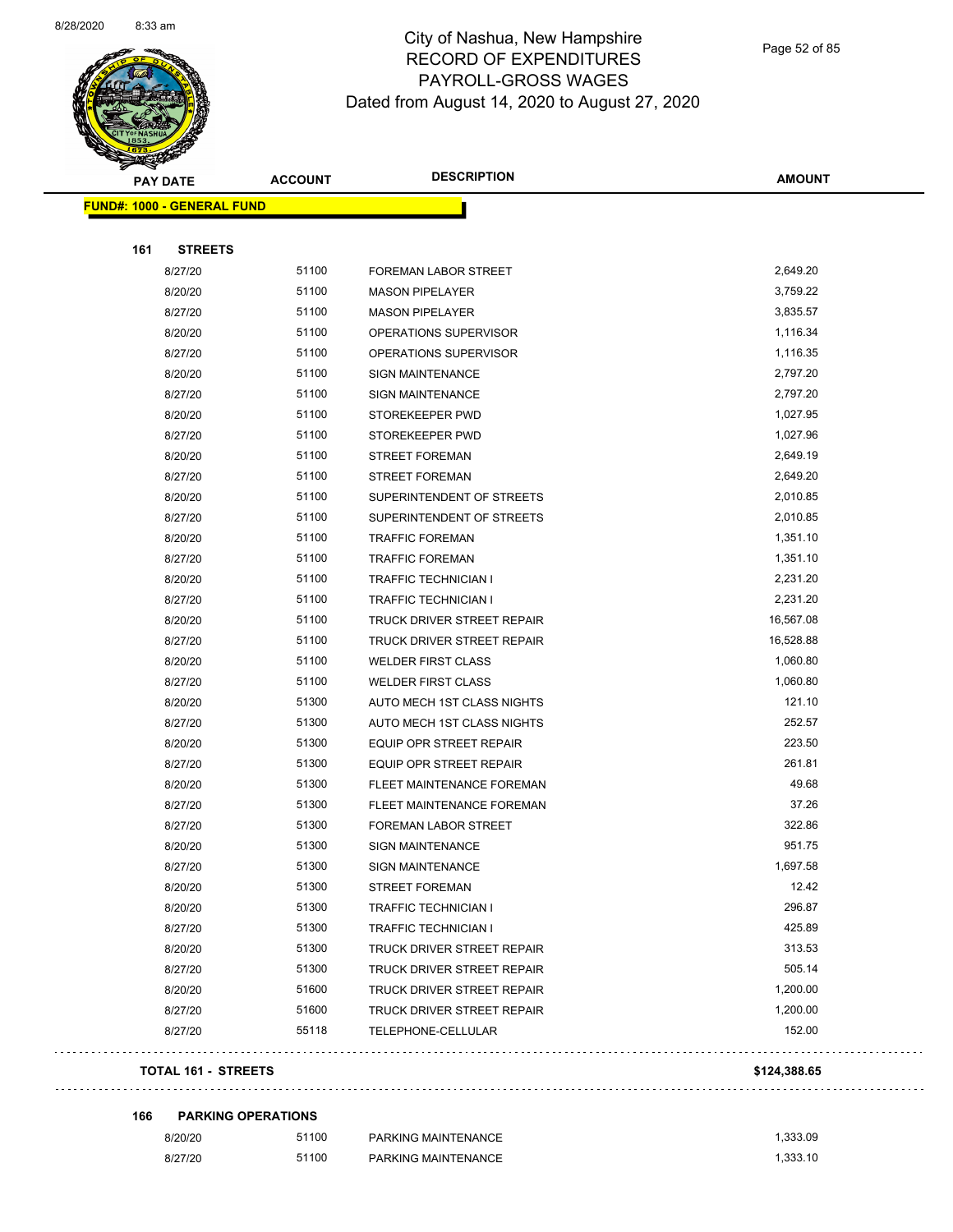

Page 52 of 85

|     | <b>PAY DATE</b>                   | <b>ACCOUNT</b> | <b>DESCRIPTION</b>             | <b>AMOUNT</b> |
|-----|-----------------------------------|----------------|--------------------------------|---------------|
|     | <b>FUND#: 1000 - GENERAL FUND</b> |                |                                |               |
|     |                                   |                |                                |               |
| 161 | <b>STREETS</b>                    |                |                                |               |
|     | 8/27/20                           | 51100          | <b>FOREMAN LABOR STREET</b>    | 2,649.20      |
|     | 8/20/20                           | 51100          | <b>MASON PIPELAYER</b>         | 3,759.22      |
|     | 8/27/20                           | 51100          | <b>MASON PIPELAYER</b>         | 3,835.57      |
|     | 8/20/20                           | 51100          | OPERATIONS SUPERVISOR          | 1,116.34      |
|     | 8/27/20                           | 51100          | OPERATIONS SUPERVISOR          | 1,116.35      |
|     | 8/20/20                           | 51100          | <b>SIGN MAINTENANCE</b>        | 2,797.20      |
|     | 8/27/20                           | 51100          | <b>SIGN MAINTENANCE</b>        | 2,797.20      |
|     | 8/20/20                           | 51100          | STOREKEEPER PWD                | 1,027.95      |
|     | 8/27/20                           | 51100          | STOREKEEPER PWD                | 1,027.96      |
|     | 8/20/20                           | 51100          | <b>STREET FOREMAN</b>          | 2,649.19      |
|     | 8/27/20                           | 51100          | <b>STREET FOREMAN</b>          | 2,649.20      |
|     | 8/20/20                           | 51100          | SUPERINTENDENT OF STREETS      | 2,010.85      |
|     | 8/27/20                           | 51100          | SUPERINTENDENT OF STREETS      | 2,010.85      |
|     | 8/20/20                           | 51100          | <b>TRAFFIC FOREMAN</b>         | 1,351.10      |
|     | 8/27/20                           | 51100          | <b>TRAFFIC FOREMAN</b>         | 1,351.10      |
|     | 8/20/20                           | 51100          | TRAFFIC TECHNICIAN I           | 2,231.20      |
|     | 8/27/20                           | 51100          | TRAFFIC TECHNICIAN I           | 2,231.20      |
|     | 8/20/20                           | 51100          | TRUCK DRIVER STREET REPAIR     | 16,567.08     |
|     | 8/27/20                           | 51100          | TRUCK DRIVER STREET REPAIR     | 16,528.88     |
|     | 8/20/20                           | 51100          | <b>WELDER FIRST CLASS</b>      | 1,060.80      |
|     | 8/27/20                           | 51100          | <b>WELDER FIRST CLASS</b>      | 1,060.80      |
|     | 8/20/20                           | 51300          | AUTO MECH 1ST CLASS NIGHTS     | 121.10        |
|     | 8/27/20                           | 51300          | AUTO MECH 1ST CLASS NIGHTS     | 252.57        |
|     | 8/20/20                           | 51300          | EQUIP OPR STREET REPAIR        | 223.50        |
|     | 8/27/20                           | 51300          | <b>EQUIP OPR STREET REPAIR</b> | 261.81        |
|     | 8/20/20                           | 51300          | FLEET MAINTENANCE FOREMAN      | 49.68         |
|     | 8/27/20                           | 51300          | FLEET MAINTENANCE FOREMAN      | 37.26         |
|     | 8/27/20                           | 51300          | FOREMAN LABOR STREET           | 322.86        |
|     | 8/20/20                           | 51300          | <b>SIGN MAINTENANCE</b>        | 951.75        |
|     | 8/27/20                           | 51300          | SIGN MAINTENANCE               | 1,697.58      |
|     | 8/20/20                           | 51300          | <b>STREET FOREMAN</b>          | 12.42         |
|     | 8/20/20                           | 51300          | TRAFFIC TECHNICIAN I           | 296.87        |
|     | 8/27/20                           | 51300          | TRAFFIC TECHNICIAN I           | 425.89        |
|     | 8/20/20                           | 51300          | TRUCK DRIVER STREET REPAIR     | 313.53        |
|     | 8/27/20                           | 51300          | TRUCK DRIVER STREET REPAIR     | 505.14        |
|     | 8/20/20                           | 51600          | TRUCK DRIVER STREET REPAIR     | 1,200.00      |
|     | 8/27/20                           | 51600          | TRUCK DRIVER STREET REPAIR     | 1,200.00      |
|     | 8/27/20                           | 55118          | TELEPHONE-CELLULAR             | 152.00        |
|     |                                   |                |                                |               |
|     | <b>TOTAL 161 - STREETS</b>        |                |                                | \$124,388.65  |
|     |                                   |                |                                |               |

**166 PARKING OPERATIONS**

 $\sim$   $\sim$ 

 $\ddot{\phantom{1}}$  .

| 8/20/20 | 51100 | <b>PARKING MAINTENANCE</b> | 1.333.09 |
|---------|-------|----------------------------|----------|
| 8/27/20 | 51100 | PARKING MAINTENANCE        | 1.333.10 |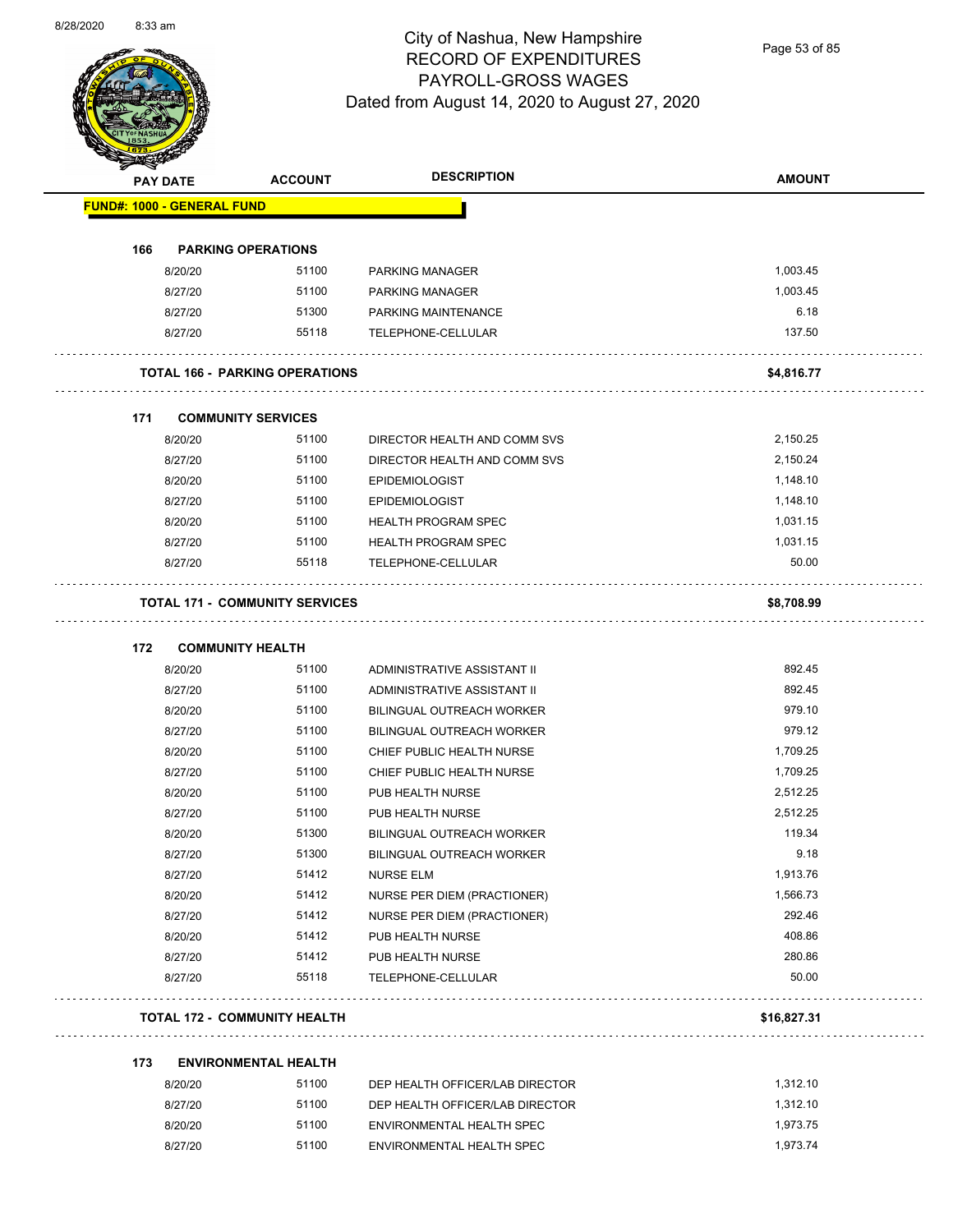

Page 53 of 85

|                                   | <b>PAY DATE</b> | <b>ACCOUNT</b>                        | <b>DESCRIPTION</b>               | <b>AMOUNT</b> |
|-----------------------------------|-----------------|---------------------------------------|----------------------------------|---------------|
| <b>FUND#: 1000 - GENERAL FUND</b> |                 |                                       |                                  |               |
| 166                               |                 | <b>PARKING OPERATIONS</b>             |                                  |               |
|                                   | 8/20/20         | 51100                                 | <b>PARKING MANAGER</b>           | 1,003.45      |
|                                   | 8/27/20         | 51100                                 | <b>PARKING MANAGER</b>           | 1,003.45      |
|                                   | 8/27/20         | 51300                                 | PARKING MAINTENANCE              | 6.18          |
|                                   | 8/27/20         | 55118                                 | TELEPHONE-CELLULAR               | 137.50        |
|                                   |                 | <b>TOTAL 166 - PARKING OPERATIONS</b> |                                  | \$4,816.77    |
| 171                               |                 | <b>COMMUNITY SERVICES</b>             |                                  |               |
|                                   | 8/20/20         | 51100                                 | DIRECTOR HEALTH AND COMM SVS     | 2,150.25      |
|                                   | 8/27/20         | 51100                                 | DIRECTOR HEALTH AND COMM SVS     | 2,150.24      |
|                                   | 8/20/20         | 51100                                 | <b>EPIDEMIOLOGIST</b>            | 1,148.10      |
|                                   | 8/27/20         | 51100                                 | <b>EPIDEMIOLOGIST</b>            | 1,148.10      |
|                                   | 8/20/20         | 51100                                 | <b>HEALTH PROGRAM SPEC</b>       | 1,031.15      |
|                                   | 8/27/20         | 51100                                 | <b>HEALTH PROGRAM SPEC</b>       | 1,031.15      |
|                                   | 8/27/20         | 55118                                 | TELEPHONE-CELLULAR               | 50.00         |
|                                   |                 | <b>TOTAL 171 - COMMUNITY SERVICES</b> |                                  | \$8,708.99    |
| 172                               |                 | <b>COMMUNITY HEALTH</b>               |                                  |               |
|                                   | 8/20/20         | 51100                                 | ADMINISTRATIVE ASSISTANT II      | 892.45        |
|                                   | 8/27/20         | 51100                                 | ADMINISTRATIVE ASSISTANT II      | 892.45        |
|                                   | 8/20/20         | 51100                                 | <b>BILINGUAL OUTREACH WORKER</b> | 979.10        |
|                                   | 8/27/20         | 51100                                 | <b>BILINGUAL OUTREACH WORKER</b> | 979.12        |
|                                   | 8/20/20         | 51100                                 | CHIEF PUBLIC HEALTH NURSE        | 1,709.25      |
|                                   | 8/27/20         | 51100                                 | CHIEF PUBLIC HEALTH NURSE        | 1,709.25      |
|                                   | 8/20/20         | 51100                                 | PUB HEALTH NURSE                 | 2,512.25      |
|                                   | 8/27/20         | 51100                                 | PUB HEALTH NURSE                 | 2,512.25      |
|                                   | 8/20/20         | 51300                                 | <b>BILINGUAL OUTREACH WORKER</b> | 119.34        |
|                                   | 8/27/20         | 51300                                 | <b>BILINGUAL OUTREACH WORKER</b> | 9.18          |
|                                   | 8/27/20         | 51412                                 | <b>NURSE ELM</b>                 | 1,913.76      |
|                                   | 8/20/20         | 51412                                 | NURSE PER DIEM (PRACTIONER)      | 1,566.73      |
|                                   | 8/27/20         | 51412                                 | NURSE PER DIEM (PRACTIONER)      | 292.46        |
|                                   | 8/20/20         | 51412                                 | PUB HEALTH NURSE                 | 408.86        |
|                                   | 8/27/20         | 51412                                 | PUB HEALTH NURSE                 | 280.86        |
|                                   | 8/27/20         | 55118                                 | TELEPHONE-CELLULAR               | 50.00         |
|                                   |                 | <b>TOTAL 172 - COMMUNITY HEALTH</b>   |                                  | \$16,827.31   |
| 173                               |                 | <b>ENVIRONMENTAL HEALTH</b>           |                                  |               |
|                                   | 8/20/20         | 51100                                 | DEP HEALTH OFFICER/LAB DIRECTOR  | 1,312.10      |
|                                   | 8/27/20         | 51100                                 | DEP HEALTH OFFICER/LAB DIRECTOR  | 1,312.10      |

8/20/20 51100 ENVIRONMENTAL HEALTH SPEC 1,973.75 8/27/20 51100 ENVIRONMENTAL HEALTH SPEC 1,973.74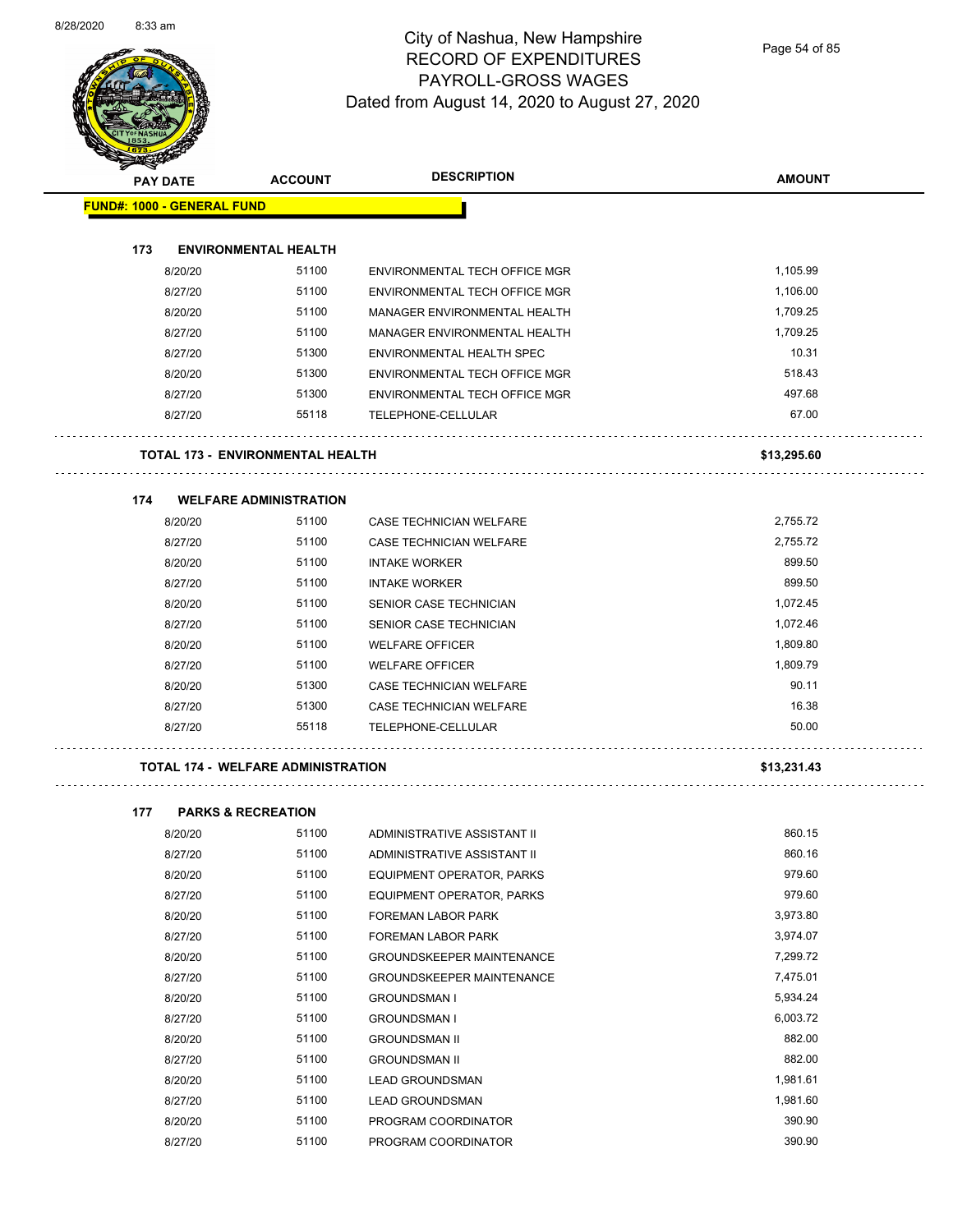$\overline{\phantom{0}}$ 



#### City of Nashua, New Hampshire RECORD OF EXPENDITURES PAYROLL-GROSS WAGES Dated from August 14, 2020 to August 27, 2020

Page 54 of 85

| <b>PAY DATE</b>                   | <b>ACCOUNT</b>                            | <b>DESCRIPTION</b>                                            | <b>AMOUNT</b> |
|-----------------------------------|-------------------------------------------|---------------------------------------------------------------|---------------|
| <b>FUND#: 1000 - GENERAL FUND</b> |                                           |                                                               |               |
| 173                               | <b>ENVIRONMENTAL HEALTH</b>               |                                                               |               |
|                                   | 51100                                     |                                                               | 1,105.99      |
| 8/20/20                           | 51100                                     | ENVIRONMENTAL TECH OFFICE MGR                                 |               |
| 8/27/20                           |                                           | ENVIRONMENTAL TECH OFFICE MGR<br>MANAGER ENVIRONMENTAL HEALTH | 1,106.00      |
| 8/20/20                           | 51100                                     |                                                               | 1,709.25      |
| 8/27/20                           | 51100                                     | MANAGER ENVIRONMENTAL HEALTH                                  | 1,709.25      |
| 8/27/20                           | 51300                                     | ENVIRONMENTAL HEALTH SPEC                                     | 10.31         |
| 8/20/20                           | 51300                                     | ENVIRONMENTAL TECH OFFICE MGR                                 | 518.43        |
| 8/27/20                           | 51300                                     | ENVIRONMENTAL TECH OFFICE MGR                                 | 497.68        |
| 8/27/20                           | 55118                                     | TELEPHONE-CELLULAR                                            | 67.00         |
|                                   | <b>TOTAL 173 - ENVIRONMENTAL HEALTH</b>   |                                                               | \$13,295.60   |
| 174                               | <b>WELFARE ADMINISTRATION</b>             |                                                               |               |
| 8/20/20                           | 51100                                     | CASE TECHNICIAN WELFARE                                       | 2,755.72      |
| 8/27/20                           | 51100                                     | <b>CASE TECHNICIAN WELFARE</b>                                | 2,755.72      |
| 8/20/20                           | 51100                                     | <b>INTAKE WORKER</b>                                          | 899.50        |
| 8/27/20                           | 51100                                     | <b>INTAKE WORKER</b>                                          | 899.50        |
| 8/20/20                           | 51100                                     | <b>SENIOR CASE TECHNICIAN</b>                                 | 1,072.45      |
| 8/27/20                           | 51100                                     | SENIOR CASE TECHNICIAN                                        | 1,072.46      |
| 8/20/20                           | 51100                                     | <b>WELFARE OFFICER</b>                                        | 1,809.80      |
| 8/27/20                           | 51100                                     | <b>WELFARE OFFICER</b>                                        | 1,809.79      |
| 8/20/20                           | 51300                                     | CASE TECHNICIAN WELFARE                                       | 90.11         |
| 8/27/20                           | 51300                                     | <b>CASE TECHNICIAN WELFARE</b>                                | 16.38         |
| 8/27/20                           | 55118                                     | TELEPHONE-CELLULAR                                            | 50.00         |
|                                   | <b>TOTAL 174 - WELFARE ADMINISTRATION</b> |                                                               | \$13,231.43   |
|                                   |                                           |                                                               |               |
| 177                               | <b>PARKS &amp; RECREATION</b>             |                                                               |               |
| 8/20/20                           | 51100                                     | ADMINISTRATIVE ASSISTANT II                                   | 860.15        |
| 8/27/20                           | 51100                                     | ADMINISTRATIVE ASSISTANT II                                   | 860.16        |
| 8/20/20                           | 51100                                     | EQUIPMENT OPERATOR, PARKS                                     | 979.60        |
| 8/27/20                           | 51100                                     | EQUIPMENT OPERATOR, PARKS                                     | 979.60        |
| 8/20/20                           | 51100                                     | FOREMAN LABOR PARK                                            | 3,973.80      |
| 8/27/20                           | 51100                                     | FOREMAN LABOR PARK                                            | 3,974.07      |
| 8/20/20                           | 51100                                     | <b>GROUNDSKEEPER MAINTENANCE</b>                              | 7,299.72      |
| 8/27/20                           | 51100                                     | GROUNDSKEEPER MAINTENANCE                                     | 7,475.01      |
| 8/20/20                           | 51100                                     | <b>GROUNDSMAN I</b>                                           | 5,934.24      |
| 8/27/20                           | 51100                                     | <b>GROUNDSMAN I</b>                                           | 6,003.72      |
| 8/20/20                           | 51100                                     | <b>GROUNDSMAN II</b>                                          | 882.00        |

8/27/20 51100 GROUNDSMAN II 882.00 8/20/20 51100 LEAD GROUNDSMAN 1,981.61 8/27/20 51100 LEAD GROUNDSMAN 1,981.60 8/20/20 51100 PROGRAM COORDINATOR 590.90 8/27/20 51100 PROGRAM COORDINATOR 390.90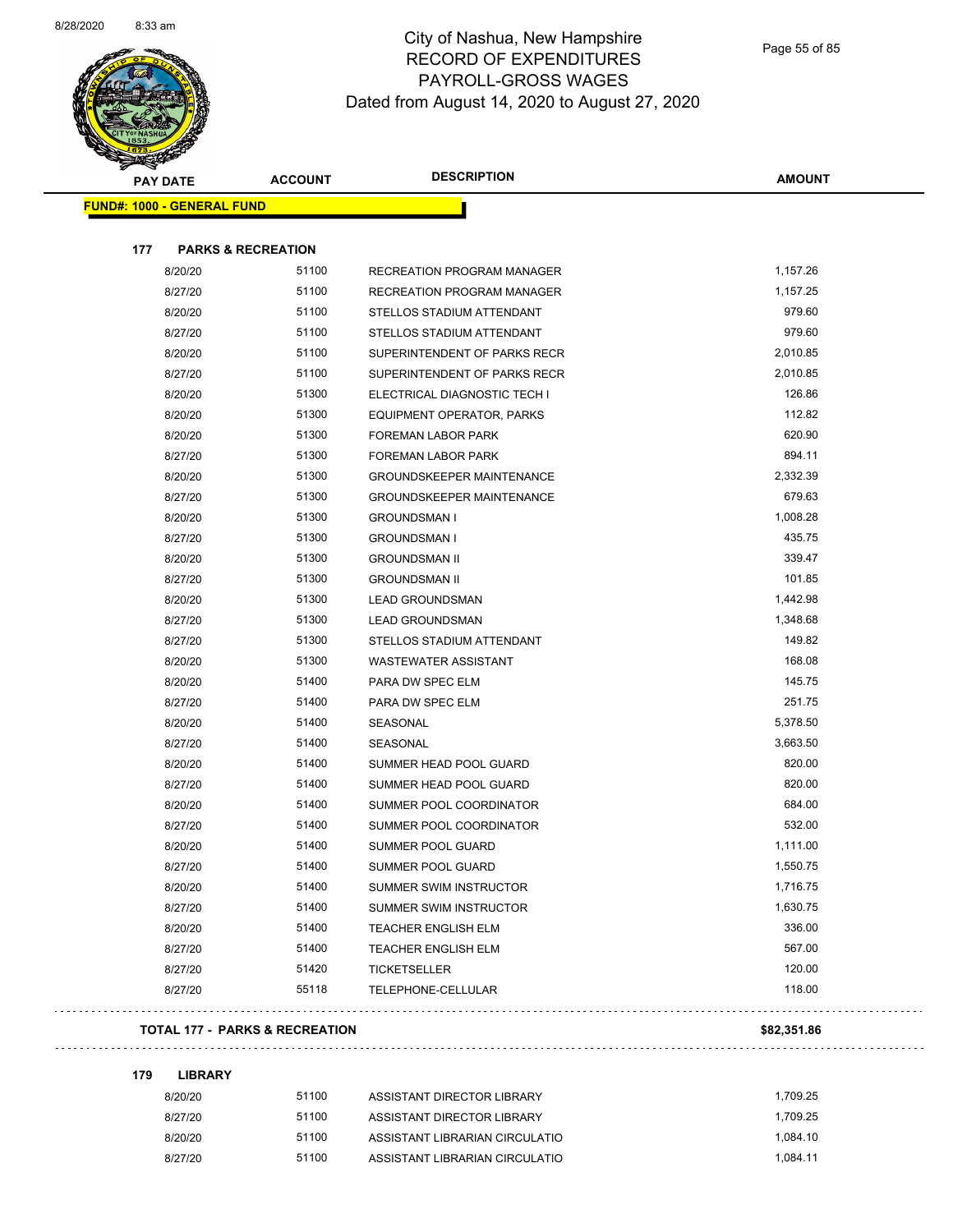$\sim$ 



## City of Nashua, New Hampshire RECORD OF EXPENDITURES PAYROLL-GROSS WAGES Dated from August 14, 2020 to August 27, 2020

| <b>PAY DATE</b>                   | <b>ACCOUNT</b>                            | <b>DESCRIPTION</b>               | <b>AMOUNT</b> |
|-----------------------------------|-------------------------------------------|----------------------------------|---------------|
| <b>FUND#: 1000 - GENERAL FUND</b> |                                           |                                  |               |
|                                   |                                           |                                  |               |
| 177                               | <b>PARKS &amp; RECREATION</b>             |                                  |               |
| 8/20/20                           | 51100                                     | RECREATION PROGRAM MANAGER       | 1,157.26      |
| 8/27/20                           | 51100                                     | RECREATION PROGRAM MANAGER       | 1,157.25      |
| 8/20/20                           | 51100                                     | STELLOS STADIUM ATTENDANT        | 979.60        |
| 8/27/20                           | 51100                                     | STELLOS STADIUM ATTENDANT        | 979.60        |
| 8/20/20                           | 51100                                     | SUPERINTENDENT OF PARKS RECR     | 2,010.85      |
| 8/27/20                           | 51100                                     | SUPERINTENDENT OF PARKS RECR     | 2,010.85      |
| 8/20/20                           | 51300                                     | ELECTRICAL DIAGNOSTIC TECH I     | 126.86        |
| 8/20/20                           | 51300                                     | EQUIPMENT OPERATOR, PARKS        | 112.82        |
| 8/20/20                           | 51300                                     | FOREMAN LABOR PARK               | 620.90        |
| 8/27/20                           | 51300                                     | <b>FOREMAN LABOR PARK</b>        | 894.11        |
| 8/20/20                           | 51300                                     | <b>GROUNDSKEEPER MAINTENANCE</b> | 2,332.39      |
| 8/27/20                           | 51300                                     | <b>GROUNDSKEEPER MAINTENANCE</b> | 679.63        |
| 8/20/20                           | 51300                                     | <b>GROUNDSMAN I</b>              | 1,008.28      |
| 8/27/20                           | 51300                                     | <b>GROUNDSMAN I</b>              | 435.75        |
| 8/20/20                           | 51300                                     | <b>GROUNDSMAN II</b>             | 339.47        |
| 8/27/20                           | 51300                                     | <b>GROUNDSMAN II</b>             | 101.85        |
| 8/20/20                           | 51300                                     | <b>LEAD GROUNDSMAN</b>           | 1,442.98      |
| 8/27/20                           | 51300                                     | <b>LEAD GROUNDSMAN</b>           | 1,348.68      |
| 8/27/20                           | 51300                                     | STELLOS STADIUM ATTENDANT        | 149.82        |
| 8/20/20                           | 51300                                     | <b>WASTEWATER ASSISTANT</b>      | 168.08        |
| 8/20/20                           | 51400                                     | PARA DW SPEC ELM                 | 145.75        |
| 8/27/20                           | 51400                                     | PARA DW SPEC ELM                 | 251.75        |
| 8/20/20                           | 51400                                     | SEASONAL                         | 5,378.50      |
| 8/27/20                           | 51400                                     | SEASONAL                         | 3,663.50      |
| 8/20/20                           | 51400                                     | SUMMER HEAD POOL GUARD           | 820.00        |
| 8/27/20                           | 51400                                     | SUMMER HEAD POOL GUARD           | 820.00        |
| 8/20/20                           | 51400                                     | SUMMER POOL COORDINATOR          | 684.00        |
| 8/27/20                           | 51400                                     | SUMMER POOL COORDINATOR          | 532.00        |
| 8/20/20                           | 51400                                     | SUMMER POOL GUARD                | 1,111.00      |
| 8/27/20                           | 51400                                     | SUMMER POOL GUARD                | 1,550.75      |
| 8/20/20                           | 51400                                     | SUMMER SWIM INSTRUCTOR           | 1,716.75      |
| 8/27/20                           | 51400                                     | SUMMER SWIM INSTRUCTOR           | 1,630.75      |
| 8/20/20                           | 51400                                     | TEACHER ENGLISH ELM              | 336.00        |
| 8/27/20                           | 51400                                     | <b>TEACHER ENGLISH ELM</b>       | 567.00        |
| 8/27/20                           | 51420                                     | TICKETSELLER                     | 120.00        |
| 8/27/20                           | 55118                                     | TELEPHONE-CELLULAR               | 118.00        |
|                                   | <b>TOTAL 177 - PARKS &amp; RECREATION</b> |                                  | \$82,351.86   |
| 179<br><b>LIBRARY</b>             |                                           |                                  |               |
| 8/20/20                           | 51100                                     | ASSISTANT DIRECTOR LIBRARY       | 1,709.25      |

| 8/20/20 | 51100 | ASSISTANT DIRECTOR LIBRARY     | 1.709.25 |
|---------|-------|--------------------------------|----------|
| 8/27/20 | 51100 | ASSISTANT DIRECTOR LIBRARY     | 1.709.25 |
| 8/20/20 | 51100 | ASSISTANT LIBRARIAN CIRCULATIO | 1.084.10 |
| 8/27/20 | 51100 | ASSISTANT LIBRARIAN CIRCULATIO | 1.084.11 |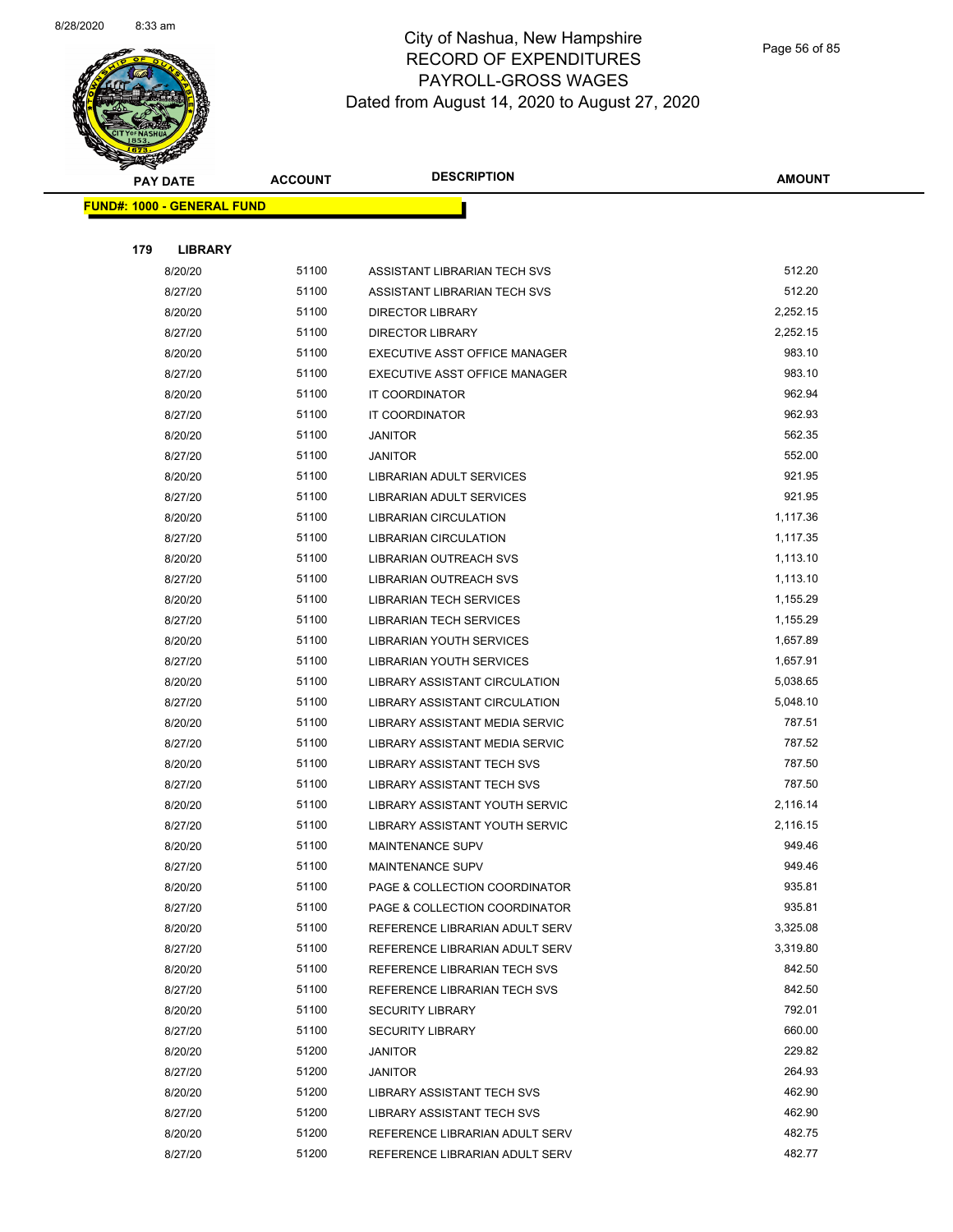

Page 56 of 85

| <b>PAY DATE</b> |                                   | <b>ACCOUNT</b> | <b>DESCRIPTION</b>                | <b>AMOUNT</b>    |
|-----------------|-----------------------------------|----------------|-----------------------------------|------------------|
|                 | <b>FUND#: 1000 - GENERAL FUND</b> |                |                                   |                  |
|                 |                                   |                |                                   |                  |
| 179             | <b>LIBRARY</b>                    |                |                                   |                  |
|                 | 8/20/20                           | 51100          | ASSISTANT LIBRARIAN TECH SVS      | 512.20           |
|                 | 8/27/20                           | 51100          | ASSISTANT LIBRARIAN TECH SVS      | 512.20           |
|                 | 8/20/20                           | 51100          | <b>DIRECTOR LIBRARY</b>           | 2,252.15         |
|                 | 8/27/20                           | 51100          | <b>DIRECTOR LIBRARY</b>           | 2,252.15         |
|                 | 8/20/20                           | 51100          | EXECUTIVE ASST OFFICE MANAGER     | 983.10           |
|                 | 8/27/20                           | 51100          | EXECUTIVE ASST OFFICE MANAGER     | 983.10           |
|                 | 8/20/20                           | 51100          | IT COORDINATOR                    | 962.94           |
|                 | 8/27/20                           | 51100          | IT COORDINATOR                    | 962.93           |
|                 | 8/20/20                           | 51100          | <b>JANITOR</b>                    | 562.35           |
|                 | 8/27/20                           | 51100          | <b>JANITOR</b>                    | 552.00           |
|                 | 8/20/20                           | 51100          | LIBRARIAN ADULT SERVICES          | 921.95           |
|                 | 8/27/20                           | 51100          | <b>LIBRARIAN ADULT SERVICES</b>   | 921.95           |
|                 | 8/20/20                           | 51100          | LIBRARIAN CIRCULATION             | 1,117.36         |
|                 | 8/27/20                           | 51100          | <b>LIBRARIAN CIRCULATION</b>      | 1,117.35         |
|                 | 8/20/20                           | 51100          | LIBRARIAN OUTREACH SVS            | 1,113.10         |
|                 | 8/27/20                           | 51100          | <b>LIBRARIAN OUTREACH SVS</b>     | 1,113.10         |
|                 | 8/20/20                           | 51100          | <b>LIBRARIAN TECH SERVICES</b>    | 1,155.29         |
|                 | 8/27/20                           | 51100          | <b>LIBRARIAN TECH SERVICES</b>    | 1,155.29         |
|                 | 8/20/20                           | 51100          | LIBRARIAN YOUTH SERVICES          | 1,657.89         |
|                 | 8/27/20                           | 51100          | <b>LIBRARIAN YOUTH SERVICES</b>   | 1,657.91         |
|                 | 8/20/20                           | 51100          | LIBRARY ASSISTANT CIRCULATION     | 5,038.65         |
|                 | 8/27/20                           | 51100          | LIBRARY ASSISTANT CIRCULATION     | 5,048.10         |
|                 | 8/20/20                           | 51100          | LIBRARY ASSISTANT MEDIA SERVIC    | 787.51           |
|                 | 8/27/20                           | 51100          | LIBRARY ASSISTANT MEDIA SERVIC    | 787.52           |
|                 | 8/20/20                           | 51100          | <b>LIBRARY ASSISTANT TECH SVS</b> | 787.50           |
|                 | 8/27/20                           | 51100          | LIBRARY ASSISTANT TECH SVS        | 787.50           |
|                 | 8/20/20                           | 51100          | LIBRARY ASSISTANT YOUTH SERVIC    | 2,116.14         |
|                 | 8/27/20                           | 51100          | LIBRARY ASSISTANT YOUTH SERVIC    | 2,116.15         |
|                 | 8/20/20                           | 51100          | <b>MAINTENANCE SUPV</b>           | 949.46           |
|                 | 8/27/20                           | 51100          | MAINTENANCE SUPV                  | 949.46           |
|                 | 8/20/20                           | 51100          | PAGE & COLLECTION COORDINATOR     | 935.81           |
|                 | 8/27/20                           | 51100          | PAGE & COLLECTION COORDINATOR     | 935.81           |
|                 | 8/20/20                           | 51100          | REFERENCE LIBRARIAN ADULT SERV    | 3,325.08         |
|                 | 8/27/20                           | 51100          | REFERENCE LIBRARIAN ADULT SERV    | 3,319.80         |
|                 | 8/20/20                           | 51100          | REFERENCE LIBRARIAN TECH SVS      | 842.50           |
|                 | 8/27/20                           | 51100          | REFERENCE LIBRARIAN TECH SVS      | 842.50           |
|                 | 8/20/20                           | 51100          | <b>SECURITY LIBRARY</b>           | 792.01           |
|                 | 8/27/20                           | 51100          | <b>SECURITY LIBRARY</b>           | 660.00           |
|                 | 8/20/20                           | 51200          | <b>JANITOR</b>                    | 229.82           |
|                 | 8/27/20                           | 51200          | <b>JANITOR</b>                    | 264.93           |
|                 | 8/20/20                           | 51200          | LIBRARY ASSISTANT TECH SVS        | 462.90           |
|                 | 8/27/20                           | 51200          | LIBRARY ASSISTANT TECH SVS        | 462.90           |
|                 | 8/20/20                           | 51200          | REFERENCE LIBRARIAN ADULT SERV    | 482.75<br>482.77 |
|                 | 8/27/20                           | 51200          | REFERENCE LIBRARIAN ADULT SERV    |                  |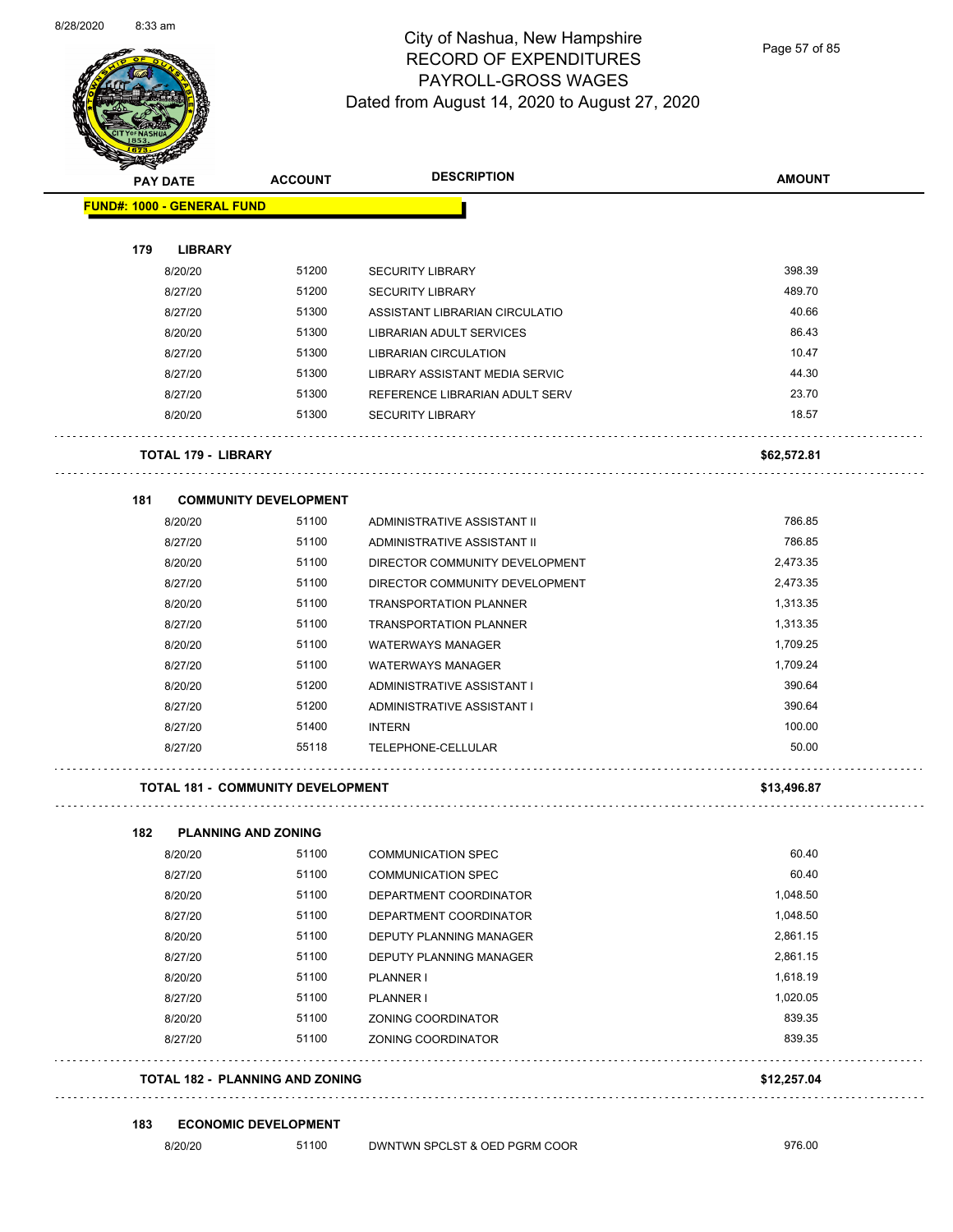$\overline{\phantom{0}}$ 



## City of Nashua, New Hampshire RECORD OF EXPENDITURES PAYROLL-GROSS WAGES Dated from August 14, 2020 to August 27, 2020

Page 57 of 85

| <b>Anta</b><br><b>PAY DATE</b>           | <b>ACCOUNT</b>                         | <b>DESCRIPTION</b>                    | <b>AMOUNT</b> |
|------------------------------------------|----------------------------------------|---------------------------------------|---------------|
| <b>FUND#: 1000 - GENERAL FUND</b>        |                                        |                                       |               |
| 179<br><b>LIBRARY</b>                    |                                        |                                       |               |
| 8/20/20                                  | 51200                                  | <b>SECURITY LIBRARY</b>               | 398.39        |
| 8/27/20                                  | 51200                                  | <b>SECURITY LIBRARY</b>               | 489.70        |
| 8/27/20                                  | 51300                                  | ASSISTANT LIBRARIAN CIRCULATIO        | 40.66         |
| 8/20/20                                  | 51300                                  | LIBRARIAN ADULT SERVICES              | 86.43         |
| 8/27/20                                  | 51300                                  | <b>LIBRARIAN CIRCULATION</b>          | 10.47         |
| 8/27/20                                  | 51300                                  | <b>LIBRARY ASSISTANT MEDIA SERVIC</b> | 44.30         |
| 8/27/20                                  | 51300                                  | REFERENCE LIBRARIAN ADULT SERV        | 23.70         |
| 8/20/20                                  | 51300                                  | <b>SECURITY LIBRARY</b>               | 18.57         |
| TOTAL 179 - LIBRARY                      |                                        |                                       | \$62,572.81   |
| 181                                      | <b>COMMUNITY DEVELOPMENT</b>           |                                       |               |
| 8/20/20                                  | 51100                                  | ADMINISTRATIVE ASSISTANT II           | 786.85        |
| 8/27/20                                  | 51100                                  | ADMINISTRATIVE ASSISTANT II           | 786.85        |
| 8/20/20                                  | 51100                                  | DIRECTOR COMMUNITY DEVELOPMENT        | 2,473.35      |
| 8/27/20                                  | 51100                                  | DIRECTOR COMMUNITY DEVELOPMENT        | 2,473.35      |
| 8/20/20                                  | 51100                                  | <b>TRANSPORTATION PLANNER</b>         | 1,313.35      |
| 8/27/20                                  | 51100                                  | <b>TRANSPORTATION PLANNER</b>         | 1,313.35      |
| 8/20/20                                  | 51100                                  | <b>WATERWAYS MANAGER</b>              | 1,709.25      |
| 8/27/20                                  | 51100                                  | <b>WATERWAYS MANAGER</b>              | 1,709.24      |
| 8/20/20                                  | 51200                                  | ADMINISTRATIVE ASSISTANT I            | 390.64        |
| 8/27/20                                  | 51200                                  | ADMINISTRATIVE ASSISTANT I            | 390.64        |
| 8/27/20                                  | 51400                                  | <b>INTERN</b>                         | 100.00        |
| 8/27/20                                  | 55118                                  | TELEPHONE-CELLULAR                    | 50.00         |
| <b>TOTAL 181 - COMMUNITY DEVELOPMENT</b> |                                        |                                       | \$13,496.87   |
| 182<br><b>PLANNING AND ZONING</b>        |                                        |                                       |               |
| 8/20/20                                  | 51100                                  | COMMUNICATION SPEC                    | 60.40         |
| 8/27/20                                  | 51100                                  | <b>COMMUNICATION SPEC</b>             | 60.40         |
| 8/20/20                                  | 51100                                  | DEPARTMENT COORDINATOR                | 1,048.50      |
| 8/27/20                                  | 51100                                  | DEPARTMENT COORDINATOR                | 1,048.50      |
| 8/20/20                                  | 51100                                  | DEPUTY PLANNING MANAGER               | 2,861.15      |
| 8/27/20                                  | 51100                                  | DEPUTY PLANNING MANAGER               | 2,861.15      |
| 8/20/20                                  | 51100                                  | PLANNER I                             | 1,618.19      |
| 8/27/20                                  | 51100                                  | PLANNER I                             | 1,020.05      |
| 8/20/20                                  | 51100                                  | ZONING COORDINATOR                    | 839.35        |
| 8/27/20                                  | 51100                                  | ZONING COORDINATOR                    | 839.35        |
|                                          | <b>TOTAL 182 - PLANNING AND ZONING</b> |                                       | \$12,257.04   |

**183 ECONOMIC DEVELOPMENT**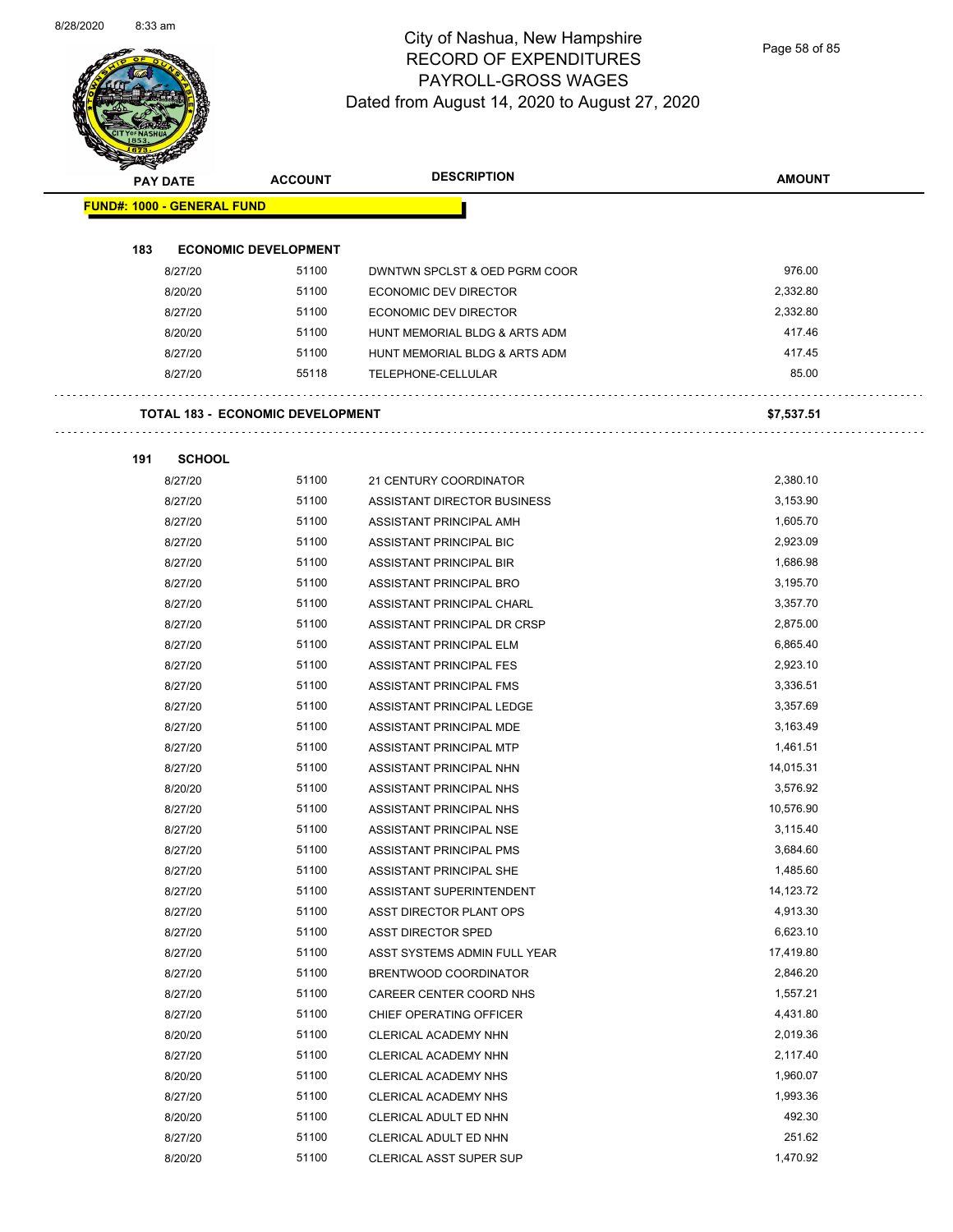

Page 58 of 85

|     | <b>PAY DATE</b>                   | <b>ACCOUNT</b>                          | <b>DESCRIPTION</b>             | <b>AMOUNT</b> |
|-----|-----------------------------------|-----------------------------------------|--------------------------------|---------------|
|     | <b>FUND#: 1000 - GENERAL FUND</b> |                                         |                                |               |
|     |                                   |                                         |                                |               |
| 183 |                                   | <b>ECONOMIC DEVELOPMENT</b>             |                                |               |
|     | 8/27/20                           | 51100                                   | DWNTWN SPCLST & OED PGRM COOR  | 976.00        |
|     | 8/20/20                           | 51100                                   | ECONOMIC DEV DIRECTOR          | 2,332.80      |
|     | 8/27/20                           | 51100                                   | <b>ECONOMIC DEV DIRECTOR</b>   | 2,332.80      |
|     | 8/20/20                           | 51100                                   | HUNT MEMORIAL BLDG & ARTS ADM  | 417.46        |
|     | 8/27/20                           | 51100                                   | HUNT MEMORIAL BLDG & ARTS ADM  | 417.45        |
|     | 8/27/20                           | 55118                                   | TELEPHONE-CELLULAR             | 85.00         |
|     |                                   | <b>TOTAL 183 - ECONOMIC DEVELOPMENT</b> |                                | \$7,537.51    |
| 191 | <b>SCHOOL</b>                     |                                         |                                |               |
|     | 8/27/20                           | 51100                                   | 21 CENTURY COORDINATOR         | 2,380.10      |
|     | 8/27/20                           | 51100                                   | ASSISTANT DIRECTOR BUSINESS    | 3,153.90      |
|     | 8/27/20                           | 51100                                   | ASSISTANT PRINCIPAL AMH        | 1,605.70      |
|     | 8/27/20                           | 51100                                   | ASSISTANT PRINCIPAL BIC        | 2,923.09      |
|     | 8/27/20                           | 51100                                   | <b>ASSISTANT PRINCIPAL BIR</b> | 1,686.98      |
|     | 8/27/20                           | 51100                                   | ASSISTANT PRINCIPAL BRO        | 3,195.70      |
|     | 8/27/20                           | 51100                                   | ASSISTANT PRINCIPAL CHARL      | 3,357.70      |
|     | 8/27/20                           | 51100                                   | ASSISTANT PRINCIPAL DR CRSP    | 2,875.00      |
|     | 8/27/20                           | 51100                                   | ASSISTANT PRINCIPAL ELM        | 6,865.40      |
|     | 8/27/20                           | 51100                                   | ASSISTANT PRINCIPAL FES        | 2,923.10      |
|     | 8/27/20                           | 51100                                   | ASSISTANT PRINCIPAL FMS        | 3,336.51      |
|     | 8/27/20                           | 51100                                   | ASSISTANT PRINCIPAL LEDGE      | 3,357.69      |
|     | 8/27/20                           | 51100                                   | ASSISTANT PRINCIPAL MDE        | 3,163.49      |
|     | 8/27/20                           | 51100                                   | ASSISTANT PRINCIPAL MTP        | 1,461.51      |
|     | 8/27/20                           | 51100                                   | ASSISTANT PRINCIPAL NHN        | 14,015.31     |
|     | 8/20/20                           | 51100                                   | ASSISTANT PRINCIPAL NHS        | 3,576.92      |
|     | 8/27/20                           | 51100                                   | ASSISTANT PRINCIPAL NHS        | 10,576.90     |
|     | 8/27/20                           | 51100                                   | ASSISTANT PRINCIPAL NSE        | 3,115.40      |
|     | 8/27/20                           | 51100                                   | ASSISTANT PRINCIPAL PMS        | 3,684.60      |
|     | 8/27/20                           | 51100                                   | ASSISTANT PRINCIPAL SHE        | 1,485.60      |
|     | 8/27/20                           | 51100                                   | ASSISTANT SUPERINTENDENT       | 14,123.72     |
|     | 8/27/20                           | 51100                                   | ASST DIRECTOR PLANT OPS        | 4,913.30      |
|     | 8/27/20                           | 51100                                   | ASST DIRECTOR SPED             | 6,623.10      |
|     | 8/27/20                           | 51100                                   | ASST SYSTEMS ADMIN FULL YEAR   | 17,419.80     |
|     | 8/27/20                           | 51100                                   | BRENTWOOD COORDINATOR          | 2,846.20      |
|     | 8/27/20                           | 51100                                   | CAREER CENTER COORD NHS        | 1,557.21      |
|     | 8/27/20                           | 51100                                   | CHIEF OPERATING OFFICER        | 4,431.80      |
|     | 8/20/20                           | 51100                                   | CLERICAL ACADEMY NHN           | 2,019.36      |
|     | 8/27/20                           | 51100                                   | CLERICAL ACADEMY NHN           | 2,117.40      |
|     | 8/20/20                           | 51100                                   | CLERICAL ACADEMY NHS           | 1,960.07      |
|     | 8/27/20                           | 51100                                   | CLERICAL ACADEMY NHS           | 1,993.36      |
|     | 8/20/20                           | 51100                                   | CLERICAL ADULT ED NHN          | 492.30        |
|     | 8/27/20                           | 51100                                   | CLERICAL ADULT ED NHN          | 251.62        |
|     | 8/20/20                           | 51100                                   | CLERICAL ASST SUPER SUP        | 1,470.92      |
|     |                                   |                                         |                                |               |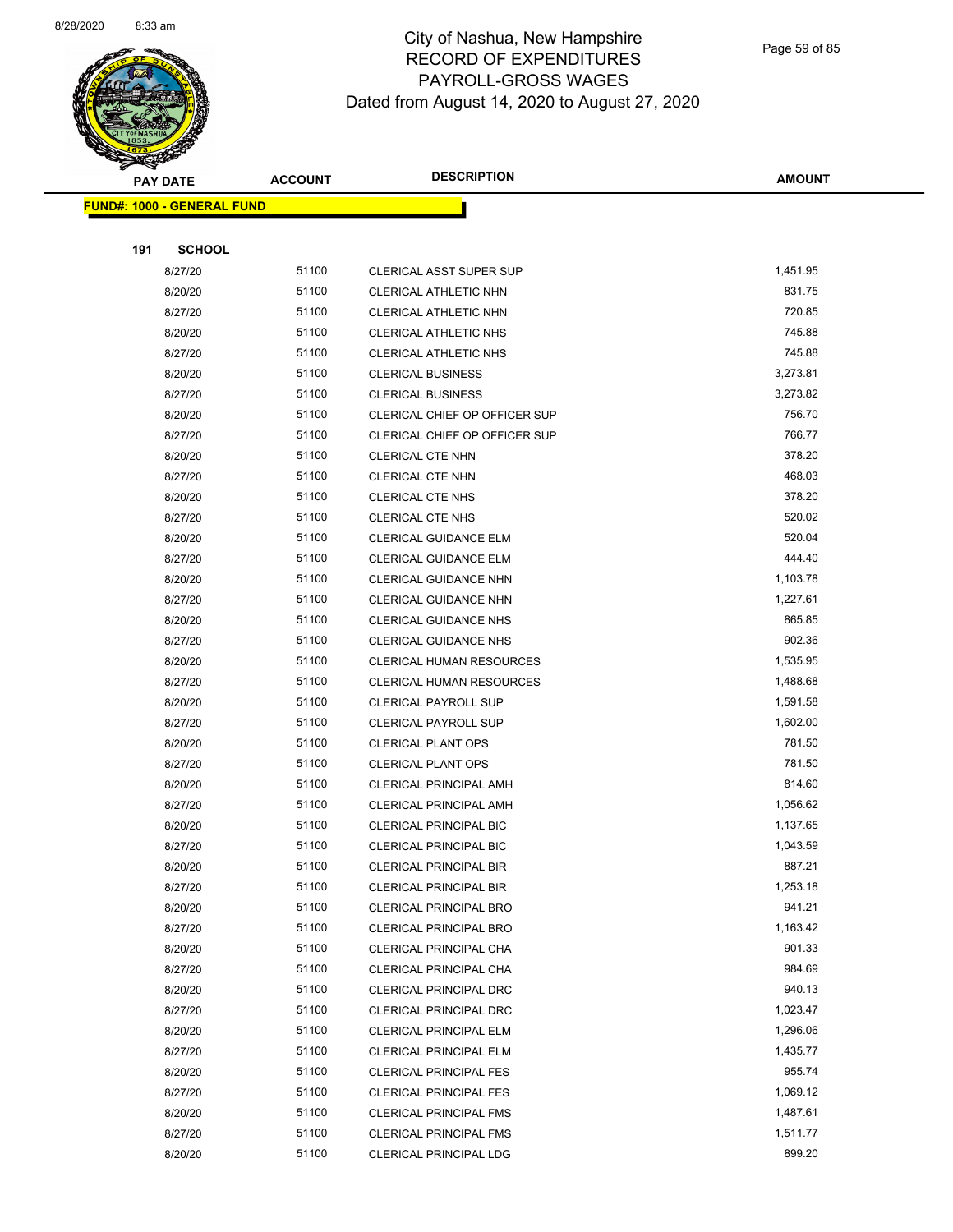

Page 59 of 85

|     | <b>PAY DATE</b>                   | <b>ACCOUNT</b> | <b>DESCRIPTION</b>            | <b>AMOUNT</b> |
|-----|-----------------------------------|----------------|-------------------------------|---------------|
|     | <b>FUND#: 1000 - GENERAL FUND</b> |                |                               |               |
|     |                                   |                |                               |               |
| 191 | <b>SCHOOL</b>                     |                |                               |               |
|     | 8/27/20                           | 51100          | CLERICAL ASST SUPER SUP       | 1,451.95      |
|     | 8/20/20                           | 51100          | CLERICAL ATHLETIC NHN         | 831.75        |
|     | 8/27/20                           | 51100          | CLERICAL ATHLETIC NHN         | 720.85        |
|     | 8/20/20                           | 51100          | CLERICAL ATHLETIC NHS         | 745.88        |
|     | 8/27/20                           | 51100          | <b>CLERICAL ATHLETIC NHS</b>  | 745.88        |
|     | 8/20/20                           | 51100          | <b>CLERICAL BUSINESS</b>      | 3,273.81      |
|     | 8/27/20                           | 51100          | <b>CLERICAL BUSINESS</b>      | 3,273.82      |
|     | 8/20/20                           | 51100          | CLERICAL CHIEF OP OFFICER SUP | 756.70        |
|     | 8/27/20                           | 51100          | CLERICAL CHIEF OP OFFICER SUP | 766.77        |
|     | 8/20/20                           | 51100          | <b>CLERICAL CTE NHN</b>       | 378.20        |
|     | 8/27/20                           | 51100          | <b>CLERICAL CTE NHN</b>       | 468.03        |
|     | 8/20/20                           | 51100          | <b>CLERICAL CTE NHS</b>       | 378.20        |
|     | 8/27/20                           | 51100          | <b>CLERICAL CTE NHS</b>       | 520.02        |
|     | 8/20/20                           | 51100          | CLERICAL GUIDANCE ELM         | 520.04        |
|     | 8/27/20                           | 51100          | CLERICAL GUIDANCE ELM         | 444.40        |
|     | 8/20/20                           | 51100          | CLERICAL GUIDANCE NHN         | 1,103.78      |
|     | 8/27/20                           | 51100          | <b>CLERICAL GUIDANCE NHN</b>  | 1,227.61      |
|     | 8/20/20                           | 51100          | <b>CLERICAL GUIDANCE NHS</b>  | 865.85        |
|     | 8/27/20                           | 51100          | <b>CLERICAL GUIDANCE NHS</b>  | 902.36        |
|     | 8/20/20                           | 51100          | CLERICAL HUMAN RESOURCES      | 1,535.95      |
|     | 8/27/20                           | 51100          | CLERICAL HUMAN RESOURCES      | 1,488.68      |
|     | 8/20/20                           | 51100          | <b>CLERICAL PAYROLL SUP</b>   | 1,591.58      |
|     | 8/27/20                           | 51100          | <b>CLERICAL PAYROLL SUP</b>   | 1,602.00      |
|     | 8/20/20                           | 51100          | <b>CLERICAL PLANT OPS</b>     | 781.50        |
|     | 8/27/20                           | 51100          | <b>CLERICAL PLANT OPS</b>     | 781.50        |
|     | 8/20/20                           | 51100          | CLERICAL PRINCIPAL AMH        | 814.60        |
|     | 8/27/20                           | 51100          | CLERICAL PRINCIPAL AMH        | 1,056.62      |
|     | 8/20/20                           | 51100          | <b>CLERICAL PRINCIPAL BIC</b> | 1,137.65      |
|     | 8/27/20                           | 51100          | CLERICAL PRINCIPAL BIC        | 1,043.59      |
|     | 8/20/20                           | 51100          | <b>CLERICAL PRINCIPAL BIR</b> | 887.21        |
|     | 8/27/20                           | 51100          | CLERICAL PRINCIPAL BIR        | 1,253.18      |
|     | 8/20/20                           | 51100          | <b>CLERICAL PRINCIPAL BRO</b> | 941.21        |
|     | 8/27/20                           | 51100          | <b>CLERICAL PRINCIPAL BRO</b> | 1,163.42      |
|     | 8/20/20                           | 51100          | CLERICAL PRINCIPAL CHA        | 901.33        |
|     | 8/27/20                           | 51100          | CLERICAL PRINCIPAL CHA        | 984.69        |
|     | 8/20/20                           | 51100          | CLERICAL PRINCIPAL DRC        | 940.13        |
|     | 8/27/20                           | 51100          | <b>CLERICAL PRINCIPAL DRC</b> | 1,023.47      |
|     | 8/20/20                           | 51100          | <b>CLERICAL PRINCIPAL ELM</b> | 1,296.06      |
|     | 8/27/20                           | 51100          | CLERICAL PRINCIPAL ELM        | 1,435.77      |
|     | 8/20/20                           | 51100          | <b>CLERICAL PRINCIPAL FES</b> | 955.74        |
|     | 8/27/20                           | 51100          | <b>CLERICAL PRINCIPAL FES</b> | 1,069.12      |
|     | 8/20/20                           | 51100          | <b>CLERICAL PRINCIPAL FMS</b> | 1,487.61      |
|     | 8/27/20                           | 51100          | <b>CLERICAL PRINCIPAL FMS</b> | 1,511.77      |
|     | 8/20/20                           | 51100          | CLERICAL PRINCIPAL LDG        | 899.20        |
|     |                                   |                |                               |               |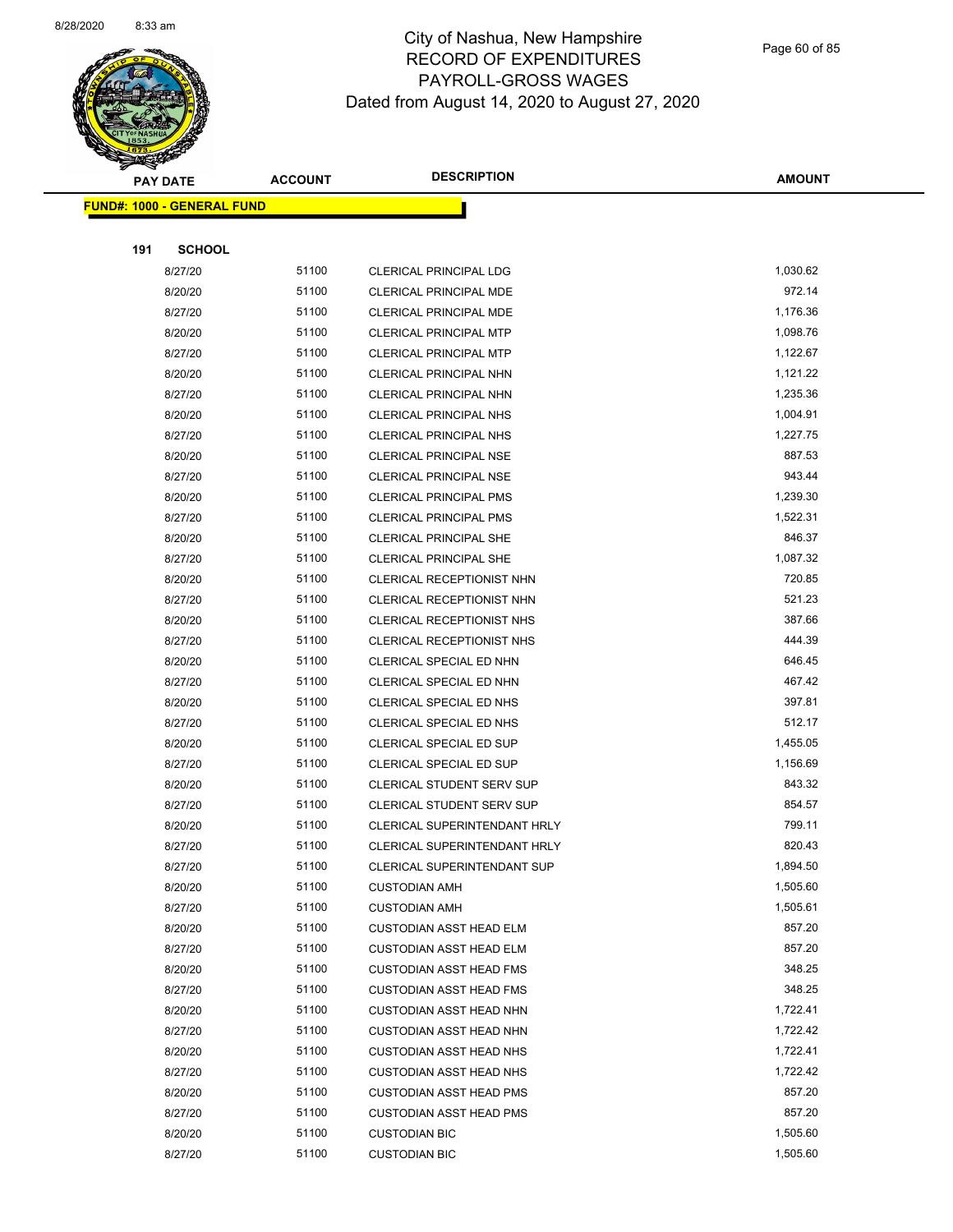

Page 60 of 85

|     | <b>PAY DATE</b>                   | <b>ACCOUNT</b> | <b>DESCRIPTION</b>                                               | <b>AMOUNT</b>    |
|-----|-----------------------------------|----------------|------------------------------------------------------------------|------------------|
|     | <b>FUND#: 1000 - GENERAL FUND</b> |                |                                                                  |                  |
|     |                                   |                |                                                                  |                  |
| 191 | <b>SCHOOL</b>                     |                |                                                                  |                  |
|     | 8/27/20                           | 51100          | <b>CLERICAL PRINCIPAL LDG</b>                                    | 1,030.62         |
|     | 8/20/20                           | 51100          | <b>CLERICAL PRINCIPAL MDE</b>                                    | 972.14           |
|     | 8/27/20                           | 51100          | <b>CLERICAL PRINCIPAL MDE</b>                                    | 1,176.36         |
|     | 8/20/20                           | 51100          | <b>CLERICAL PRINCIPAL MTP</b>                                    | 1,098.76         |
|     | 8/27/20                           | 51100          | <b>CLERICAL PRINCIPAL MTP</b>                                    | 1,122.67         |
|     | 8/20/20                           | 51100          | CLERICAL PRINCIPAL NHN                                           | 1,121.22         |
|     | 8/27/20                           | 51100          | CLERICAL PRINCIPAL NHN                                           | 1,235.36         |
|     | 8/20/20                           | 51100          | CLERICAL PRINCIPAL NHS                                           | 1,004.91         |
|     | 8/27/20                           | 51100          | <b>CLERICAL PRINCIPAL NHS</b>                                    | 1,227.75         |
|     | 8/20/20                           | 51100          | CLERICAL PRINCIPAL NSE                                           | 887.53           |
|     | 8/27/20                           | 51100          | CLERICAL PRINCIPAL NSE                                           | 943.44           |
|     | 8/20/20                           | 51100          | <b>CLERICAL PRINCIPAL PMS</b>                                    | 1,239.30         |
|     | 8/27/20                           | 51100          | <b>CLERICAL PRINCIPAL PMS</b>                                    | 1,522.31         |
|     | 8/20/20                           | 51100          | <b>CLERICAL PRINCIPAL SHE</b>                                    | 846.37           |
|     | 8/27/20                           | 51100          | <b>CLERICAL PRINCIPAL SHE</b>                                    | 1,087.32         |
|     | 8/20/20                           | 51100          | CLERICAL RECEPTIONIST NHN                                        | 720.85           |
|     | 8/27/20                           | 51100          | CLERICAL RECEPTIONIST NHN                                        | 521.23           |
|     | 8/20/20                           | 51100          | CLERICAL RECEPTIONIST NHS                                        | 387.66           |
|     | 8/27/20                           | 51100          | <b>CLERICAL RECEPTIONIST NHS</b>                                 | 444.39           |
|     | 8/20/20                           | 51100          | CLERICAL SPECIAL ED NHN                                          | 646.45           |
|     | 8/27/20                           | 51100          | CLERICAL SPECIAL ED NHN                                          | 467.42           |
|     | 8/20/20                           | 51100          | CLERICAL SPECIAL ED NHS                                          | 397.81           |
|     | 8/27/20                           | 51100          | CLERICAL SPECIAL ED NHS                                          | 512.17           |
|     | 8/20/20                           | 51100          | CLERICAL SPECIAL ED SUP                                          | 1,455.05         |
|     | 8/27/20                           | 51100          | CLERICAL SPECIAL ED SUP                                          | 1,156.69         |
|     | 8/20/20                           | 51100          | CLERICAL STUDENT SERV SUP                                        | 843.32           |
|     | 8/27/20                           | 51100          | CLERICAL STUDENT SERV SUP                                        | 854.57           |
|     | 8/20/20                           | 51100          | CLERICAL SUPERINTENDANT HRLY                                     | 799.11           |
|     | 8/27/20                           | 51100          | <b>CLERICAL SUPERINTENDANT HRLY</b>                              | 820.43           |
|     | 8/27/20                           | 51100          | CLERICAL SUPERINTENDANT SUP                                      | 1,894.50         |
|     | 8/20/20                           | 51100          | <b>CUSTODIAN AMH</b>                                             | 1,505.60         |
|     | 8/27/20                           | 51100          | <b>CUSTODIAN AMH</b>                                             | 1,505.61         |
|     | 8/20/20                           | 51100          | <b>CUSTODIAN ASST HEAD ELM</b>                                   | 857.20           |
|     | 8/27/20                           | 51100<br>51100 | <b>CUSTODIAN ASST HEAD ELM</b>                                   | 857.20<br>348.25 |
|     | 8/20/20<br>8/27/20                | 51100          | <b>CUSTODIAN ASST HEAD FMS</b>                                   | 348.25           |
|     | 8/20/20                           | 51100          | <b>CUSTODIAN ASST HEAD FMS</b><br><b>CUSTODIAN ASST HEAD NHN</b> | 1,722.41         |
|     | 8/27/20                           | 51100          | <b>CUSTODIAN ASST HEAD NHN</b>                                   | 1,722.42         |
|     | 8/20/20                           | 51100          | <b>CUSTODIAN ASST HEAD NHS</b>                                   | 1,722.41         |
|     | 8/27/20                           | 51100          | <b>CUSTODIAN ASST HEAD NHS</b>                                   | 1,722.42         |
|     | 8/20/20                           | 51100          | <b>CUSTODIAN ASST HEAD PMS</b>                                   | 857.20           |
|     | 8/27/20                           | 51100          | <b>CUSTODIAN ASST HEAD PMS</b>                                   | 857.20           |
|     | 8/20/20                           | 51100          | <b>CUSTODIAN BIC</b>                                             | 1,505.60         |
|     | 8/27/20                           | 51100          | <b>CUSTODIAN BIC</b>                                             | 1,505.60         |
|     |                                   |                |                                                                  |                  |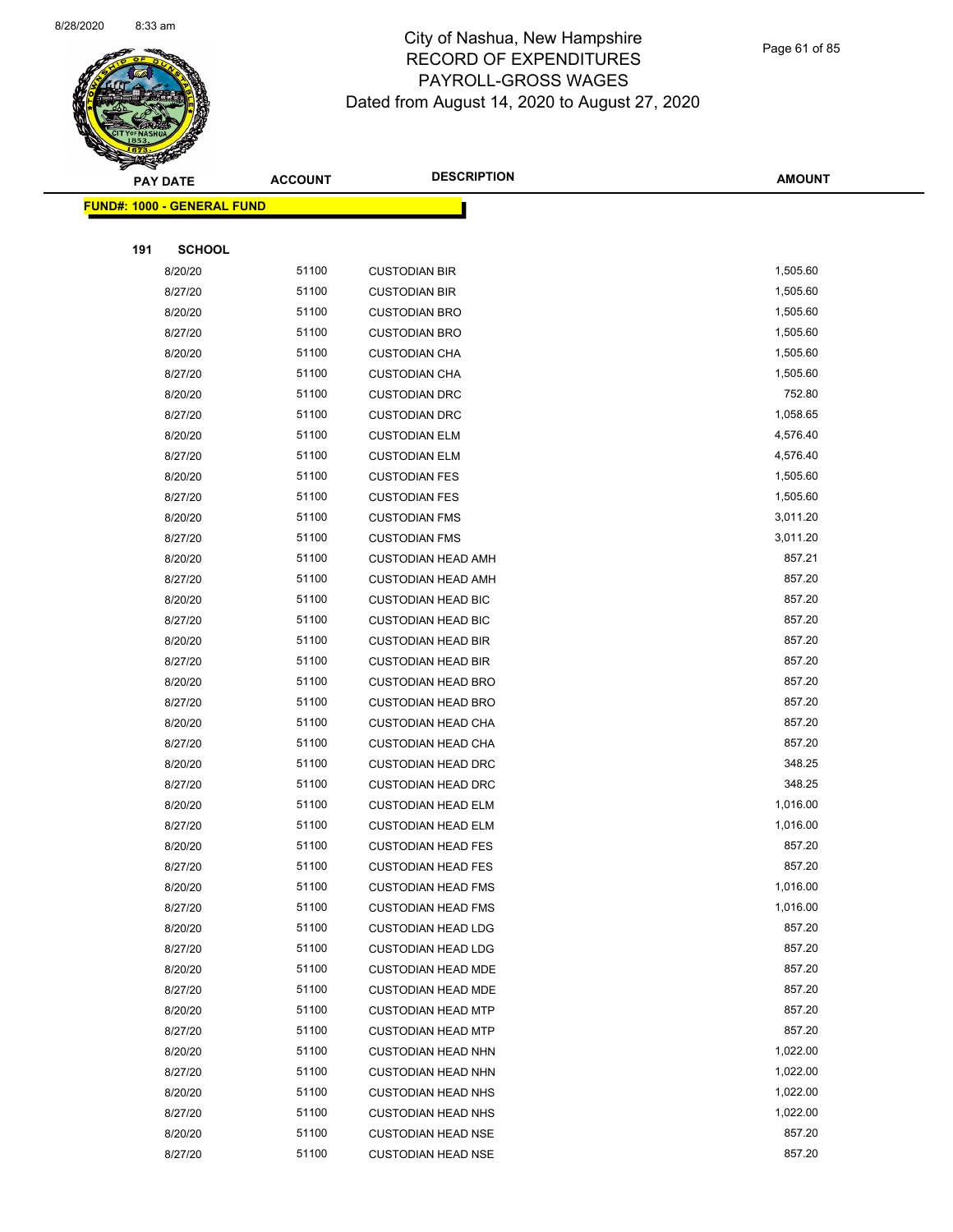

Page 61 of 85

|     | <b>PAY DATE</b>                   | <b>ACCOUNT</b> | <b>DESCRIPTION</b>                                     | <b>AMOUNT</b>    |
|-----|-----------------------------------|----------------|--------------------------------------------------------|------------------|
|     | <b>FUND#: 1000 - GENERAL FUND</b> |                |                                                        |                  |
|     |                                   |                |                                                        |                  |
| 191 | <b>SCHOOL</b>                     |                |                                                        |                  |
|     | 8/20/20                           | 51100          | <b>CUSTODIAN BIR</b>                                   | 1,505.60         |
|     | 8/27/20                           | 51100          | <b>CUSTODIAN BIR</b>                                   | 1,505.60         |
|     | 8/20/20                           | 51100          | <b>CUSTODIAN BRO</b>                                   | 1,505.60         |
|     | 8/27/20                           | 51100          | <b>CUSTODIAN BRO</b>                                   | 1,505.60         |
|     | 8/20/20                           | 51100          | <b>CUSTODIAN CHA</b>                                   | 1,505.60         |
|     | 8/27/20                           | 51100          | <b>CUSTODIAN CHA</b>                                   | 1,505.60         |
|     | 8/20/20                           | 51100          | <b>CUSTODIAN DRC</b>                                   | 752.80           |
|     | 8/27/20                           | 51100          | <b>CUSTODIAN DRC</b>                                   | 1,058.65         |
|     | 8/20/20                           | 51100          | <b>CUSTODIAN ELM</b>                                   | 4,576.40         |
|     | 8/27/20                           | 51100          | <b>CUSTODIAN ELM</b>                                   | 4,576.40         |
|     | 8/20/20                           | 51100          | <b>CUSTODIAN FES</b>                                   | 1,505.60         |
|     | 8/27/20                           | 51100          | <b>CUSTODIAN FES</b>                                   | 1,505.60         |
|     | 8/20/20                           | 51100          | <b>CUSTODIAN FMS</b>                                   | 3,011.20         |
|     | 8/27/20                           | 51100          | <b>CUSTODIAN FMS</b>                                   | 3,011.20         |
|     | 8/20/20                           | 51100          | <b>CUSTODIAN HEAD AMH</b>                              | 857.21           |
|     | 8/27/20                           | 51100          | <b>CUSTODIAN HEAD AMH</b>                              | 857.20           |
|     | 8/20/20                           | 51100          | <b>CUSTODIAN HEAD BIC</b>                              | 857.20           |
|     | 8/27/20                           | 51100          | <b>CUSTODIAN HEAD BIC</b>                              | 857.20           |
|     | 8/20/20                           | 51100          | <b>CUSTODIAN HEAD BIR</b>                              | 857.20           |
|     | 8/27/20                           | 51100          | <b>CUSTODIAN HEAD BIR</b>                              | 857.20           |
|     | 8/20/20                           | 51100          | <b>CUSTODIAN HEAD BRO</b>                              | 857.20           |
|     | 8/27/20                           | 51100          | <b>CUSTODIAN HEAD BRO</b>                              | 857.20           |
|     | 8/20/20                           | 51100          | <b>CUSTODIAN HEAD CHA</b>                              | 857.20           |
|     | 8/27/20                           | 51100          | <b>CUSTODIAN HEAD CHA</b>                              | 857.20           |
|     | 8/20/20                           | 51100          | <b>CUSTODIAN HEAD DRC</b>                              | 348.25           |
|     | 8/27/20                           | 51100          | <b>CUSTODIAN HEAD DRC</b>                              | 348.25           |
|     | 8/20/20                           | 51100          | <b>CUSTODIAN HEAD ELM</b>                              | 1,016.00         |
|     | 8/27/20                           | 51100          | <b>CUSTODIAN HEAD ELM</b>                              | 1,016.00         |
|     | 8/20/20                           | 51100          | <b>CUSTODIAN HEAD FES</b>                              | 857.20<br>857.20 |
|     | 8/27/20                           | 51100<br>51100 | <b>CUSTODIAN HEAD FES</b>                              | 1,016.00         |
|     | 8/20/20<br>8/27/20                | 51100          | <b>CUSTODIAN HEAD FMS</b><br><b>CUSTODIAN HEAD FMS</b> | 1,016.00         |
|     | 8/20/20                           | 51100          | <b>CUSTODIAN HEAD LDG</b>                              | 857.20           |
|     | 8/27/20                           | 51100          | <b>CUSTODIAN HEAD LDG</b>                              | 857.20           |
|     | 8/20/20                           | 51100          | <b>CUSTODIAN HEAD MDE</b>                              | 857.20           |
|     | 8/27/20                           | 51100          | <b>CUSTODIAN HEAD MDE</b>                              | 857.20           |
|     | 8/20/20                           | 51100          | <b>CUSTODIAN HEAD MTP</b>                              | 857.20           |
|     | 8/27/20                           | 51100          | <b>CUSTODIAN HEAD MTP</b>                              | 857.20           |
|     | 8/20/20                           | 51100          | <b>CUSTODIAN HEAD NHN</b>                              | 1,022.00         |
|     | 8/27/20                           | 51100          | <b>CUSTODIAN HEAD NHN</b>                              | 1,022.00         |
|     | 8/20/20                           | 51100          | <b>CUSTODIAN HEAD NHS</b>                              | 1,022.00         |
|     | 8/27/20                           | 51100          | <b>CUSTODIAN HEAD NHS</b>                              | 1,022.00         |
|     | 8/20/20                           | 51100          | <b>CUSTODIAN HEAD NSE</b>                              | 857.20           |
|     | 8/27/20                           | 51100          | <b>CUSTODIAN HEAD NSE</b>                              | 857.20           |
|     |                                   |                |                                                        |                  |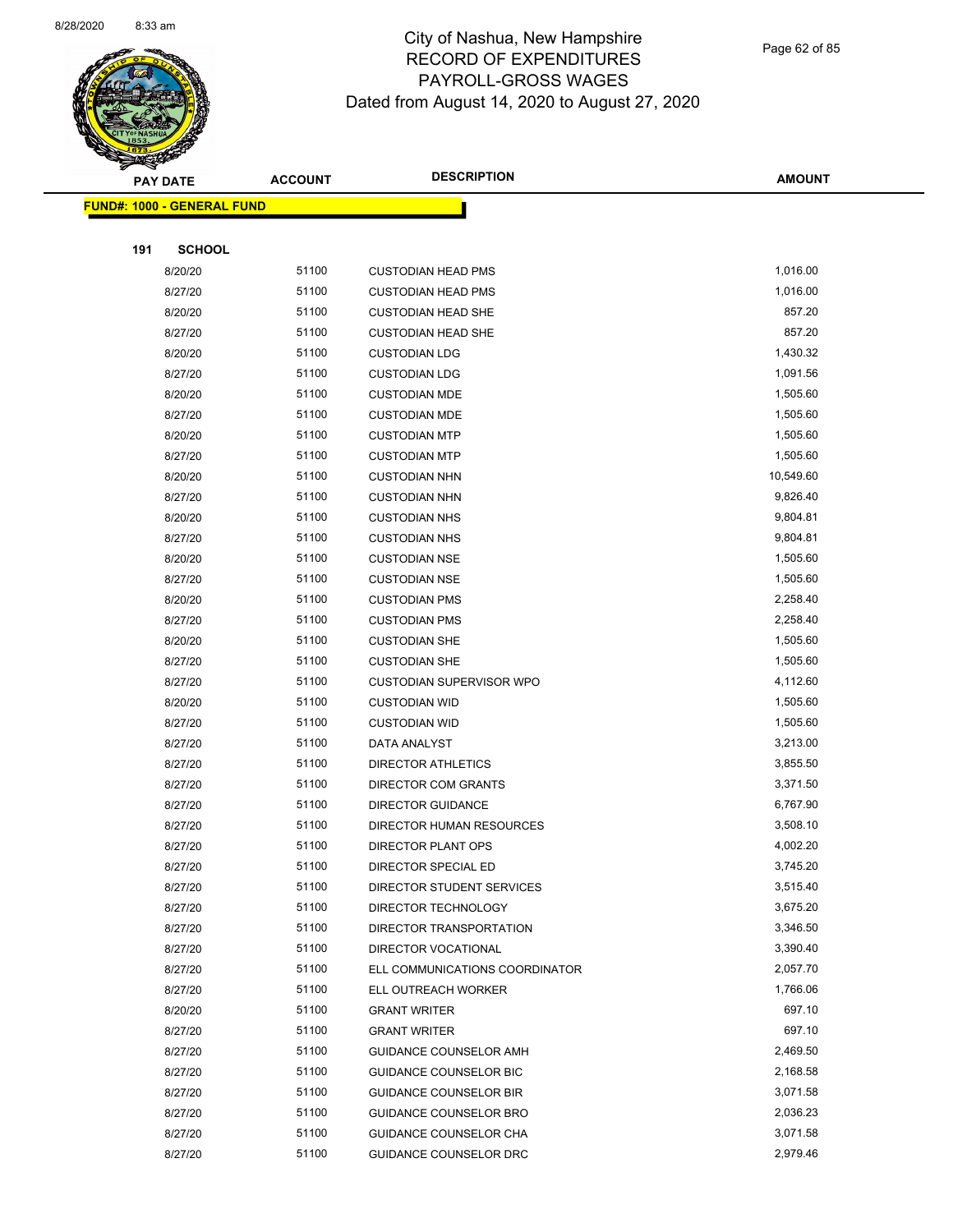

Page 62 of 85

|     | <b>PAY DATE</b>                   | <b>ACCOUNT</b> | <b>DESCRIPTION</b>             | <b>AMOUNT</b> |
|-----|-----------------------------------|----------------|--------------------------------|---------------|
|     | <b>FUND#: 1000 - GENERAL FUND</b> |                |                                |               |
|     |                                   |                |                                |               |
| 191 | <b>SCHOOL</b>                     |                |                                |               |
|     | 8/20/20                           | 51100          | <b>CUSTODIAN HEAD PMS</b>      | 1,016.00      |
|     | 8/27/20                           | 51100          | <b>CUSTODIAN HEAD PMS</b>      | 1,016.00      |
|     | 8/20/20                           | 51100          | <b>CUSTODIAN HEAD SHE</b>      | 857.20        |
|     | 8/27/20                           | 51100          | <b>CUSTODIAN HEAD SHE</b>      | 857.20        |
|     | 8/20/20                           | 51100          | <b>CUSTODIAN LDG</b>           | 1,430.32      |
|     | 8/27/20                           | 51100          | <b>CUSTODIAN LDG</b>           | 1,091.56      |
|     | 8/20/20                           | 51100          | <b>CUSTODIAN MDE</b>           | 1,505.60      |
|     | 8/27/20                           | 51100          | <b>CUSTODIAN MDE</b>           | 1,505.60      |
|     | 8/20/20                           | 51100          | <b>CUSTODIAN MTP</b>           | 1,505.60      |
|     | 8/27/20                           | 51100          | <b>CUSTODIAN MTP</b>           | 1,505.60      |
|     | 8/20/20                           | 51100          | <b>CUSTODIAN NHN</b>           | 10,549.60     |
|     | 8/27/20                           | 51100          | <b>CUSTODIAN NHN</b>           | 9,826.40      |
|     | 8/20/20                           | 51100          | <b>CUSTODIAN NHS</b>           | 9,804.81      |
|     | 8/27/20                           | 51100          | <b>CUSTODIAN NHS</b>           | 9,804.81      |
|     | 8/20/20                           | 51100          | <b>CUSTODIAN NSE</b>           | 1,505.60      |
|     | 8/27/20                           | 51100          | <b>CUSTODIAN NSE</b>           | 1,505.60      |
|     | 8/20/20                           | 51100          | <b>CUSTODIAN PMS</b>           | 2,258.40      |
|     | 8/27/20                           | 51100          | <b>CUSTODIAN PMS</b>           | 2,258.40      |
|     | 8/20/20                           | 51100          | <b>CUSTODIAN SHE</b>           | 1,505.60      |
|     | 8/27/20                           | 51100          | <b>CUSTODIAN SHE</b>           | 1,505.60      |
|     | 8/27/20                           | 51100          | CUSTODIAN SUPERVISOR WPO       | 4,112.60      |
|     | 8/20/20                           | 51100          | <b>CUSTODIAN WID</b>           | 1,505.60      |
|     | 8/27/20                           | 51100          | <b>CUSTODIAN WID</b>           | 1,505.60      |
|     | 8/27/20                           | 51100          | DATA ANALYST                   | 3,213.00      |
|     | 8/27/20                           | 51100          | <b>DIRECTOR ATHLETICS</b>      | 3,855.50      |
|     | 8/27/20                           | 51100          | DIRECTOR COM GRANTS            | 3,371.50      |
|     | 8/27/20                           | 51100          | DIRECTOR GUIDANCE              | 6,767.90      |
|     | 8/27/20                           | 51100          | DIRECTOR HUMAN RESOURCES       | 3,508.10      |
|     | 8/27/20                           | 51100          | DIRECTOR PLANT OPS             | 4,002.20      |
|     | 8/27/20                           | 51100          | DIRECTOR SPECIAL ED            | 3,745.20      |
|     | 8/27/20                           | 51100          | DIRECTOR STUDENT SERVICES      | 3,515.40      |
|     | 8/27/20                           | 51100          | DIRECTOR TECHNOLOGY            | 3,675.20      |
|     | 8/27/20                           | 51100          | DIRECTOR TRANSPORTATION        | 3,346.50      |
|     | 8/27/20                           | 51100          | DIRECTOR VOCATIONAL            | 3,390.40      |
|     | 8/27/20                           | 51100          | ELL COMMUNICATIONS COORDINATOR | 2,057.70      |
|     | 8/27/20                           | 51100          | ELL OUTREACH WORKER            | 1,766.06      |
|     | 8/20/20                           | 51100          | <b>GRANT WRITER</b>            | 697.10        |
|     | 8/27/20                           | 51100          | <b>GRANT WRITER</b>            | 697.10        |
|     | 8/27/20                           | 51100          | <b>GUIDANCE COUNSELOR AMH</b>  | 2,469.50      |
|     | 8/27/20                           | 51100          | GUIDANCE COUNSELOR BIC         | 2,168.58      |
|     | 8/27/20                           | 51100          | <b>GUIDANCE COUNSELOR BIR</b>  | 3,071.58      |
|     | 8/27/20                           | 51100          | GUIDANCE COUNSELOR BRO         | 2,036.23      |
|     | 8/27/20                           | 51100          | GUIDANCE COUNSELOR CHA         | 3,071.58      |
|     | 8/27/20                           | 51100          | GUIDANCE COUNSELOR DRC         | 2,979.46      |
|     |                                   |                |                                |               |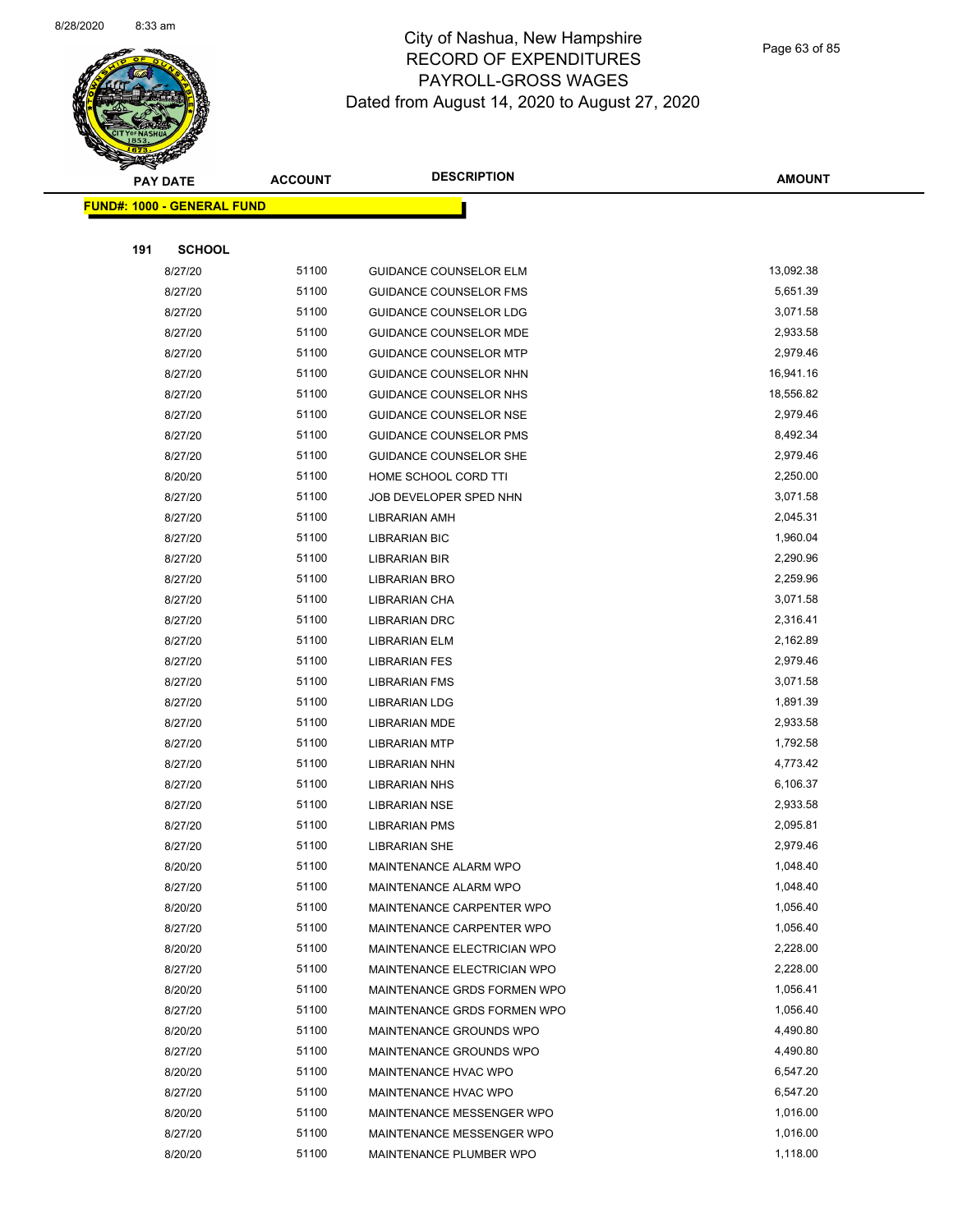

Page 63 of 85

|     | <b>PAY DATE</b>                   | <b>ACCOUNT</b> | <b>DESCRIPTION</b>            | <b>AMOUNT</b> |
|-----|-----------------------------------|----------------|-------------------------------|---------------|
|     | <b>FUND#: 1000 - GENERAL FUND</b> |                |                               |               |
|     |                                   |                |                               |               |
| 191 | <b>SCHOOL</b>                     |                |                               |               |
|     | 8/27/20                           | 51100          | <b>GUIDANCE COUNSELOR ELM</b> | 13,092.38     |
|     | 8/27/20                           | 51100          | <b>GUIDANCE COUNSELOR FMS</b> | 5,651.39      |
|     | 8/27/20                           | 51100          | <b>GUIDANCE COUNSELOR LDG</b> | 3,071.58      |
|     | 8/27/20                           | 51100          | <b>GUIDANCE COUNSELOR MDE</b> | 2,933.58      |
|     | 8/27/20                           | 51100          | <b>GUIDANCE COUNSELOR MTP</b> | 2,979.46      |
|     | 8/27/20                           | 51100          | GUIDANCE COUNSELOR NHN        | 16,941.16     |
|     | 8/27/20                           | 51100          | GUIDANCE COUNSELOR NHS        | 18,556.82     |
|     | 8/27/20                           | 51100          | <b>GUIDANCE COUNSELOR NSE</b> | 2,979.46      |
|     | 8/27/20                           | 51100          | <b>GUIDANCE COUNSELOR PMS</b> | 8,492.34      |
|     | 8/27/20                           | 51100          | GUIDANCE COUNSELOR SHE        | 2,979.46      |
|     | 8/20/20                           | 51100          | HOME SCHOOL CORD TTI          | 2,250.00      |
|     | 8/27/20                           | 51100          | JOB DEVELOPER SPED NHN        | 3,071.58      |
|     | 8/27/20                           | 51100          | LIBRARIAN AMH                 | 2,045.31      |
|     | 8/27/20                           | 51100          | <b>LIBRARIAN BIC</b>          | 1,960.04      |
|     | 8/27/20                           | 51100          | LIBRARIAN BIR                 | 2,290.96      |
|     | 8/27/20                           | 51100          | <b>LIBRARIAN BRO</b>          | 2,259.96      |
|     | 8/27/20                           | 51100          | LIBRARIAN CHA                 | 3,071.58      |
|     | 8/27/20                           | 51100          | <b>LIBRARIAN DRC</b>          | 2,316.41      |
|     | 8/27/20                           | 51100          | LIBRARIAN ELM                 | 2,162.89      |
|     | 8/27/20                           | 51100          | <b>LIBRARIAN FES</b>          | 2,979.46      |
|     | 8/27/20                           | 51100          | <b>LIBRARIAN FMS</b>          | 3,071.58      |
|     | 8/27/20                           | 51100          | <b>LIBRARIAN LDG</b>          | 1,891.39      |
|     | 8/27/20                           | 51100          | <b>LIBRARIAN MDE</b>          | 2,933.58      |
|     | 8/27/20                           | 51100          | <b>LIBRARIAN MTP</b>          | 1,792.58      |
|     | 8/27/20                           | 51100          | LIBRARIAN NHN                 | 4,773.42      |
|     | 8/27/20                           | 51100          | <b>LIBRARIAN NHS</b>          | 6,106.37      |
|     | 8/27/20                           | 51100          | <b>LIBRARIAN NSE</b>          | 2,933.58      |
|     | 8/27/20                           | 51100          | <b>LIBRARIAN PMS</b>          | 2,095.81      |
|     | 8/27/20                           | 51100          | <b>LIBRARIAN SHE</b>          | 2,979.46      |
|     | 8/20/20                           | 51100          | MAINTENANCE ALARM WPO         | 1,048.40      |
|     | 8/27/20                           | 51100          | MAINTENANCE ALARM WPO         | 1,048.40      |
|     | 8/20/20                           | 51100          | MAINTENANCE CARPENTER WPO     | 1,056.40      |
|     | 8/27/20                           | 51100          | MAINTENANCE CARPENTER WPO     | 1,056.40      |
|     | 8/20/20                           | 51100          | MAINTENANCE ELECTRICIAN WPO   | 2,228.00      |
|     | 8/27/20                           | 51100          | MAINTENANCE ELECTRICIAN WPO   | 2,228.00      |
|     | 8/20/20                           | 51100          | MAINTENANCE GRDS FORMEN WPO   | 1,056.41      |
|     | 8/27/20                           | 51100          | MAINTENANCE GRDS FORMEN WPO   | 1,056.40      |
|     | 8/20/20                           | 51100          | MAINTENANCE GROUNDS WPO       | 4,490.80      |
|     | 8/27/20                           | 51100          | MAINTENANCE GROUNDS WPO       | 4,490.80      |
|     | 8/20/20                           | 51100          | MAINTENANCE HVAC WPO          | 6,547.20      |
|     | 8/27/20                           | 51100          | MAINTENANCE HVAC WPO          | 6,547.20      |
|     | 8/20/20                           | 51100          | MAINTENANCE MESSENGER WPO     | 1,016.00      |
|     | 8/27/20                           | 51100          | MAINTENANCE MESSENGER WPO     | 1,016.00      |
|     | 8/20/20                           | 51100          | MAINTENANCE PLUMBER WPO       | 1,118.00      |
|     |                                   |                |                               |               |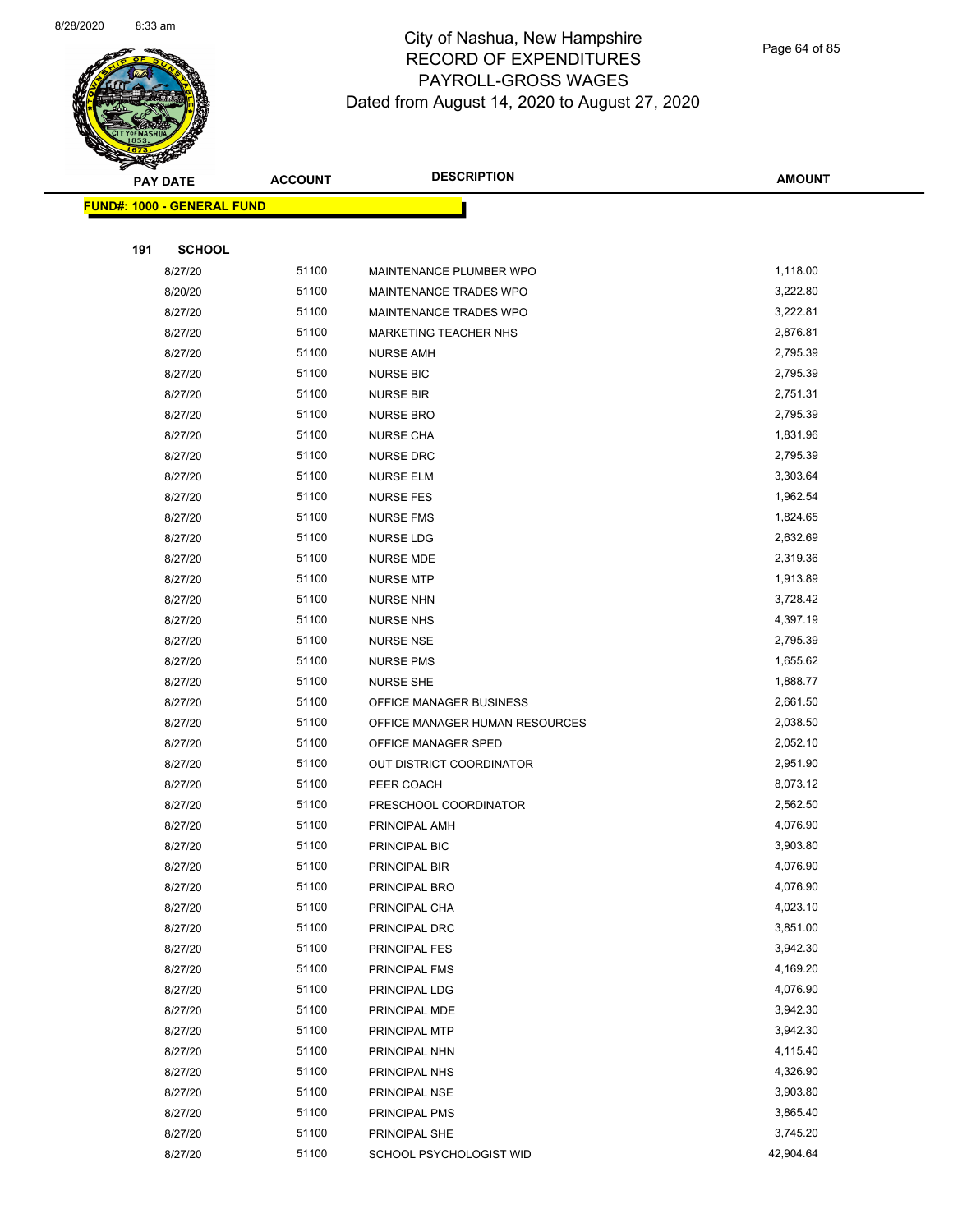

Page 64 of 85

| <b>PAY DATE</b>                   | <b>ACCOUNT</b> | <b>DESCRIPTION</b>             | <b>AMOUNT</b>        |
|-----------------------------------|----------------|--------------------------------|----------------------|
| <b>FUND#: 1000 - GENERAL FUND</b> |                |                                |                      |
|                                   |                |                                |                      |
| 191<br><b>SCHOOL</b>              |                |                                |                      |
| 8/27/20                           | 51100          | MAINTENANCE PLUMBER WPO        | 1,118.00             |
| 8/20/20                           | 51100          | MAINTENANCE TRADES WPO         | 3,222.80             |
| 8/27/20                           | 51100          | MAINTENANCE TRADES WPO         | 3,222.81             |
| 8/27/20                           | 51100          | MARKETING TEACHER NHS          | 2,876.81             |
| 8/27/20                           | 51100          | <b>NURSE AMH</b>               | 2,795.39             |
| 8/27/20                           | 51100          | <b>NURSE BIC</b>               | 2,795.39             |
| 8/27/20                           | 51100          | <b>NURSE BIR</b>               | 2,751.31             |
| 8/27/20                           | 51100          | <b>NURSE BRO</b>               | 2,795.39             |
| 8/27/20                           | 51100          | <b>NURSE CHA</b>               | 1,831.96             |
| 8/27/20                           | 51100          | <b>NURSE DRC</b>               | 2,795.39             |
| 8/27/20                           | 51100          | <b>NURSE ELM</b>               | 3,303.64             |
| 8/27/20                           | 51100          | <b>NURSE FES</b>               | 1,962.54             |
| 8/27/20                           | 51100          | <b>NURSE FMS</b>               | 1,824.65             |
| 8/27/20                           | 51100          | NURSE LDG                      | 2,632.69             |
| 8/27/20                           | 51100          | <b>NURSE MDE</b>               | 2,319.36             |
| 8/27/20                           | 51100          | <b>NURSE MTP</b>               | 1,913.89             |
| 8/27/20                           | 51100          | <b>NURSE NHN</b>               | 3,728.42             |
| 8/27/20                           | 51100          | <b>NURSE NHS</b>               | 4,397.19             |
| 8/27/20                           | 51100          | <b>NURSE NSE</b>               | 2,795.39             |
| 8/27/20                           | 51100          | <b>NURSE PMS</b>               | 1,655.62             |
| 8/27/20                           | 51100          | <b>NURSE SHE</b>               | 1,888.77             |
| 8/27/20                           | 51100          | OFFICE MANAGER BUSINESS        | 2,661.50             |
| 8/27/20                           | 51100          | OFFICE MANAGER HUMAN RESOURCES | 2,038.50             |
| 8/27/20                           | 51100          | OFFICE MANAGER SPED            | 2,052.10             |
| 8/27/20                           | 51100          | OUT DISTRICT COORDINATOR       | 2,951.90             |
| 8/27/20                           | 51100          | PEER COACH                     | 8,073.12             |
| 8/27/20                           | 51100          | PRESCHOOL COORDINATOR          | 2,562.50             |
| 8/27/20                           | 51100          | PRINCIPAL AMH                  | 4,076.90             |
| 8/27/20                           | 51100          | PRINCIPAL BIC                  | 3,903.80             |
| 8/27/20                           | 51100          | PRINCIPAL BIR                  | 4,076.90             |
| 8/27/20                           | 51100          | PRINCIPAL BRO                  | 4,076.90             |
| 8/27/20                           | 51100          | PRINCIPAL CHA                  | 4,023.10             |
| 8/27/20                           | 51100          | PRINCIPAL DRC                  | 3,851.00             |
| 8/27/20                           | 51100          | PRINCIPAL FES                  | 3,942.30             |
| 8/27/20                           | 51100          | PRINCIPAL FMS                  | 4,169.20             |
| 8/27/20                           | 51100          | PRINCIPAL LDG                  | 4,076.90<br>3,942.30 |
| 8/27/20                           | 51100          | PRINCIPAL MDE                  |                      |
| 8/27/20<br>8/27/20                | 51100<br>51100 | PRINCIPAL MTP                  | 3,942.30<br>4,115.40 |
|                                   | 51100          | PRINCIPAL NHN                  | 4,326.90             |
| 8/27/20<br>8/27/20                | 51100          | PRINCIPAL NHS<br>PRINCIPAL NSE | 3,903.80             |
| 8/27/20                           | 51100          | PRINCIPAL PMS                  | 3,865.40             |
| 8/27/20                           | 51100          | PRINCIPAL SHE                  | 3,745.20             |
| 8/27/20                           | 51100          | SCHOOL PSYCHOLOGIST WID        | 42,904.64            |
|                                   |                |                                |                      |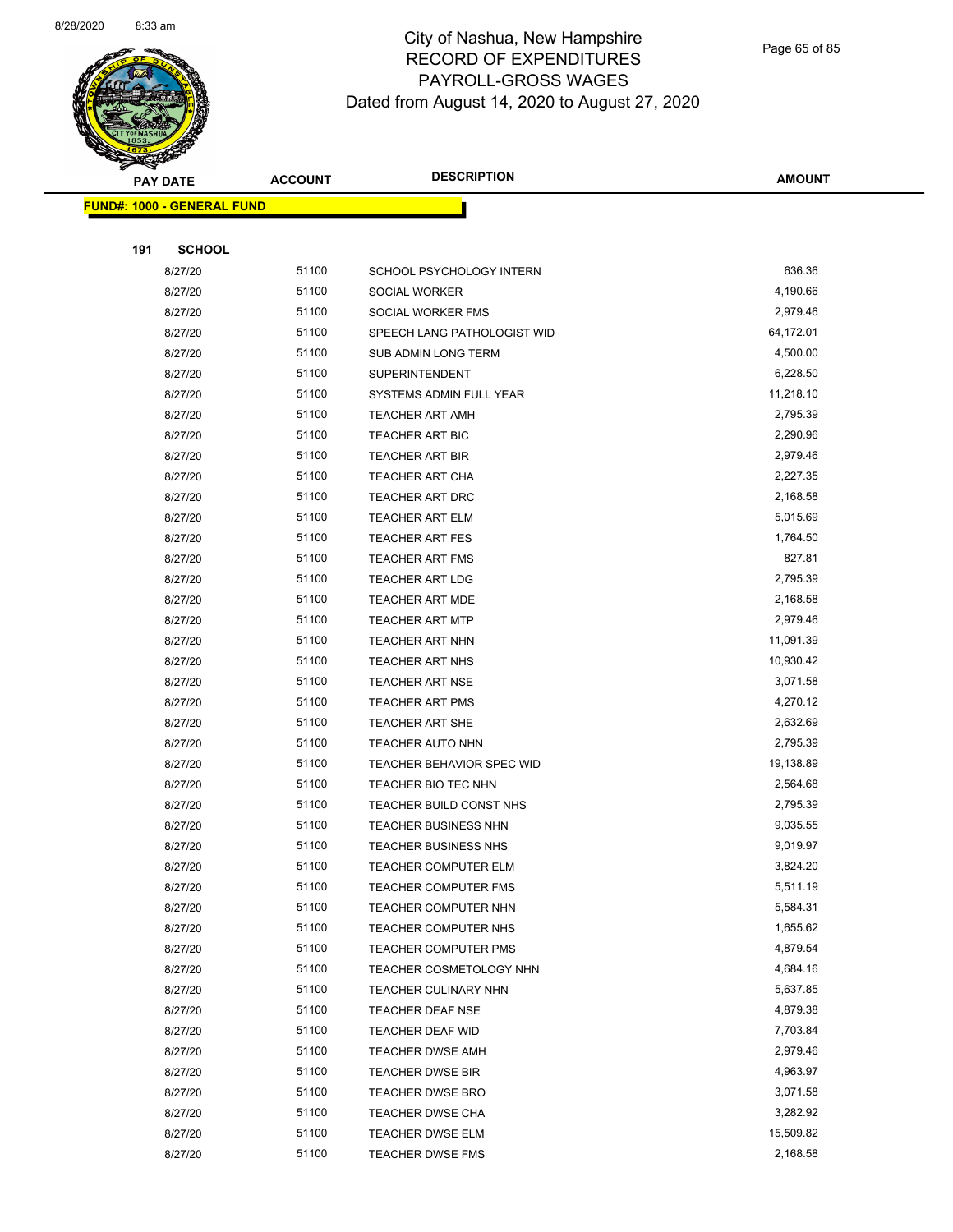

Page 65 of 85

|     | <b>PAY DATE</b>                   | <b>ACCOUNT</b> | <b>DESCRIPTION</b>                                         | <b>AMOUNT</b>        |
|-----|-----------------------------------|----------------|------------------------------------------------------------|----------------------|
|     | <b>FUND#: 1000 - GENERAL FUND</b> |                |                                                            |                      |
|     |                                   |                |                                                            |                      |
| 191 | <b>SCHOOL</b>                     |                |                                                            |                      |
|     | 8/27/20                           | 51100          | SCHOOL PSYCHOLOGY INTERN                                   | 636.36               |
|     | 8/27/20                           | 51100          | SOCIAL WORKER                                              | 4,190.66             |
|     | 8/27/20                           | 51100          | SOCIAL WORKER FMS                                          | 2,979.46             |
|     | 8/27/20                           | 51100          | SPEECH LANG PATHOLOGIST WID                                | 64,172.01            |
|     | 8/27/20                           | 51100          | <b>SUB ADMIN LONG TERM</b>                                 | 4,500.00             |
|     | 8/27/20                           | 51100          | <b>SUPERINTENDENT</b>                                      | 6,228.50             |
|     | 8/27/20                           | 51100          | SYSTEMS ADMIN FULL YEAR                                    | 11,218.10            |
|     | 8/27/20                           | 51100          | <b>TEACHER ART AMH</b>                                     | 2,795.39             |
|     | 8/27/20                           | 51100          | <b>TEACHER ART BIC</b>                                     | 2,290.96             |
|     | 8/27/20                           | 51100          | <b>TEACHER ART BIR</b>                                     | 2,979.46             |
|     | 8/27/20                           | 51100          | <b>TEACHER ART CHA</b>                                     | 2,227.35             |
|     | 8/27/20                           | 51100          | TEACHER ART DRC                                            | 2,168.58             |
|     | 8/27/20                           | 51100          | <b>TEACHER ART ELM</b>                                     | 5,015.69             |
|     | 8/27/20                           | 51100          | <b>TEACHER ART FES</b>                                     | 1,764.50             |
|     | 8/27/20                           | 51100          | <b>TEACHER ART FMS</b>                                     | 827.81               |
|     | 8/27/20                           | 51100          | <b>TEACHER ART LDG</b>                                     | 2,795.39             |
|     | 8/27/20                           | 51100          | <b>TEACHER ART MDE</b>                                     | 2,168.58             |
|     | 8/27/20                           | 51100          | <b>TEACHER ART MTP</b>                                     | 2,979.46             |
|     | 8/27/20                           | 51100          | TEACHER ART NHN                                            | 11,091.39            |
|     | 8/27/20                           | 51100          | TEACHER ART NHS                                            | 10,930.42            |
|     | 8/27/20                           | 51100          | <b>TEACHER ART NSE</b>                                     | 3,071.58             |
|     | 8/27/20                           | 51100          | <b>TEACHER ART PMS</b>                                     | 4,270.12             |
|     | 8/27/20                           | 51100          | <b>TEACHER ART SHE</b>                                     | 2,632.69             |
|     | 8/27/20                           | 51100          | <b>TEACHER AUTO NHN</b>                                    | 2,795.39             |
|     | 8/27/20                           | 51100          | <b>TEACHER BEHAVIOR SPEC WID</b>                           | 19,138.89            |
|     | 8/27/20                           | 51100          | TEACHER BIO TEC NHN                                        | 2,564.68<br>2,795.39 |
|     | 8/27/20                           | 51100          | TEACHER BUILD CONST NHS                                    |                      |
|     | 8/27/20<br>8/27/20                | 51100<br>51100 | <b>TEACHER BUSINESS NHN</b><br><b>TEACHER BUSINESS NHS</b> | 9,035.55<br>9,019.97 |
|     | 8/27/20                           | 51100          | TEACHER COMPUTER ELM                                       | 3,824.20             |
|     | 8/27/20                           | 51100          | <b>TEACHER COMPUTER FMS</b>                                | 5,511.19             |
|     | 8/27/20                           | 51100          | TEACHER COMPUTER NHN                                       | 5,584.31             |
|     | 8/27/20                           | 51100          | TEACHER COMPUTER NHS                                       | 1,655.62             |
|     | 8/27/20                           | 51100          | <b>TEACHER COMPUTER PMS</b>                                | 4,879.54             |
|     | 8/27/20                           | 51100          | TEACHER COSMETOLOGY NHN                                    | 4,684.16             |
|     | 8/27/20                           | 51100          | <b>TEACHER CULINARY NHN</b>                                | 5,637.85             |
|     | 8/27/20                           | 51100          | <b>TEACHER DEAF NSE</b>                                    | 4,879.38             |
|     | 8/27/20                           | 51100          | TEACHER DEAF WID                                           | 7,703.84             |
|     | 8/27/20                           | 51100          | <b>TEACHER DWSE AMH</b>                                    | 2,979.46             |
|     | 8/27/20                           | 51100          | <b>TEACHER DWSE BIR</b>                                    | 4,963.97             |
|     | 8/27/20                           | 51100          | <b>TEACHER DWSE BRO</b>                                    | 3,071.58             |
|     | 8/27/20                           | 51100          | <b>TEACHER DWSE CHA</b>                                    | 3,282.92             |
|     | 8/27/20                           | 51100          | <b>TEACHER DWSE ELM</b>                                    | 15,509.82            |
|     | 8/27/20                           | 51100          | TEACHER DWSE FMS                                           | 2,168.58             |
|     |                                   |                |                                                            |                      |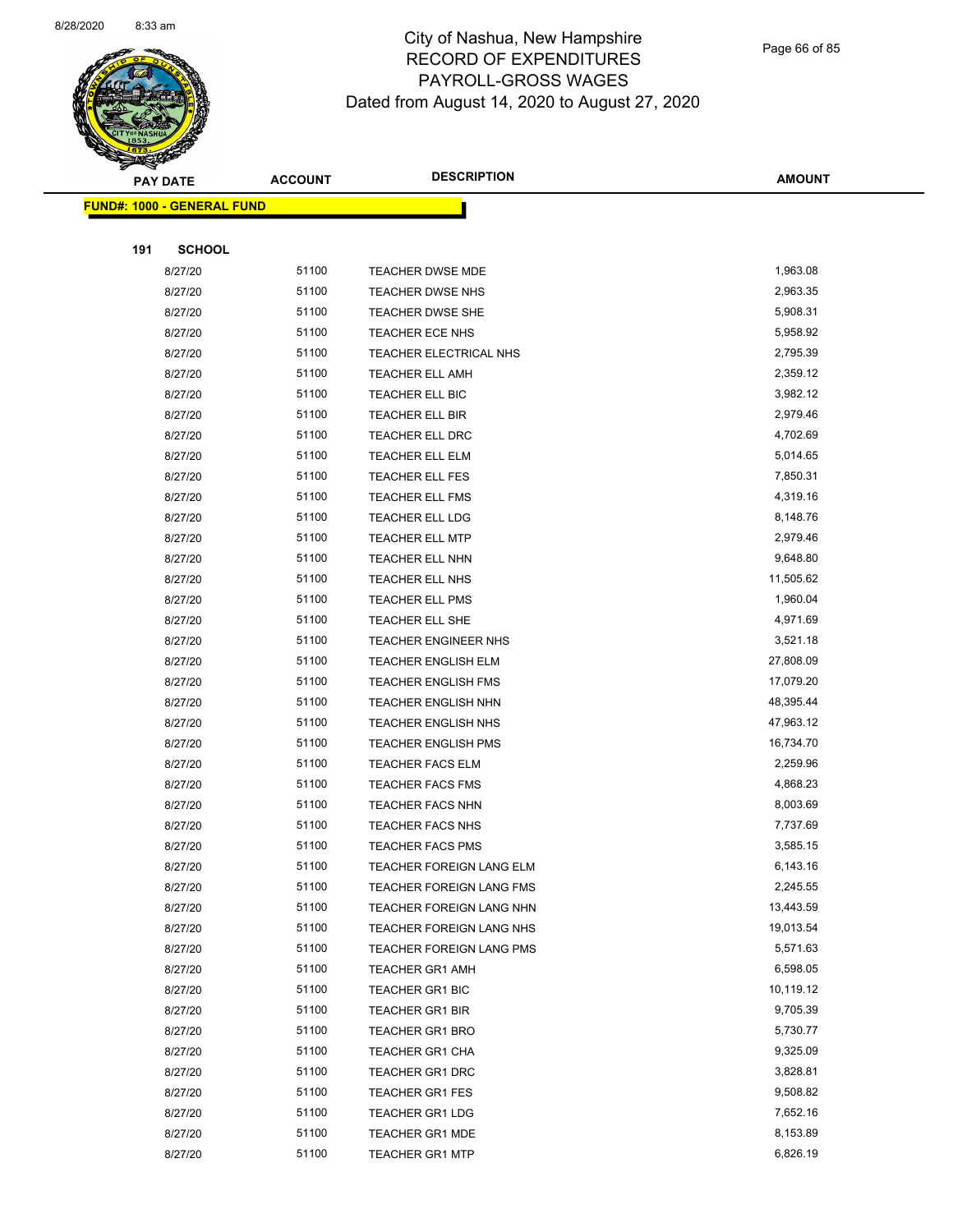

Page 66 of 85

|     | <b>PAY DATE</b>                   | <b>ACCOUNT</b> | <b>DESCRIPTION</b>              | <b>AMOUNT</b> |  |
|-----|-----------------------------------|----------------|---------------------------------|---------------|--|
|     | <b>FUND#: 1000 - GENERAL FUND</b> |                |                                 |               |  |
|     |                                   |                |                                 |               |  |
| 191 | <b>SCHOOL</b>                     |                |                                 |               |  |
|     | 8/27/20                           | 51100          | TEACHER DWSE MDE                | 1,963.08      |  |
|     | 8/27/20                           | 51100          | <b>TEACHER DWSE NHS</b>         | 2,963.35      |  |
|     | 8/27/20                           | 51100          | <b>TEACHER DWSE SHE</b>         | 5,908.31      |  |
|     | 8/27/20                           | 51100          | TEACHER ECE NHS                 | 5,958.92      |  |
|     | 8/27/20                           | 51100          | TEACHER ELECTRICAL NHS          | 2,795.39      |  |
|     | 8/27/20                           | 51100          | TEACHER ELL AMH                 | 2,359.12      |  |
|     | 8/27/20                           | 51100          | TEACHER ELL BIC                 | 3,982.12      |  |
|     | 8/27/20                           | 51100          | TEACHER ELL BIR                 | 2,979.46      |  |
|     | 8/27/20                           | 51100          | TEACHER ELL DRC                 | 4,702.69      |  |
|     | 8/27/20                           | 51100          | TEACHER ELL ELM                 | 5,014.65      |  |
|     | 8/27/20                           | 51100          | TEACHER ELL FES                 | 7,850.31      |  |
|     | 8/27/20                           | 51100          | <b>TEACHER ELL FMS</b>          | 4,319.16      |  |
|     | 8/27/20                           | 51100          | TEACHER ELL LDG                 | 8,148.76      |  |
|     | 8/27/20                           | 51100          | <b>TEACHER ELL MTP</b>          | 2,979.46      |  |
|     | 8/27/20                           | 51100          | TEACHER ELL NHN                 | 9,648.80      |  |
|     | 8/27/20                           | 51100          | TEACHER ELL NHS                 | 11,505.62     |  |
|     | 8/27/20                           | 51100          | TEACHER ELL PMS                 | 1,960.04      |  |
|     | 8/27/20                           | 51100          | TEACHER ELL SHE                 | 4,971.69      |  |
|     | 8/27/20                           | 51100          | <b>TEACHER ENGINEER NHS</b>     | 3,521.18      |  |
|     | 8/27/20                           | 51100          | <b>TEACHER ENGLISH ELM</b>      | 27,808.09     |  |
|     | 8/27/20                           | 51100          | TEACHER ENGLISH FMS             | 17,079.20     |  |
|     | 8/27/20                           | 51100          | <b>TEACHER ENGLISH NHN</b>      | 48,395.44     |  |
|     | 8/27/20                           | 51100          | <b>TEACHER ENGLISH NHS</b>      | 47,963.12     |  |
|     | 8/27/20                           | 51100          | <b>TEACHER ENGLISH PMS</b>      | 16,734.70     |  |
|     | 8/27/20                           | 51100          | <b>TEACHER FACS ELM</b>         | 2,259.96      |  |
|     | 8/27/20                           | 51100          | TEACHER FACS FMS                | 4,868.23      |  |
|     | 8/27/20                           | 51100          | <b>TEACHER FACS NHN</b>         | 8,003.69      |  |
|     | 8/27/20                           | 51100          | <b>TEACHER FACS NHS</b>         | 7,737.69      |  |
|     | 8/27/20                           | 51100          | <b>TEACHER FACS PMS</b>         | 3,585.15      |  |
|     | 8/27/20                           | 51100          | <b>TEACHER FOREIGN LANG ELM</b> | 6,143.16      |  |
|     | 8/27/20                           | 51100          | <b>TEACHER FOREIGN LANG FMS</b> | 2,245.55      |  |
|     | 8/27/20                           | 51100          | <b>TEACHER FOREIGN LANG NHN</b> | 13,443.59     |  |
|     | 8/27/20                           | 51100          | TEACHER FOREIGN LANG NHS        | 19,013.54     |  |
|     | 8/27/20                           | 51100          | TEACHER FOREIGN LANG PMS        | 5,571.63      |  |
|     | 8/27/20                           | 51100          | <b>TEACHER GR1 AMH</b>          | 6,598.05      |  |
|     | 8/27/20                           | 51100          | TEACHER GR1 BIC                 | 10,119.12     |  |
|     | 8/27/20                           | 51100          | <b>TEACHER GR1 BIR</b>          | 9,705.39      |  |
|     | 8/27/20                           | 51100          | <b>TEACHER GR1 BRO</b>          | 5,730.77      |  |
|     | 8/27/20                           | 51100          | TEACHER GR1 CHA                 | 9,325.09      |  |
|     | 8/27/20                           | 51100          | <b>TEACHER GR1 DRC</b>          | 3,828.81      |  |
|     | 8/27/20                           | 51100          | TEACHER GR1 FES                 | 9,508.82      |  |
|     | 8/27/20                           | 51100          | <b>TEACHER GR1 LDG</b>          | 7,652.16      |  |
|     | 8/27/20                           | 51100          | <b>TEACHER GR1 MDE</b>          | 8,153.89      |  |
|     | 8/27/20                           | 51100          | <b>TEACHER GR1 MTP</b>          | 6,826.19      |  |
|     |                                   |                |                                 |               |  |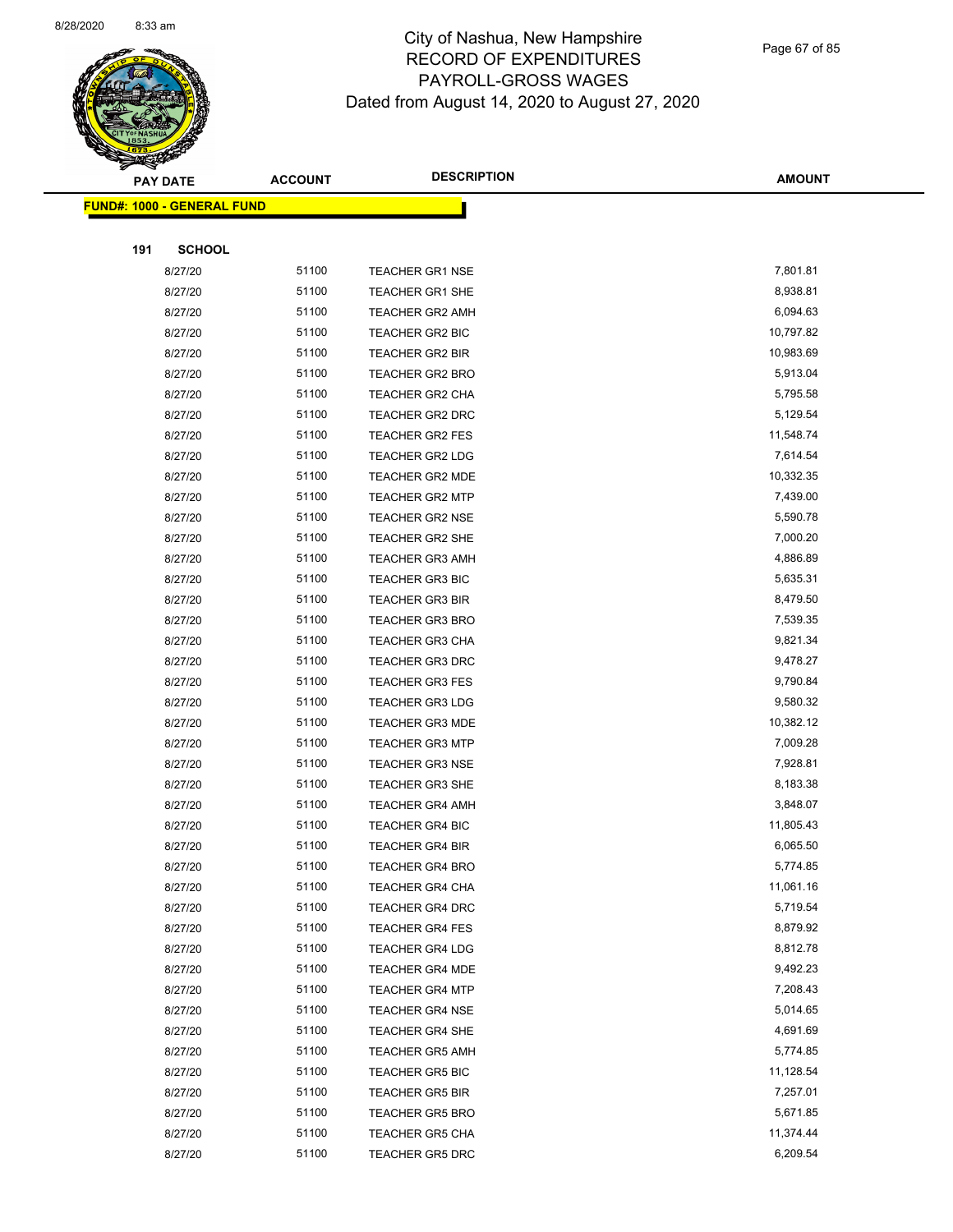

Page 67 of 85

|     | <b>PAY DATE</b>                   | <b>ACCOUNT</b> | <b>DESCRIPTION</b>     | <b>AMOUNT</b> |
|-----|-----------------------------------|----------------|------------------------|---------------|
|     | <b>FUND#: 1000 - GENERAL FUND</b> |                |                        |               |
|     |                                   |                |                        |               |
| 191 | <b>SCHOOL</b>                     |                |                        |               |
|     | 8/27/20                           | 51100          | <b>TEACHER GR1 NSE</b> | 7,801.81      |
|     | 8/27/20                           | 51100          | TEACHER GR1 SHE        | 8,938.81      |
|     | 8/27/20                           | 51100          | <b>TEACHER GR2 AMH</b> | 6,094.63      |
|     | 8/27/20                           | 51100          | <b>TEACHER GR2 BIC</b> | 10,797.82     |
|     | 8/27/20                           | 51100          | <b>TEACHER GR2 BIR</b> | 10,983.69     |
|     | 8/27/20                           | 51100          | TEACHER GR2 BRO        | 5,913.04      |
|     | 8/27/20                           | 51100          | <b>TEACHER GR2 CHA</b> | 5,795.58      |
|     | 8/27/20                           | 51100          | TEACHER GR2 DRC        | 5,129.54      |
|     | 8/27/20                           | 51100          | <b>TEACHER GR2 FES</b> | 11,548.74     |
|     | 8/27/20                           | 51100          | TEACHER GR2 LDG        | 7,614.54      |
|     | 8/27/20                           | 51100          | TEACHER GR2 MDE        | 10,332.35     |
|     | 8/27/20                           | 51100          | <b>TEACHER GR2 MTP</b> | 7,439.00      |
|     | 8/27/20                           | 51100          | <b>TEACHER GR2 NSE</b> | 5,590.78      |
|     | 8/27/20                           | 51100          | <b>TEACHER GR2 SHE</b> | 7,000.20      |
|     | 8/27/20                           | 51100          | <b>TEACHER GR3 AMH</b> | 4,886.89      |
|     | 8/27/20                           | 51100          | <b>TEACHER GR3 BIC</b> | 5,635.31      |
|     | 8/27/20                           | 51100          | <b>TEACHER GR3 BIR</b> | 8,479.50      |
|     | 8/27/20                           | 51100          | <b>TEACHER GR3 BRO</b> | 7,539.35      |
|     | 8/27/20                           | 51100          | <b>TEACHER GR3 CHA</b> | 9,821.34      |
|     | 8/27/20                           | 51100          | <b>TEACHER GR3 DRC</b> | 9,478.27      |
|     | 8/27/20                           | 51100          | <b>TEACHER GR3 FES</b> | 9,790.84      |
|     | 8/27/20                           | 51100          | <b>TEACHER GR3 LDG</b> | 9,580.32      |
|     | 8/27/20                           | 51100          | <b>TEACHER GR3 MDE</b> | 10,382.12     |
|     | 8/27/20                           | 51100          | <b>TEACHER GR3 MTP</b> | 7,009.28      |
|     | 8/27/20                           | 51100          | <b>TEACHER GR3 NSE</b> | 7,928.81      |
|     | 8/27/20                           | 51100          | TEACHER GR3 SHE        | 8,183.38      |
|     | 8/27/20                           | 51100          | <b>TEACHER GR4 AMH</b> | 3,848.07      |
|     | 8/27/20                           | 51100          | <b>TEACHER GR4 BIC</b> | 11,805.43     |
|     | 8/27/20                           | 51100          | <b>TEACHER GR4 BIR</b> | 6,065.50      |
|     | 8/27/20                           | 51100          | TEACHER GR4 BRO        | 5,774.85      |
|     | 8/27/20                           | 51100          | <b>TEACHER GR4 CHA</b> | 11,061.16     |
|     | 8/27/20                           | 51100          | <b>TEACHER GR4 DRC</b> | 5,719.54      |
|     | 8/27/20                           | 51100          | <b>TEACHER GR4 FES</b> | 8,879.92      |
|     | 8/27/20                           | 51100          | <b>TEACHER GR4 LDG</b> | 8,812.78      |
|     | 8/27/20                           | 51100          | <b>TEACHER GR4 MDE</b> | 9,492.23      |
|     | 8/27/20                           | 51100          | <b>TEACHER GR4 MTP</b> | 7,208.43      |
|     | 8/27/20                           | 51100          | <b>TEACHER GR4 NSE</b> | 5,014.65      |
|     | 8/27/20                           | 51100          | <b>TEACHER GR4 SHE</b> | 4,691.69      |
|     | 8/27/20                           | 51100          | <b>TEACHER GR5 AMH</b> | 5,774.85      |
|     | 8/27/20                           | 51100          | <b>TEACHER GR5 BIC</b> | 11,128.54     |
|     | 8/27/20                           | 51100          | <b>TEACHER GR5 BIR</b> | 7,257.01      |
|     | 8/27/20                           | 51100          | <b>TEACHER GR5 BRO</b> | 5,671.85      |
|     | 8/27/20                           | 51100          | <b>TEACHER GR5 CHA</b> | 11,374.44     |
|     | 8/27/20                           | 51100          | <b>TEACHER GR5 DRC</b> | 6,209.54      |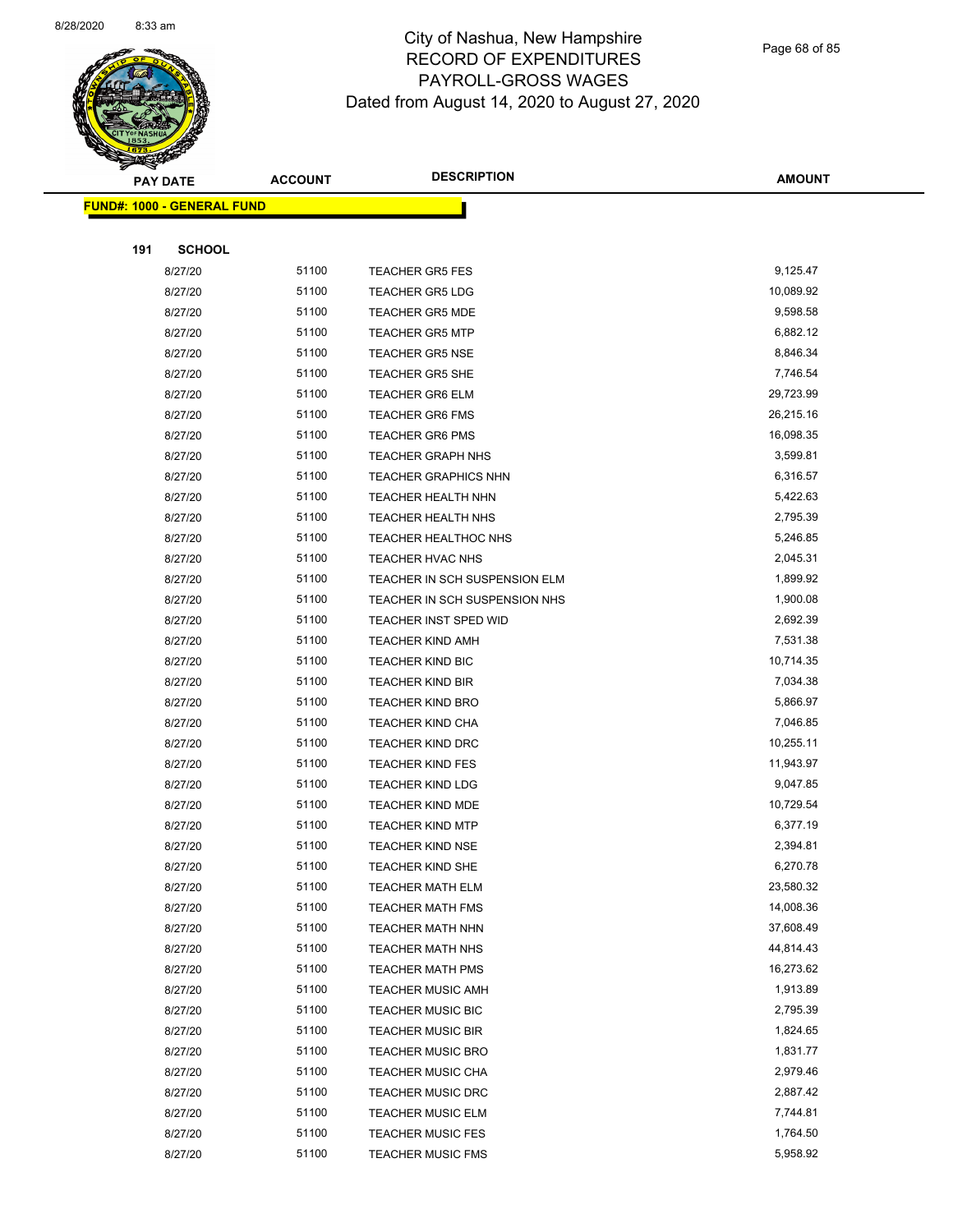

Page 68 of 85

| <b>PAY DATE</b>                   | <b>ACCOUNT</b> | <b>DESCRIPTION</b>            | <b>AMOUNT</b> |
|-----------------------------------|----------------|-------------------------------|---------------|
| <b>FUND#: 1000 - GENERAL FUND</b> |                |                               |               |
|                                   |                |                               |               |
| 191<br><b>SCHOOL</b>              |                |                               |               |
| 8/27/20                           | 51100          | <b>TEACHER GR5 FES</b>        | 9,125.47      |
| 8/27/20                           | 51100          | <b>TEACHER GR5 LDG</b>        | 10,089.92     |
| 8/27/20                           | 51100          | <b>TEACHER GR5 MDE</b>        | 9,598.58      |
| 8/27/20                           | 51100          | <b>TEACHER GR5 MTP</b>        | 6,882.12      |
| 8/27/20                           | 51100          | <b>TEACHER GR5 NSE</b>        | 8,846.34      |
| 8/27/20                           | 51100          | TEACHER GR5 SHE               | 7,746.54      |
| 8/27/20                           | 51100          | <b>TEACHER GR6 ELM</b>        | 29,723.99     |
| 8/27/20                           | 51100          | <b>TEACHER GR6 FMS</b>        | 26,215.16     |
| 8/27/20                           | 51100          | <b>TEACHER GR6 PMS</b>        | 16,098.35     |
| 8/27/20                           | 51100          | <b>TEACHER GRAPH NHS</b>      | 3,599.81      |
| 8/27/20                           | 51100          | <b>TEACHER GRAPHICS NHN</b>   | 6,316.57      |
| 8/27/20                           | 51100          | <b>TEACHER HEALTH NHN</b>     | 5,422.63      |
| 8/27/20                           | 51100          | <b>TEACHER HEALTH NHS</b>     | 2,795.39      |
| 8/27/20                           | 51100          | TEACHER HEALTHOC NHS          | 5,246.85      |
| 8/27/20                           | 51100          | TEACHER HVAC NHS              | 2,045.31      |
| 8/27/20                           | 51100          | TEACHER IN SCH SUSPENSION ELM | 1,899.92      |
| 8/27/20                           | 51100          | TEACHER IN SCH SUSPENSION NHS | 1,900.08      |
| 8/27/20                           | 51100          | <b>TEACHER INST SPED WID</b>  | 2,692.39      |
| 8/27/20                           | 51100          | <b>TEACHER KIND AMH</b>       | 7,531.38      |
| 8/27/20                           | 51100          | <b>TEACHER KIND BIC</b>       | 10,714.35     |
| 8/27/20                           | 51100          | <b>TEACHER KIND BIR</b>       | 7,034.38      |
| 8/27/20                           | 51100          | <b>TEACHER KIND BRO</b>       | 5,866.97      |
| 8/27/20                           | 51100          | <b>TEACHER KIND CHA</b>       | 7,046.85      |
| 8/27/20                           | 51100          | <b>TEACHER KIND DRC</b>       | 10,255.11     |
| 8/27/20                           | 51100          | <b>TEACHER KIND FES</b>       | 11,943.97     |
| 8/27/20                           | 51100          | <b>TEACHER KIND LDG</b>       | 9,047.85      |
| 8/27/20                           | 51100          | <b>TEACHER KIND MDE</b>       | 10,729.54     |
| 8/27/20                           | 51100          | <b>TEACHER KIND MTP</b>       | 6,377.19      |
| 8/27/20                           | 51100          | <b>TEACHER KIND NSE</b>       | 2,394.81      |
| 8/27/20                           | 51100          | <b>TEACHER KIND SHE</b>       | 6,270.78      |
| 8/27/20                           | 51100          | TEACHER MATH ELM              | 23,580.32     |
| 8/27/20                           | 51100          | <b>TEACHER MATH FMS</b>       | 14,008.36     |
| 8/27/20                           | 51100          | <b>TEACHER MATH NHN</b>       | 37,608.49     |
| 8/27/20                           | 51100          | <b>TEACHER MATH NHS</b>       | 44,814.43     |
| 8/27/20                           | 51100          | <b>TEACHER MATH PMS</b>       | 16,273.62     |
| 8/27/20                           | 51100          | <b>TEACHER MUSIC AMH</b>      | 1,913.89      |
| 8/27/20                           | 51100          | <b>TEACHER MUSIC BIC</b>      | 2,795.39      |
| 8/27/20                           | 51100          | <b>TEACHER MUSIC BIR</b>      | 1,824.65      |
| 8/27/20                           | 51100          | <b>TEACHER MUSIC BRO</b>      | 1,831.77      |
| 8/27/20                           | 51100          | <b>TEACHER MUSIC CHA</b>      | 2,979.46      |
| 8/27/20                           | 51100          | TEACHER MUSIC DRC             | 2,887.42      |
| 8/27/20                           | 51100          | <b>TEACHER MUSIC ELM</b>      | 7,744.81      |
| 8/27/20                           | 51100          | <b>TEACHER MUSIC FES</b>      | 1,764.50      |
| 8/27/20                           | 51100          | <b>TEACHER MUSIC FMS</b>      | 5,958.92      |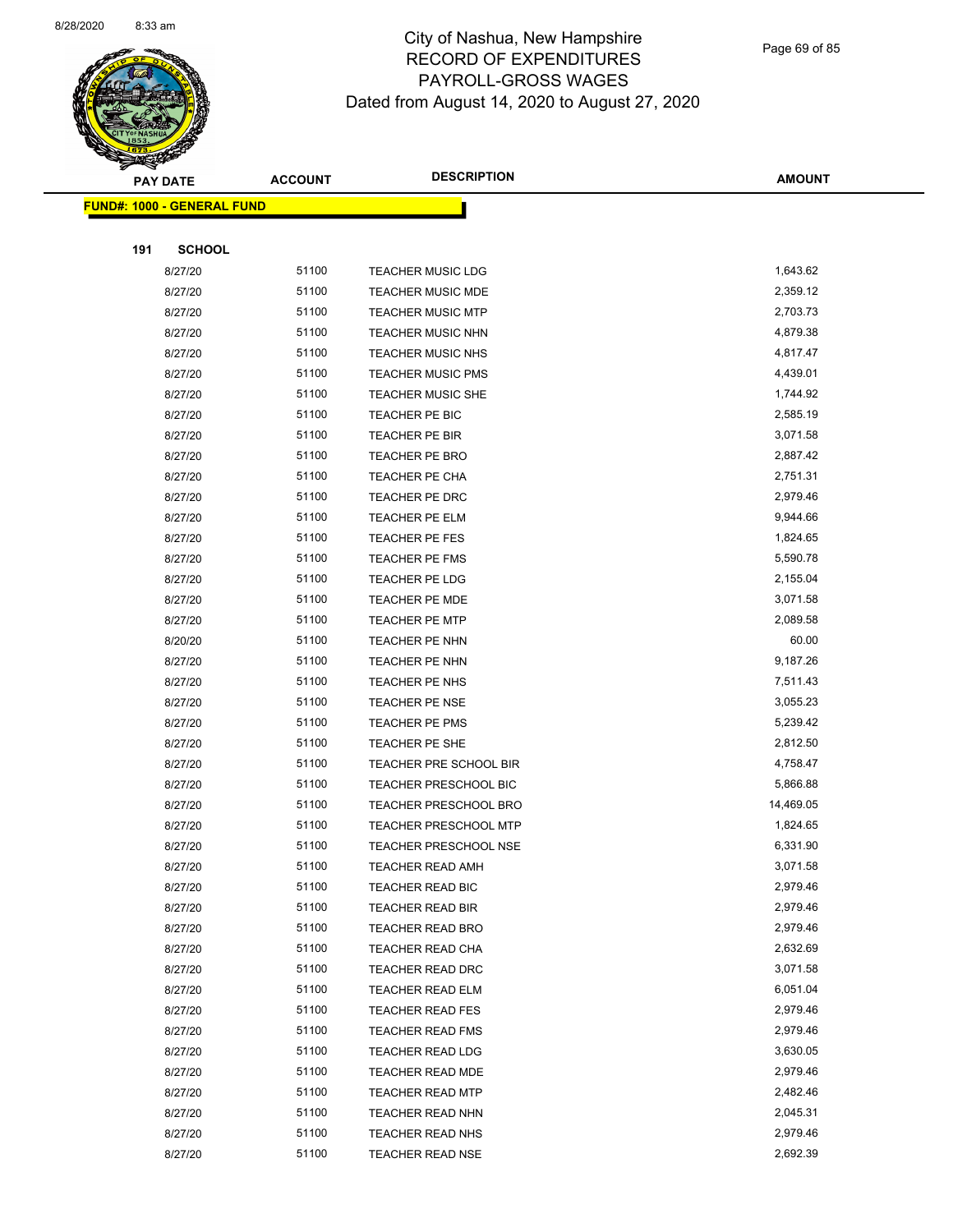

Page 69 of 85

|     | <b>PAY DATE</b>                   | <b>ACCOUNT</b> | <b>DESCRIPTION</b>                          | <b>AMOUNT</b>        |
|-----|-----------------------------------|----------------|---------------------------------------------|----------------------|
|     | <b>FUND#: 1000 - GENERAL FUND</b> |                |                                             |                      |
|     |                                   |                |                                             |                      |
| 191 | <b>SCHOOL</b>                     |                |                                             |                      |
|     | 8/27/20                           | 51100          | <b>TEACHER MUSIC LDG</b>                    | 1,643.62             |
|     | 8/27/20                           | 51100          | TEACHER MUSIC MDE                           | 2,359.12             |
|     | 8/27/20                           | 51100          | <b>TEACHER MUSIC MTP</b>                    | 2,703.73             |
|     | 8/27/20                           | 51100          | <b>TEACHER MUSIC NHN</b>                    | 4,879.38             |
|     | 8/27/20                           | 51100          | <b>TEACHER MUSIC NHS</b>                    | 4,817.47             |
|     | 8/27/20                           | 51100          | <b>TEACHER MUSIC PMS</b>                    | 4,439.01             |
|     | 8/27/20                           | 51100          | <b>TEACHER MUSIC SHE</b>                    | 1,744.92             |
|     | 8/27/20                           | 51100          | TEACHER PE BIC                              | 2,585.19             |
|     | 8/27/20                           | 51100          | TEACHER PE BIR                              | 3,071.58             |
|     | 8/27/20                           | 51100          | TEACHER PE BRO                              | 2,887.42             |
|     | 8/27/20                           | 51100          | TEACHER PE CHA                              | 2,751.31             |
|     | 8/27/20                           | 51100          | TEACHER PE DRC                              | 2,979.46             |
|     | 8/27/20                           | 51100          | TEACHER PE ELM                              | 9,944.66             |
|     | 8/27/20                           | 51100          | TEACHER PE FES                              | 1,824.65             |
|     | 8/27/20                           | 51100          | TEACHER PE FMS                              | 5,590.78             |
|     | 8/27/20                           | 51100          | TEACHER PE LDG                              | 2,155.04             |
|     | 8/27/20                           | 51100          | <b>TEACHER PE MDE</b>                       | 3,071.58             |
|     | 8/27/20                           | 51100          | TEACHER PE MTP                              | 2,089.58             |
|     | 8/20/20                           | 51100          | TEACHER PE NHN                              | 60.00                |
|     | 8/27/20                           | 51100          | TEACHER PE NHN                              | 9,187.26             |
|     | 8/27/20                           | 51100          | TEACHER PE NHS                              | 7,511.43             |
|     | 8/27/20                           | 51100          | TEACHER PE NSE                              | 3,055.23             |
|     | 8/27/20                           | 51100          | TEACHER PE PMS                              | 5,239.42             |
|     | 8/27/20                           | 51100          | TEACHER PE SHE                              | 2,812.50             |
|     | 8/27/20                           | 51100          | TEACHER PRE SCHOOL BIR                      | 4,758.47             |
|     | 8/27/20                           | 51100          | TEACHER PRESCHOOL BIC                       | 5,866.88             |
|     | 8/27/20                           | 51100          | <b>TEACHER PRESCHOOL BRO</b>                | 14,469.05            |
|     | 8/27/20                           | 51100          | TEACHER PRESCHOOL MTP                       | 1,824.65             |
|     | 8/27/20                           | 51100          | TEACHER PRESCHOOL NSE                       | 6,331.90             |
|     | 8/27/20                           | 51100          | TEACHER READ AMH                            | 3,071.58             |
|     | 8/27/20                           | 51100<br>51100 | TEACHER READ BIC                            | 2,979.46<br>2,979.46 |
|     | 8/27/20<br>8/27/20                | 51100          | <b>TEACHER READ BIR</b><br>TEACHER READ BRO | 2,979.46             |
|     | 8/27/20                           | 51100          | TEACHER READ CHA                            | 2,632.69             |
|     | 8/27/20                           | 51100          | TEACHER READ DRC                            | 3,071.58             |
|     | 8/27/20                           | 51100          | TEACHER READ ELM                            | 6,051.04             |
|     | 8/27/20                           | 51100          | <b>TEACHER READ FES</b>                     | 2,979.46             |
|     | 8/27/20                           | 51100          | <b>TEACHER READ FMS</b>                     | 2,979.46             |
|     | 8/27/20                           | 51100          | <b>TEACHER READ LDG</b>                     | 3,630.05             |
|     | 8/27/20                           | 51100          | TEACHER READ MDE                            | 2,979.46             |
|     | 8/27/20                           | 51100          | <b>TEACHER READ MTP</b>                     | 2,482.46             |
|     | 8/27/20                           | 51100          | TEACHER READ NHN                            | 2,045.31             |
|     | 8/27/20                           | 51100          | TEACHER READ NHS                            | 2,979.46             |
|     | 8/27/20                           | 51100          | <b>TEACHER READ NSE</b>                     | 2,692.39             |
|     |                                   |                |                                             |                      |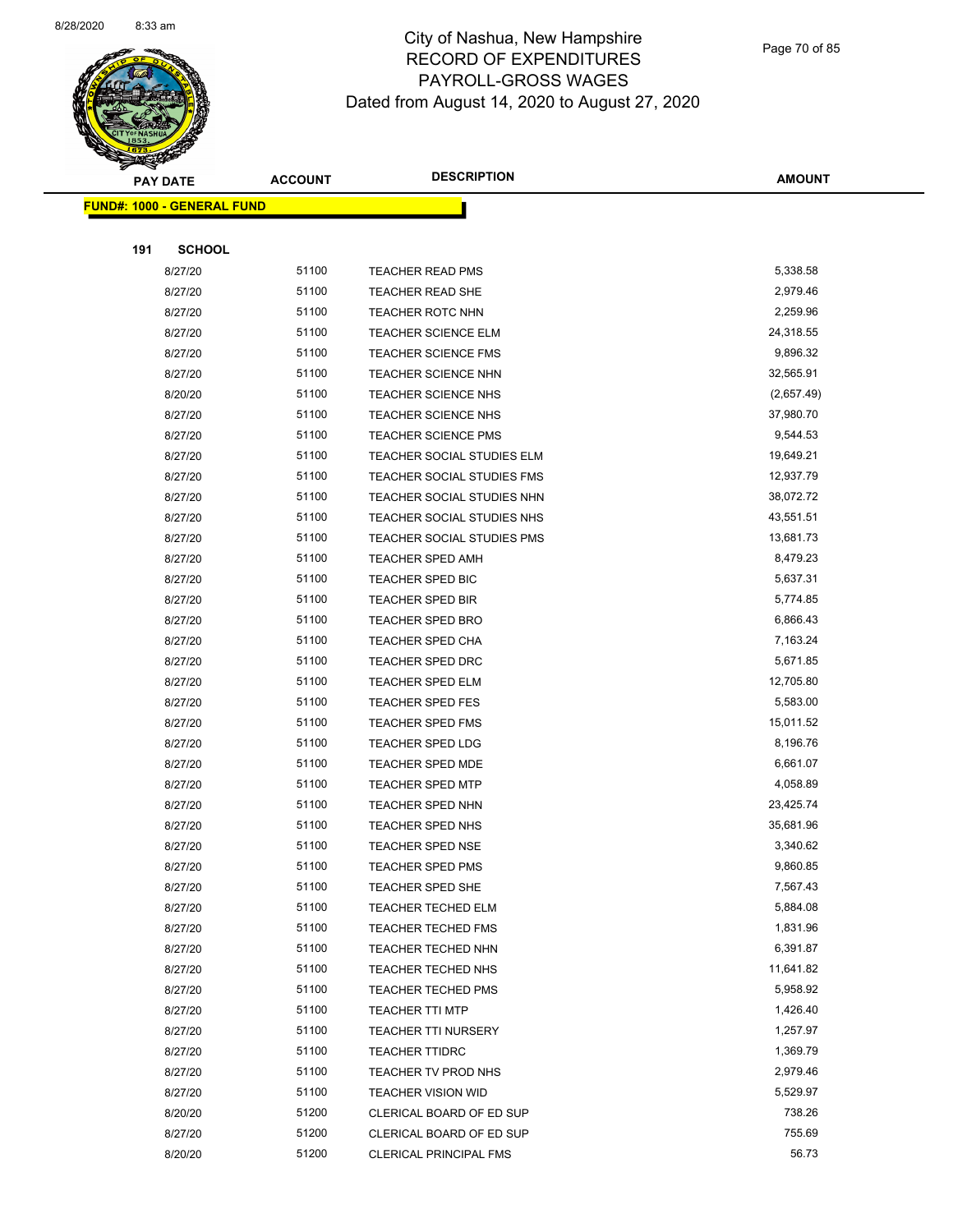

Page 70 of 85

|     | <b>PAY DATE</b>                   | <b>ACCOUNT</b> | <b>DESCRIPTION</b>                             | <b>AMOUNT</b>         |
|-----|-----------------------------------|----------------|------------------------------------------------|-----------------------|
|     | <b>FUND#: 1000 - GENERAL FUND</b> |                |                                                |                       |
|     |                                   |                |                                                |                       |
| 191 | <b>SCHOOL</b>                     |                |                                                |                       |
|     | 8/27/20                           | 51100          | <b>TEACHER READ PMS</b>                        | 5,338.58              |
|     | 8/27/20                           | 51100          | <b>TEACHER READ SHE</b>                        | 2,979.46              |
|     | 8/27/20                           | 51100          | <b>TEACHER ROTC NHN</b>                        | 2,259.96              |
|     | 8/27/20                           | 51100          | <b>TEACHER SCIENCE ELM</b>                     | 24,318.55             |
|     | 8/27/20                           | 51100          | <b>TEACHER SCIENCE FMS</b>                     | 9,896.32              |
|     | 8/27/20                           | 51100          | TEACHER SCIENCE NHN                            | 32,565.91             |
|     | 8/20/20                           | 51100          | TEACHER SCIENCE NHS                            | (2,657.49)            |
|     | 8/27/20                           | 51100          | TEACHER SCIENCE NHS                            | 37,980.70             |
|     | 8/27/20                           | 51100          | <b>TEACHER SCIENCE PMS</b>                     | 9,544.53              |
|     | 8/27/20                           | 51100          | TEACHER SOCIAL STUDIES ELM                     | 19,649.21             |
|     | 8/27/20                           | 51100          | TEACHER SOCIAL STUDIES FMS                     | 12,937.79             |
|     | 8/27/20                           | 51100          | TEACHER SOCIAL STUDIES NHN                     | 38,072.72             |
|     | 8/27/20                           | 51100          | TEACHER SOCIAL STUDIES NHS                     | 43,551.51             |
|     | 8/27/20                           | 51100          | TEACHER SOCIAL STUDIES PMS                     | 13,681.73             |
|     | 8/27/20                           | 51100          | <b>TEACHER SPED AMH</b>                        | 8,479.23              |
|     | 8/27/20                           | 51100          | TEACHER SPED BIC                               | 5,637.31              |
|     | 8/27/20                           | 51100          | <b>TEACHER SPED BIR</b>                        | 5,774.85              |
|     | 8/27/20                           | 51100          | TEACHER SPED BRO                               | 6,866.43              |
|     | 8/27/20                           | 51100          | <b>TEACHER SPED CHA</b>                        | 7,163.24              |
|     | 8/27/20                           | 51100          | TEACHER SPED DRC                               | 5,671.85              |
|     | 8/27/20                           | 51100          | TEACHER SPED ELM                               | 12,705.80             |
|     | 8/27/20                           | 51100          | <b>TEACHER SPED FES</b>                        | 5,583.00              |
|     | 8/27/20                           | 51100          | TEACHER SPED FMS                               | 15,011.52             |
|     | 8/27/20                           | 51100          | <b>TEACHER SPED LDG</b>                        | 8,196.76              |
|     | 8/27/20                           | 51100          | TEACHER SPED MDE                               | 6,661.07              |
|     | 8/27/20                           | 51100          | <b>TEACHER SPED MTP</b>                        | 4,058.89              |
|     | 8/27/20                           | 51100          | TEACHER SPED NHN                               | 23,425.74             |
|     | 8/27/20                           | 51100          | <b>TEACHER SPED NHS</b>                        | 35,681.96             |
|     | 8/27/20                           | 51100          | <b>TEACHER SPED NSE</b>                        | 3,340.62              |
|     | 8/27/20                           | 51100          | TEACHER SPED PMS                               | 9,860.85              |
|     | 8/27/20                           | 51100          | TEACHER SPED SHE                               | 7,567.43              |
|     | 8/27/20                           | 51100          | TEACHER TECHED ELM                             | 5,884.08              |
|     | 8/27/20                           | 51100          | <b>TEACHER TECHED FMS</b>                      | 1,831.96              |
|     | 8/27/20                           | 51100          | TEACHER TECHED NHN                             | 6,391.87              |
|     | 8/27/20                           | 51100<br>51100 | TEACHER TECHED NHS                             | 11,641.82<br>5,958.92 |
|     | 8/27/20                           | 51100          | <b>TEACHER TECHED PMS</b>                      | 1,426.40              |
|     | 8/27/20                           | 51100          | <b>TEACHER TTI MTP</b>                         | 1,257.97              |
|     | 8/27/20                           |                | <b>TEACHER TTI NURSERY</b>                     |                       |
|     | 8/27/20                           | 51100<br>51100 | <b>TEACHER TTIDRC</b>                          | 1,369.79<br>2,979.46  |
|     | 8/27/20                           | 51100          | TEACHER TV PROD NHS                            | 5,529.97              |
|     | 8/27/20<br>8/20/20                | 51200          | TEACHER VISION WID<br>CLERICAL BOARD OF ED SUP | 738.26                |
|     | 8/27/20                           | 51200          | CLERICAL BOARD OF ED SUP                       | 755.69                |
|     | 8/20/20                           | 51200          | <b>CLERICAL PRINCIPAL FMS</b>                  | 56.73                 |
|     |                                   |                |                                                |                       |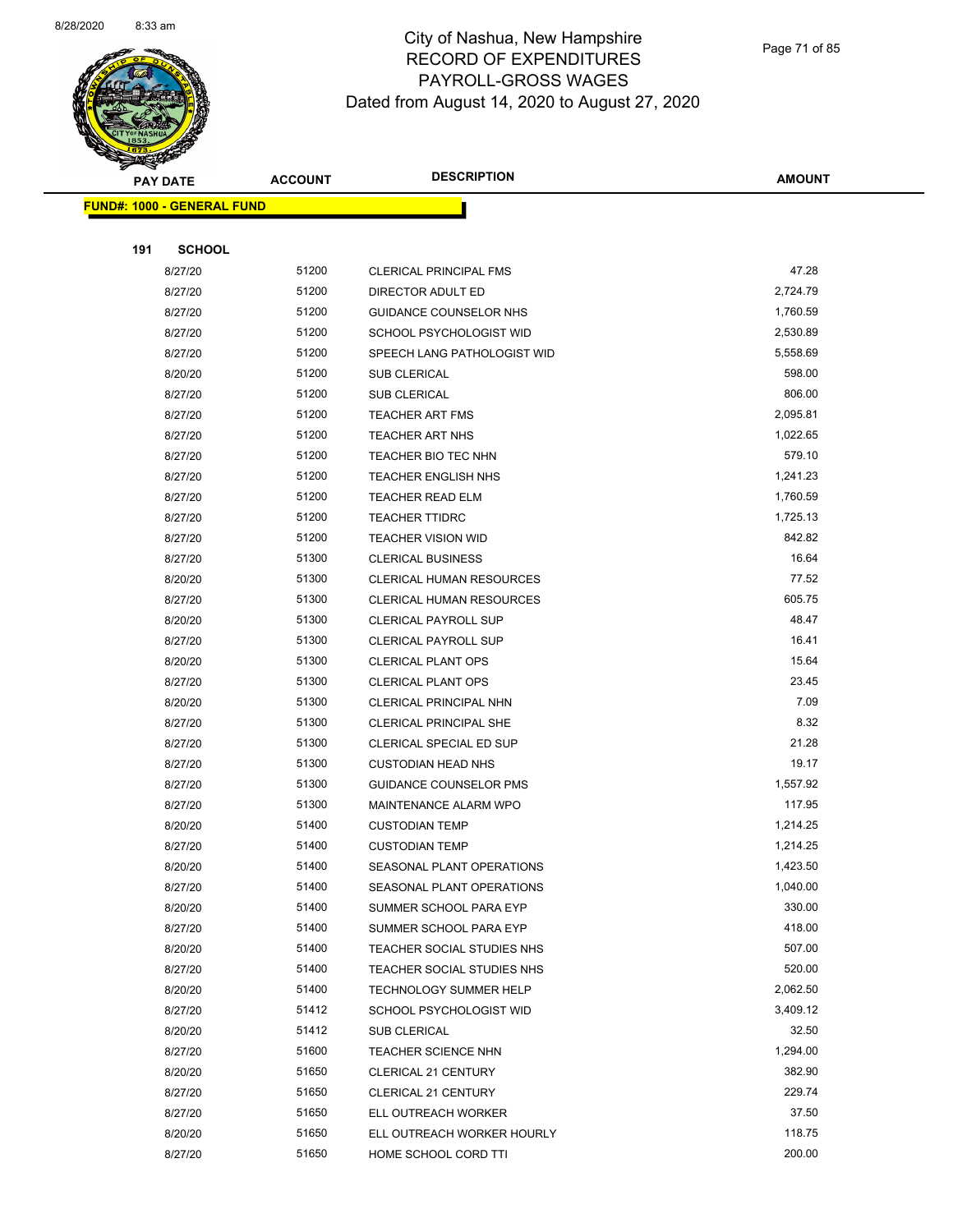

Page 71 of 85

| <b>PAY DATE</b>                   | <b>ACCOUNT</b> | <b>DESCRIPTION</b>              | <b>AMOUNT</b> |
|-----------------------------------|----------------|---------------------------------|---------------|
| <b>FUND#: 1000 - GENERAL FUND</b> |                |                                 |               |
|                                   |                |                                 |               |
| 191<br><b>SCHOOL</b>              |                |                                 |               |
| 8/27/20                           | 51200          | <b>CLERICAL PRINCIPAL FMS</b>   | 47.28         |
| 8/27/20                           | 51200          | DIRECTOR ADULT ED               | 2,724.79      |
| 8/27/20                           | 51200          | <b>GUIDANCE COUNSELOR NHS</b>   | 1,760.59      |
| 8/27/20                           | 51200          | SCHOOL PSYCHOLOGIST WID         | 2,530.89      |
| 8/27/20                           | 51200          | SPEECH LANG PATHOLOGIST WID     | 5,558.69      |
| 8/20/20                           | 51200          | SUB CLERICAL                    | 598.00        |
| 8/27/20                           | 51200          | <b>SUB CLERICAL</b>             | 806.00        |
| 8/27/20                           | 51200          | <b>TEACHER ART FMS</b>          | 2,095.81      |
| 8/27/20                           | 51200          | TEACHER ART NHS                 | 1,022.65      |
| 8/27/20                           | 51200          | TEACHER BIO TEC NHN             | 579.10        |
| 8/27/20                           | 51200          | <b>TEACHER ENGLISH NHS</b>      | 1,241.23      |
| 8/27/20                           | 51200          | <b>TEACHER READ ELM</b>         | 1,760.59      |
| 8/27/20                           | 51200          | <b>TEACHER TTIDRC</b>           | 1,725.13      |
| 8/27/20                           | 51200          | <b>TEACHER VISION WID</b>       | 842.82        |
| 8/27/20                           | 51300          | <b>CLERICAL BUSINESS</b>        | 16.64         |
| 8/20/20                           | 51300          | <b>CLERICAL HUMAN RESOURCES</b> | 77.52         |
| 8/27/20                           | 51300          | <b>CLERICAL HUMAN RESOURCES</b> | 605.75        |
| 8/20/20                           | 51300          | <b>CLERICAL PAYROLL SUP</b>     | 48.47         |
| 8/27/20                           | 51300          | <b>CLERICAL PAYROLL SUP</b>     | 16.41         |
| 8/20/20                           | 51300          | <b>CLERICAL PLANT OPS</b>       | 15.64         |
| 8/27/20                           | 51300          | <b>CLERICAL PLANT OPS</b>       | 23.45         |
| 8/20/20                           | 51300          | CLERICAL PRINCIPAL NHN          | 7.09          |
| 8/27/20                           | 51300          | <b>CLERICAL PRINCIPAL SHE</b>   | 8.32          |
| 8/27/20                           | 51300          | CLERICAL SPECIAL ED SUP         | 21.28         |
| 8/27/20                           | 51300          | <b>CUSTODIAN HEAD NHS</b>       | 19.17         |
| 8/27/20                           | 51300          | <b>GUIDANCE COUNSELOR PMS</b>   | 1,557.92      |
| 8/27/20                           | 51300          | MAINTENANCE ALARM WPO           | 117.95        |
| 8/20/20                           | 51400          | <b>CUSTODIAN TEMP</b>           | 1,214.25      |
| 8/27/20                           | 51400          | <b>CUSTODIAN TEMP</b>           | 1,214.25      |
| 8/20/20                           | 51400          | SEASONAL PLANT OPERATIONS       | 1,423.50      |
| 8/27/20                           | 51400          | SEASONAL PLANT OPERATIONS       | 1,040.00      |
| 8/20/20                           | 51400          | SUMMER SCHOOL PARA EYP          | 330.00        |
| 8/27/20                           | 51400          | SUMMER SCHOOL PARA EYP          | 418.00        |
| 8/20/20                           | 51400          | TEACHER SOCIAL STUDIES NHS      | 507.00        |
| 8/27/20                           | 51400          | TEACHER SOCIAL STUDIES NHS      | 520.00        |
| 8/20/20                           | 51400          | <b>TECHNOLOGY SUMMER HELP</b>   | 2,062.50      |
| 8/27/20                           | 51412          | SCHOOL PSYCHOLOGIST WID         | 3,409.12      |
| 8/20/20                           | 51412          | SUB CLERICAL                    | 32.50         |
| 8/27/20                           | 51600          | <b>TEACHER SCIENCE NHN</b>      | 1,294.00      |
| 8/20/20                           | 51650          | <b>CLERICAL 21 CENTURY</b>      | 382.90        |
| 8/27/20                           | 51650          | <b>CLERICAL 21 CENTURY</b>      | 229.74        |
| 8/27/20                           | 51650          | ELL OUTREACH WORKER             | 37.50         |
| 8/20/20                           | 51650          | ELL OUTREACH WORKER HOURLY      | 118.75        |
| 8/27/20                           | 51650          | HOME SCHOOL CORD TTI            | 200.00        |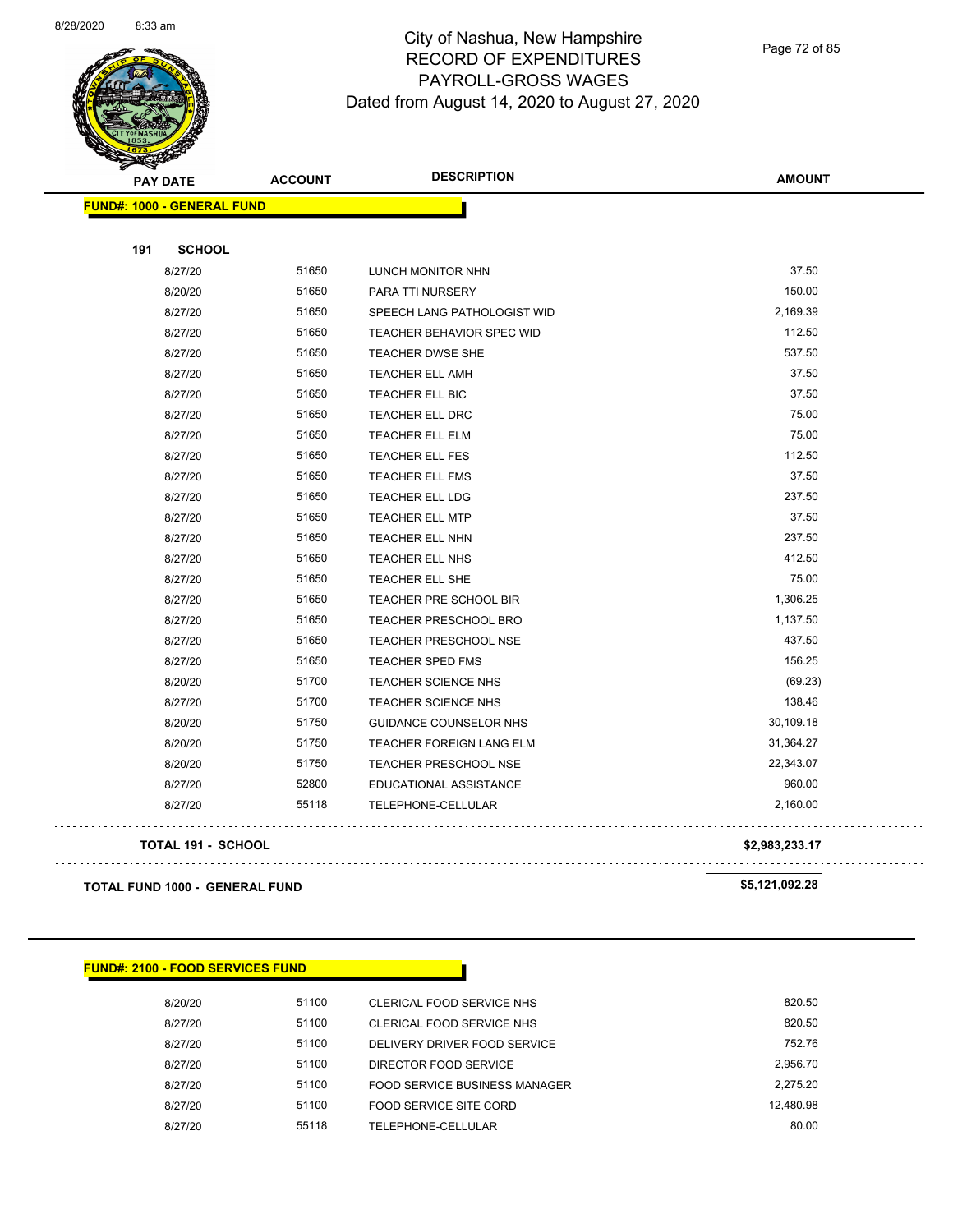

Page 72 of 85

| <b>PAY DATE</b>                   | <b>ACCOUNT</b> | <b>DESCRIPTION</b>            | <b>AMOUNT</b>  |
|-----------------------------------|----------------|-------------------------------|----------------|
| <b>FUND#: 1000 - GENERAL FUND</b> |                |                               |                |
| 191<br><b>SCHOOL</b>              |                |                               |                |
| 8/27/20                           | 51650          | LUNCH MONITOR NHN             | 37.50          |
| 8/20/20                           | 51650          | PARA TTI NURSERY              | 150.00         |
| 8/27/20                           | 51650          | SPEECH LANG PATHOLOGIST WID   | 2,169.39       |
| 8/27/20                           | 51650          | TEACHER BEHAVIOR SPEC WID     | 112.50         |
| 8/27/20                           | 51650          | <b>TEACHER DWSE SHE</b>       | 537.50         |
| 8/27/20                           | 51650          | TEACHER ELL AMH               | 37.50          |
| 8/27/20                           | 51650          | TEACHER ELL BIC               | 37.50          |
| 8/27/20                           | 51650          | TEACHER ELL DRC               | 75.00          |
| 8/27/20                           | 51650          | TEACHER ELL ELM               | 75.00          |
| 8/27/20                           | 51650          | <b>TEACHER ELL FES</b>        | 112.50         |
| 8/27/20                           | 51650          | <b>TEACHER ELL FMS</b>        | 37.50          |
| 8/27/20                           | 51650          | <b>TEACHER ELL LDG</b>        | 237.50         |
| 8/27/20                           | 51650          | <b>TEACHER ELL MTP</b>        | 37.50          |
| 8/27/20                           | 51650          | TEACHER ELL NHN               | 237.50         |
| 8/27/20                           | 51650          | TEACHER ELL NHS               | 412.50         |
| 8/27/20                           | 51650          | <b>TEACHER ELL SHE</b>        | 75.00          |
| 8/27/20                           | 51650          | TEACHER PRE SCHOOL BIR        | 1,306.25       |
| 8/27/20                           | 51650          | TEACHER PRESCHOOL BRO         | 1,137.50       |
| 8/27/20                           | 51650          | <b>TEACHER PRESCHOOL NSE</b>  | 437.50         |
| 8/27/20                           | 51650          | TEACHER SPED FMS              | 156.25         |
| 8/20/20                           | 51700          | TEACHER SCIENCE NHS           | (69.23)        |
| 8/27/20                           | 51700          | <b>TEACHER SCIENCE NHS</b>    | 138.46         |
| 8/20/20                           | 51750          | <b>GUIDANCE COUNSELOR NHS</b> | 30,109.18      |
| 8/20/20                           | 51750          | TEACHER FOREIGN LANG ELM      | 31,364.27      |
| 8/20/20                           | 51750          | <b>TEACHER PRESCHOOL NSE</b>  | 22,343.07      |
| 8/27/20                           | 52800          | EDUCATIONAL ASSISTANCE        | 960.00         |
| 8/27/20                           | 55118          | TELEPHONE-CELLULAR            | 2,160.00       |
| <b>TOTAL 191 - SCHOOL</b>         |                |                               | \$2,983,233.17 |
| TOTAL FUND 1000 - GENERAL FUND    |                |                               | \$5,121,092.28 |

| <b>FUND#: 2100 - FOOD SERVICES FUND</b> |       |                               |           |
|-----------------------------------------|-------|-------------------------------|-----------|
| 8/20/20                                 | 51100 | CLERICAL FOOD SERVICE NHS     | 820.50    |
| 8/27/20                                 | 51100 | CLERICAL FOOD SERVICE NHS     | 820.50    |
| 8/27/20                                 | 51100 | DELIVERY DRIVER FOOD SERVICE  | 752.76    |
| 8/27/20                                 | 51100 | DIRECTOR FOOD SERVICE         | 2,956.70  |
| 8/27/20                                 | 51100 | FOOD SERVICE BUSINESS MANAGER | 2.275.20  |
| 8/27/20                                 | 51100 | FOOD SERVICE SITE CORD        | 12.480.98 |
| 8/27/20                                 | 55118 | TELEPHONE-CELLULAR            | 80.00     |
|                                         |       |                               |           |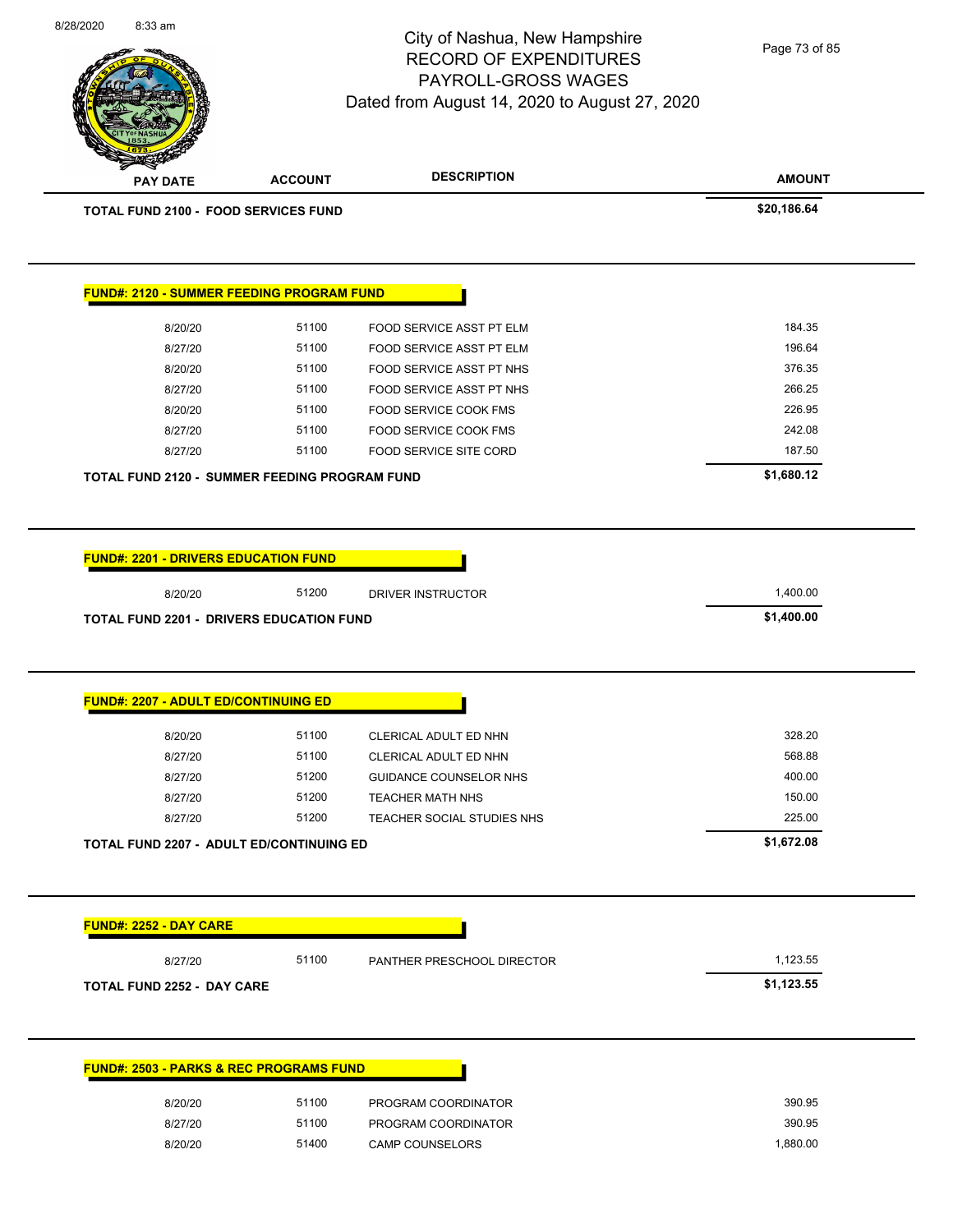**AMOUNT** City of Nashua, New Hampshire RECORD OF EXPENDITURES PAYROLL-GROSS WAGES Dated from August 14, 2020 to August 27, 2020 **PAY DATE ACCOUNT DESCRIPTION** 8/28/2020 8:33 am **TOTAL FUND 2100 - FOOD SERVICES FUND \$20,186.64 FUND#: 2120 - SUMMER FEEDING PROGRAM FUND** 8/20/20 51100 FOOD SERVICE ASST PT ELM 6 184.35 8/27/20 51100 FOOD SERVICE ASST PT ELM 677/20 5604 8/20/20 51100 FOOD SERVICE ASST PT NHS 576.35 8/27/20 51100 FOOD SERVICE ASST PT NHS 266.25 8/20/20 51100 FOOD SERVICE COOK FMS 326.95 8/27/20 51100 FOOD SERVICE COOK FMS 242.08 8/27/20 51100 FOOD SERVICE SITE CORD 187.50 **TOTAL FUND 2120 - SUMMER FEEDING PROGRAM FUND \$1,680.12 FUND#: 2201 - DRIVERS EDUCATION FUND** 8/20/20 51200 DRIVER INSTRUCTOR 1,400.00 **TOTAL FUND 2201 - DRIVERS EDUCATION FUND \$1,400.00 FUND#: 2207 - ADULT ED/CONTINUING ED** 8/20/20 51100 CLERICAL ADULT ED NHN 5328.20 8/27/20 51100 CLERICAL ADULT ED NHN 568.88 8/27/20 51200 GUIDANCE COUNSELOR NHS 400.00 8/27/20 51200 TEACHER MATH NHS 150.00 8/27/20 51200 TEACHER SOCIAL STUDIES NHS 225.00 Page 73 of 85

**FUND#: 2252 - DAY CARE** 8/27/20 51100 PANTHER PRESCHOOL DIRECTOR 1,123.55 **TOTAL FUND 2252 - DAY CARE \$1,123.55 FUND#: 2503 - PARKS & REC PROGRAMS FUND**

**TOTAL FUND 2207 - ADULT ED/CONTINUING ED \$1,672.08** 

| 8/20/20 | 51100 | PROGRAM COORDINATOR    | 390.95   |
|---------|-------|------------------------|----------|
| 8/27/20 | 51100 | PROGRAM COORDINATOR    | 390.95   |
| 8/20/20 | 51400 | <b>CAMP COUNSELORS</b> | 1.880.00 |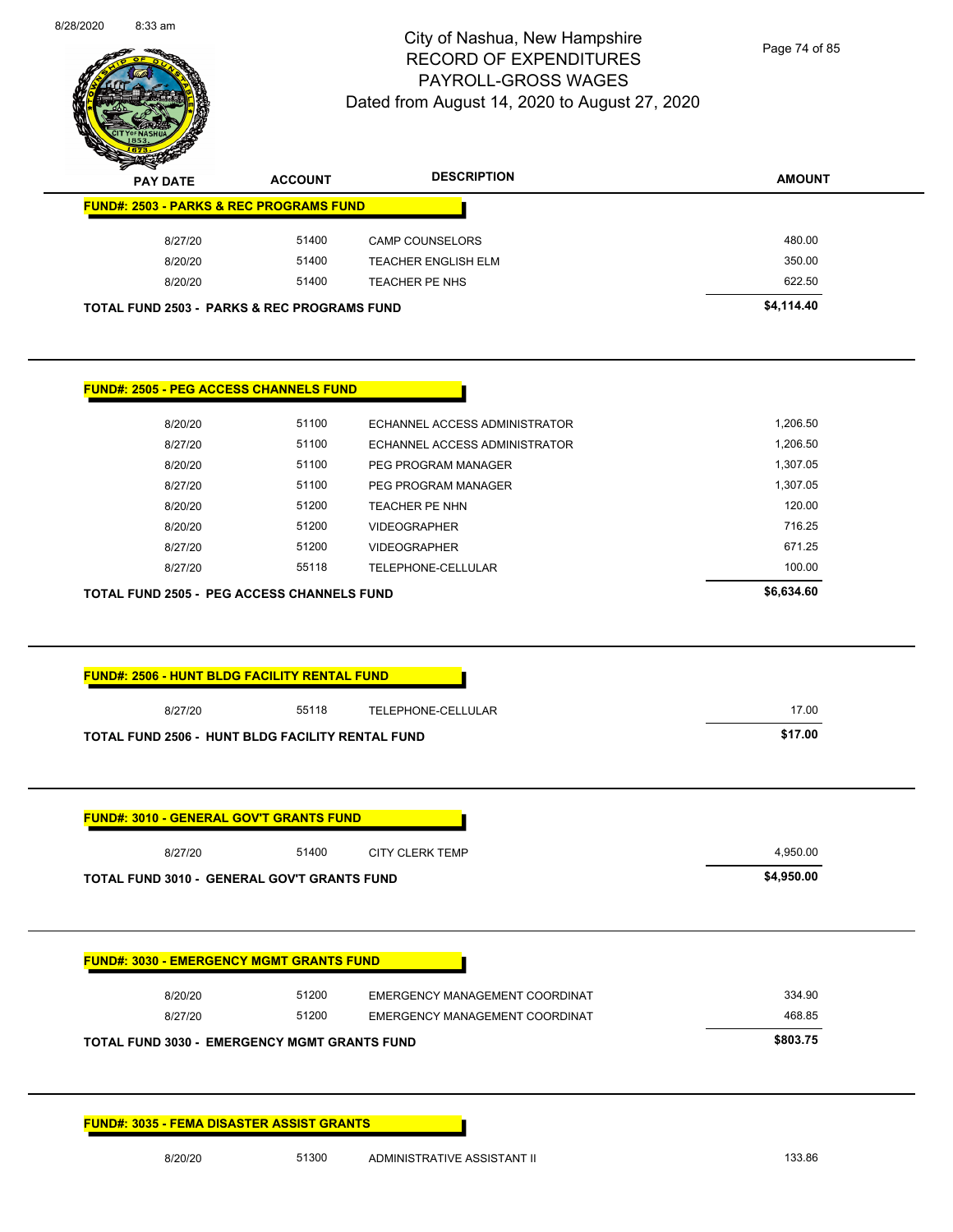

Page 74 of 85

| <b>PAY DATE</b>                                                                                    | <b>ACCOUNT</b> | <b>DESCRIPTION</b>             | <b>AMOUNT</b> |
|----------------------------------------------------------------------------------------------------|----------------|--------------------------------|---------------|
| <b>FUND#: 2503 - PARKS &amp; REC PROGRAMS FUND</b>                                                 |                |                                |               |
| 8/27/20                                                                                            | 51400          | <b>CAMP COUNSELORS</b>         | 480.00        |
| 8/20/20                                                                                            | 51400          | <b>TEACHER ENGLISH ELM</b>     | 350.00        |
| 8/20/20                                                                                            | 51400          | TEACHER PE NHS                 | 622.50        |
| <b>TOTAL FUND 2503 - PARKS &amp; REC PROGRAMS FUND</b>                                             |                |                                | \$4,114.40    |
|                                                                                                    |                |                                |               |
| <b>FUND#: 2505 - PEG ACCESS CHANNELS FUND</b>                                                      |                |                                |               |
| 8/20/20                                                                                            | 51100          | ECHANNEL ACCESS ADMINISTRATOR  | 1,206.50      |
| 8/27/20                                                                                            | 51100          | ECHANNEL ACCESS ADMINISTRATOR  | 1,206.50      |
| 8/20/20                                                                                            | 51100          | PEG PROGRAM MANAGER            | 1,307.05      |
| 8/27/20                                                                                            | 51100          | PEG PROGRAM MANAGER            | 1,307.05      |
| 8/20/20                                                                                            | 51200          | TEACHER PE NHN                 | 120.00        |
| 8/20/20                                                                                            | 51200          | <b>VIDEOGRAPHER</b>            | 716.25        |
| 8/27/20                                                                                            | 51200          | <b>VIDEOGRAPHER</b>            | 671.25        |
|                                                                                                    |                | TELEPHONE-CELLULAR             | 100.00        |
| 8/27/20                                                                                            | 55118          |                                |               |
| <b>TOTAL FUND 2505 - PEG ACCESS CHANNELS FUND</b>                                                  |                |                                | \$6,634.60    |
| <b>FUND#: 2506 - HUNT BLDG FACILITY RENTAL FUND</b>                                                |                |                                |               |
| 8/27/20                                                                                            | 55118          | TELEPHONE-CELLULAR             | 17.00         |
|                                                                                                    |                |                                | \$17.00       |
| TOTAL FUND 2506 - HUNT BLDG FACILITY RENTAL FUND<br><b>FUND#: 3010 - GENERAL GOV'T GRANTS FUND</b> |                |                                |               |
| 8/27/20                                                                                            | 51400          | <b>CITY CLERK TEMP</b>         | 4,950.00      |
| TOTAL FUND 3010 - GENERAL GOV'T GRANTS FUND                                                        |                |                                | \$4,950.00    |
|                                                                                                    |                |                                |               |
| <b>FUND#: 3030 - EMERGENCY MGMT GRANTS FUND</b>                                                    |                |                                |               |
| 8/20/20                                                                                            | 51200          | EMERGENCY MANAGEMENT COORDINAT | 334.90        |
| 8/27/20                                                                                            | 51200          | EMERGENCY MANAGEMENT COORDINAT | 468.85        |
| <b>TOTAL FUND 3030 - EMERGENCY MGMT GRANTS FUND</b>                                                |                |                                | \$803.75      |

8/20/20 51300 ADMINISTRATIVE ASSISTANT II 133.86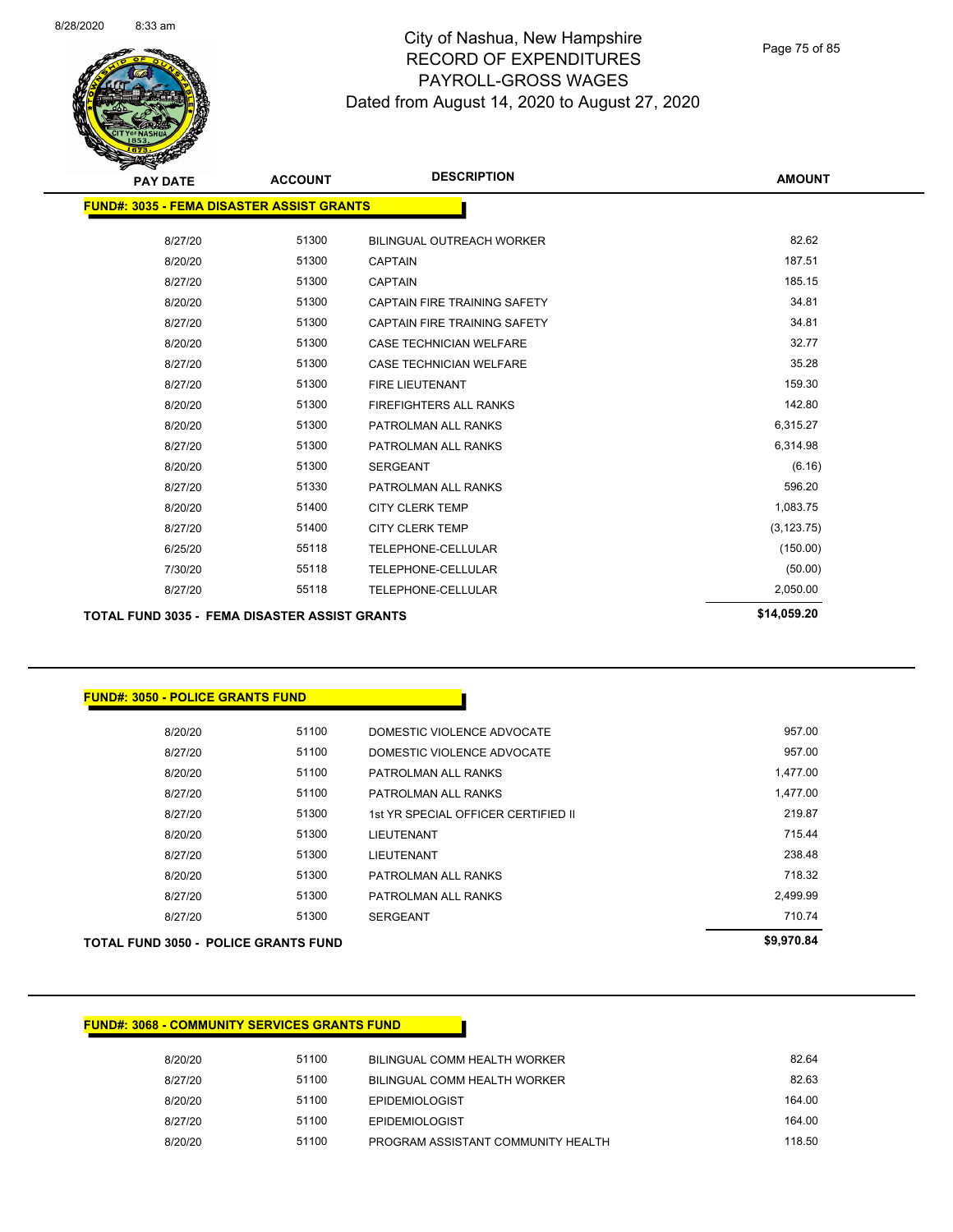

Page 75 of 85

| <b>PAY DATE</b>                                  | <b>ACCOUNT</b> | <b>DESCRIPTION</b>                  | <b>AMOUNT</b> |
|--------------------------------------------------|----------------|-------------------------------------|---------------|
| <b>FUND#: 3035 - FEMA DISASTER ASSIST GRANTS</b> |                |                                     |               |
| 8/27/20                                          | 51300          | <b>BILINGUAL OUTREACH WORKER</b>    | 82.62         |
| 8/20/20                                          | 51300          | <b>CAPTAIN</b>                      | 187.51        |
| 8/27/20                                          | 51300          | <b>CAPTAIN</b>                      | 185.15        |
| 8/20/20                                          | 51300          | CAPTAIN FIRE TRAINING SAFETY        | 34.81         |
| 8/27/20                                          | 51300          | <b>CAPTAIN FIRE TRAINING SAFETY</b> | 34.81         |
| 8/20/20                                          | 51300          | <b>CASE TECHNICIAN WELFARE</b>      | 32.77         |
| 8/27/20                                          | 51300          | <b>CASE TECHNICIAN WELFARE</b>      | 35.28         |
| 8/27/20                                          | 51300          | <b>FIRE LIEUTENANT</b>              | 159.30        |
| 8/20/20                                          | 51300          | <b>FIREFIGHTERS ALL RANKS</b>       | 142.80        |
| 8/20/20                                          | 51300          | PATROLMAN ALL RANKS                 | 6,315.27      |
| 8/27/20                                          | 51300          | PATROLMAN ALL RANKS                 | 6,314.98      |
| 8/20/20                                          | 51300          | <b>SERGEANT</b>                     | (6.16)        |
| 8/27/20                                          | 51330          | PATROLMAN ALL RANKS                 | 596.20        |
| 8/20/20                                          | 51400          | <b>CITY CLERK TEMP</b>              | 1,083.75      |
| 8/27/20                                          | 51400          | <b>CITY CLERK TEMP</b>              | (3, 123.75)   |
| 6/25/20                                          | 55118          | <b>TELEPHONE-CELLULAR</b>           | (150.00)      |
| 7/30/20                                          | 55118          | <b>TELEPHONE-CELLULAR</b>           | (50.00)       |
| 8/27/20                                          | 55118          | <b>TELEPHONE-CELLULAR</b>           | 2,050.00      |
| TOTAL FUND 2025 - FEMA DICACTED ACCICT COANTS    |                |                                     | \$14,059.20   |

**TOTAL FUND 3035 - FEMA DISASTER ASSIST GRANTS \$14,059.20** 

#### **FUND#: 3050 - POLICE GRANTS FUND**

|         | <b>TOTAL FUND 3050 - POLICE GRANTS FUND</b> |                                     | \$9,970.84 |
|---------|---------------------------------------------|-------------------------------------|------------|
| 8/27/20 | 51300                                       | <b>SERGEANT</b>                     | 710.74     |
| 8/27/20 | 51300                                       | PATROLMAN ALL RANKS                 | 2,499.99   |
| 8/20/20 | 51300                                       | PATROLMAN ALL RANKS                 | 718.32     |
| 8/27/20 | 51300                                       | <b>LIEUTENANT</b>                   | 238.48     |
| 8/20/20 | 51300                                       | <b>LIEUTENANT</b>                   | 715.44     |
| 8/27/20 | 51300                                       | 1st YR SPECIAL OFFICER CERTIFIED II | 219.87     |
| 8/27/20 | 51100                                       | PATROLMAN ALL RANKS                 | 1,477.00   |
| 8/20/20 | 51100                                       | PATROLMAN ALL RANKS                 | 1,477.00   |
| 8/27/20 | 51100                                       | DOMESTIC VIOLENCE ADVOCATE          | 957.00     |
| 8/20/20 | 51100                                       | DOMESTIC VIOLENCE ADVOCATE          | 957.00     |
|         |                                             |                                     |            |

#### **FUND#: 3068 - COMMUNITY SERVICES GRANTS FUND**

| 8/20/20 | 51100 | BILINGUAL COMM HEALTH WORKER       | 82.64  |
|---------|-------|------------------------------------|--------|
| 8/27/20 | 51100 | BILINGUAL COMM HEALTH WORKER       | 82.63  |
| 8/20/20 | 51100 | <b>EPIDEMIOLOGIST</b>              | 164.00 |
| 8/27/20 | 51100 | <b>EPIDEMIOLOGIST</b>              | 164.00 |
| 8/20/20 | 51100 | PROGRAM ASSISTANT COMMUNITY HEALTH | 118.50 |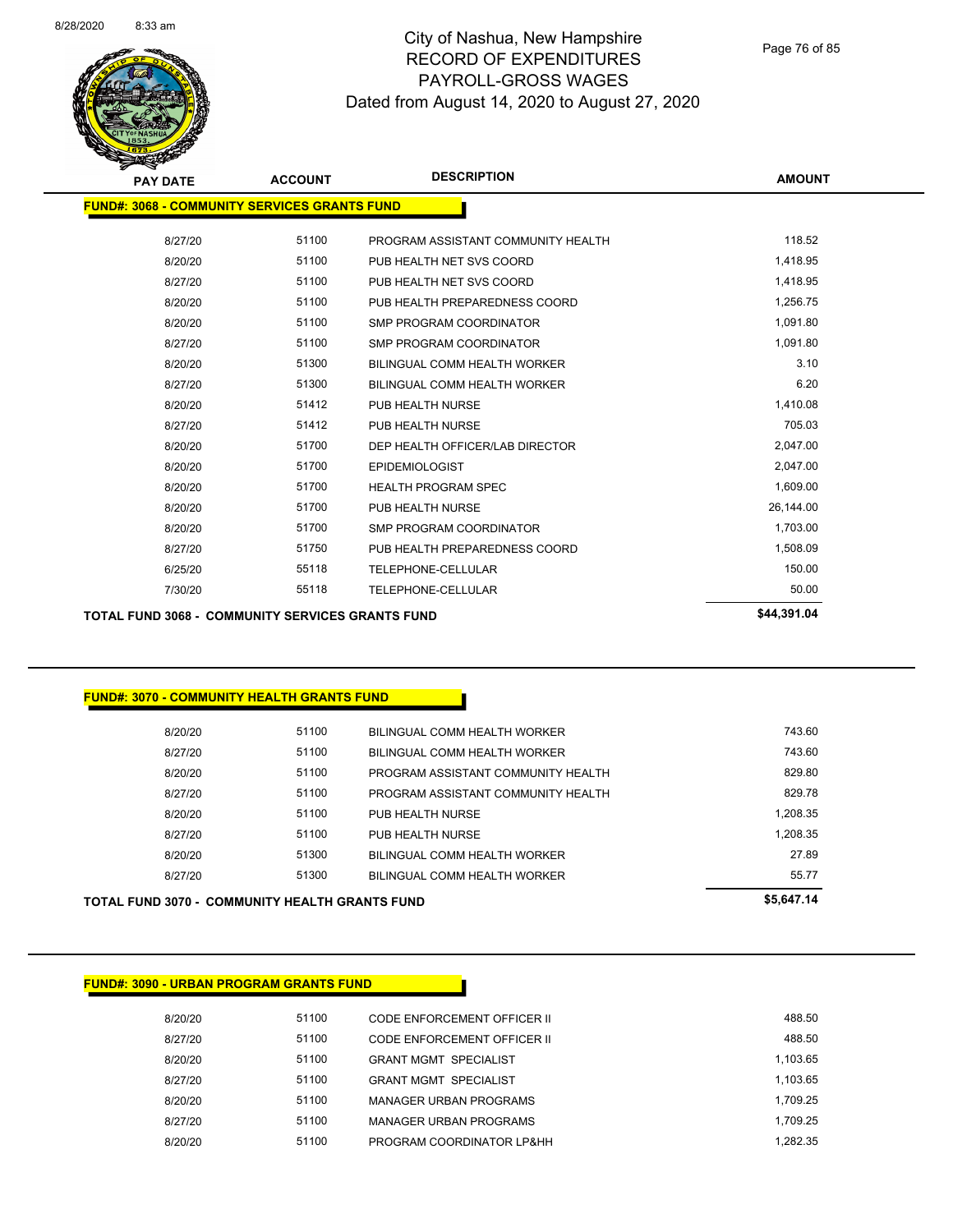

| <b>PAY DATE</b>                                     | <b>ACCOUNT</b> | <b>DESCRIPTION</b>                  | <b>AMOUNT</b> |
|-----------------------------------------------------|----------------|-------------------------------------|---------------|
| <b>FUND#: 3068 - COMMUNITY SERVICES GRANTS FUND</b> |                |                                     |               |
| 8/27/20                                             | 51100          | PROGRAM ASSISTANT COMMUNITY HEALTH  | 118.52        |
| 8/20/20                                             | 51100          | PUB HEALTH NET SVS COORD            | 1,418.95      |
| 8/27/20                                             | 51100          | PUB HEALTH NET SVS COORD            | 1,418.95      |
| 8/20/20                                             | 51100          | PUB HEALTH PREPAREDNESS COORD       | 1,256.75      |
| 8/20/20                                             | 51100          | <b>SMP PROGRAM COORDINATOR</b>      | 1,091.80      |
| 8/27/20                                             | 51100          | <b>SMP PROGRAM COORDINATOR</b>      | 1,091.80      |
| 8/20/20                                             | 51300          | <b>BILINGUAL COMM HEALTH WORKER</b> | 3.10          |
| 8/27/20                                             | 51300          | <b>BILINGUAL COMM HEALTH WORKER</b> | 6.20          |
| 8/20/20                                             | 51412          | PUB HEALTH NURSE                    | 1,410.08      |
| 8/27/20                                             | 51412          | PUB HEALTH NURSE                    | 705.03        |
| 8/20/20                                             | 51700          | DEP HEALTH OFFICER/LAB DIRECTOR     | 2,047.00      |
| 8/20/20                                             | 51700          | <b>EPIDEMIOLOGIST</b>               | 2,047.00      |
| 8/20/20                                             | 51700          | <b>HEALTH PROGRAM SPEC</b>          | 1,609.00      |
| 8/20/20                                             | 51700          | PUB HEALTH NURSE                    | 26,144.00     |
| 8/20/20                                             | 51700          | <b>SMP PROGRAM COORDINATOR</b>      | 1,703.00      |
| 8/27/20                                             | 51750          | PUB HEALTH PREPAREDNESS COORD       | 1,508.09      |
| 6/25/20                                             | 55118          | TELEPHONE-CELLULAR                  | 150.00        |
| 7/30/20                                             | 55118          | <b>TELEPHONE-CELLULAR</b>           | 50.00         |
| ----- ----- ----                                    |                |                                     | $AA$ 204 04   |

**TOTAL FUND 3068 - COMMUNITY SERVICES GRANTS FUND \$44,391.04** 

#### **FUND#: 3070 - COMMUNITY HEALTH GRANTS FUND**

| <b>TOTAL FUND 3070 - COMMUNITY HEALTH GRANTS FUND</b> |       |                                    | \$5,647.14 |
|-------------------------------------------------------|-------|------------------------------------|------------|
| 8/27/20                                               | 51300 | BILINGUAL COMM HEALTH WORKER       | 55.77      |
| 8/20/20                                               | 51300 | BILINGUAL COMM HEALTH WORKER       | 27.89      |
| 8/27/20                                               | 51100 | PUB HEALTH NURSE                   | 1.208.35   |
| 8/20/20                                               | 51100 | PUB HEALTH NURSE                   | 1.208.35   |
| 8/27/20                                               | 51100 | PROGRAM ASSISTANT COMMUNITY HEALTH | 829.78     |
| 8/20/20                                               | 51100 | PROGRAM ASSISTANT COMMUNITY HEALTH | 829.80     |
| 8/27/20                                               | 51100 | BILINGUAL COMM HEALTH WORKER       | 743.60     |
| 8/20/20                                               | 51100 | BILINGUAL COMM HEALTH WORKER       | 743.60     |
|                                                       |       |                                    |            |

**FUND#: 3090 - URBAN PROGRAM GRANTS FUND**

| 488.50   | CODE ENFORCEMENT OFFICER II  | 51100 | 8/20/20 |
|----------|------------------------------|-------|---------|
| 488.50   | CODE ENFORCEMENT OFFICER II  | 51100 | 8/27/20 |
| 1.103.65 | <b>GRANT MGMT SPECIALIST</b> | 51100 | 8/20/20 |
| 1.103.65 | <b>GRANT MGMT SPECIALIST</b> | 51100 | 8/27/20 |
| 1.709.25 | MANAGER URBAN PROGRAMS       | 51100 | 8/20/20 |
| 1.709.25 | MANAGER URBAN PROGRAMS       | 51100 | 8/27/20 |
| 1.282.35 | PROGRAM COORDINATOR LP&HH    | 51100 | 8/20/20 |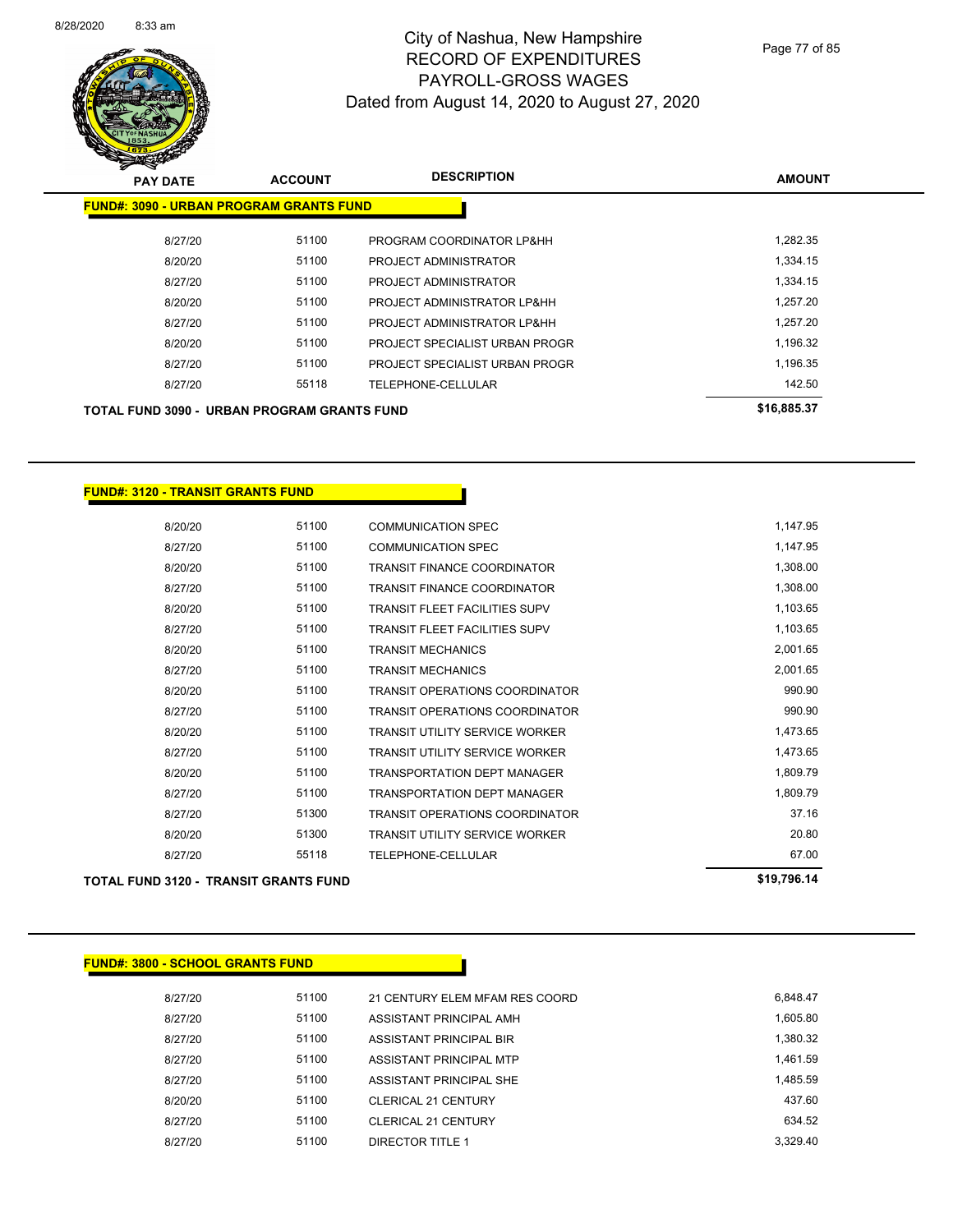

Page 77 of 85

| <b>PAY DATE</b>                                    | <b>ACCOUNT</b> | <b>DESCRIPTION</b>             | <b>AMOUNT</b> |
|----------------------------------------------------|----------------|--------------------------------|---------------|
| <b>FUND#: 3090 - URBAN PROGRAM GRANTS FUND</b>     |                |                                |               |
| 8/27/20                                            | 51100          | PROGRAM COORDINATOR LP&HH      | 1.282.35      |
| 8/20/20                                            | 51100          | PROJECT ADMINISTRATOR          | 1,334.15      |
| 8/27/20                                            | 51100          | PROJECT ADMINISTRATOR          | 1,334.15      |
| 8/20/20                                            | 51100          | PROJECT ADMINISTRATOR LP&HH    | 1.257.20      |
| 8/27/20                                            | 51100          | PROJECT ADMINISTRATOR LP&HH    | 1,257.20      |
| 8/20/20                                            | 51100          | PROJECT SPECIALIST URBAN PROGR | 1,196.32      |
| 8/27/20                                            | 51100          | PROJECT SPECIALIST URBAN PROGR | 1,196.35      |
| 8/27/20                                            | 55118          | TELEPHONE-CELLULAR             | 142.50        |
| <b>TOTAL FUND 3090 - URBAN PROGRAM GRANTS FUND</b> |                |                                | \$16,885.37   |

#### **FUND#: 3120 - TRANSIT GRANTS FUND**

| <b>TOTAL FUND 3120 - TRANSIT GRANTS FUND</b> |       |                                       | \$19,796.14 |
|----------------------------------------------|-------|---------------------------------------|-------------|
| 8/27/20                                      | 55118 | TELEPHONE-CELLULAR                    | 67.00       |
| 8/20/20                                      | 51300 | <b>TRANSIT UTILITY SERVICE WORKER</b> | 20.80       |
| 8/27/20                                      | 51300 | <b>TRANSIT OPERATIONS COORDINATOR</b> | 37.16       |
| 8/27/20                                      | 51100 | <b>TRANSPORTATION DEPT MANAGER</b>    | 1,809.79    |
| 8/20/20                                      | 51100 | <b>TRANSPORTATION DEPT MANAGER</b>    | 1,809.79    |
| 8/27/20                                      | 51100 | <b>TRANSIT UTILITY SERVICE WORKER</b> | 1,473.65    |
| 8/20/20                                      | 51100 | <b>TRANSIT UTILITY SERVICE WORKER</b> | 1,473.65    |
| 8/27/20                                      | 51100 | <b>TRANSIT OPERATIONS COORDINATOR</b> | 990.90      |
| 8/20/20                                      | 51100 | <b>TRANSIT OPERATIONS COORDINATOR</b> | 990.90      |
| 8/27/20                                      | 51100 | <b>TRANSIT MECHANICS</b>              | 2,001.65    |
| 8/20/20                                      | 51100 | <b>TRANSIT MECHANICS</b>              | 2,001.65    |
| 8/27/20                                      | 51100 | TRANSIT FLEET FACILITIES SUPV         | 1,103.65    |
| 8/20/20                                      | 51100 | <b>TRANSIT FLEET FACILITIES SUPV</b>  | 1,103.65    |
| 8/27/20                                      | 51100 | TRANSIT FINANCE COORDINATOR           | 1,308.00    |
| 8/20/20                                      | 51100 | <b>TRANSIT FINANCE COORDINATOR</b>    | 1,308.00    |
| 8/27/20                                      | 51100 | <b>COMMUNICATION SPEC</b>             | 1,147.95    |
| 8/20/20                                      | 51100 | <b>COMMUNICATION SPEC</b>             | 1,147.95    |

| <b>FUND#: 3800 - SCHOOL GRANTS FUND</b> |       |                                |          |
|-----------------------------------------|-------|--------------------------------|----------|
| 8/27/20                                 | 51100 | 21 CENTURY ELEM MFAM RES COORD | 6,848.47 |
| 8/27/20                                 | 51100 | ASSISTANT PRINCIPAL AMH        | 1,605.80 |
| 8/27/20                                 | 51100 | <b>ASSISTANT PRINCIPAL BIR</b> | 1,380.32 |
| 8/27/20                                 | 51100 | ASSISTANT PRINCIPAL MTP        | 1.461.59 |
| 8/27/20                                 | 51100 | ASSISTANT PRINCIPAL SHE        | 1,485.59 |
| 8/20/20                                 | 51100 | <b>CLERICAL 21 CENTURY</b>     | 437.60   |
| 8/27/20                                 | 51100 | <b>CLERICAL 21 CENTURY</b>     | 634.52   |
| 8/27/20                                 | 51100 | DIRECTOR TITLE 1               | 3.329.40 |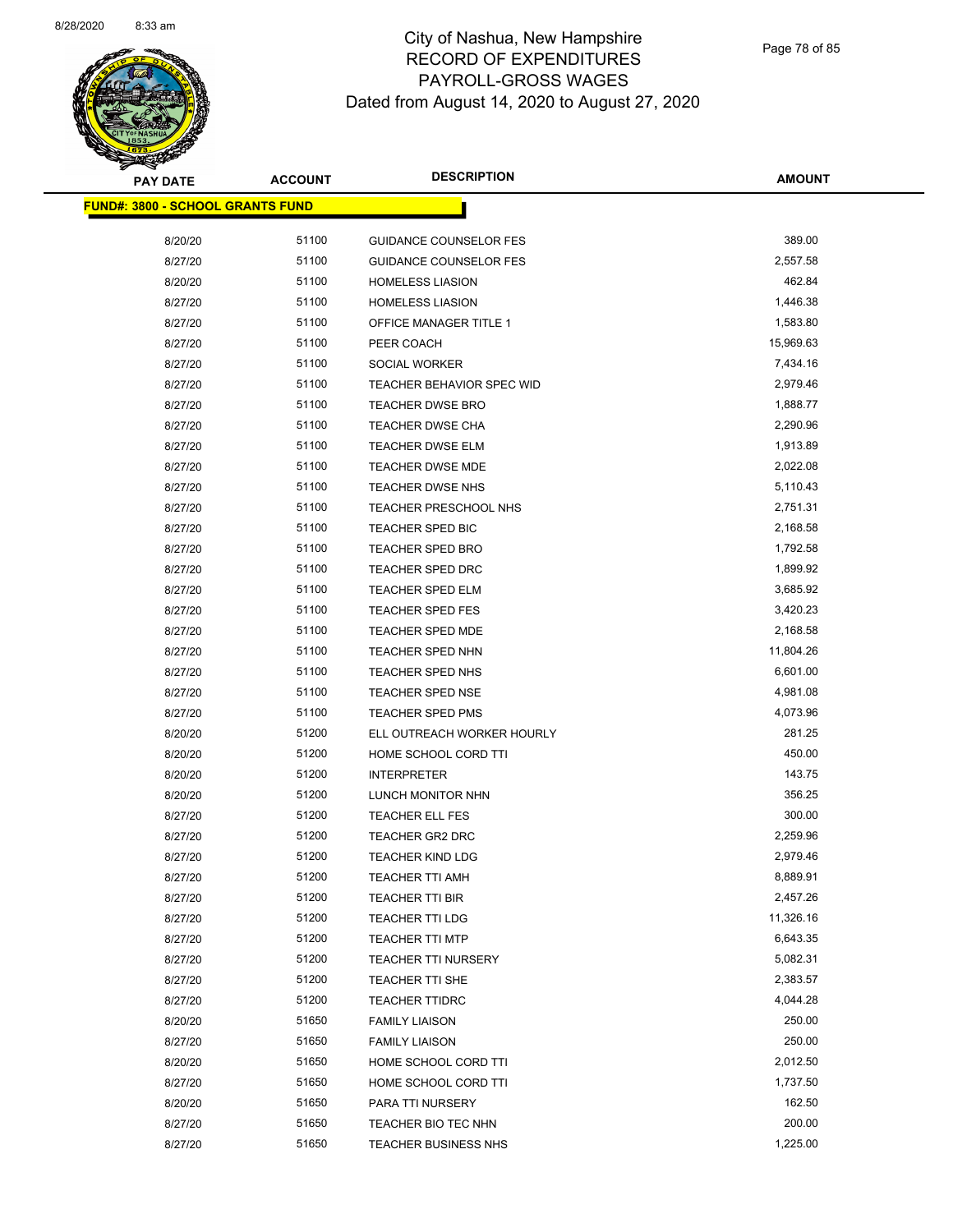

Page 78 of 85

| <b>PAY DATE</b>                         | <b>ACCOUNT</b> | <b>DESCRIPTION</b>                                    | <b>AMOUNT</b>         |
|-----------------------------------------|----------------|-------------------------------------------------------|-----------------------|
| <b>FUND#: 3800 - SCHOOL GRANTS FUND</b> |                |                                                       |                       |
|                                         |                |                                                       |                       |
| 8/20/20                                 | 51100          | <b>GUIDANCE COUNSELOR FES</b>                         | 389.00                |
| 8/27/20                                 | 51100          | <b>GUIDANCE COUNSELOR FES</b>                         | 2,557.58              |
| 8/20/20                                 | 51100          | <b>HOMELESS LIASION</b>                               | 462.84                |
| 8/27/20                                 | 51100          | <b>HOMELESS LIASION</b>                               | 1,446.38              |
| 8/27/20                                 | 51100          | OFFICE MANAGER TITLE 1                                | 1,583.80              |
| 8/27/20                                 | 51100          | PEER COACH                                            | 15,969.63             |
| 8/27/20                                 | 51100          | SOCIAL WORKER                                         | 7,434.16              |
| 8/27/20                                 | 51100          | TEACHER BEHAVIOR SPEC WID                             | 2,979.46              |
| 8/27/20                                 | 51100          | <b>TEACHER DWSE BRO</b>                               | 1,888.77              |
| 8/27/20                                 | 51100          | <b>TEACHER DWSE CHA</b>                               | 2,290.96              |
| 8/27/20                                 | 51100          | TEACHER DWSE ELM                                      | 1,913.89              |
| 8/27/20                                 | 51100          | <b>TEACHER DWSE MDE</b>                               | 2,022.08              |
| 8/27/20                                 | 51100          | <b>TEACHER DWSE NHS</b>                               | 5,110.43              |
| 8/27/20                                 | 51100          | TEACHER PRESCHOOL NHS                                 | 2,751.31              |
| 8/27/20                                 | 51100          | TEACHER SPED BIC                                      | 2,168.58              |
| 8/27/20                                 | 51100          | TEACHER SPED BRO                                      | 1,792.58              |
| 8/27/20                                 | 51100          | <b>TEACHER SPED DRC</b>                               | 1,899.92              |
| 8/27/20                                 | 51100<br>51100 | <b>TEACHER SPED ELM</b>                               | 3,685.92              |
| 8/27/20                                 | 51100          | <b>TEACHER SPED FES</b>                               | 3,420.23              |
| 8/27/20                                 | 51100          | <b>TEACHER SPED MDE</b><br>TEACHER SPED NHN           | 2,168.58<br>11,804.26 |
| 8/27/20                                 | 51100          |                                                       | 6,601.00              |
| 8/27/20                                 | 51100          | TEACHER SPED NHS<br>TEACHER SPED NSE                  | 4,981.08              |
| 8/27/20<br>8/27/20                      | 51100          |                                                       | 4,073.96              |
| 8/20/20                                 | 51200          | <b>TEACHER SPED PMS</b><br>ELL OUTREACH WORKER HOURLY | 281.25                |
| 8/20/20                                 | 51200          | HOME SCHOOL CORD TTI                                  | 450.00                |
| 8/20/20                                 | 51200          | <b>INTERPRETER</b>                                    | 143.75                |
| 8/20/20                                 | 51200          | LUNCH MONITOR NHN                                     | 356.25                |
| 8/27/20                                 | 51200          | <b>TEACHER ELL FES</b>                                | 300.00                |
| 8/27/20                                 | 51200          | TEACHER GR2 DRC                                       | 2,259.96              |
| 8/27/20                                 | 51200          | <b>TEACHER KIND LDG</b>                               | 2,979.46              |
| 8/27/20                                 | 51200          | <b>TEACHER TTI AMH</b>                                | 8,889.91              |
| 8/27/20                                 | 51200          | TEACHER TTI BIR                                       | 2,457.26              |
| 8/27/20                                 | 51200          | TEACHER TTI LDG                                       | 11,326.16             |
| 8/27/20                                 | 51200          | <b>TEACHER TTI MTP</b>                                | 6,643.35              |
| 8/27/20                                 | 51200          | <b>TEACHER TTI NURSERY</b>                            | 5,082.31              |
| 8/27/20                                 | 51200          | TEACHER TTI SHE                                       | 2,383.57              |
| 8/27/20                                 | 51200          | <b>TEACHER TTIDRC</b>                                 | 4,044.28              |
| 8/20/20                                 | 51650          | <b>FAMILY LIAISON</b>                                 | 250.00                |
| 8/27/20                                 | 51650          | <b>FAMILY LIAISON</b>                                 | 250.00                |
| 8/20/20                                 | 51650          | HOME SCHOOL CORD TTI                                  | 2,012.50              |
| 8/27/20                                 | 51650          | HOME SCHOOL CORD TTI                                  | 1,737.50              |
| 8/20/20                                 | 51650          | PARA TTI NURSERY                                      | 162.50                |
| 8/27/20                                 | 51650          | TEACHER BIO TEC NHN                                   | 200.00                |
| 8/27/20                                 | 51650          | <b>TEACHER BUSINESS NHS</b>                           | 1,225.00              |
|                                         |                |                                                       |                       |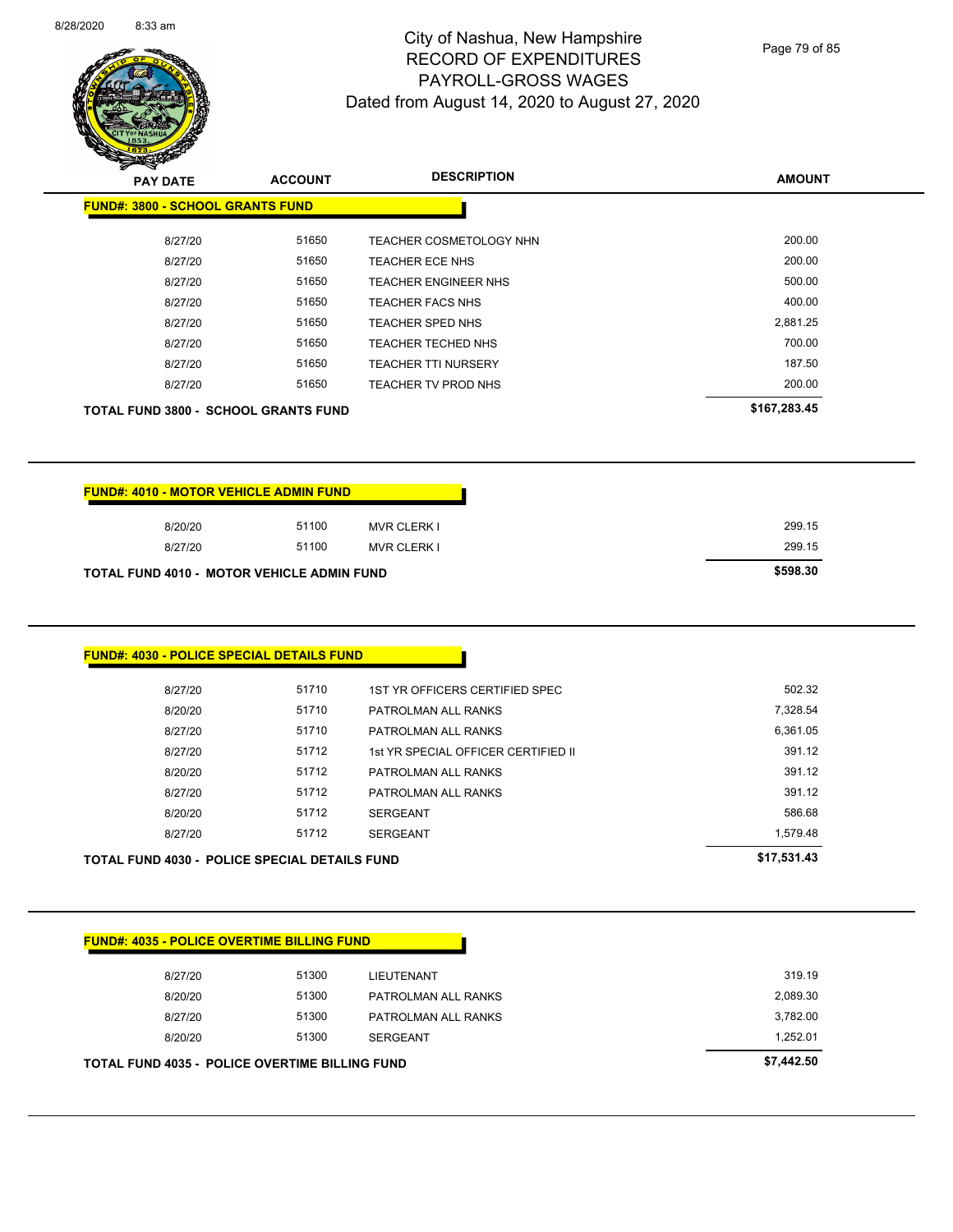

Page 79 of 85

| z.<br>$\sim$<br><b>PAY DATE</b>         | <b>ACCOUNT</b> | <b>DESCRIPTION</b>          | <b>AMOUNT</b> |
|-----------------------------------------|----------------|-----------------------------|---------------|
| <b>FUND#: 3800 - SCHOOL GRANTS FUND</b> |                |                             |               |
| 8/27/20                                 | 51650          | TEACHER COSMETOLOGY NHN     | 200.00        |
| 8/27/20                                 | 51650          | TEACHER ECE NHS             | 200.00        |
| 8/27/20                                 | 51650          | <b>TEACHER ENGINEER NHS</b> | 500.00        |
| 8/27/20                                 | 51650          | <b>TEACHER FACS NHS</b>     | 400.00        |
| 8/27/20                                 | 51650          | <b>TEACHER SPED NHS</b>     | 2,881.25      |
| 8/27/20                                 | 51650          | <b>TEACHER TECHED NHS</b>   | 700.00        |
| 8/27/20                                 | 51650          | <b>TEACHER TTI NURSERY</b>  | 187.50        |
| 8/27/20                                 | 51650          | TEACHER TV PROD NHS         | 200.00        |
| TOTAL FUND 3800 - SCHOOL GRANTS FUND    |                |                             | \$167,283.45  |

| <b>FUND#: 4010 - MOTOR VEHICLE ADMIN FUND</b> |       |                    |  |
|-----------------------------------------------|-------|--------------------|--|
| 8/20/20                                       | 51100 | <b>MVR CLERK I</b> |  |
| 8/27/20                                       | 51100 | MVR CLERK I        |  |
| TOTAL FIIND 4010 - MOTOR VEHICLE ADMIN FIIND  |       |                    |  |

| 8/27/20                                           | 51100 | <b>MVR CLERK I</b> | 299.15   |
|---------------------------------------------------|-------|--------------------|----------|
| <b>TOTAL FUND 4010 - MOTOR VEHICLE ADMIN FUND</b> |       |                    | \$598.30 |

<u> a sa sa</u>

| <b>FUND#: 4030 - POLICE SPECIAL DETAILS FUND</b> |
|--------------------------------------------------|
|                                                  |

| 8/27/20 | 51712 | PATROLMAN ALL RANKS | 391.12   |
|---------|-------|---------------------|----------|
|         |       |                     |          |
| 8/20/20 | 51712 | <b>SERGEANT</b>     | 586.68   |
|         | 51712 | <b>SERGEANT</b>     | 1.579.48 |
| 8/27/20 |       |                     |          |

| <b>FUND#: 4035 - POLICE OVERTIME BILLING FUND</b> |
|---------------------------------------------------|
|---------------------------------------------------|

|         | <b>TOTAL FUND 4035 - POLICE OVERTIME BILLING FUND</b> |                     | \$7,442.50 |
|---------|-------------------------------------------------------|---------------------|------------|
| 8/20/20 | 51300                                                 | SERGEANT            | 1.252.01   |
| 8/27/20 | 51300                                                 | PATROLMAN ALL RANKS | 3,782.00   |
| 8/20/20 | 51300                                                 | PATROLMAN ALL RANKS | 2,089.30   |
| 8/27/20 | 51300                                                 | LIEUTENANT          | 319.19     |
|         |                                                       |                     |            |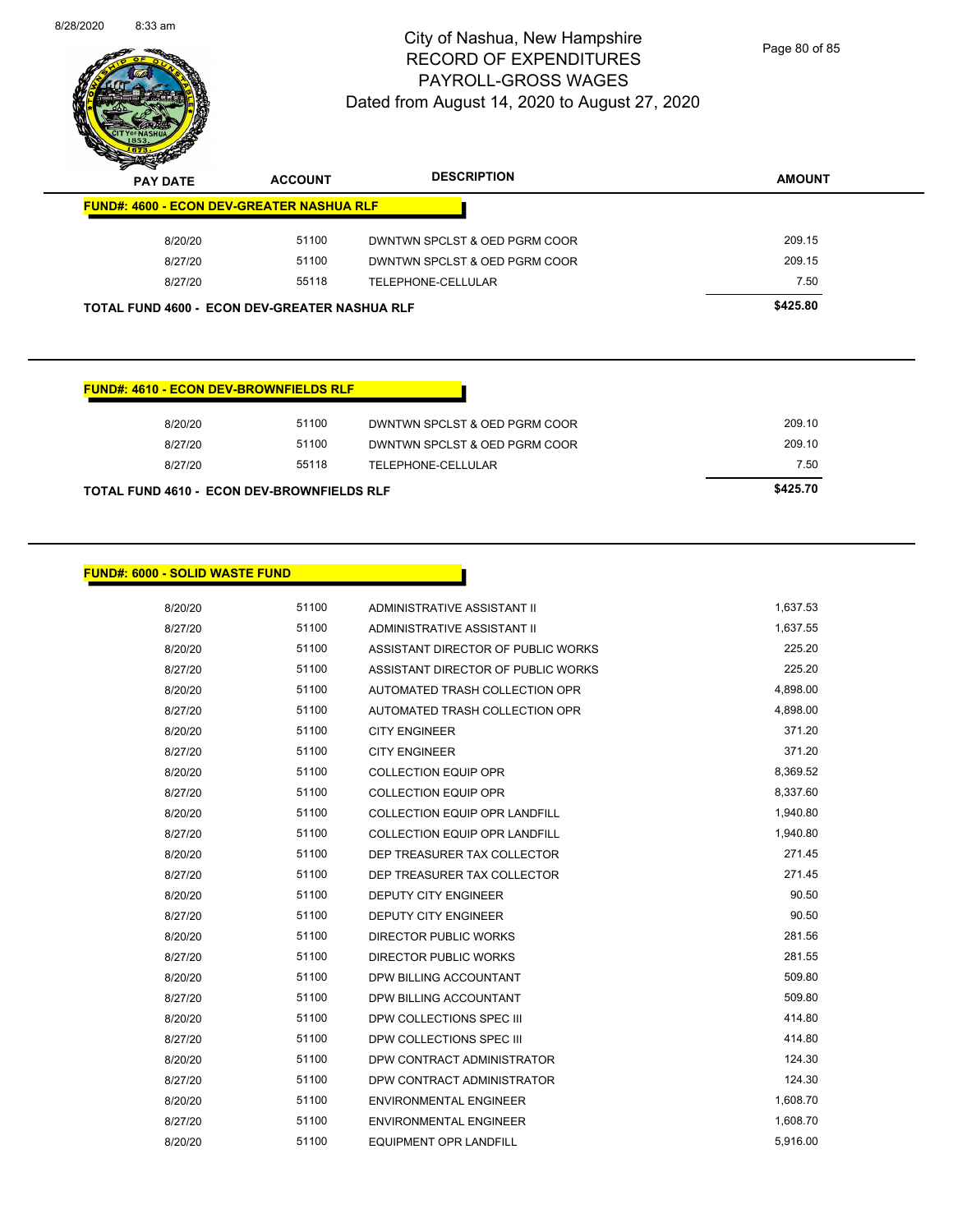

Page 80 of 85

| $\boldsymbol{v}$<br>∼<br><b>PAY DATE</b>             | <b>ACCOUNT</b> | <b>DESCRIPTION</b>            | <b>AMOUNT</b> |
|------------------------------------------------------|----------------|-------------------------------|---------------|
| <b>FUND#: 4600 - ECON DEV-GREATER NASHUA RLF</b>     |                |                               |               |
| 8/20/20                                              | 51100          | DWNTWN SPCLST & OED PGRM COOR | 209.15        |
| 8/27/20                                              | 51100          | DWNTWN SPCLST & OED PGRM COOR | 209.15        |
| 8/27/20                                              | 55118          | TELEPHONE-CELLULAR            | 7.50          |
| <b>TOTAL FUND 4600 - ECON DEV-GREATER NASHUA RLF</b> |                |                               | \$425.80      |

#### **FUND#: 4610 - ECON DEV-BROWNFIELDS RLF**

| TOTAL FUND 4610 - ECON DEV-BROWNFIELDS RLF |       |                               | \$425.70 |
|--------------------------------------------|-------|-------------------------------|----------|
| 8/27/20                                    | 55118 | TELEPHONE-CELLULAR            | 7.50     |
| 8/27/20                                    | 51100 | DWNTWN SPCLST & OED PGRM COOR | 209.10   |
| 8/20/20                                    | 51100 | DWNTWN SPCLST & OED PGRM COOR | 209.10   |
|                                            |       |                               |          |

#### **FUND#: 6000 - SOLID WASTE FUND**

| 8/20/20 | 51100 | ADMINISTRATIVE ASSISTANT II          | 1,637.53 |
|---------|-------|--------------------------------------|----------|
| 8/27/20 | 51100 | ADMINISTRATIVE ASSISTANT II          | 1,637.55 |
| 8/20/20 | 51100 | ASSISTANT DIRECTOR OF PUBLIC WORKS   | 225.20   |
| 8/27/20 | 51100 | ASSISTANT DIRECTOR OF PUBLIC WORKS   | 225.20   |
| 8/20/20 | 51100 | AUTOMATED TRASH COLLECTION OPR       | 4,898.00 |
| 8/27/20 | 51100 | AUTOMATED TRASH COLLECTION OPR       | 4,898.00 |
| 8/20/20 | 51100 | <b>CITY ENGINEER</b>                 | 371.20   |
| 8/27/20 | 51100 | <b>CITY ENGINEER</b>                 | 371.20   |
| 8/20/20 | 51100 | <b>COLLECTION EQUIP OPR</b>          | 8,369.52 |
| 8/27/20 | 51100 | <b>COLLECTION EQUIP OPR</b>          | 8,337.60 |
| 8/20/20 | 51100 | <b>COLLECTION EQUIP OPR LANDFILL</b> | 1,940.80 |
| 8/27/20 | 51100 | <b>COLLECTION EQUIP OPR LANDFILL</b> | 1,940.80 |
| 8/20/20 | 51100 | DEP TREASURER TAX COLLECTOR          | 271.45   |
| 8/27/20 | 51100 | DEP TREASURER TAX COLLECTOR          | 271.45   |
| 8/20/20 | 51100 | <b>DEPUTY CITY ENGINEER</b>          | 90.50    |
| 8/27/20 | 51100 | <b>DEPUTY CITY ENGINEER</b>          | 90.50    |
| 8/20/20 | 51100 | <b>DIRECTOR PUBLIC WORKS</b>         | 281.56   |
| 8/27/20 | 51100 | <b>DIRECTOR PUBLIC WORKS</b>         | 281.55   |
| 8/20/20 | 51100 | DPW BILLING ACCOUNTANT               | 509.80   |
| 8/27/20 | 51100 | DPW BILLING ACCOUNTANT               | 509.80   |
| 8/20/20 | 51100 | DPW COLLECTIONS SPEC III             | 414.80   |
| 8/27/20 | 51100 | DPW COLLECTIONS SPEC III             | 414.80   |
| 8/20/20 | 51100 | DPW CONTRACT ADMINISTRATOR           | 124.30   |
| 8/27/20 | 51100 | DPW CONTRACT ADMINISTRATOR           | 124.30   |
| 8/20/20 | 51100 | <b>ENVIRONMENTAL ENGINEER</b>        | 1,608.70 |
| 8/27/20 | 51100 | <b>ENVIRONMENTAL ENGINEER</b>        | 1,608.70 |
| 8/20/20 | 51100 | <b>EQUIPMENT OPR LANDFILL</b>        | 5,916.00 |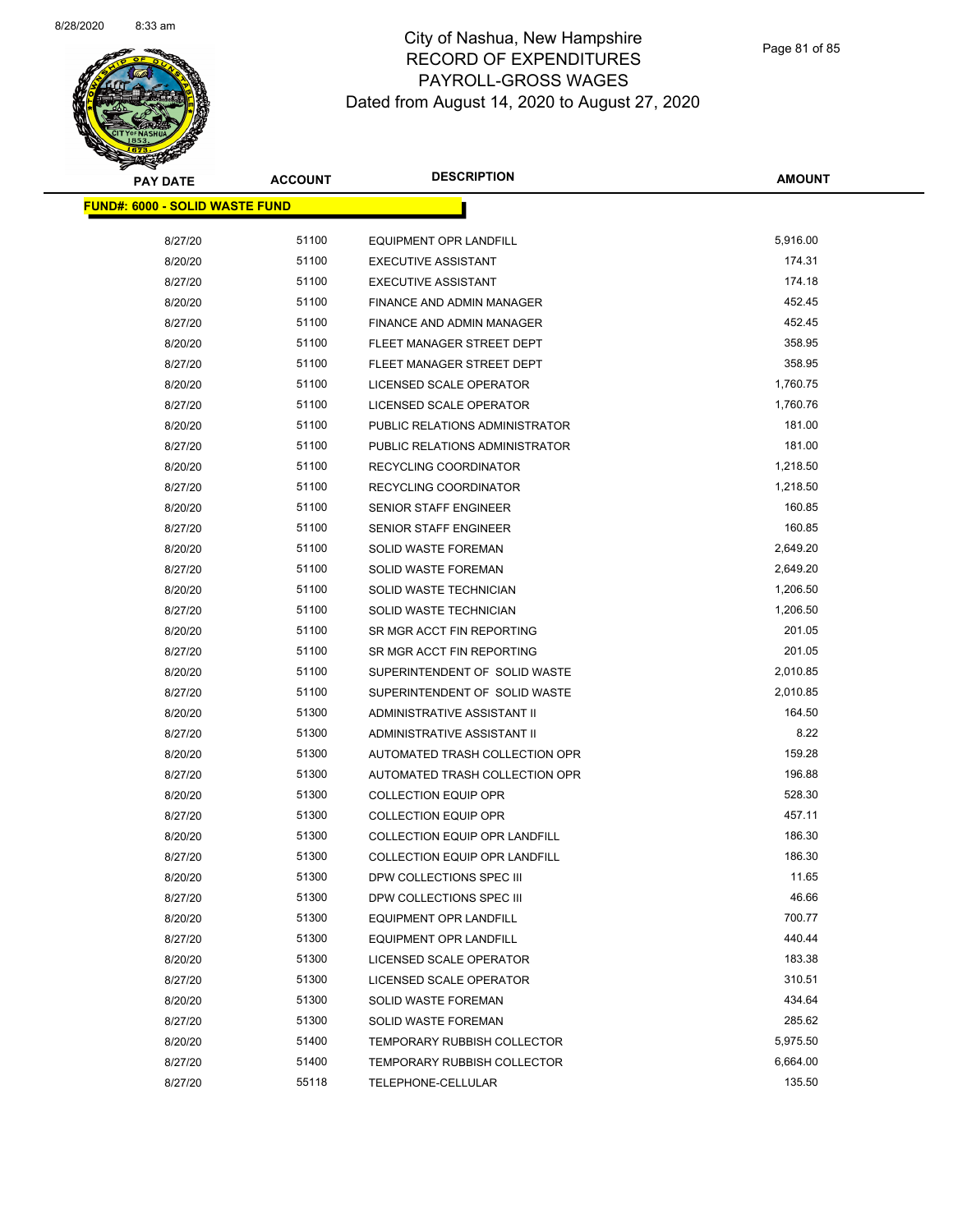

Page 81 of 85

| <b>PAY DATE</b>                        | <b>ACCOUNT</b> | <b>DESCRIPTION</b>                   | <b>AMOUNT</b> |
|----------------------------------------|----------------|--------------------------------------|---------------|
| <u> FUND#: 6000 - SOLID WASTE FUND</u> |                |                                      |               |
| 8/27/20                                | 51100          | <b>EQUIPMENT OPR LANDFILL</b>        | 5,916.00      |
| 8/20/20                                | 51100          | <b>EXECUTIVE ASSISTANT</b>           | 174.31        |
| 8/27/20                                | 51100          | <b>EXECUTIVE ASSISTANT</b>           | 174.18        |
| 8/20/20                                | 51100          | FINANCE AND ADMIN MANAGER            | 452.45        |
| 8/27/20                                | 51100          | FINANCE AND ADMIN MANAGER            | 452.45        |
| 8/20/20                                | 51100          | FLEET MANAGER STREET DEPT            | 358.95        |
| 8/27/20                                | 51100          | FLEET MANAGER STREET DEPT            | 358.95        |
| 8/20/20                                | 51100          | LICENSED SCALE OPERATOR              | 1,760.75      |
| 8/27/20                                | 51100          | LICENSED SCALE OPERATOR              | 1,760.76      |
| 8/20/20                                | 51100          | PUBLIC RELATIONS ADMINISTRATOR       | 181.00        |
| 8/27/20                                | 51100          | PUBLIC RELATIONS ADMINISTRATOR       | 181.00        |
| 8/20/20                                | 51100          | RECYCLING COORDINATOR                | 1,218.50      |
| 8/27/20                                | 51100          | RECYCLING COORDINATOR                | 1,218.50      |
| 8/20/20                                | 51100          | SENIOR STAFF ENGINEER                | 160.85        |
| 8/27/20                                | 51100          | SENIOR STAFF ENGINEER                | 160.85        |
| 8/20/20                                | 51100          | <b>SOLID WASTE FOREMAN</b>           | 2,649.20      |
| 8/27/20                                | 51100          | <b>SOLID WASTE FOREMAN</b>           | 2,649.20      |
| 8/20/20                                | 51100          | SOLID WASTE TECHNICIAN               | 1,206.50      |
| 8/27/20                                | 51100          | SOLID WASTE TECHNICIAN               | 1,206.50      |
| 8/20/20                                | 51100          | SR MGR ACCT FIN REPORTING            | 201.05        |
| 8/27/20                                | 51100          | SR MGR ACCT FIN REPORTING            | 201.05        |
| 8/20/20                                | 51100          | SUPERINTENDENT OF SOLID WASTE        | 2,010.85      |
| 8/27/20                                | 51100          | SUPERINTENDENT OF SOLID WASTE        | 2,010.85      |
| 8/20/20                                | 51300          | ADMINISTRATIVE ASSISTANT II          | 164.50        |
| 8/27/20                                | 51300          | ADMINISTRATIVE ASSISTANT II          | 8.22          |
| 8/20/20                                | 51300          | AUTOMATED TRASH COLLECTION OPR       | 159.28        |
| 8/27/20                                | 51300          | AUTOMATED TRASH COLLECTION OPR       | 196.88        |
| 8/20/20                                | 51300          | <b>COLLECTION EQUIP OPR</b>          | 528.30        |
| 8/27/20                                | 51300          | <b>COLLECTION EQUIP OPR</b>          | 457.11        |
| 8/20/20                                | 51300          | <b>COLLECTION EQUIP OPR LANDFILL</b> | 186.30        |
| 8/27/20                                | 51300          | <b>COLLECTION EQUIP OPR LANDFILL</b> | 186.30        |
| 8/20/20                                | 51300          | DPW COLLECTIONS SPEC III             | 11.65         |
| 8/27/20                                | 51300          | DPW COLLECTIONS SPEC III             | 46.66         |
| 8/20/20                                | 51300          | <b>EQUIPMENT OPR LANDFILL</b>        | 700.77        |
| 8/27/20                                | 51300          | <b>EQUIPMENT OPR LANDFILL</b>        | 440.44        |
| 8/20/20                                | 51300          | LICENSED SCALE OPERATOR              | 183.38        |
| 8/27/20                                | 51300          | LICENSED SCALE OPERATOR              | 310.51        |
| 8/20/20                                | 51300          | <b>SOLID WASTE FOREMAN</b>           | 434.64        |
| 8/27/20                                | 51300          | <b>SOLID WASTE FOREMAN</b>           | 285.62        |
| 8/20/20                                | 51400          | TEMPORARY RUBBISH COLLECTOR          | 5,975.50      |
| 8/27/20                                | 51400          | TEMPORARY RUBBISH COLLECTOR          | 6,664.00      |
| 8/27/20                                | 55118          | TELEPHONE-CELLULAR                   | 135.50        |
|                                        |                |                                      |               |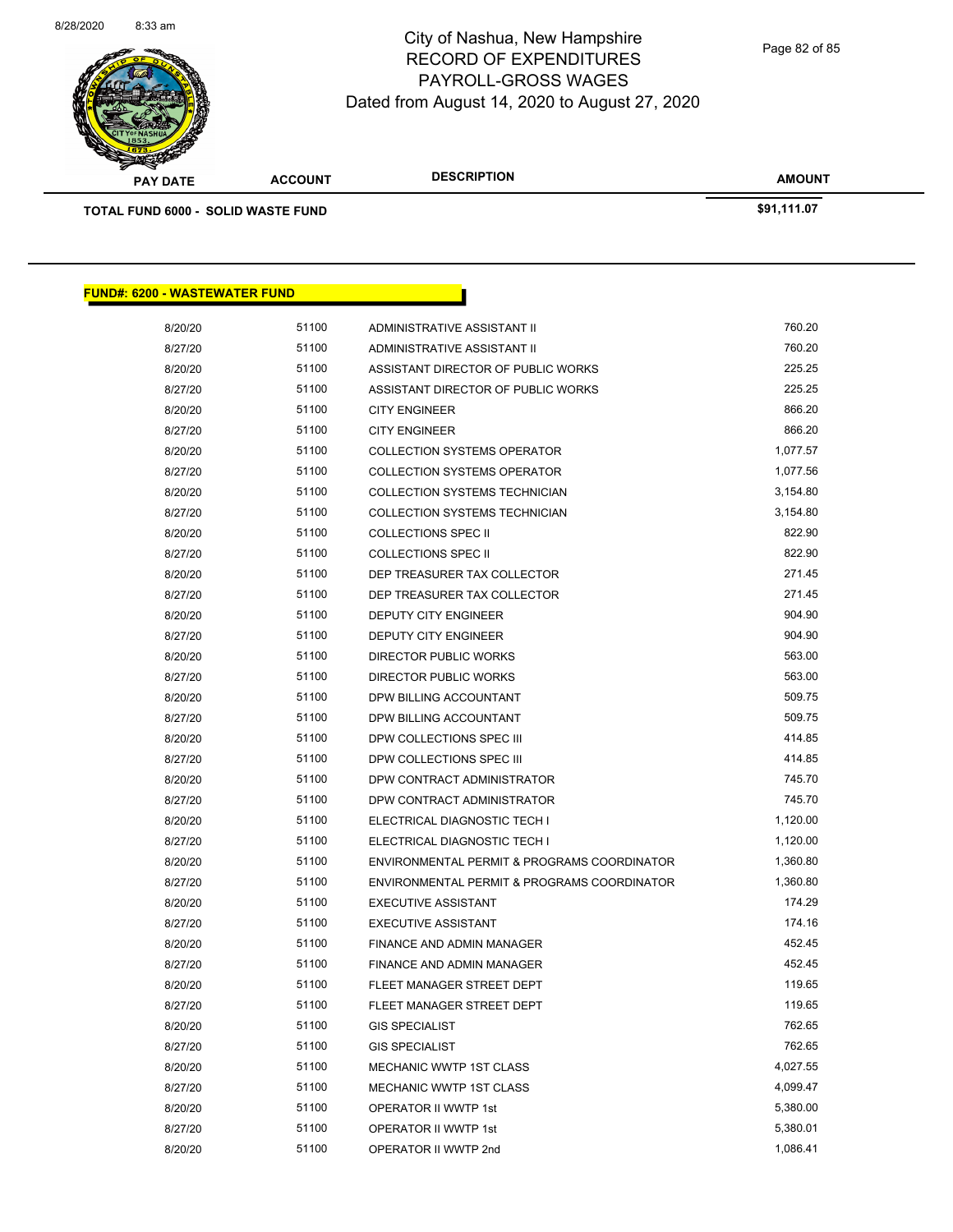

**AMOUNT PAY DATE ACCOUNT DESCRIPTION**

**TOTAL FUND 6000 - SOLID WASTE FUND \$91,111.07** 

| <u> FUND#: 6200 - WASTEWATER FUND</u> |       |                                             |          |
|---------------------------------------|-------|---------------------------------------------|----------|
| 8/20/20                               | 51100 | ADMINISTRATIVE ASSISTANT II                 | 760.20   |
| 8/27/20                               | 51100 | ADMINISTRATIVE ASSISTANT II                 | 760.20   |
| 8/20/20                               | 51100 | ASSISTANT DIRECTOR OF PUBLIC WORKS          | 225.25   |
| 8/27/20                               | 51100 | ASSISTANT DIRECTOR OF PUBLIC WORKS          | 225.25   |
| 8/20/20                               | 51100 | <b>CITY ENGINEER</b>                        | 866.20   |
| 8/27/20                               | 51100 | <b>CITY ENGINEER</b>                        | 866.20   |
| 8/20/20                               | 51100 | <b>COLLECTION SYSTEMS OPERATOR</b>          | 1,077.57 |
| 8/27/20                               | 51100 | <b>COLLECTION SYSTEMS OPERATOR</b>          | 1,077.56 |
| 8/20/20                               | 51100 | COLLECTION SYSTEMS TECHNICIAN               | 3,154.80 |
| 8/27/20                               | 51100 | COLLECTION SYSTEMS TECHNICIAN               | 3,154.80 |
| 8/20/20                               | 51100 | <b>COLLECTIONS SPEC II</b>                  | 822.90   |
| 8/27/20                               | 51100 | <b>COLLECTIONS SPEC II</b>                  | 822.90   |
| 8/20/20                               | 51100 | DEP TREASURER TAX COLLECTOR                 | 271.45   |
| 8/27/20                               | 51100 | DEP TREASURER TAX COLLECTOR                 | 271.45   |
| 8/20/20                               | 51100 | DEPUTY CITY ENGINEER                        | 904.90   |
| 8/27/20                               | 51100 | DEPUTY CITY ENGINEER                        | 904.90   |
| 8/20/20                               | 51100 | DIRECTOR PUBLIC WORKS                       | 563.00   |
| 8/27/20                               | 51100 | DIRECTOR PUBLIC WORKS                       | 563.00   |
| 8/20/20                               | 51100 | DPW BILLING ACCOUNTANT                      | 509.75   |
| 8/27/20                               | 51100 | DPW BILLING ACCOUNTANT                      | 509.75   |
| 8/20/20                               | 51100 | DPW COLLECTIONS SPEC III                    | 414.85   |
| 8/27/20                               | 51100 | DPW COLLECTIONS SPEC III                    | 414.85   |
| 8/20/20                               | 51100 | DPW CONTRACT ADMINISTRATOR                  | 745.70   |
| 8/27/20                               | 51100 | DPW CONTRACT ADMINISTRATOR                  | 745.70   |
| 8/20/20                               | 51100 | ELECTRICAL DIAGNOSTIC TECH I                | 1,120.00 |
| 8/27/20                               | 51100 | ELECTRICAL DIAGNOSTIC TECH I                | 1,120.00 |
| 8/20/20                               | 51100 | ENVIRONMENTAL PERMIT & PROGRAMS COORDINATOR | 1,360.80 |
| 8/27/20                               | 51100 | ENVIRONMENTAL PERMIT & PROGRAMS COORDINATOR | 1,360.80 |
| 8/20/20                               | 51100 | <b>EXECUTIVE ASSISTANT</b>                  | 174.29   |
| 8/27/20                               | 51100 | <b>EXECUTIVE ASSISTANT</b>                  | 174.16   |
| 8/20/20                               | 51100 | FINANCE AND ADMIN MANAGER                   | 452.45   |
| 8/27/20                               | 51100 | FINANCE AND ADMIN MANAGER                   | 452.45   |
| 8/20/20                               | 51100 | FLEET MANAGER STREET DEPT                   | 119.65   |
| 8/27/20                               | 51100 | FLEET MANAGER STREET DEPT                   | 119.65   |
| 8/20/20                               | 51100 | <b>GIS SPECIALIST</b>                       | 762.65   |
| 8/27/20                               | 51100 | <b>GIS SPECIALIST</b>                       | 762.65   |
| 8/20/20                               | 51100 | MECHANIC WWTP 1ST CLASS                     | 4,027.55 |
| 8/27/20                               | 51100 | MECHANIC WWTP 1ST CLASS                     | 4,099.47 |
| 8/20/20                               | 51100 | OPERATOR II WWTP 1st                        | 5,380.00 |
| 8/27/20                               | 51100 | OPERATOR II WWTP 1st                        | 5,380.01 |
| 8/20/20                               | 51100 | OPERATOR II WWTP 2nd                        | 1,086.41 |
|                                       |       |                                             |          |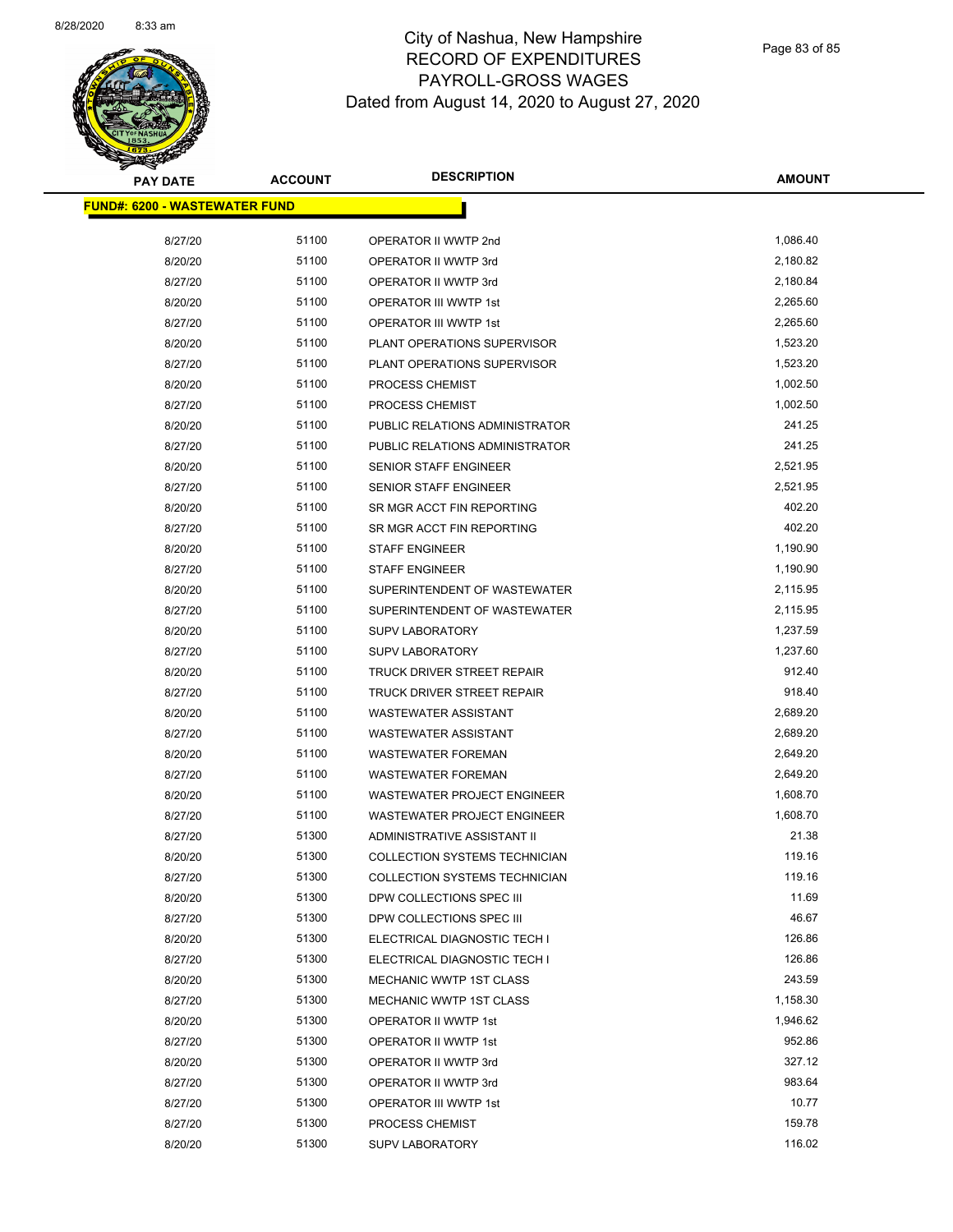

Page 83 of 85

| <b>PAY DATE</b>                      | <b>ACCOUNT</b> | <b>DESCRIPTION</b>                   | <b>AMOUNT</b> |
|--------------------------------------|----------------|--------------------------------------|---------------|
| <b>FUND#: 6200 - WASTEWATER FUND</b> |                |                                      |               |
|                                      |                |                                      |               |
| 8/27/20                              | 51100          | OPERATOR II WWTP 2nd                 | 1,086.40      |
| 8/20/20                              | 51100          | OPERATOR II WWTP 3rd                 | 2,180.82      |
| 8/27/20                              | 51100          | OPERATOR II WWTP 3rd                 | 2,180.84      |
| 8/20/20                              | 51100          | OPERATOR III WWTP 1st                | 2,265.60      |
| 8/27/20                              | 51100          | OPERATOR III WWTP 1st                | 2,265.60      |
| 8/20/20                              | 51100          | PLANT OPERATIONS SUPERVISOR          | 1,523.20      |
| 8/27/20                              | 51100          | PLANT OPERATIONS SUPERVISOR          | 1,523.20      |
| 8/20/20                              | 51100          | PROCESS CHEMIST                      | 1,002.50      |
| 8/27/20                              | 51100          | PROCESS CHEMIST                      | 1,002.50      |
| 8/20/20                              | 51100          | PUBLIC RELATIONS ADMINISTRATOR       | 241.25        |
| 8/27/20                              | 51100          | PUBLIC RELATIONS ADMINISTRATOR       | 241.25        |
| 8/20/20                              | 51100          | <b>SENIOR STAFF ENGINEER</b>         | 2,521.95      |
| 8/27/20                              | 51100          | SENIOR STAFF ENGINEER                | 2,521.95      |
| 8/20/20                              | 51100          | SR MGR ACCT FIN REPORTING            | 402.20        |
| 8/27/20                              | 51100          | SR MGR ACCT FIN REPORTING            | 402.20        |
| 8/20/20                              | 51100          | <b>STAFF ENGINEER</b>                | 1,190.90      |
| 8/27/20                              | 51100          | <b>STAFF ENGINEER</b>                | 1,190.90      |
| 8/20/20                              | 51100          | SUPERINTENDENT OF WASTEWATER         | 2,115.95      |
| 8/27/20                              | 51100          | SUPERINTENDENT OF WASTEWATER         | 2,115.95      |
| 8/20/20                              | 51100          | <b>SUPV LABORATORY</b>               | 1,237.59      |
| 8/27/20                              | 51100          | <b>SUPV LABORATORY</b>               | 1,237.60      |
| 8/20/20                              | 51100          | TRUCK DRIVER STREET REPAIR           | 912.40        |
| 8/27/20                              | 51100          | TRUCK DRIVER STREET REPAIR           | 918.40        |
| 8/20/20                              | 51100          | <b>WASTEWATER ASSISTANT</b>          | 2,689.20      |
| 8/27/20                              | 51100          | <b>WASTEWATER ASSISTANT</b>          | 2,689.20      |
| 8/20/20                              | 51100          | <b>WASTEWATER FOREMAN</b>            | 2,649.20      |
| 8/27/20                              | 51100          | <b>WASTEWATER FOREMAN</b>            | 2,649.20      |
| 8/20/20                              | 51100          | WASTEWATER PROJECT ENGINEER          | 1,608.70      |
| 8/27/20                              | 51100          | <b>WASTEWATER PROJECT ENGINEER</b>   | 1,608.70      |
| 8/27/20                              | 51300          | <b>ADMINISTRATIVE ASSISTANT II</b>   | 21.38         |
| 8/20/20                              | 51300          | <b>COLLECTION SYSTEMS TECHNICIAN</b> | 119.16        |
| 8/27/20                              | 51300          | COLLECTION SYSTEMS TECHNICIAN        | 119.16        |
| 8/20/20                              | 51300          | DPW COLLECTIONS SPEC III             | 11.69         |
| 8/27/20                              | 51300          | DPW COLLECTIONS SPEC III             | 46.67         |
| 8/20/20                              | 51300          | ELECTRICAL DIAGNOSTIC TECH I         | 126.86        |
| 8/27/20                              | 51300          | ELECTRICAL DIAGNOSTIC TECH I         | 126.86        |
| 8/20/20                              | 51300          | MECHANIC WWTP 1ST CLASS              | 243.59        |
| 8/27/20                              | 51300          | MECHANIC WWTP 1ST CLASS              | 1,158.30      |
| 8/20/20                              | 51300          | OPERATOR II WWTP 1st                 | 1,946.62      |
| 8/27/20                              | 51300          | OPERATOR II WWTP 1st                 | 952.86        |
| 8/20/20                              | 51300          | OPERATOR II WWTP 3rd                 | 327.12        |
| 8/27/20                              | 51300          | OPERATOR II WWTP 3rd                 | 983.64        |
| 8/27/20                              | 51300          | OPERATOR III WWTP 1st                | 10.77         |
| 8/27/20                              | 51300          | PROCESS CHEMIST                      | 159.78        |
| 8/20/20                              | 51300          | <b>SUPV LABORATORY</b>               | 116.02        |
|                                      |                |                                      |               |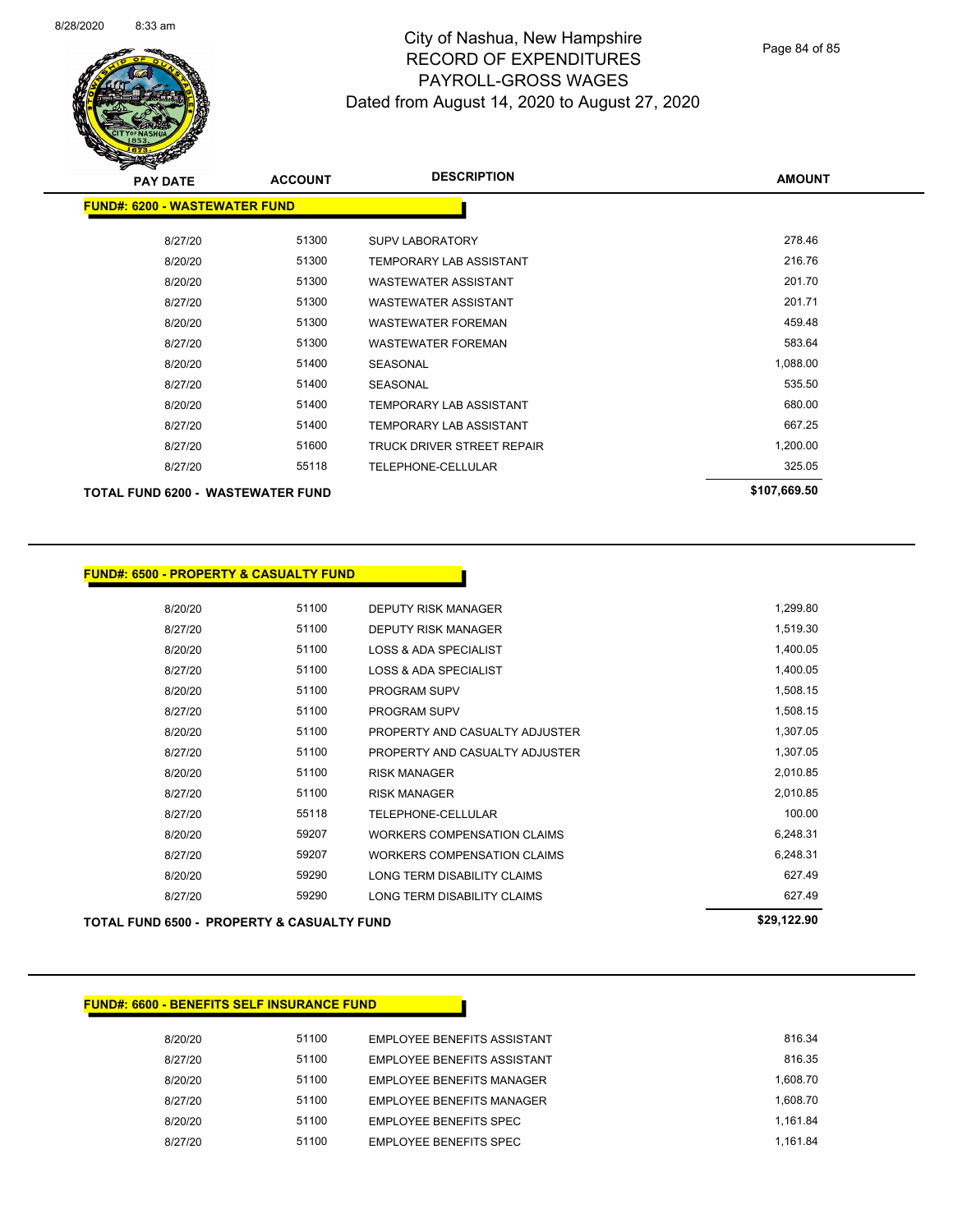

Page 84 of 85

| <b>PAY DATE</b>                          | <b>ACCOUNT</b> | <b>DESCRIPTION</b>             | <b>AMOUNT</b> |
|------------------------------------------|----------------|--------------------------------|---------------|
| <b>FUND#: 6200 - WASTEWATER FUND</b>     |                |                                |               |
| 8/27/20                                  | 51300          | <b>SUPV LABORATORY</b>         | 278.46        |
| 8/20/20                                  | 51300          | <b>TEMPORARY LAB ASSISTANT</b> | 216.76        |
| 8/20/20                                  | 51300          | <b>WASTEWATER ASSISTANT</b>    | 201.70        |
| 8/27/20                                  | 51300          | <b>WASTEWATER ASSISTANT</b>    | 201.71        |
| 8/20/20                                  | 51300          | WASTEWATER FOREMAN             | 459.48        |
| 8/27/20                                  | 51300          | <b>WASTEWATER FOREMAN</b>      | 583.64        |
| 8/20/20                                  | 51400          | <b>SEASONAL</b>                | 1,088.00      |
| 8/27/20                                  | 51400          | <b>SEASONAL</b>                | 535.50        |
| 8/20/20                                  | 51400          | <b>TEMPORARY LAB ASSISTANT</b> | 680.00        |
| 8/27/20                                  | 51400          | <b>TEMPORARY LAB ASSISTANT</b> | 667.25        |
| 8/27/20                                  | 51600          | TRUCK DRIVER STREET REPAIR     | 1,200.00      |
| 8/27/20                                  | 55118          | <b>TELEPHONE-CELLULAR</b>      | 325.05        |
| <b>TOTAL FUND 6200 - WASTEWATER FUND</b> |                |                                | \$107,669.50  |

| 8/20/20 | 51100 | <b>DEPUTY RISK MANAGER</b>         | 1,299.80 |
|---------|-------|------------------------------------|----------|
| 8/27/20 | 51100 | <b>DEPUTY RISK MANAGER</b>         | 1,519.30 |
| 8/20/20 | 51100 | <b>LOSS &amp; ADA SPECIALIST</b>   | 1,400.05 |
| 8/27/20 | 51100 | LOSS & ADA SPECIALIST              | 1,400.05 |
| 8/20/20 | 51100 | <b>PROGRAM SUPV</b>                | 1,508.15 |
| 8/27/20 | 51100 | <b>PROGRAM SUPV</b>                | 1,508.15 |
| 8/20/20 | 51100 | PROPERTY AND CASUALTY ADJUSTER     | 1,307.05 |
| 8/27/20 | 51100 | PROPERTY AND CASUALTY ADJUSTER     | 1,307.05 |
| 8/20/20 | 51100 | <b>RISK MANAGER</b>                | 2,010.85 |
| 8/27/20 | 51100 | <b>RISK MANAGER</b>                | 2,010.85 |
| 8/27/20 | 55118 | TELEPHONE-CELLULAR                 | 100.00   |
| 8/20/20 | 59207 | <b>WORKERS COMPENSATION CLAIMS</b> | 6,248.31 |
| 8/27/20 | 59207 | WORKERS COMPENSATION CLAIMS        | 6,248.31 |
| 8/20/20 | 59290 | LONG TERM DISABILITY CLAIMS        | 627.49   |
| 8/27/20 | 59290 | LONG TERM DISABILITY CLAIMS        | 627.49   |
|         |       |                                    |          |

**TOTAL FUND 6500 - PROPERTY & CASUALTY FUND \$29,122.90** 

#### **FUND#: 6600 - BENEFITS SELF INSURANCE FUND**

| 8/20/20 | 51100 | <b>EMPLOYEE BENEFITS ASSISTANT</b> | 816.34   |
|---------|-------|------------------------------------|----------|
| 8/27/20 | 51100 | EMPLOYEE BENEFITS ASSISTANT        | 816.35   |
| 8/20/20 | 51100 | EMPLOYEE BENEFITS MANAGER          | 1.608.70 |
| 8/27/20 | 51100 | EMPLOYEE BENEFITS MANAGER          | 1.608.70 |
| 8/20/20 | 51100 | EMPLOYEE BENEFITS SPEC             | 1.161.84 |
| 8/27/20 | 51100 | EMPLOYEE BENEFITS SPEC             | 1.161.84 |